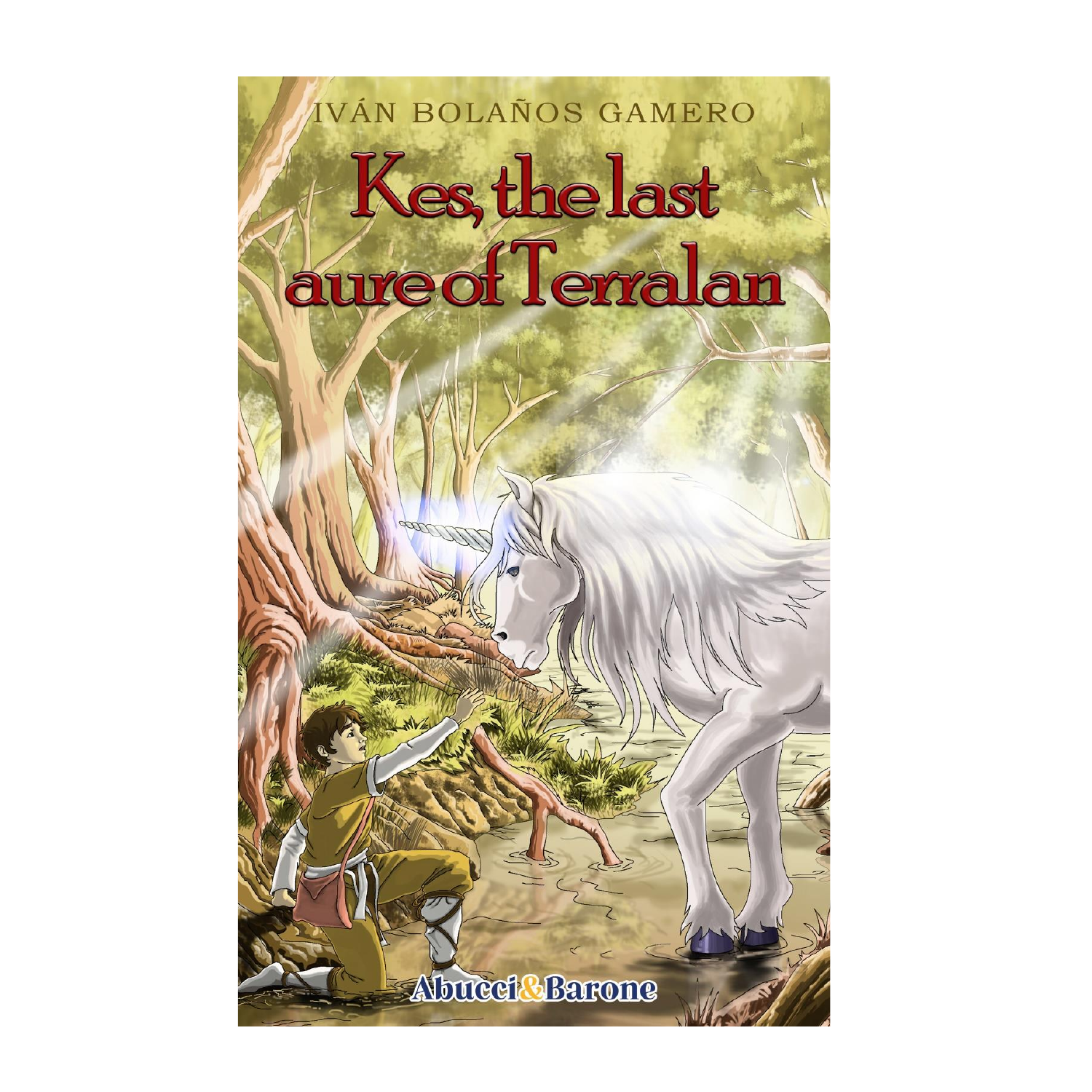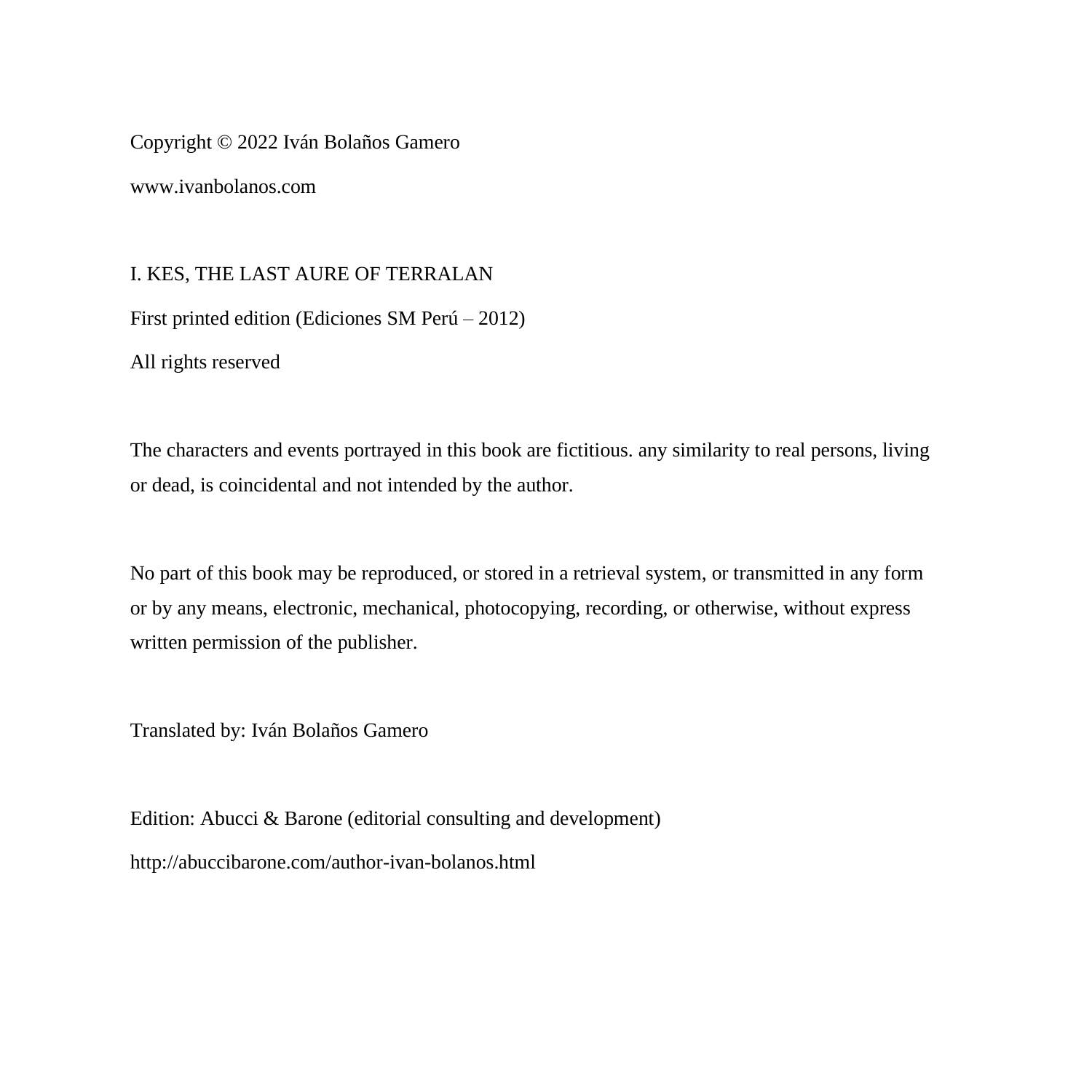Copyright © 2022 Iván Bolaños Gamero

www.ivanbolanos.com

I. KES, THE LAST AURE OF TERRALAN First printed edition (Ediciones SM Perú – 2012) All rights reserved

The characters and events portrayed in this book are fictitious. any similarity to real persons, living or dead, is coincidental and not intended by the author.

No part of this book may be reproduced, or stored in a retrieval system, or transmitted in any form or by any means, electronic, mechanical, photocopying, recording, or otherwise, without express written permission of the publisher.

Translated by: Iván Bolaños Gamero

Edition: Abucci & Barone (editorial consulting and development) http://abuccibarone.com/author-ivan-bolanos.html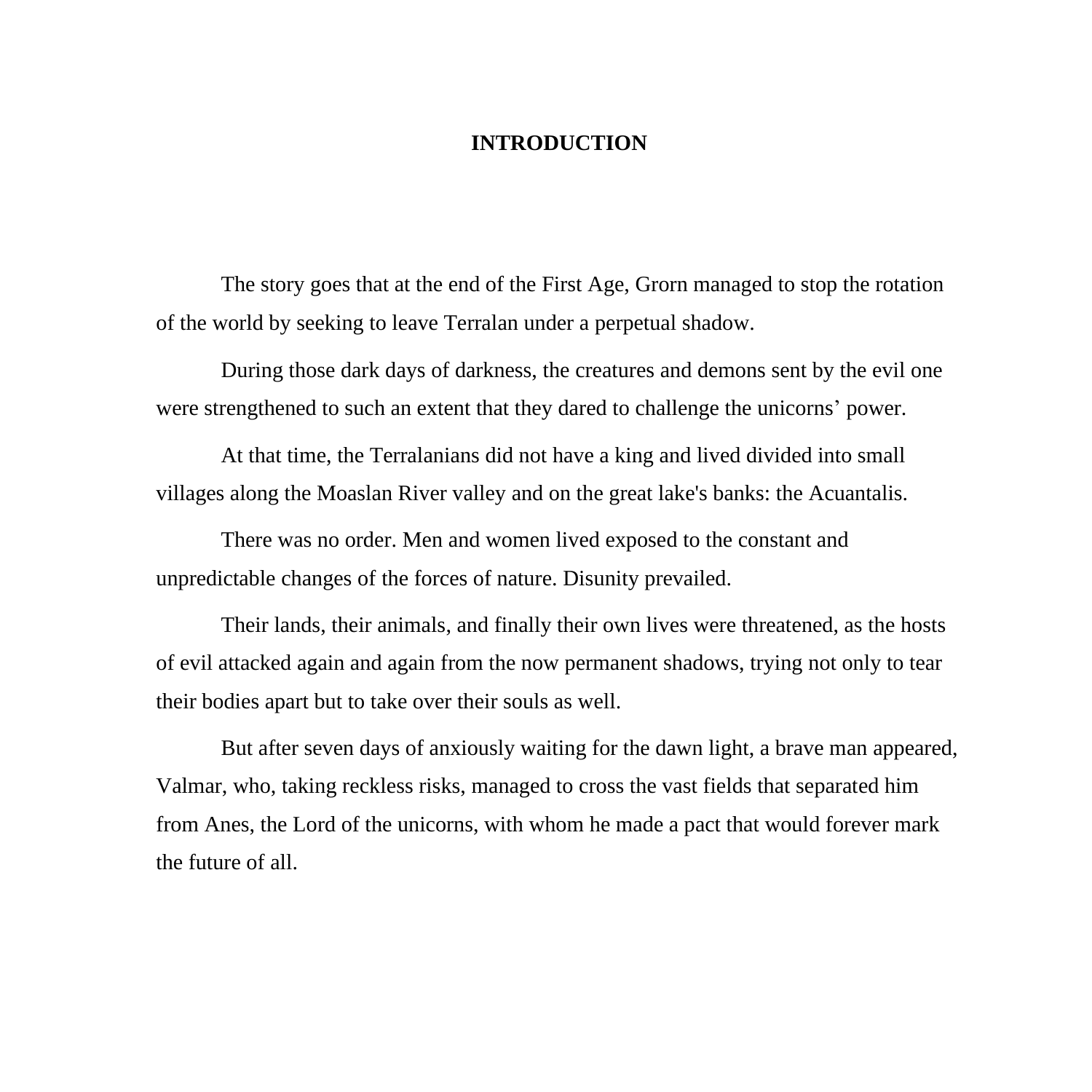## **INTRODUCTION**

The story goes that at the end of the First Age, Grorn managed to stop the rotation of the world by seeking to leave Terralan under a perpetual shadow.

During those dark days of darkness, the creatures and demons sent by the evil one were strengthened to such an extent that they dared to challenge the unicorns' power.

At that time, the Terralanians did not have a king and lived divided into small villages along the Moaslan River valley and on the great lake's banks: the Acuantalis.

There was no order. Men and women lived exposed to the constant and unpredictable changes of the forces of nature. Disunity prevailed.

Their lands, their animals, and finally their own lives were threatened, as the hosts of evil attacked again and again from the now permanent shadows, trying not only to tear their bodies apart but to take over their souls as well.

But after seven days of anxiously waiting for the dawn light, a brave man appeared, Valmar, who, taking reckless risks, managed to cross the vast fields that separated him from Anes, the Lord of the unicorns, with whom he made a pact that would forever mark the future of all.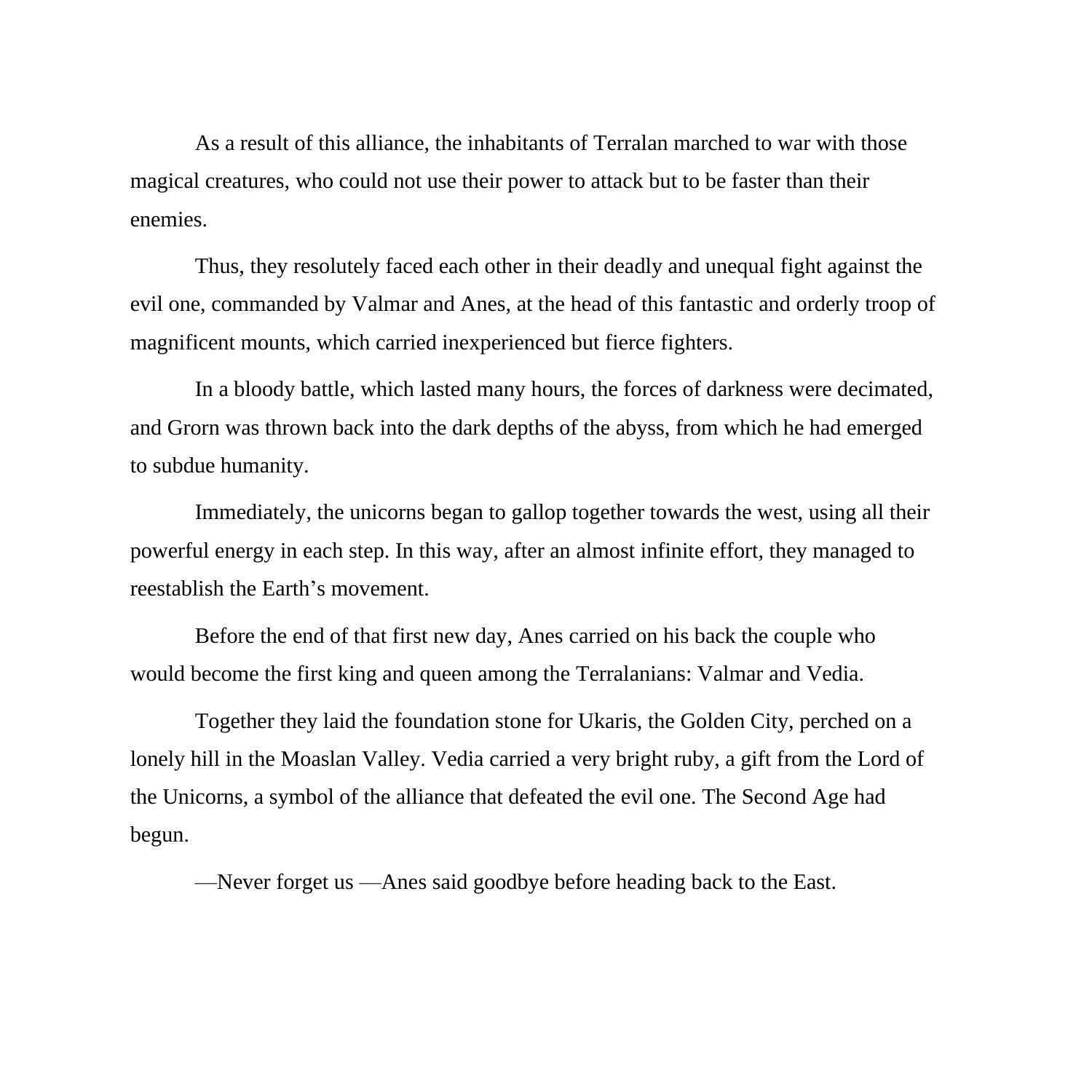As a result of this alliance, the inhabitants of Terralan marched to war with those magical creatures, who could not use their power to attack but to be faster than their enemies.

Thus, they resolutely faced each other in their deadly and unequal fight against the evil one, commanded by Valmar and Anes, at the head of this fantastic and orderly troop of magnificent mounts, which carried inexperienced but fierce fighters.

In a bloody battle, which lasted many hours, the forces of darkness were decimated, and Grorn was thrown back into the dark depths of the abyss, from which he had emerged to subdue humanity.

Immediately, the unicorns began to gallop together towards the west, using all their powerful energy in each step. In this way, after an almost infinite effort, they managed to reestablish the Earth's movement.

Before the end of that first new day, Anes carried on his back the couple who would become the first king and queen among the Terralanians: Valmar and Vedia.

Together they laid the foundation stone for Ukaris, the Golden City, perched on a lonely hill in the Moaslan Valley. Vedia carried a very bright ruby, a gift from the Lord of the Unicorns, a symbol of the alliance that defeated the evil one. The Second Age had begun.

—Never forget us —Anes said goodbye before heading back to the East.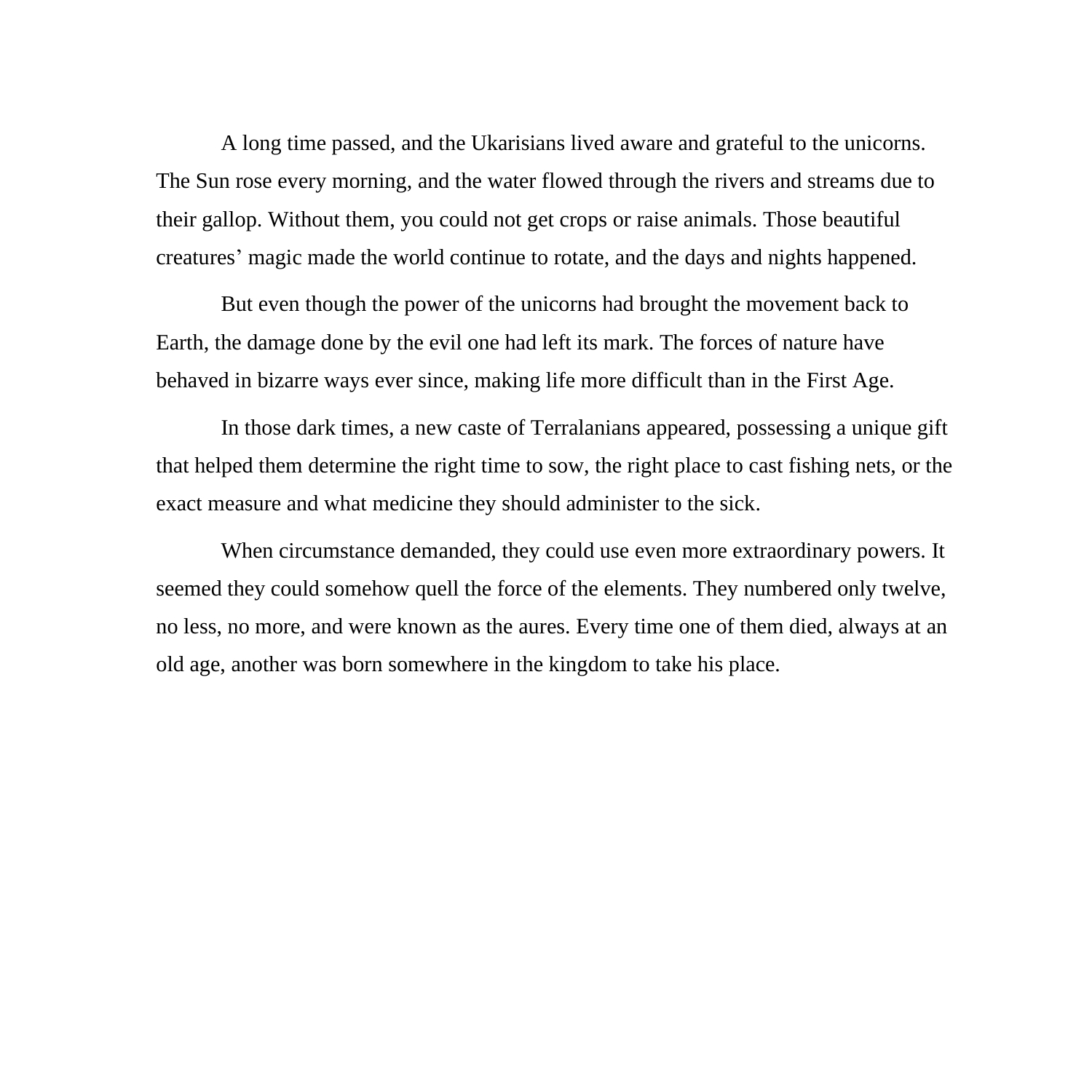A long time passed, and the Ukarisians lived aware and grateful to the unicorns. The Sun rose every morning, and the water flowed through the rivers and streams due to their gallop. Without them, you could not get crops or raise animals. Those beautiful creatures' magic made the world continue to rotate, and the days and nights happened.

But even though the power of the unicorns had brought the movement back to Earth, the damage done by the evil one had left its mark. The forces of nature have behaved in bizarre ways ever since, making life more difficult than in the First Age.

In those dark times, a new caste of Terralanians appeared, possessing a unique gift that helped them determine the right time to sow, the right place to cast fishing nets, or the exact measure and what medicine they should administer to the sick.

When circumstance demanded, they could use even more extraordinary powers. It seemed they could somehow quell the force of the elements. They numbered only twelve, no less, no more, and were known as the aures. Every time one of them died, always at an old age, another was born somewhere in the kingdom to take his place.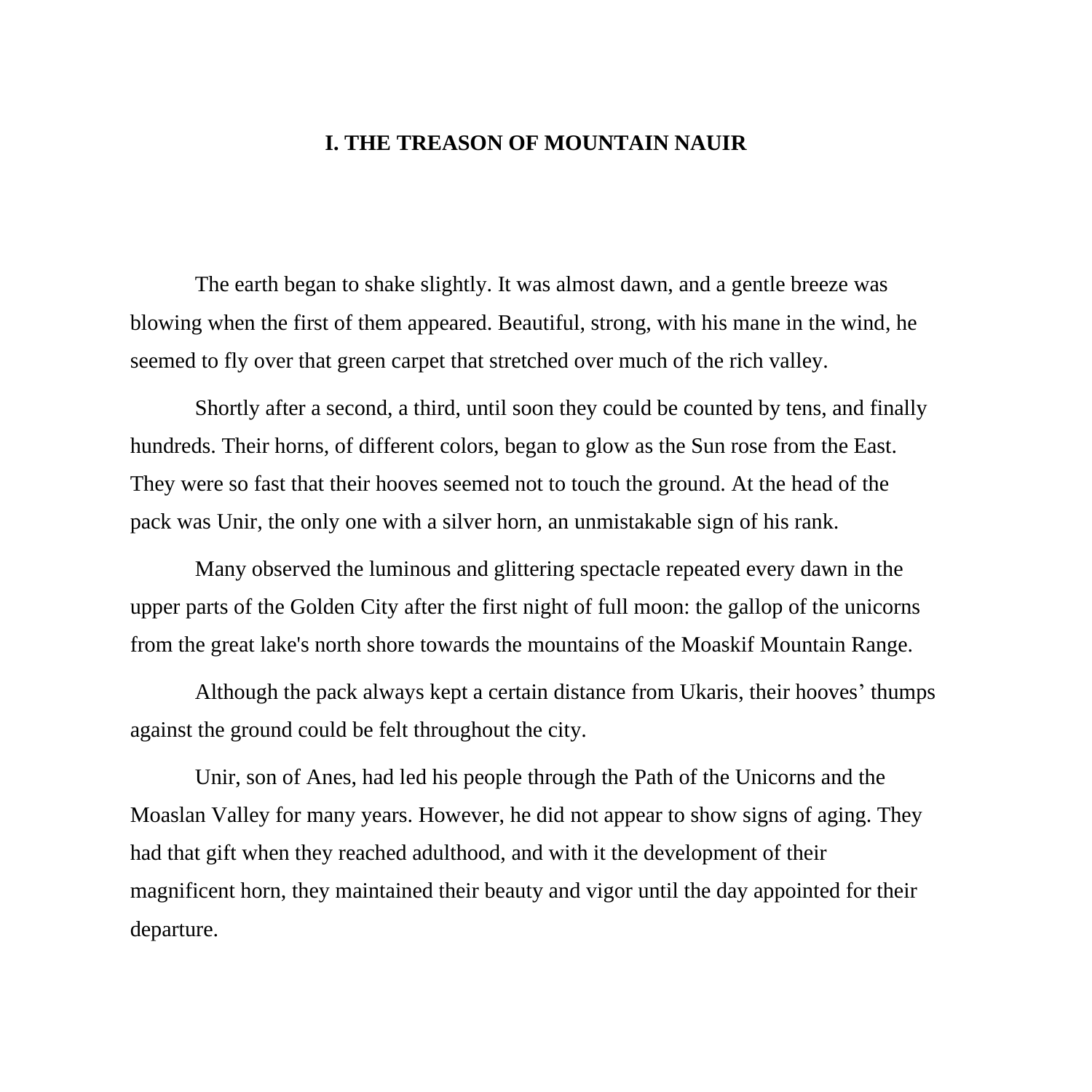## **I. THE TREASON OF MOUNTAIN NAUIR**

The earth began to shake slightly. It was almost dawn, and a gentle breeze was blowing when the first of them appeared. Beautiful, strong, with his mane in the wind, he seemed to fly over that green carpet that stretched over much of the rich valley.

Shortly after a second, a third, until soon they could be counted by tens, and finally hundreds. Their horns, of different colors, began to glow as the Sun rose from the East. They were so fast that their hooves seemed not to touch the ground. At the head of the pack was Unir, the only one with a silver horn, an unmistakable sign of his rank.

Many observed the luminous and glittering spectacle repeated every dawn in the upper parts of the Golden City after the first night of full moon: the gallop of the unicorns from the great lake's north shore towards the mountains of the Moaskif Mountain Range.

Although the pack always kept a certain distance from Ukaris, their hooves' thumps against the ground could be felt throughout the city.

Unir, son of Anes, had led his people through the Path of the Unicorns and the Moaslan Valley for many years. However, he did not appear to show signs of aging. They had that gift when they reached adulthood, and with it the development of their magnificent horn, they maintained their beauty and vigor until the day appointed for their departure.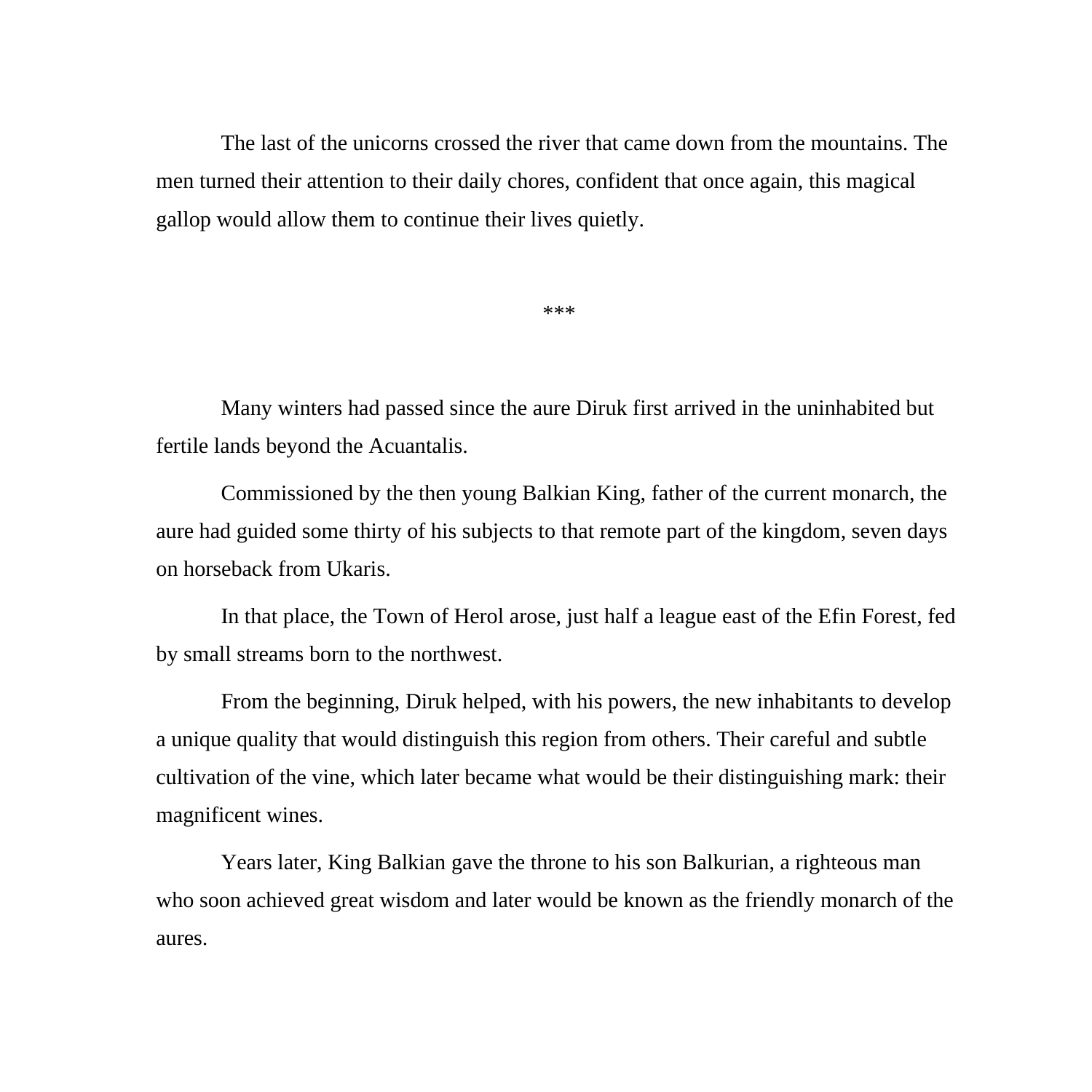The last of the unicorns crossed the river that came down from the mountains. The men turned their attention to their daily chores, confident that once again, this magical gallop would allow them to continue their lives quietly.

\*\*\*

Many winters had passed since the aure Diruk first arrived in the uninhabited but fertile lands beyond the Acuantalis.

Commissioned by the then young Balkian King, father of the current monarch, the aure had guided some thirty of his subjects to that remote part of the kingdom, seven days on horseback from Ukaris.

In that place, the Town of Herol arose, just half a league east of the Efin Forest, fed by small streams born to the northwest.

From the beginning, Diruk helped, with his powers, the new inhabitants to develop a unique quality that would distinguish this region from others. Their careful and subtle cultivation of the vine, which later became what would be their distinguishing mark: their magnificent wines.

Years later, King Balkian gave the throne to his son Balkurian, a righteous man who soon achieved great wisdom and later would be known as the friendly monarch of the aures.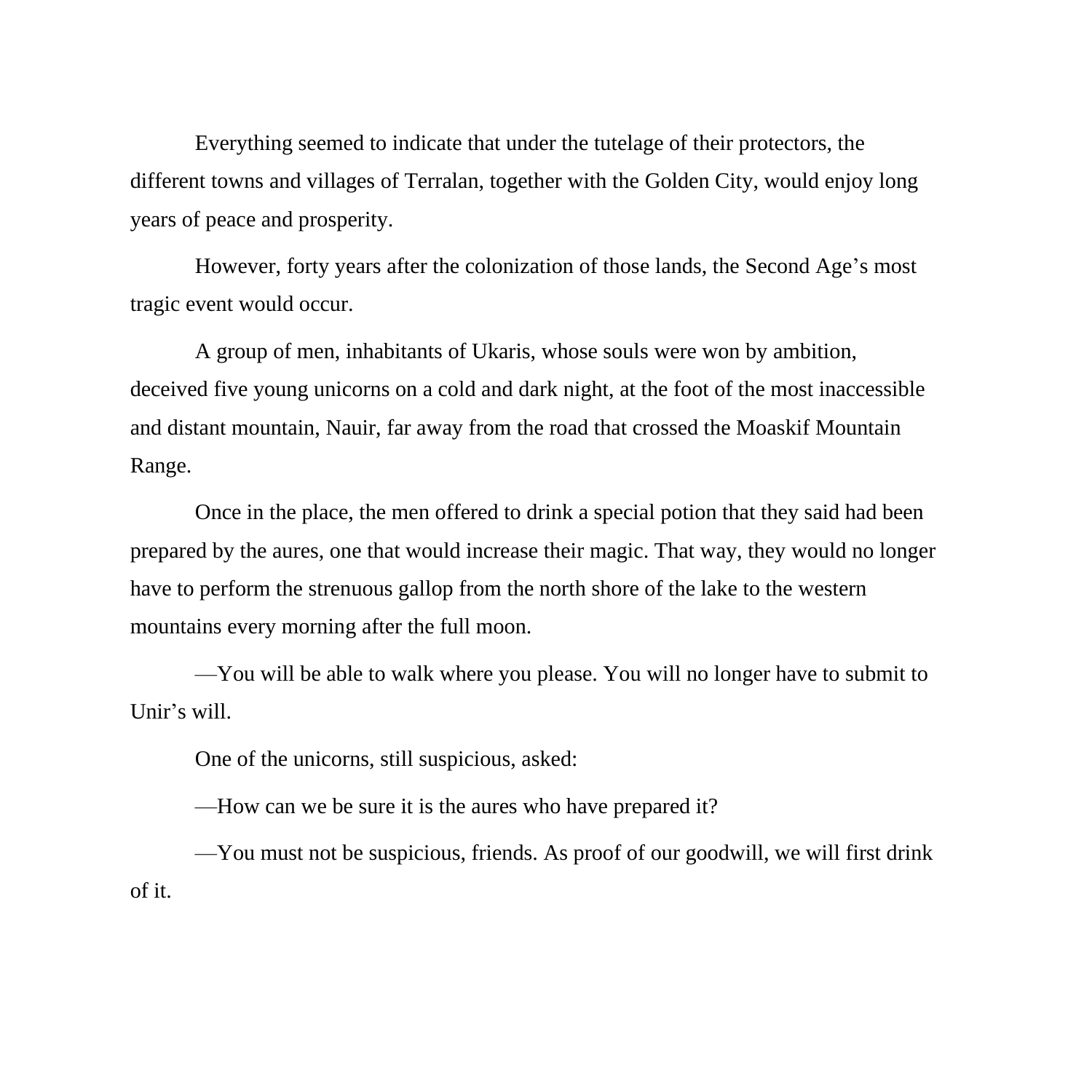Everything seemed to indicate that under the tutelage of their protectors, the different towns and villages of Terralan, together with the Golden City, would enjoy long years of peace and prosperity.

However, forty years after the colonization of those lands, the Second Age's most tragic event would occur.

A group of men, inhabitants of Ukaris, whose souls were won by ambition, deceived five young unicorns on a cold and dark night, at the foot of the most inaccessible and distant mountain, Nauir, far away from the road that crossed the Moaskif Mountain Range.

Once in the place, the men offered to drink a special potion that they said had been prepared by the aures, one that would increase their magic. That way, they would no longer have to perform the strenuous gallop from the north shore of the lake to the western mountains every morning after the full moon.

—You will be able to walk where you please. You will no longer have to submit to Unir's will.

One of the unicorns, still suspicious, asked:

—How can we be sure it is the aures who have prepared it?

—You must not be suspicious, friends. As proof of our goodwill, we will first drink of it.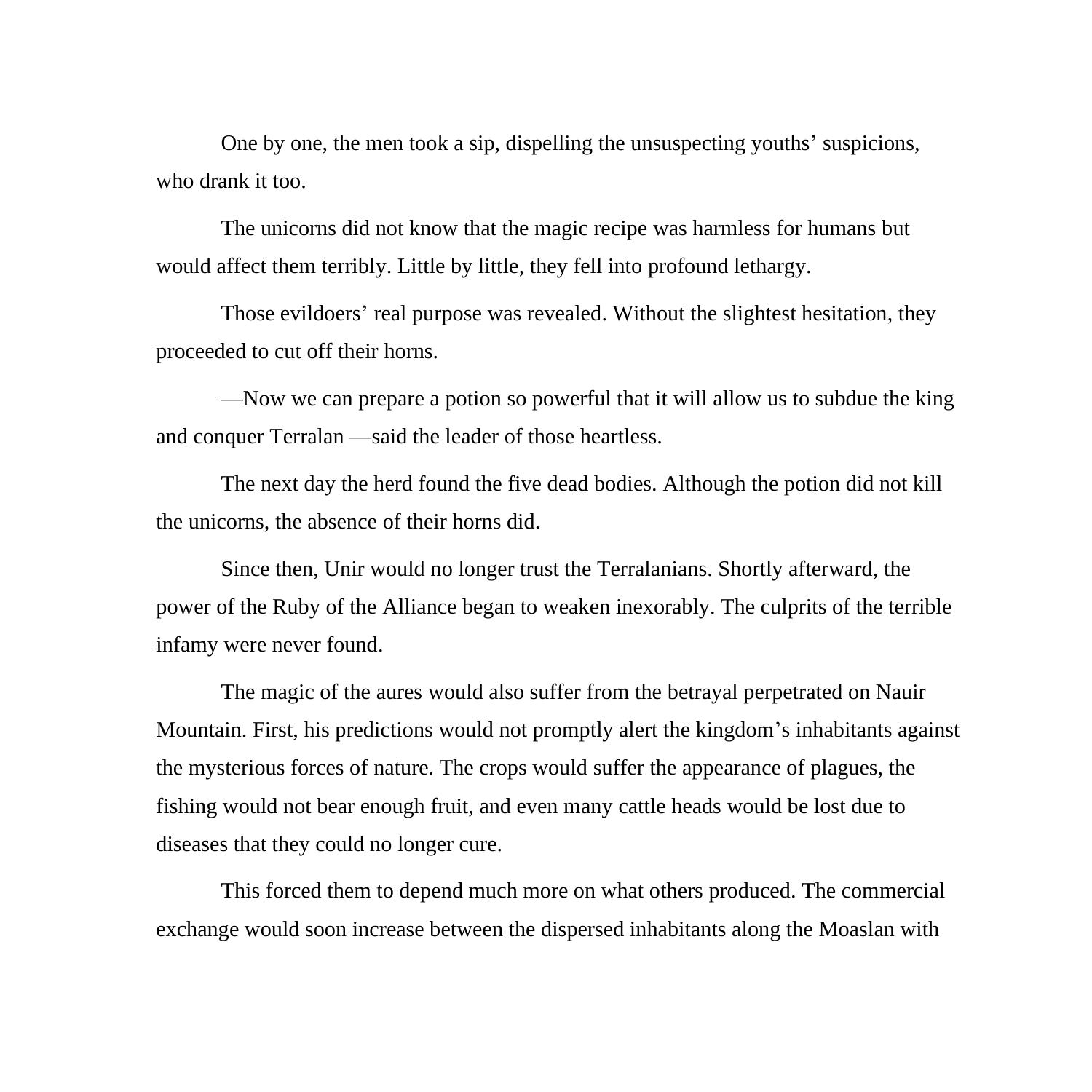One by one, the men took a sip, dispelling the unsuspecting youths' suspicions, who drank it too.

The unicorns did not know that the magic recipe was harmless for humans but would affect them terribly. Little by little, they fell into profound lethargy.

Those evildoers' real purpose was revealed. Without the slightest hesitation, they proceeded to cut off their horns.

—Now we can prepare a potion so powerful that it will allow us to subdue the king and conquer Terralan —said the leader of those heartless.

The next day the herd found the five dead bodies. Although the potion did not kill the unicorns, the absence of their horns did.

Since then, Unir would no longer trust the Terralanians. Shortly afterward, the power of the Ruby of the Alliance began to weaken inexorably. The culprits of the terrible infamy were never found.

The magic of the aures would also suffer from the betrayal perpetrated on Nauir Mountain. First, his predictions would not promptly alert the kingdom's inhabitants against the mysterious forces of nature. The crops would suffer the appearance of plagues, the fishing would not bear enough fruit, and even many cattle heads would be lost due to diseases that they could no longer cure.

This forced them to depend much more on what others produced. The commercial exchange would soon increase between the dispersed inhabitants along the Moaslan with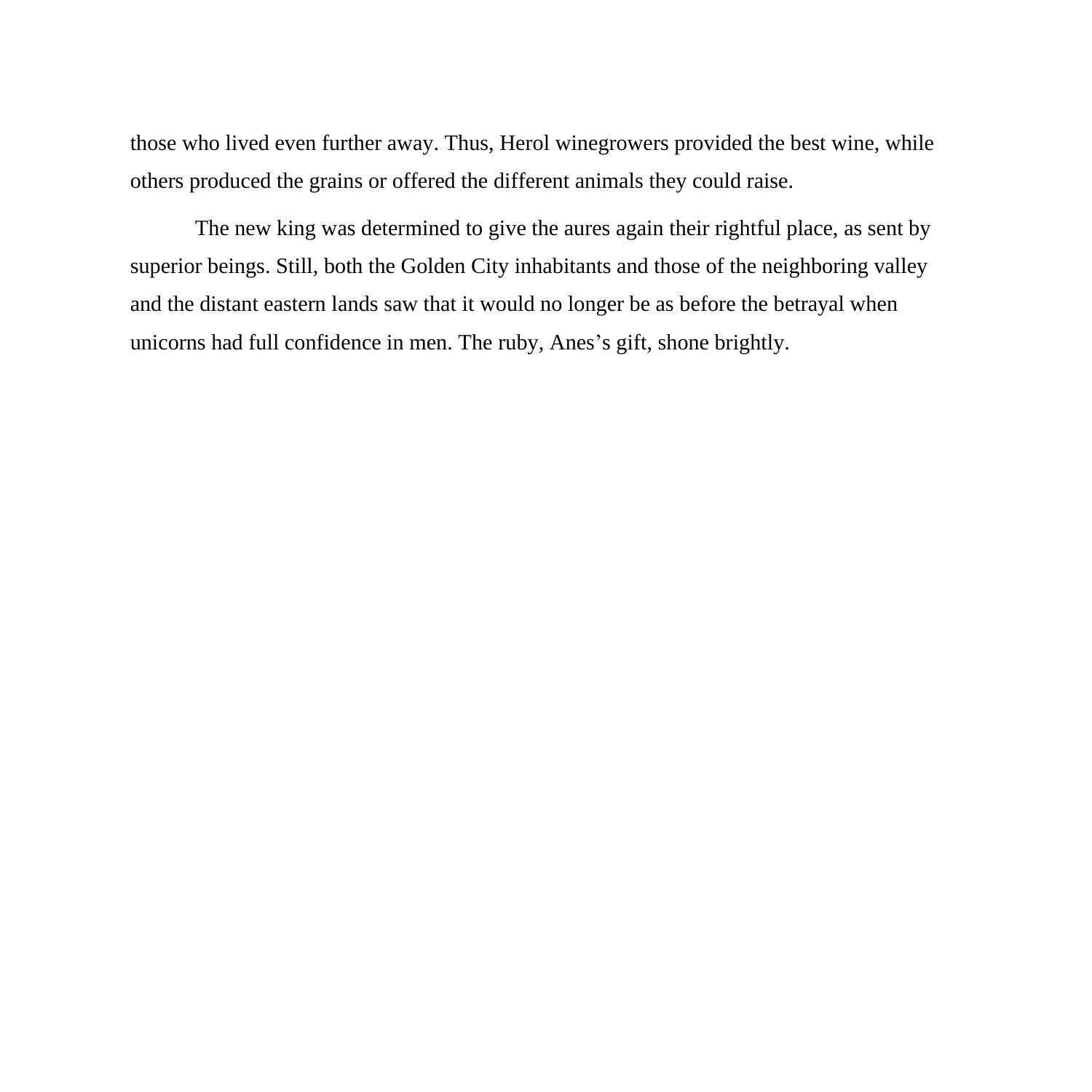those who lived even further away. Thus, Herol winegrowers provided the best wine, while others produced the grains or offered the different animals they could raise.

The new king was determined to give the aures again their rightful place, as sent by superior beings. Still, both the Golden City inhabitants and those of the neighboring valley and the distant eastern lands saw that it would no longer be as before the betrayal when unicorns had full confidence in men. The ruby, Anes's gift, shone brightly.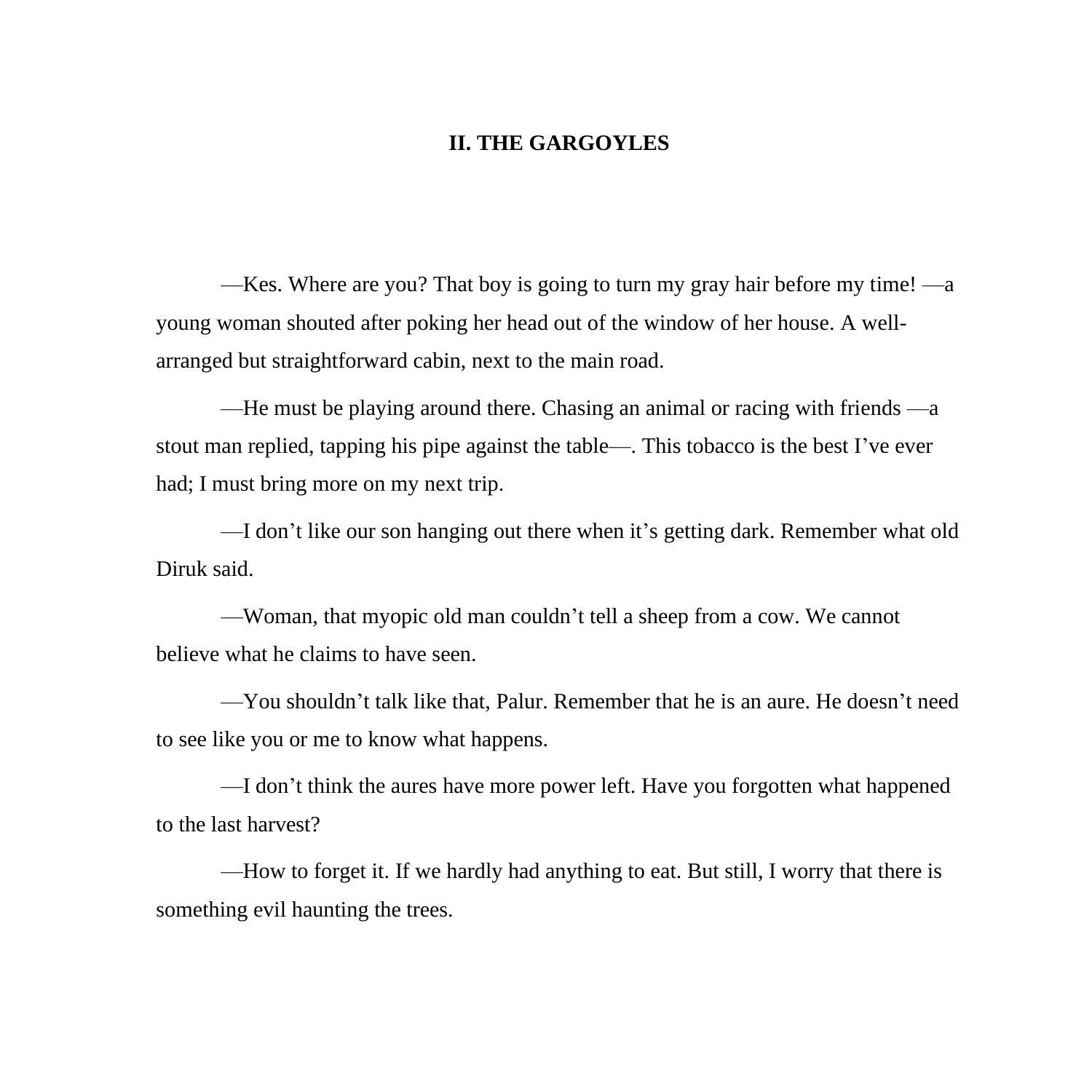## **II. THE GARGOYLES**

—Kes. Where are you? That boy is going to turn my gray hair before my time! —a young woman shouted after poking her head out of the window of her house. A wellarranged but straightforward cabin, next to the main road.

—He must be playing around there. Chasing an animal or racing with friends —a stout man replied, tapping his pipe against the table—. This tobacco is the best I've ever had; I must bring more on my next trip.

—I don't like our son hanging out there when it's getting dark. Remember what old Diruk said.

—Woman, that myopic old man couldn't tell a sheep from a cow. We cannot believe what he claims to have seen.

—You shouldn't talk like that, Palur. Remember that he is an aure. He doesn't need to see like you or me to know what happens.

—I don't think the aures have more power left. Have you forgotten what happened to the last harvest?

—How to forget it. If we hardly had anything to eat. But still, I worry that there is something evil haunting the trees.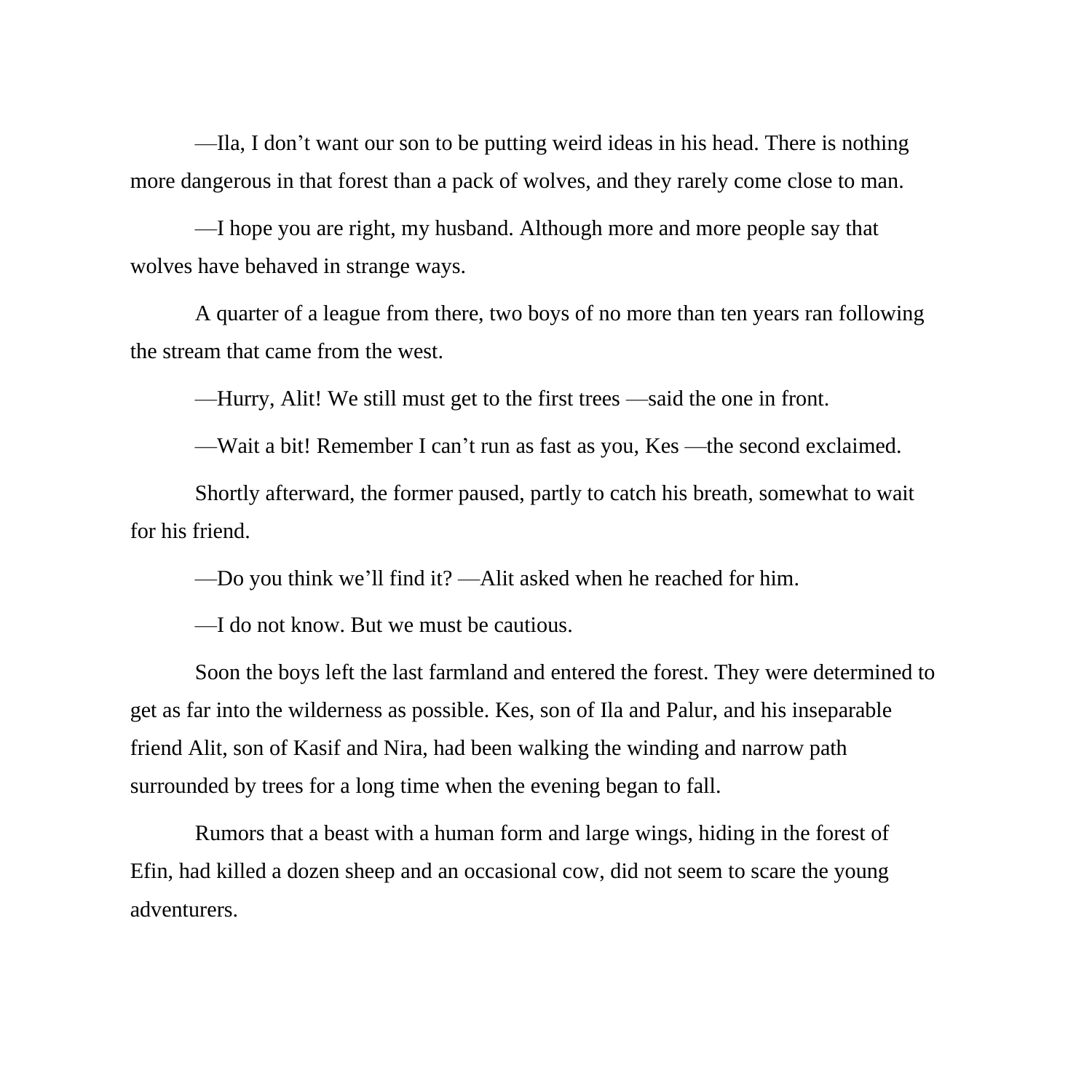—Ila, I don't want our son to be putting weird ideas in his head. There is nothing more dangerous in that forest than a pack of wolves, and they rarely come close to man.

—I hope you are right, my husband. Although more and more people say that wolves have behaved in strange ways.

A quarter of a league from there, two boys of no more than ten years ran following the stream that came from the west.

—Hurry, Alit! We still must get to the first trees —said the one in front.

—Wait a bit! Remember I can't run as fast as you, Kes —the second exclaimed.

Shortly afterward, the former paused, partly to catch his breath, somewhat to wait for his friend.

—Do you think we'll find it? —Alit asked when he reached for him.

—I do not know. But we must be cautious.

Soon the boys left the last farmland and entered the forest. They were determined to get as far into the wilderness as possible. Kes, son of Ila and Palur, and his inseparable friend Alit, son of Kasif and Nira, had been walking the winding and narrow path surrounded by trees for a long time when the evening began to fall.

Rumors that a beast with a human form and large wings, hiding in the forest of Efin, had killed a dozen sheep and an occasional cow, did not seem to scare the young adventurers.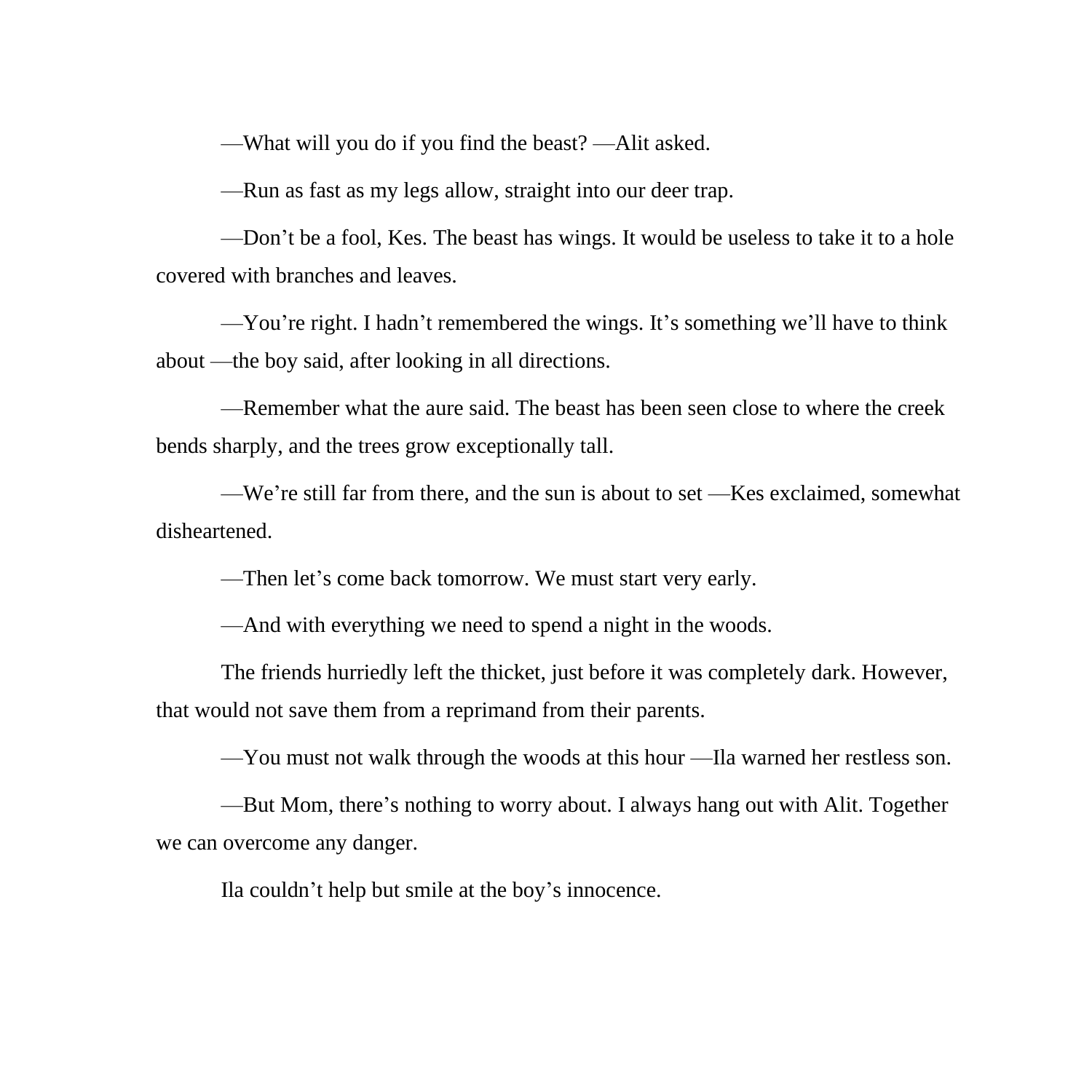—What will you do if you find the beast? —Alit asked.

—Run as fast as my legs allow, straight into our deer trap.

—Don't be a fool, Kes. The beast has wings. It would be useless to take it to a hole covered with branches and leaves.

—You're right. I hadn't remembered the wings. It's something we'll have to think about —the boy said, after looking in all directions.

—Remember what the aure said. The beast has been seen close to where the creek bends sharply, and the trees grow exceptionally tall.

—We're still far from there, and the sun is about to set —Kes exclaimed, somewhat disheartened.

—Then let's come back tomorrow. We must start very early.

—And with everything we need to spend a night in the woods.

The friends hurriedly left the thicket, just before it was completely dark. However, that would not save them from a reprimand from their parents.

—You must not walk through the woods at this hour —Ila warned her restless son.

—But Mom, there's nothing to worry about. I always hang out with Alit. Together we can overcome any danger.

Ila couldn't help but smile at the boy's innocence.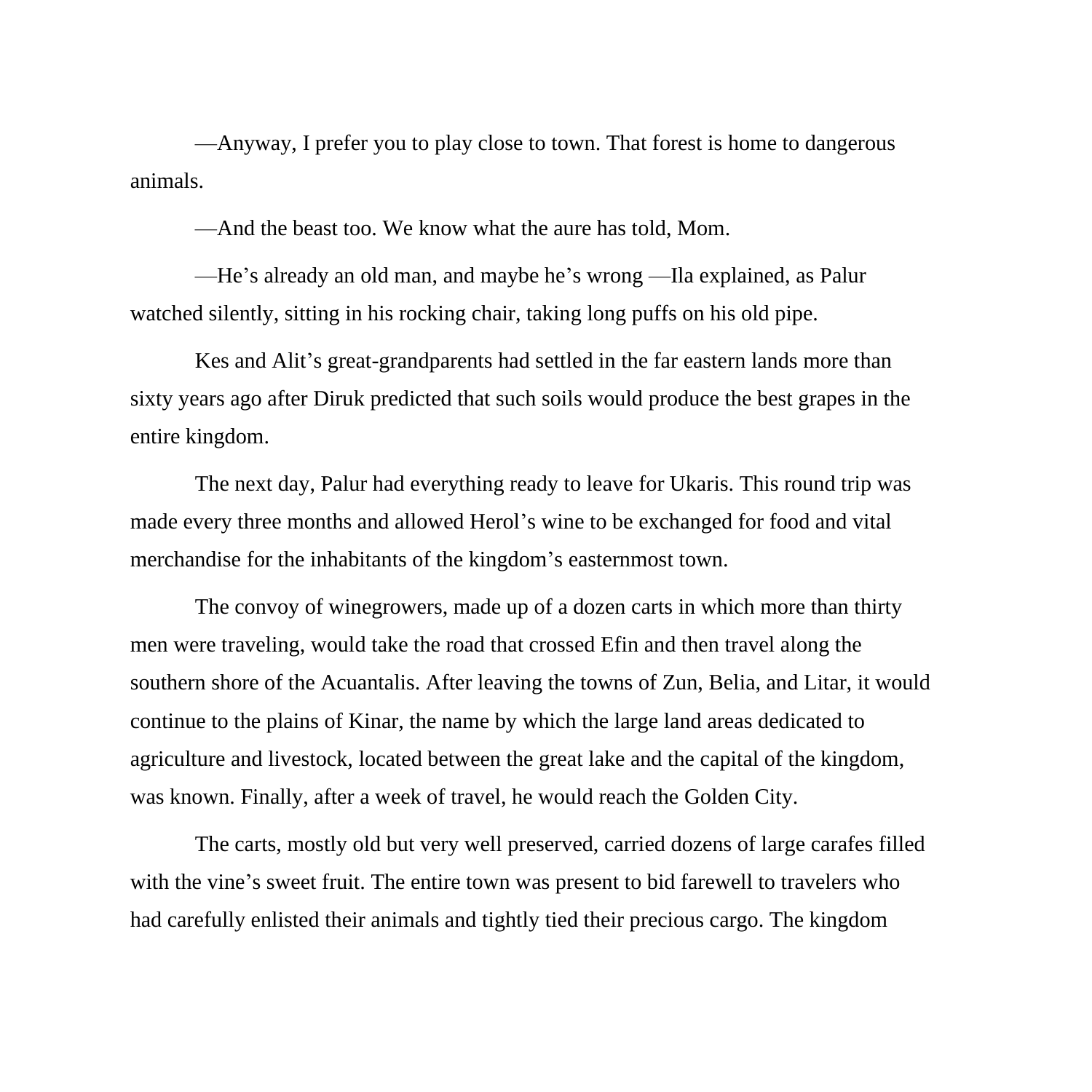—Anyway, I prefer you to play close to town. That forest is home to dangerous animals.

—And the beast too. We know what the aure has told, Mom.

—He's already an old man, and maybe he's wrong —Ila explained, as Palur watched silently, sitting in his rocking chair, taking long puffs on his old pipe.

Kes and Alit's great-grandparents had settled in the far eastern lands more than sixty years ago after Diruk predicted that such soils would produce the best grapes in the entire kingdom.

The next day, Palur had everything ready to leave for Ukaris. This round trip was made every three months and allowed Herol's wine to be exchanged for food and vital merchandise for the inhabitants of the kingdom's easternmost town.

The convoy of winegrowers, made up of a dozen carts in which more than thirty men were traveling, would take the road that crossed Efin and then travel along the southern shore of the Acuantalis. After leaving the towns of Zun, Belia, and Litar, it would continue to the plains of Kinar, the name by which the large land areas dedicated to agriculture and livestock, located between the great lake and the capital of the kingdom, was known. Finally, after a week of travel, he would reach the Golden City.

The carts, mostly old but very well preserved, carried dozens of large carafes filled with the vine's sweet fruit. The entire town was present to bid farewell to travelers who had carefully enlisted their animals and tightly tied their precious cargo. The kingdom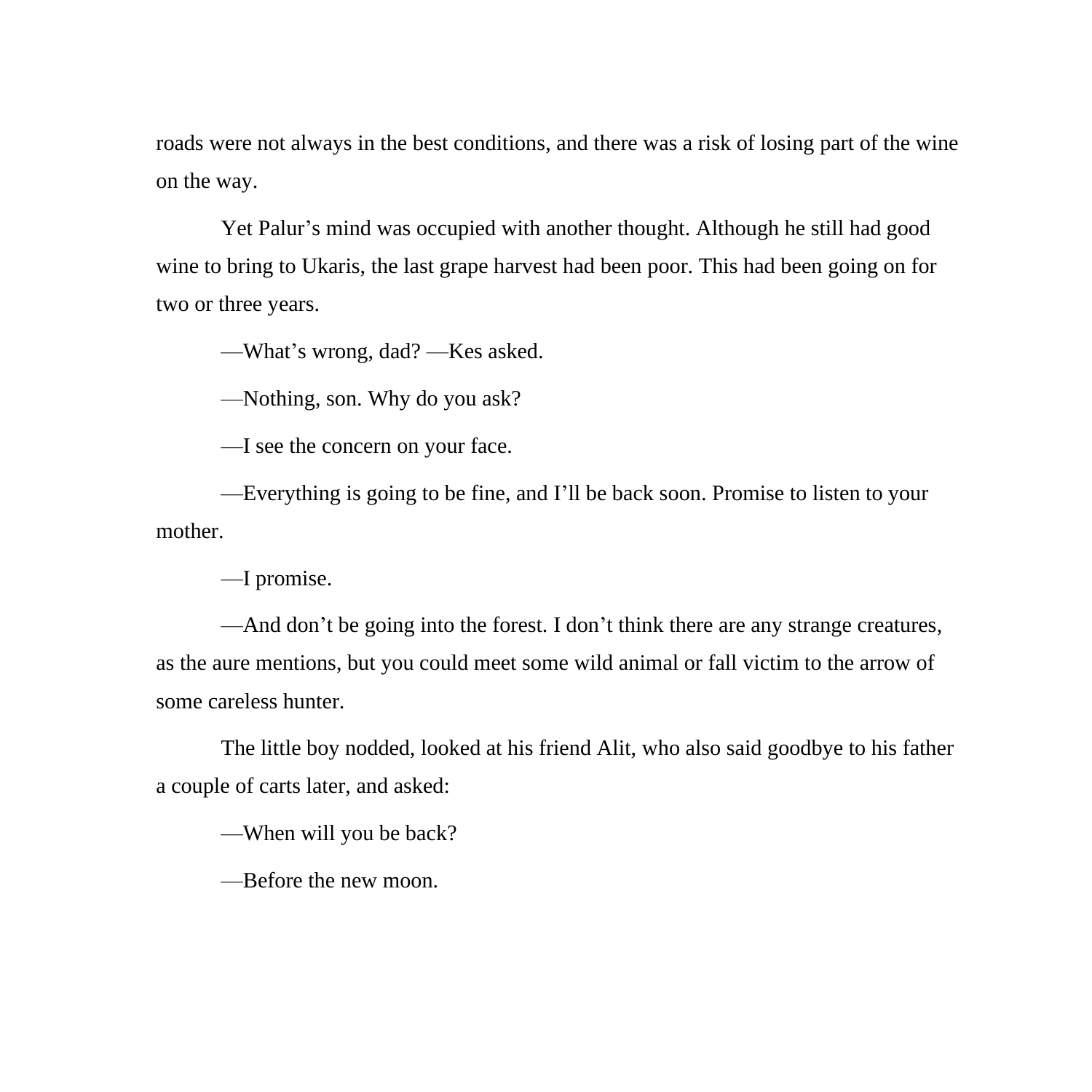roads were not always in the best conditions, and there was a risk of losing part of the wine on the way.

Yet Palur's mind was occupied with another thought. Although he still had good wine to bring to Ukaris, the last grape harvest had been poor. This had been going on for two or three years.

—What's wrong, dad? —Kes asked.

—Nothing, son. Why do you ask?

—I see the concern on your face.

—Everything is going to be fine, and I'll be back soon. Promise to listen to your mother.

—I promise.

—And don't be going into the forest. I don't think there are any strange creatures, as the aure mentions, but you could meet some wild animal or fall victim to the arrow of some careless hunter.

The little boy nodded, looked at his friend Alit, who also said goodbye to his father a couple of carts later, and asked:

—When will you be back?

—Before the new moon.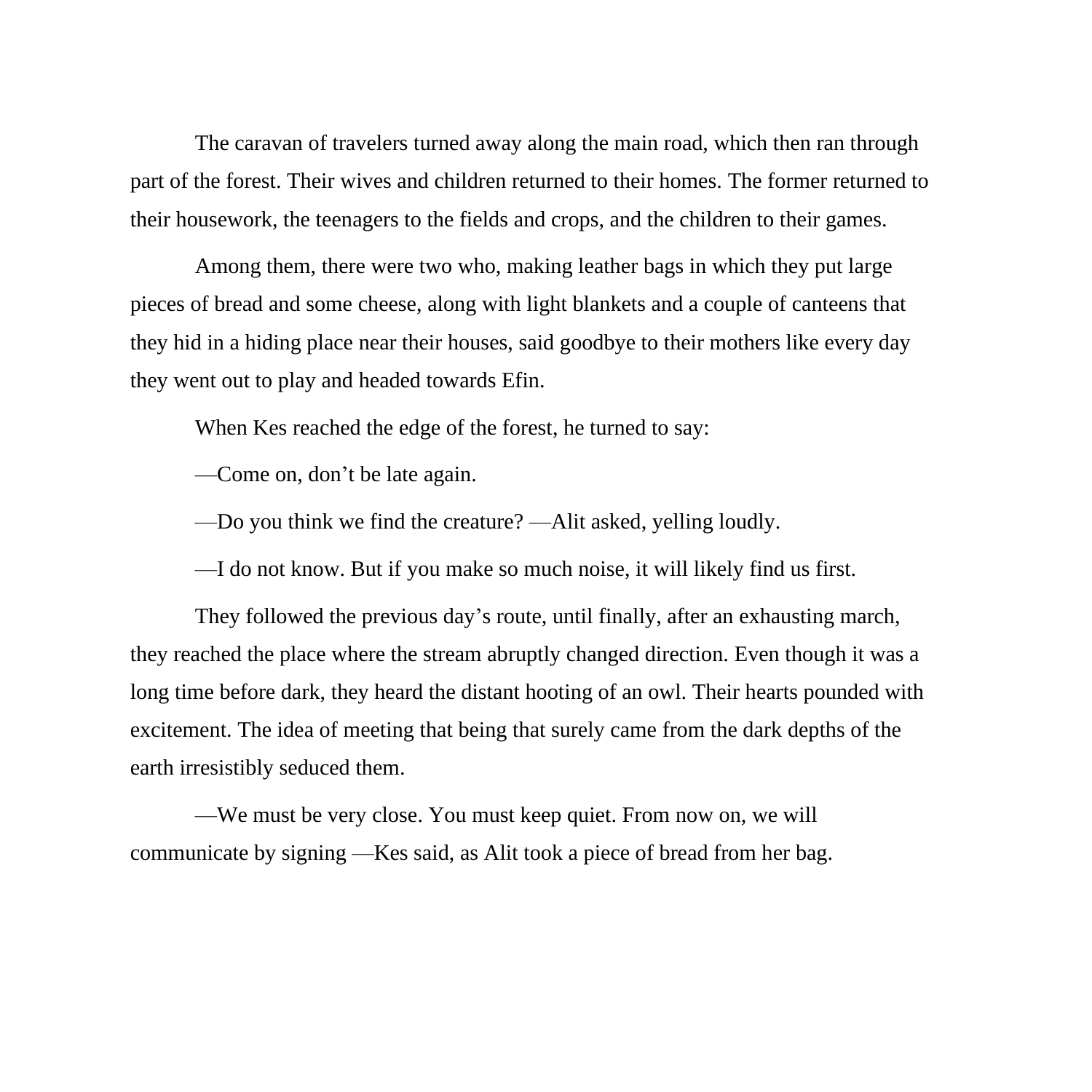The caravan of travelers turned away along the main road, which then ran through part of the forest. Their wives and children returned to their homes. The former returned to their housework, the teenagers to the fields and crops, and the children to their games.

Among them, there were two who, making leather bags in which they put large pieces of bread and some cheese, along with light blankets and a couple of canteens that they hid in a hiding place near their houses, said goodbye to their mothers like every day they went out to play and headed towards Efin.

When Kes reached the edge of the forest, he turned to say:

—Come on, don't be late again.

—Do you think we find the creature? —Alit asked, yelling loudly.

—I do not know. But if you make so much noise, it will likely find us first.

They followed the previous day's route, until finally, after an exhausting march, they reached the place where the stream abruptly changed direction. Even though it was a long time before dark, they heard the distant hooting of an owl. Their hearts pounded with excitement. The idea of meeting that being that surely came from the dark depths of the earth irresistibly seduced them.

—We must be very close. You must keep quiet. From now on, we will communicate by signing —Kes said, as Alit took a piece of bread from her bag.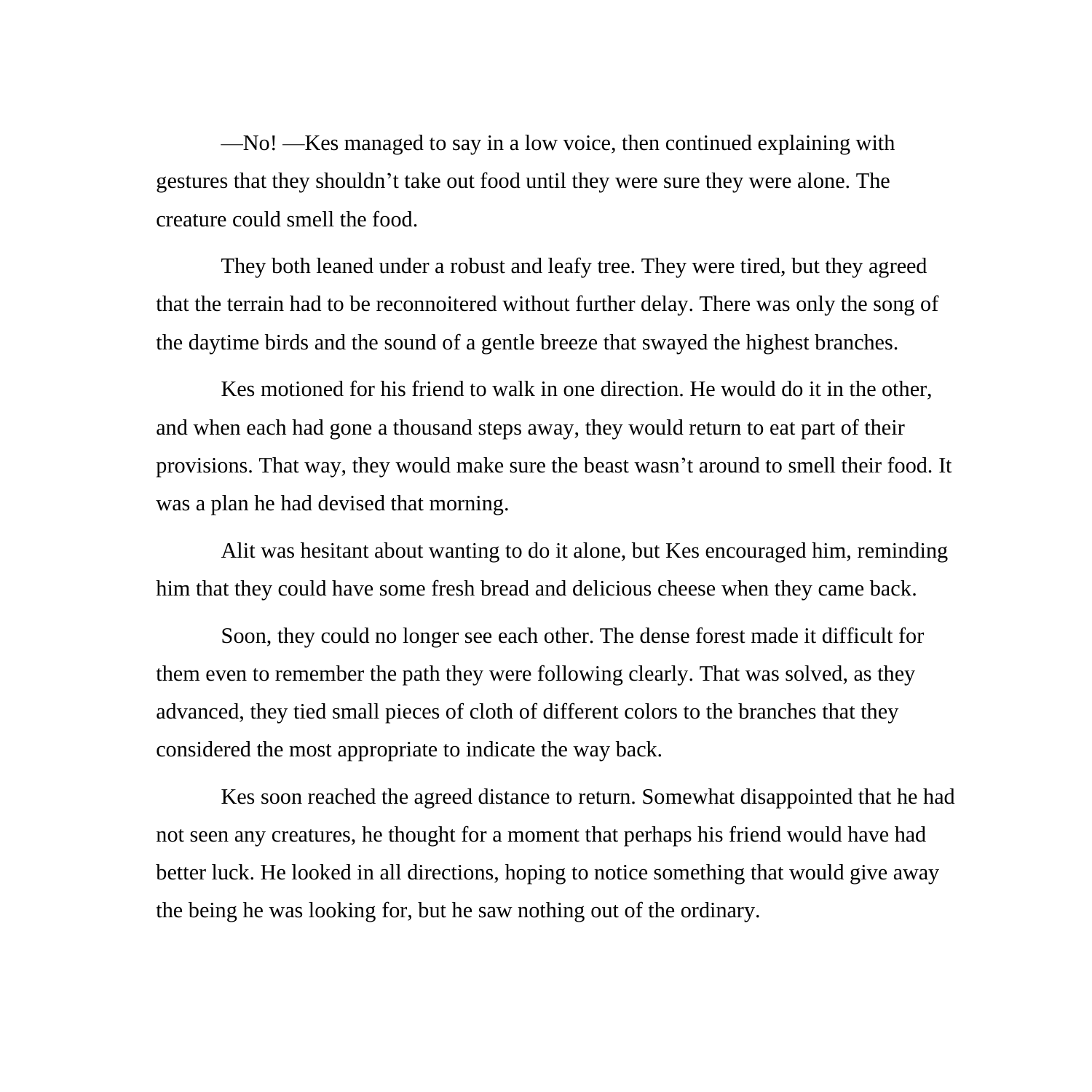—No! —Kes managed to say in a low voice, then continued explaining with gestures that they shouldn't take out food until they were sure they were alone. The creature could smell the food.

They both leaned under a robust and leafy tree. They were tired, but they agreed that the terrain had to be reconnoitered without further delay. There was only the song of the daytime birds and the sound of a gentle breeze that swayed the highest branches.

Kes motioned for his friend to walk in one direction. He would do it in the other, and when each had gone a thousand steps away, they would return to eat part of their provisions. That way, they would make sure the beast wasn't around to smell their food. It was a plan he had devised that morning.

Alit was hesitant about wanting to do it alone, but Kes encouraged him, reminding him that they could have some fresh bread and delicious cheese when they came back.

Soon, they could no longer see each other. The dense forest made it difficult for them even to remember the path they were following clearly. That was solved, as they advanced, they tied small pieces of cloth of different colors to the branches that they considered the most appropriate to indicate the way back.

Kes soon reached the agreed distance to return. Somewhat disappointed that he had not seen any creatures, he thought for a moment that perhaps his friend would have had better luck. He looked in all directions, hoping to notice something that would give away the being he was looking for, but he saw nothing out of the ordinary.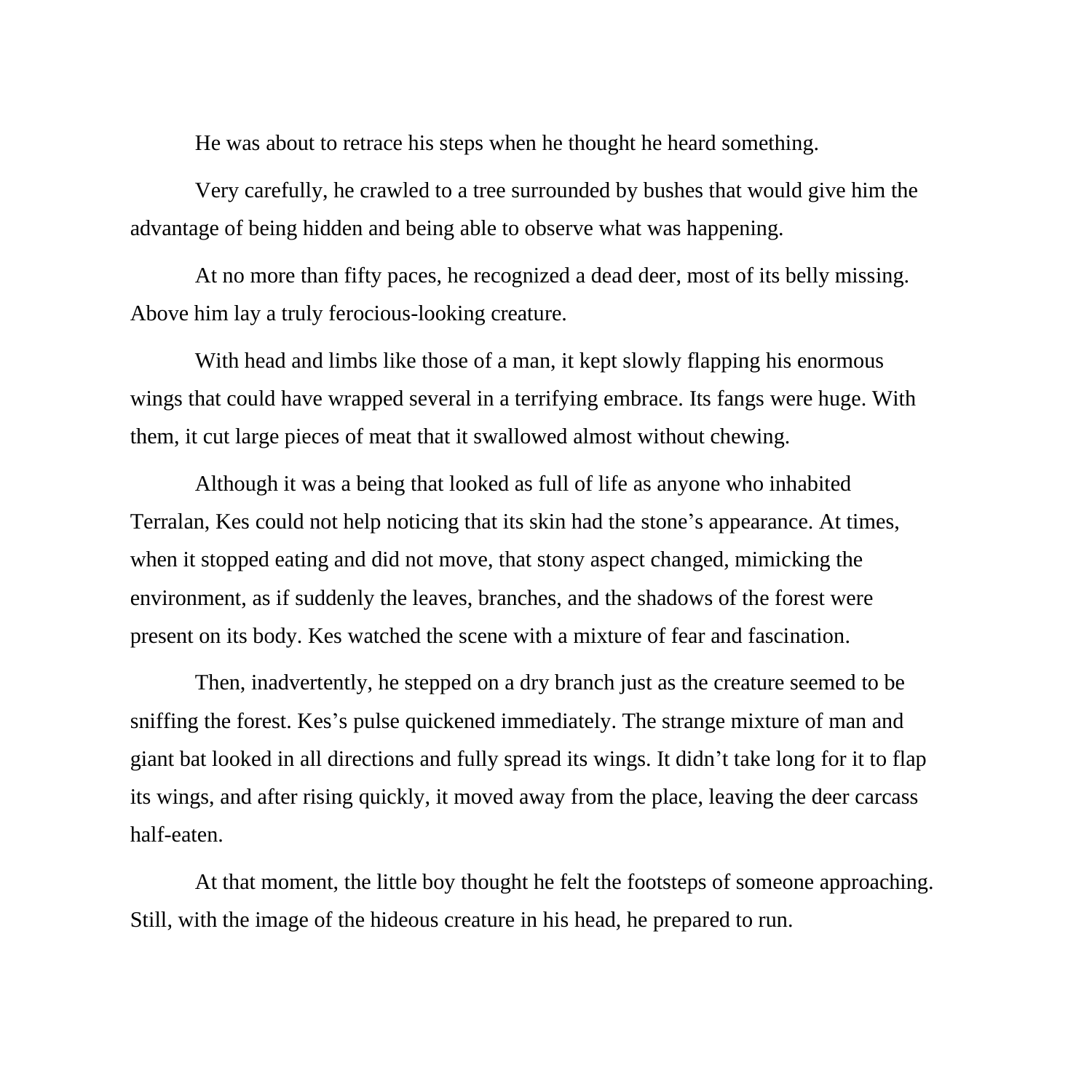He was about to retrace his steps when he thought he heard something.

Very carefully, he crawled to a tree surrounded by bushes that would give him the advantage of being hidden and being able to observe what was happening.

At no more than fifty paces, he recognized a dead deer, most of its belly missing. Above him lay a truly ferocious-looking creature.

With head and limbs like those of a man, it kept slowly flapping his enormous wings that could have wrapped several in a terrifying embrace. Its fangs were huge. With them, it cut large pieces of meat that it swallowed almost without chewing.

Although it was a being that looked as full of life as anyone who inhabited Terralan, Kes could not help noticing that its skin had the stone's appearance. At times, when it stopped eating and did not move, that stony aspect changed, mimicking the environment, as if suddenly the leaves, branches, and the shadows of the forest were present on its body. Kes watched the scene with a mixture of fear and fascination.

Then, inadvertently, he stepped on a dry branch just as the creature seemed to be sniffing the forest. Kes's pulse quickened immediately. The strange mixture of man and giant bat looked in all directions and fully spread its wings. It didn't take long for it to flap its wings, and after rising quickly, it moved away from the place, leaving the deer carcass half-eaten.

At that moment, the little boy thought he felt the footsteps of someone approaching. Still, with the image of the hideous creature in his head, he prepared to run.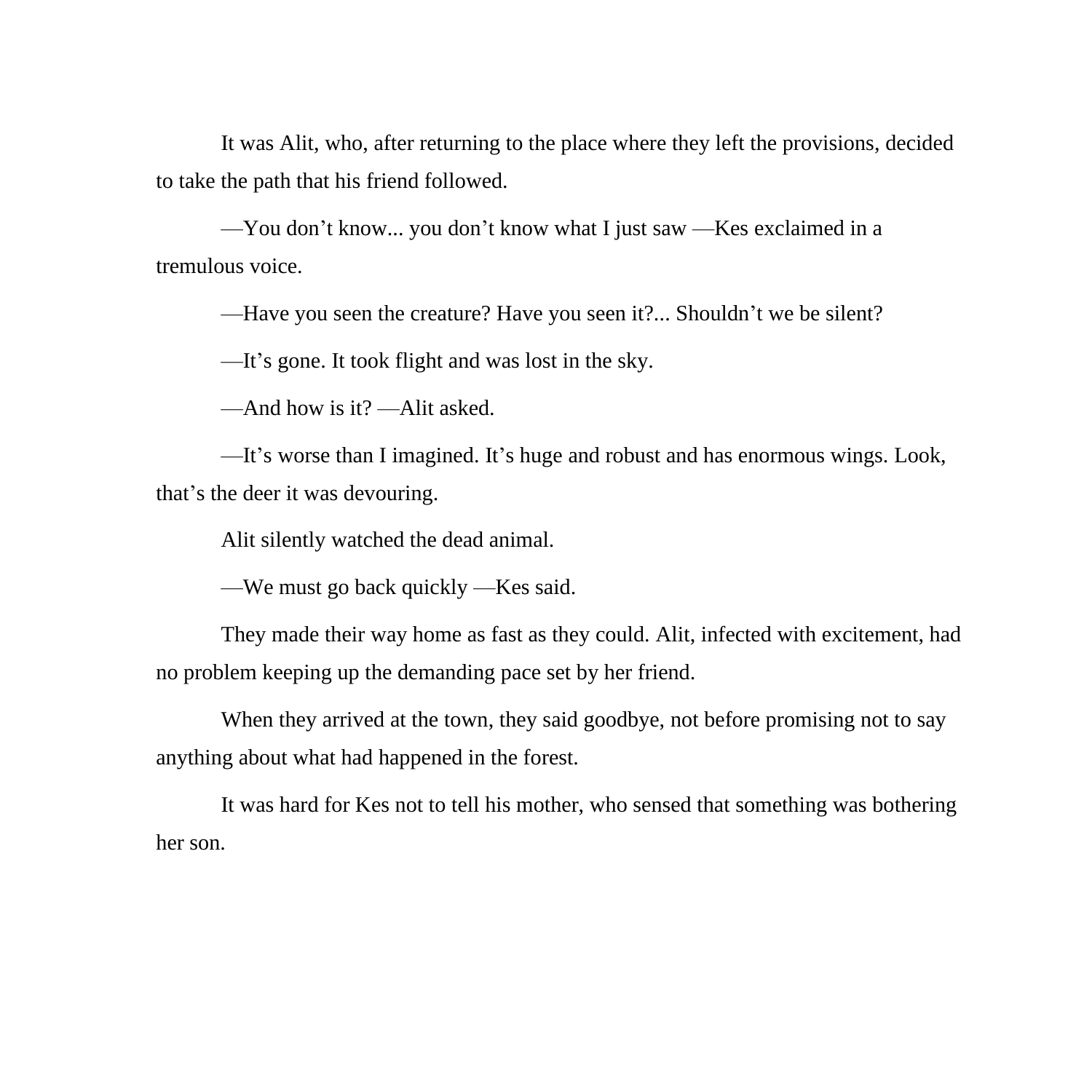It was Alit, who, after returning to the place where they left the provisions, decided to take the path that his friend followed.

—You don't know... you don't know what I just saw —Kes exclaimed in a tremulous voice.

—Have you seen the creature? Have you seen it?... Shouldn't we be silent?

—It's gone. It took flight and was lost in the sky.

—And how is it? —Alit asked.

—It's worse than I imagined. It's huge and robust and has enormous wings. Look, that's the deer it was devouring.

Alit silently watched the dead animal.

—We must go back quickly —Kes said.

They made their way home as fast as they could. Alit, infected with excitement, had no problem keeping up the demanding pace set by her friend.

When they arrived at the town, they said goodbye, not before promising not to say anything about what had happened in the forest.

It was hard for Kes not to tell his mother, who sensed that something was bothering her son.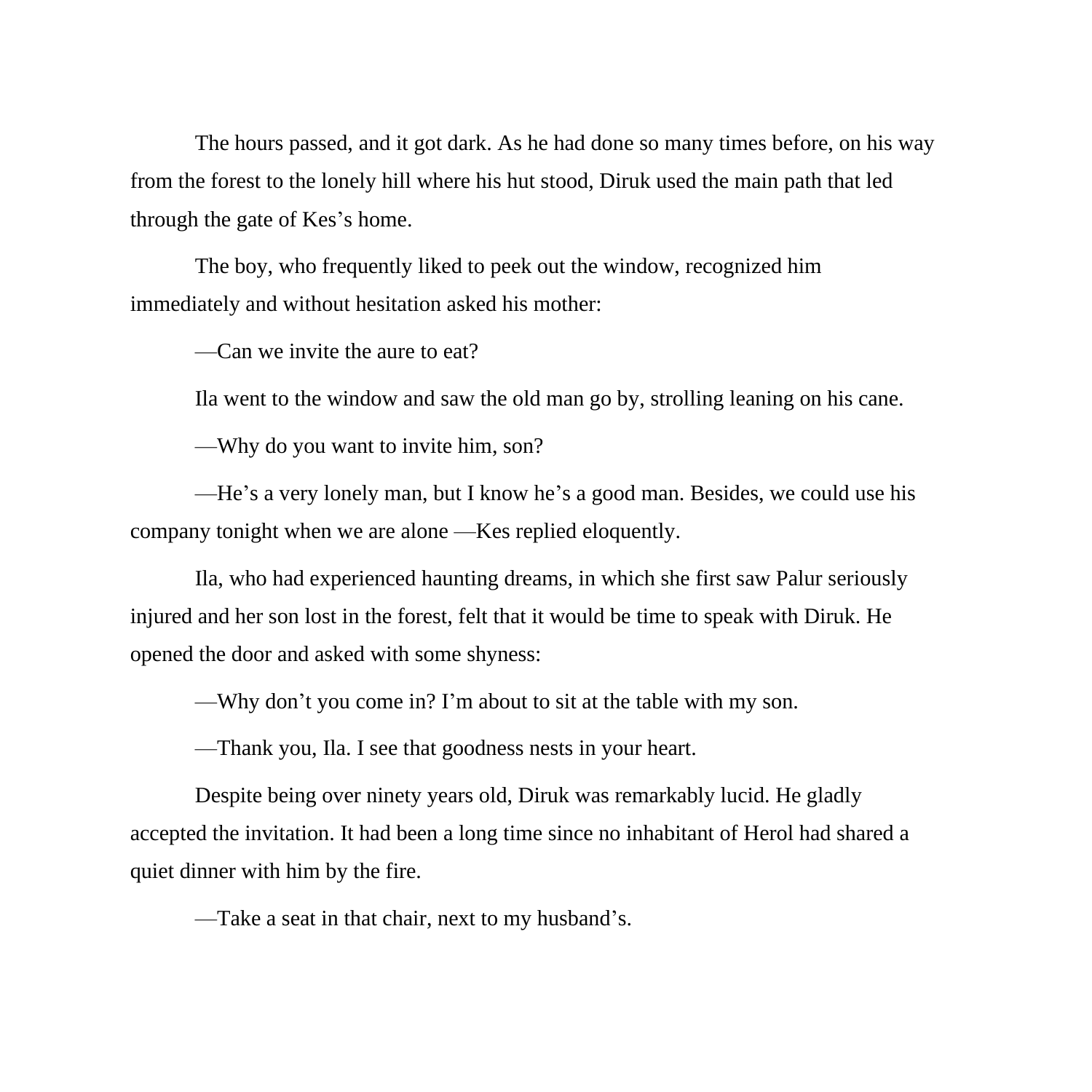The hours passed, and it got dark. As he had done so many times before, on his way from the forest to the lonely hill where his hut stood, Diruk used the main path that led through the gate of Kes's home.

The boy, who frequently liked to peek out the window, recognized him immediately and without hesitation asked his mother:

—Can we invite the aure to eat?

Ila went to the window and saw the old man go by, strolling leaning on his cane.

—Why do you want to invite him, son?

—He's a very lonely man, but I know he's a good man. Besides, we could use his company tonight when we are alone —Kes replied eloquently.

Ila, who had experienced haunting dreams, in which she first saw Palur seriously injured and her son lost in the forest, felt that it would be time to speak with Diruk. He opened the door and asked with some shyness:

—Why don't you come in? I'm about to sit at the table with my son.

—Thank you, Ila. I see that goodness nests in your heart.

Despite being over ninety years old, Diruk was remarkably lucid. He gladly accepted the invitation. It had been a long time since no inhabitant of Herol had shared a quiet dinner with him by the fire.

—Take a seat in that chair, next to my husband's.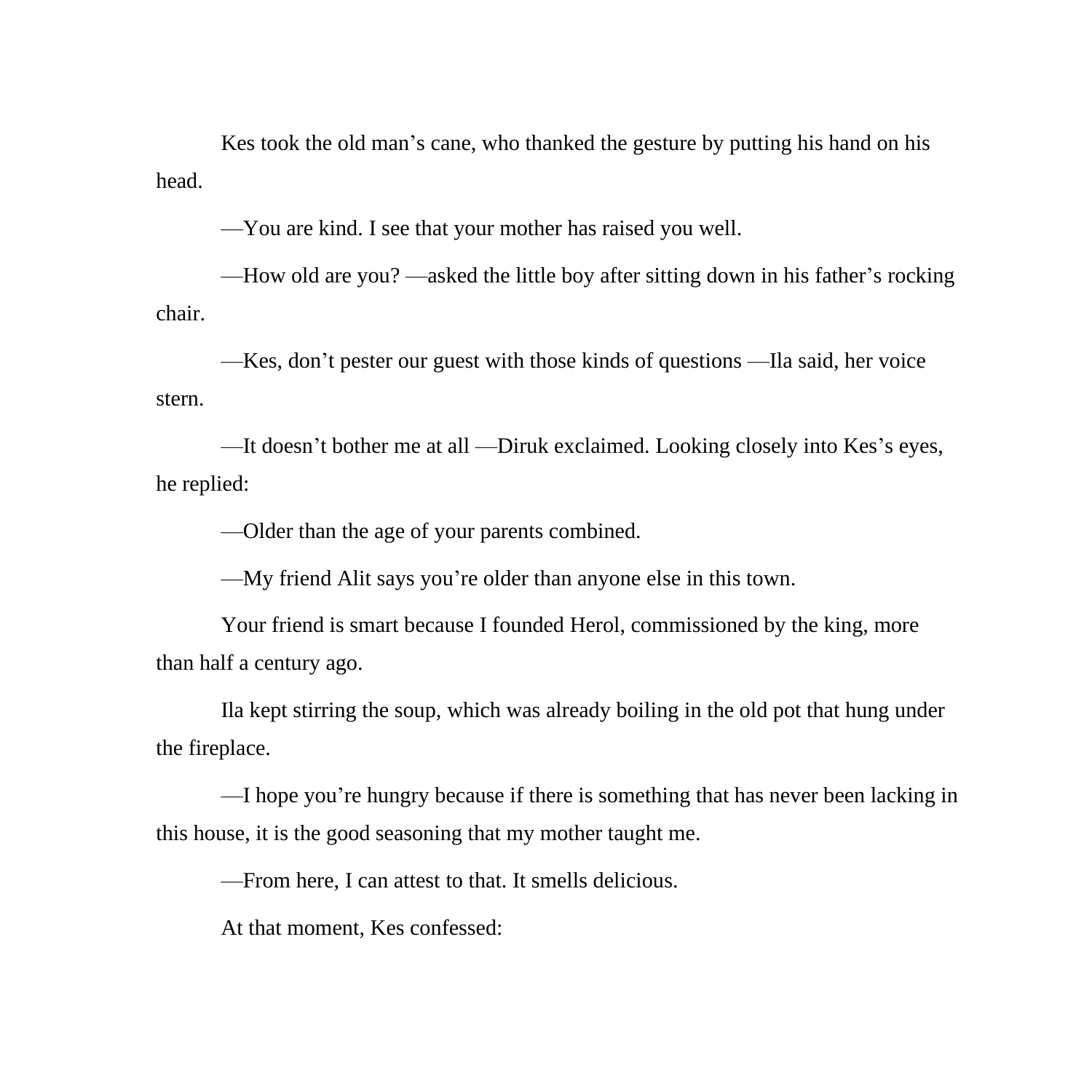Kes took the old man's cane, who thanked the gesture by putting his hand on his head.

—You are kind. I see that your mother has raised you well.

—How old are you? —asked the little boy after sitting down in his father's rocking chair.

—Kes, don't pester our guest with those kinds of questions —Ila said, her voice stern.

—It doesn't bother me at all —Diruk exclaimed. Looking closely into Kes's eyes, he replied:

—Older than the age of your parents combined.

—My friend Alit says you're older than anyone else in this town.

Your friend is smart because I founded Herol, commissioned by the king, more than half a century ago.

Ila kept stirring the soup, which was already boiling in the old pot that hung under the fireplace.

—I hope you're hungry because if there is something that has never been lacking in this house, it is the good seasoning that my mother taught me.

—From here, I can attest to that. It smells delicious.

At that moment, Kes confessed: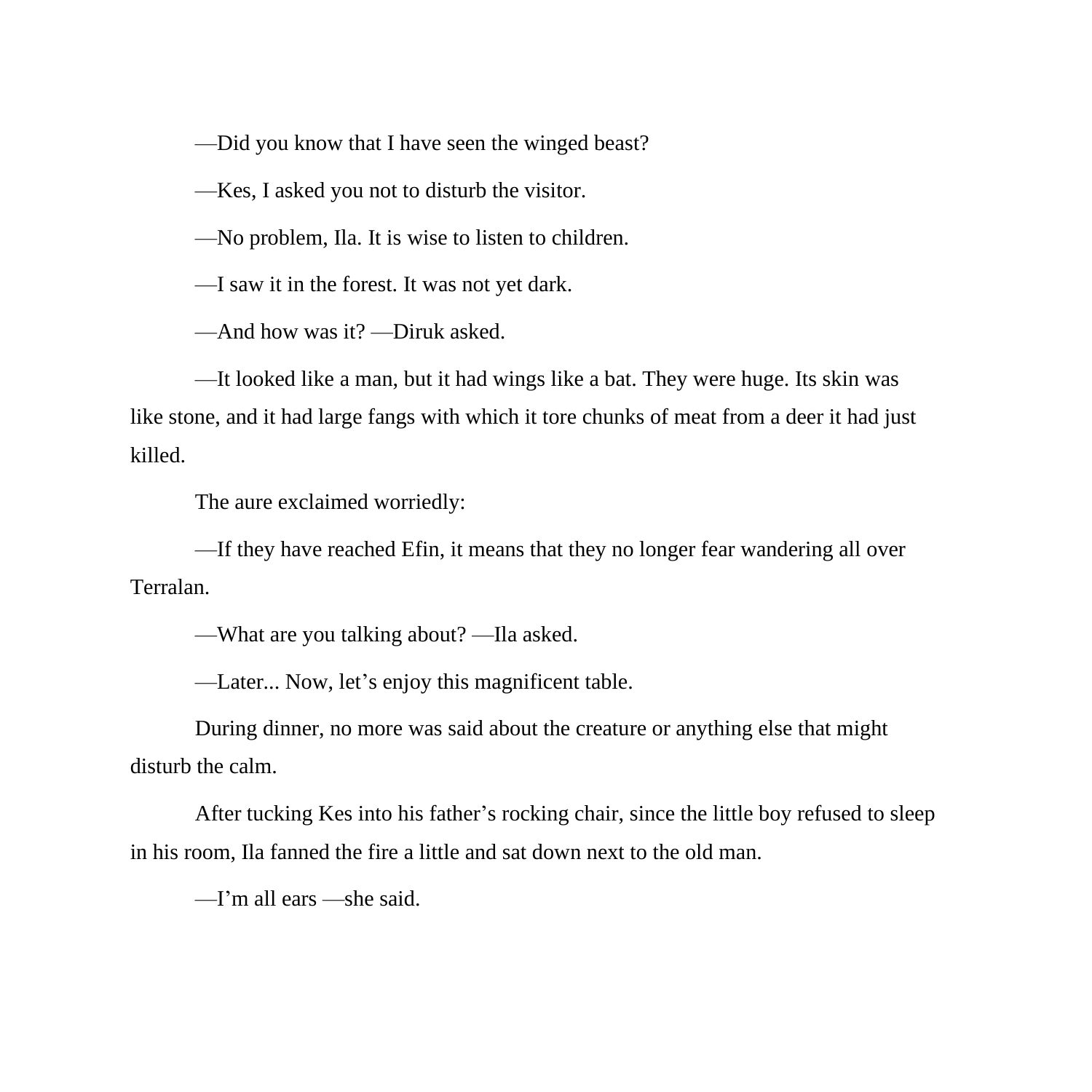—Did you know that I have seen the winged beast?

—Kes, I asked you not to disturb the visitor.

—No problem, Ila. It is wise to listen to children.

—I saw it in the forest. It was not yet dark.

—And how was it? —Diruk asked.

—It looked like a man, but it had wings like a bat. They were huge. Its skin was like stone, and it had large fangs with which it tore chunks of meat from a deer it had just killed.

The aure exclaimed worriedly:

—If they have reached Efin, it means that they no longer fear wandering all over Terralan.

—What are you talking about? —Ila asked.

—Later... Now, let's enjoy this magnificent table.

During dinner, no more was said about the creature or anything else that might disturb the calm.

After tucking Kes into his father's rocking chair, since the little boy refused to sleep in his room, Ila fanned the fire a little and sat down next to the old man.

—I'm all ears —she said.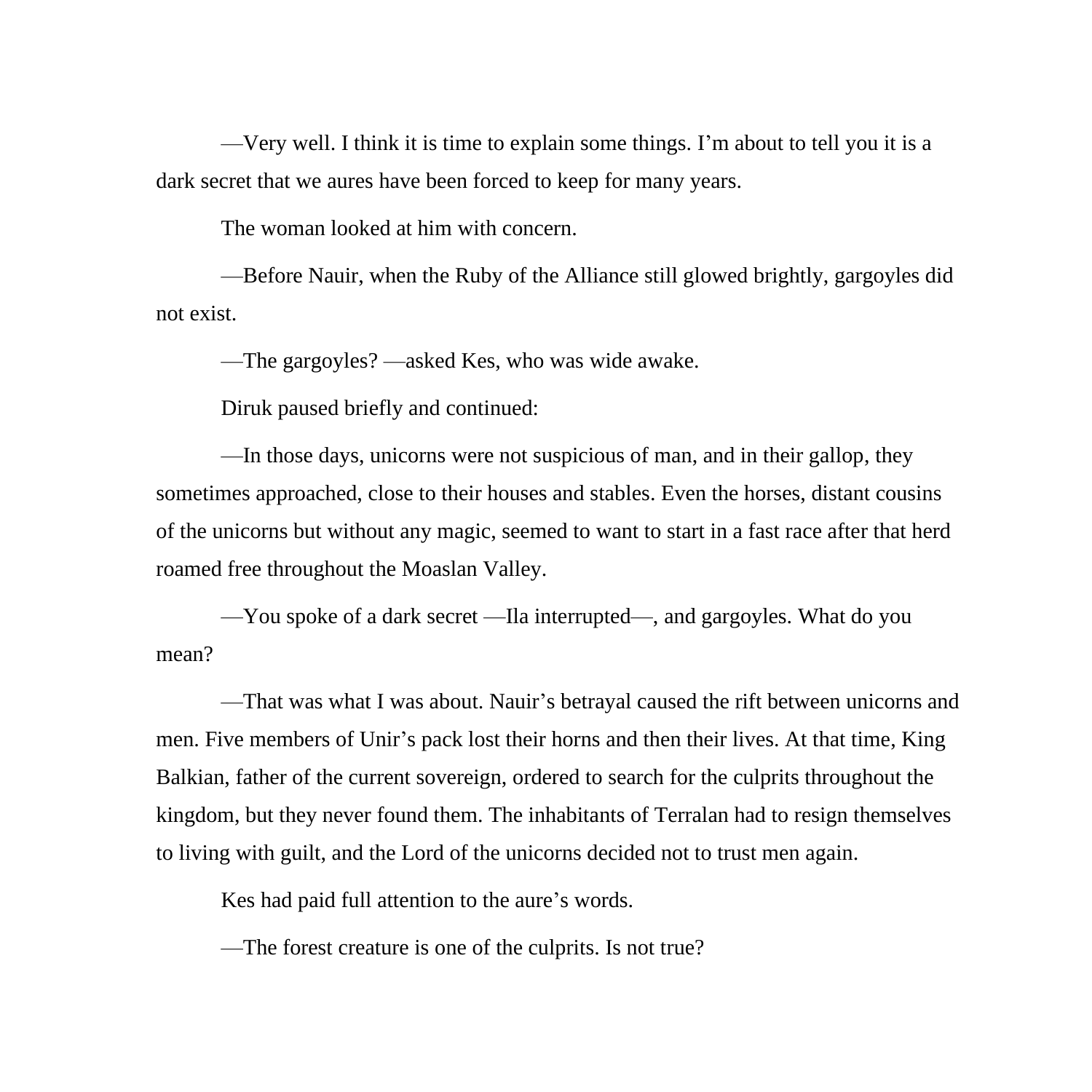—Very well. I think it is time to explain some things. I'm about to tell you it is a dark secret that we aures have been forced to keep for many years.

The woman looked at him with concern.

—Before Nauir, when the Ruby of the Alliance still glowed brightly, gargoyles did not exist.

—The gargoyles? —asked Kes, who was wide awake.

Diruk paused briefly and continued:

—In those days, unicorns were not suspicious of man, and in their gallop, they sometimes approached, close to their houses and stables. Even the horses, distant cousins of the unicorns but without any magic, seemed to want to start in a fast race after that herd roamed free throughout the Moaslan Valley.

—You spoke of a dark secret —Ila interrupted—, and gargoyles. What do you mean?

—That was what I was about. Nauir's betrayal caused the rift between unicorns and men. Five members of Unir's pack lost their horns and then their lives. At that time, King Balkian, father of the current sovereign, ordered to search for the culprits throughout the kingdom, but they never found them. The inhabitants of Terralan had to resign themselves to living with guilt, and the Lord of the unicorns decided not to trust men again.

Kes had paid full attention to the aure's words.

—The forest creature is one of the culprits. Is not true?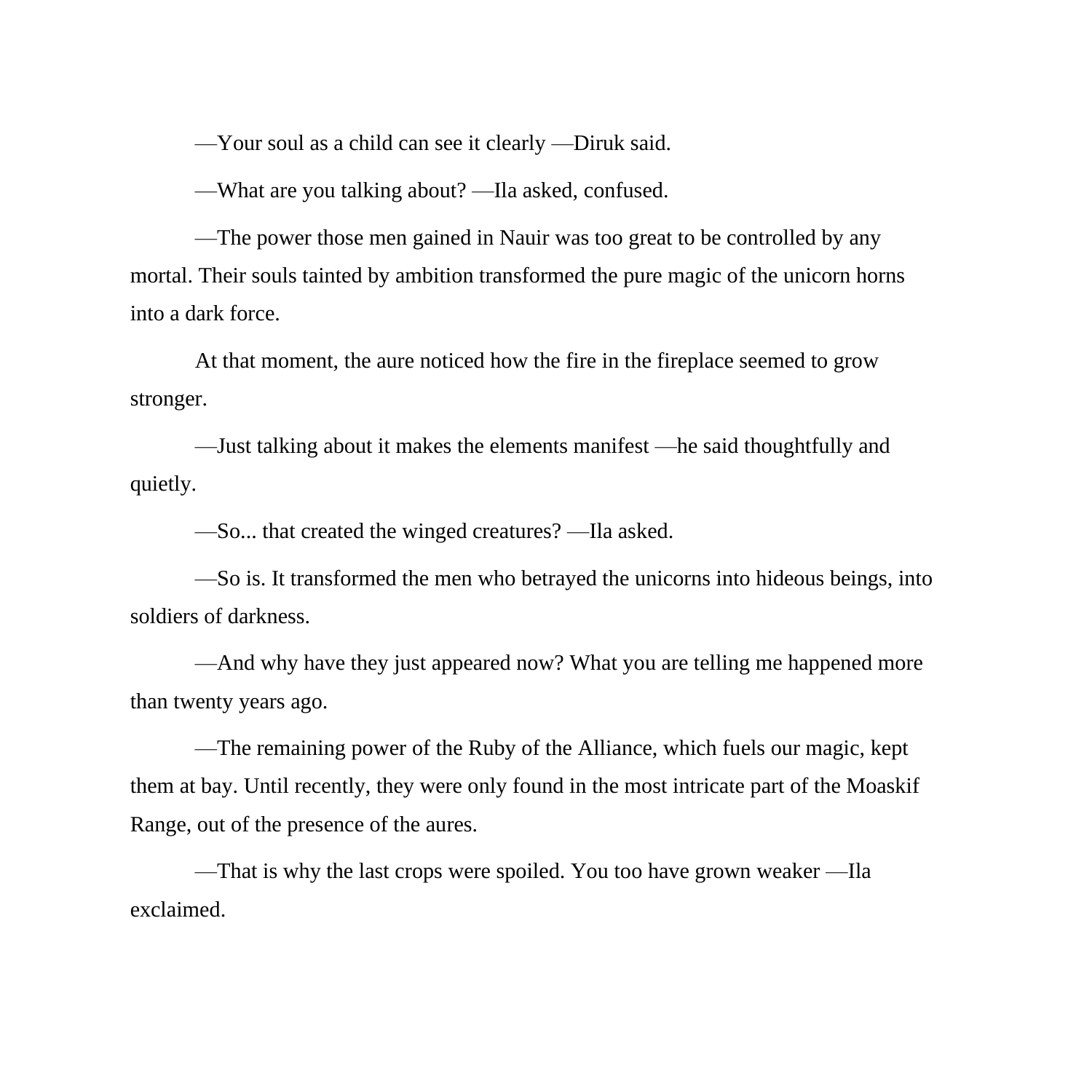—Your soul as a child can see it clearly —Diruk said.

—What are you talking about? —Ila asked, confused.

—The power those men gained in Nauir was too great to be controlled by any mortal. Their souls tainted by ambition transformed the pure magic of the unicorn horns into a dark force.

At that moment, the aure noticed how the fire in the fireplace seemed to grow stronger.

—Just talking about it makes the elements manifest —he said thoughtfully and quietly.

—So... that created the winged creatures? —Ila asked.

—So is. It transformed the men who betrayed the unicorns into hideous beings, into soldiers of darkness.

—And why have they just appeared now? What you are telling me happened more than twenty years ago.

—The remaining power of the Ruby of the Alliance, which fuels our magic, kept them at bay. Until recently, they were only found in the most intricate part of the Moaskif Range, out of the presence of the aures.

—That is why the last crops were spoiled. You too have grown weaker —Ila exclaimed.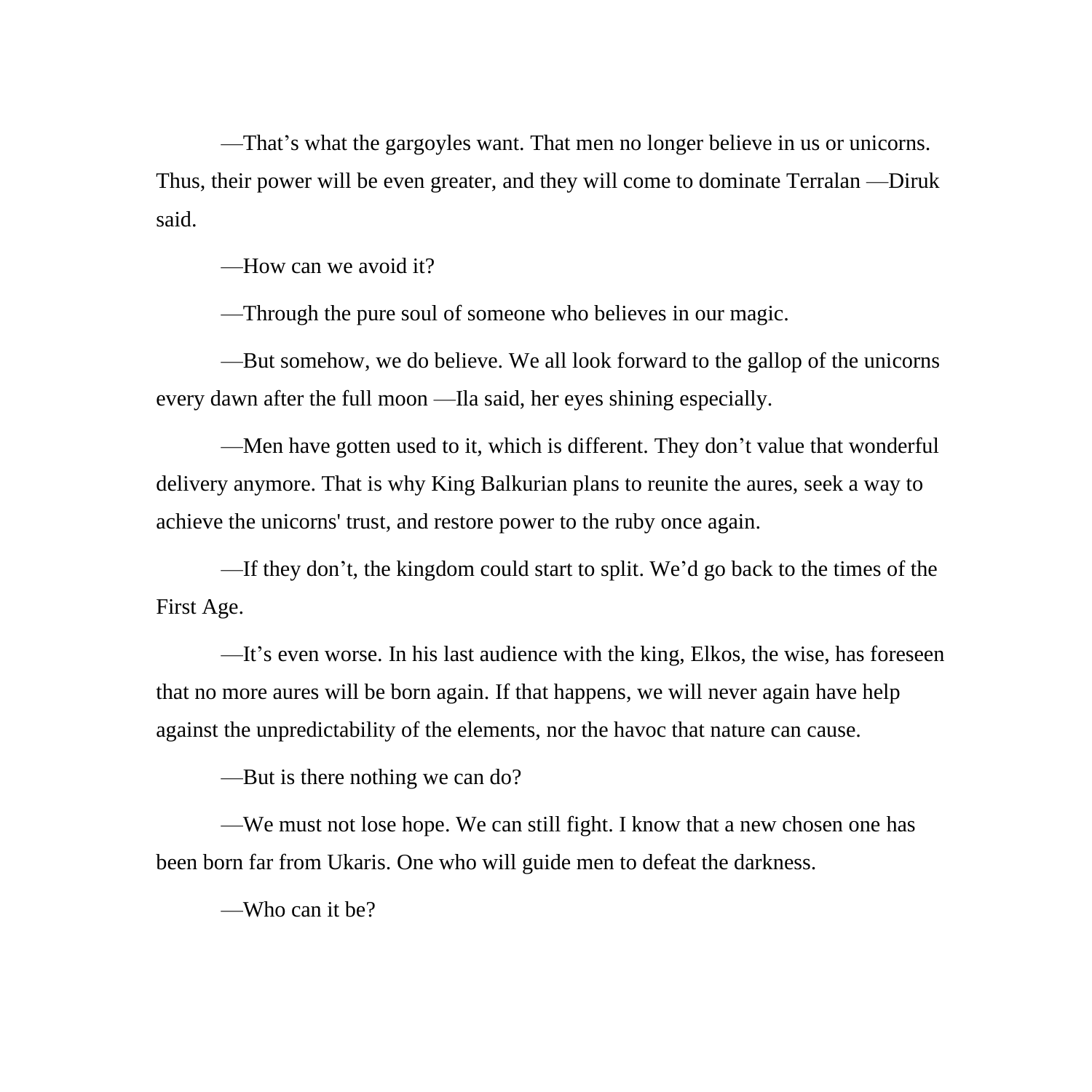—That's what the gargoyles want. That men no longer believe in us or unicorns. Thus, their power will be even greater, and they will come to dominate Terralan —Diruk said.

—How can we avoid it?

—Through the pure soul of someone who believes in our magic.

—But somehow, we do believe. We all look forward to the gallop of the unicorns every dawn after the full moon —Ila said, her eyes shining especially.

—Men have gotten used to it, which is different. They don't value that wonderful delivery anymore. That is why King Balkurian plans to reunite the aures, seek a way to achieve the unicorns' trust, and restore power to the ruby once again.

—If they don't, the kingdom could start to split. We'd go back to the times of the First Age.

—It's even worse. In his last audience with the king, Elkos, the wise, has foreseen that no more aures will be born again. If that happens, we will never again have help against the unpredictability of the elements, nor the havoc that nature can cause.

—But is there nothing we can do?

—We must not lose hope. We can still fight. I know that a new chosen one has been born far from Ukaris. One who will guide men to defeat the darkness.

—Who can it be?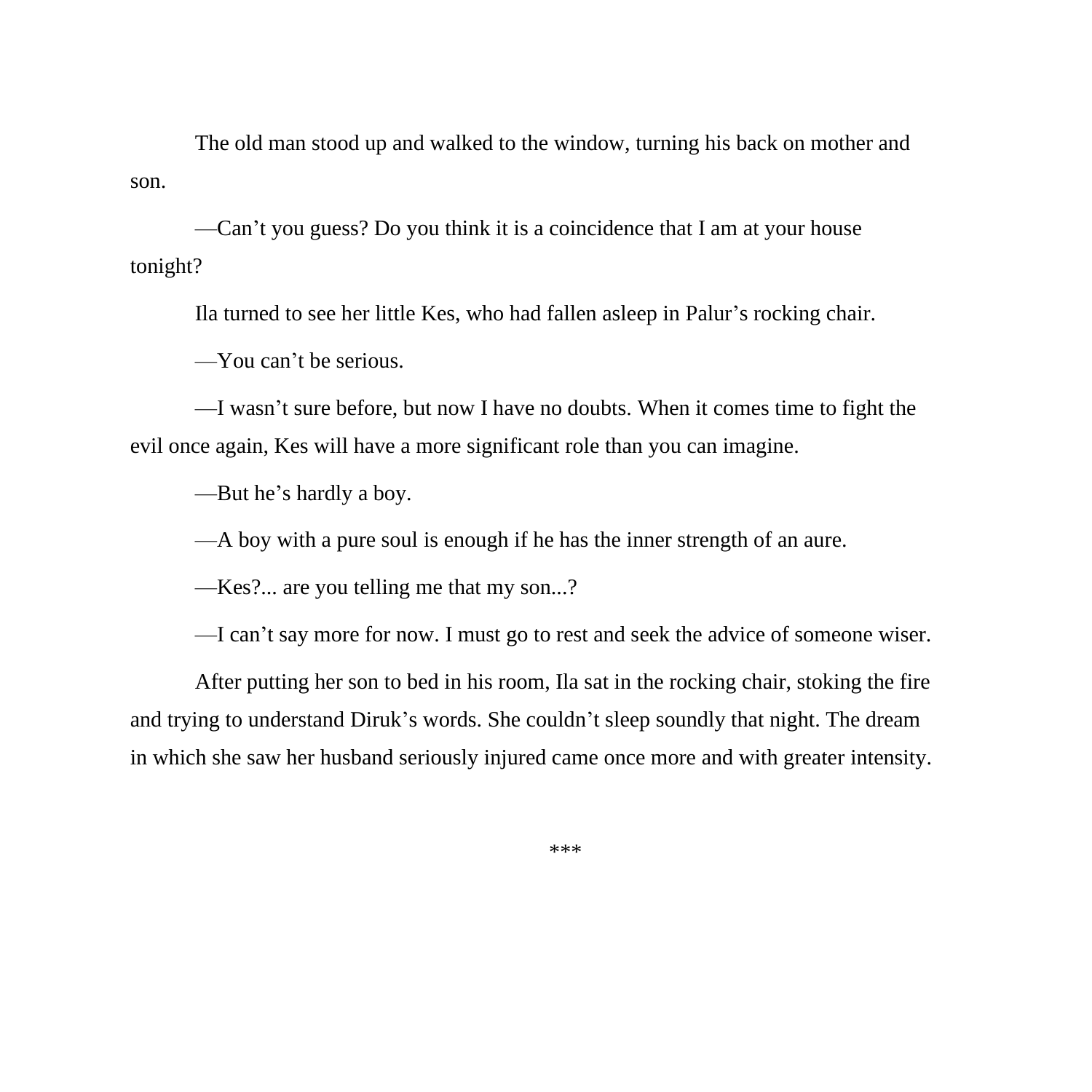The old man stood up and walked to the window, turning his back on mother and son.

—Can't you guess? Do you think it is a coincidence that I am at your house tonight?

Ila turned to see her little Kes, who had fallen asleep in Palur's rocking chair.

—You can't be serious.

—I wasn't sure before, but now I have no doubts. When it comes time to fight the evil once again, Kes will have a more significant role than you can imagine.

—But he's hardly a boy.

—A boy with a pure soul is enough if he has the inner strength of an aure.

—Kes?... are you telling me that my son...?

—I can't say more for now. I must go to rest and seek the advice of someone wiser.

After putting her son to bed in his room, Ila sat in the rocking chair, stoking the fire and trying to understand Diruk's words. She couldn't sleep soundly that night. The dream in which she saw her husband seriously injured came once more and with greater intensity.

\*\*\*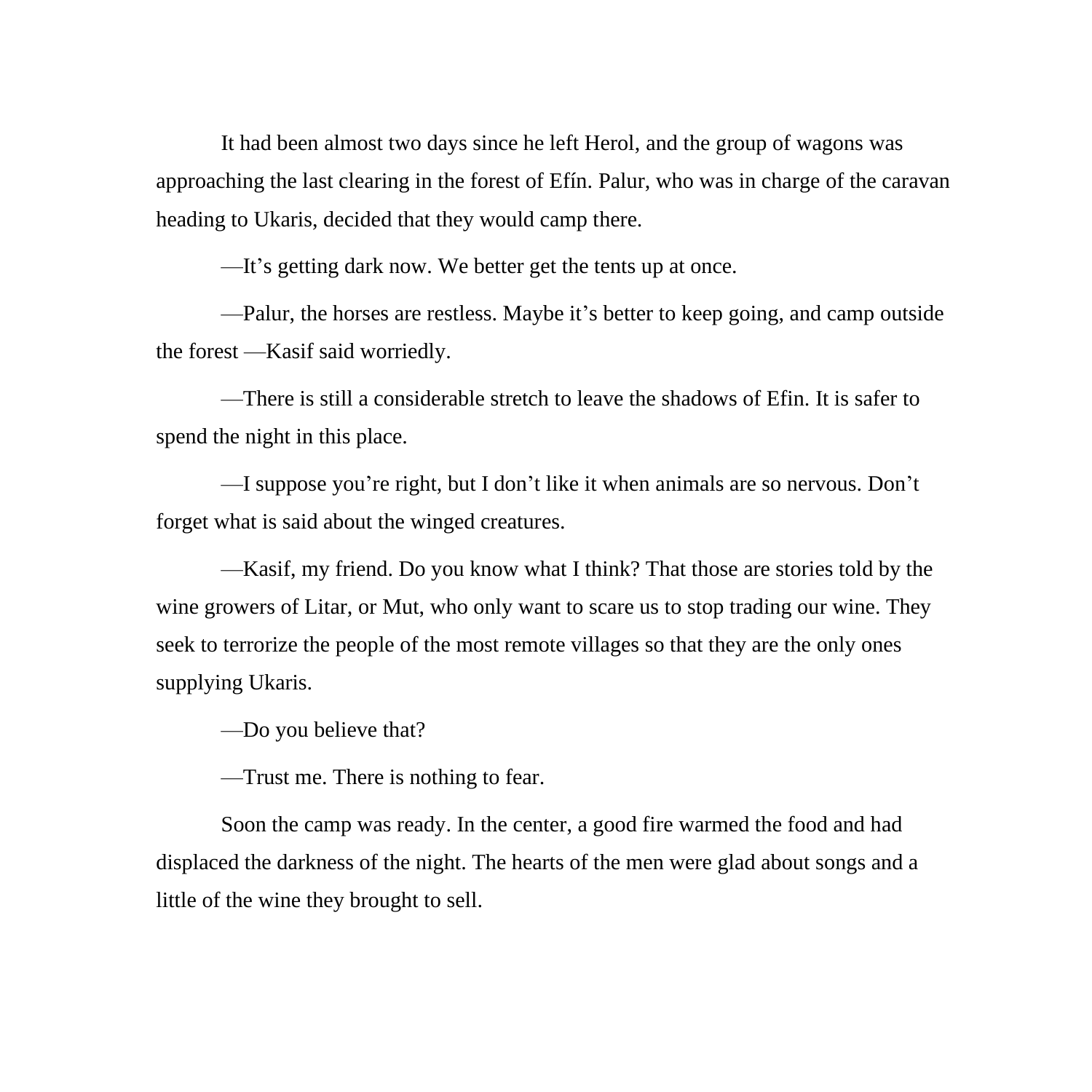It had been almost two days since he left Herol, and the group of wagons was approaching the last clearing in the forest of Efín. Palur, who was in charge of the caravan heading to Ukaris, decided that they would camp there.

—It's getting dark now. We better get the tents up at once.

—Palur, the horses are restless. Maybe it's better to keep going, and camp outside the forest —Kasif said worriedly.

—There is still a considerable stretch to leave the shadows of Efin. It is safer to spend the night in this place.

—I suppose you're right, but I don't like it when animals are so nervous. Don't forget what is said about the winged creatures.

—Kasif, my friend. Do you know what I think? That those are stories told by the wine growers of Litar, or Mut, who only want to scare us to stop trading our wine. They seek to terrorize the people of the most remote villages so that they are the only ones supplying Ukaris.

—Do you believe that?

—Trust me. There is nothing to fear.

Soon the camp was ready. In the center, a good fire warmed the food and had displaced the darkness of the night. The hearts of the men were glad about songs and a little of the wine they brought to sell.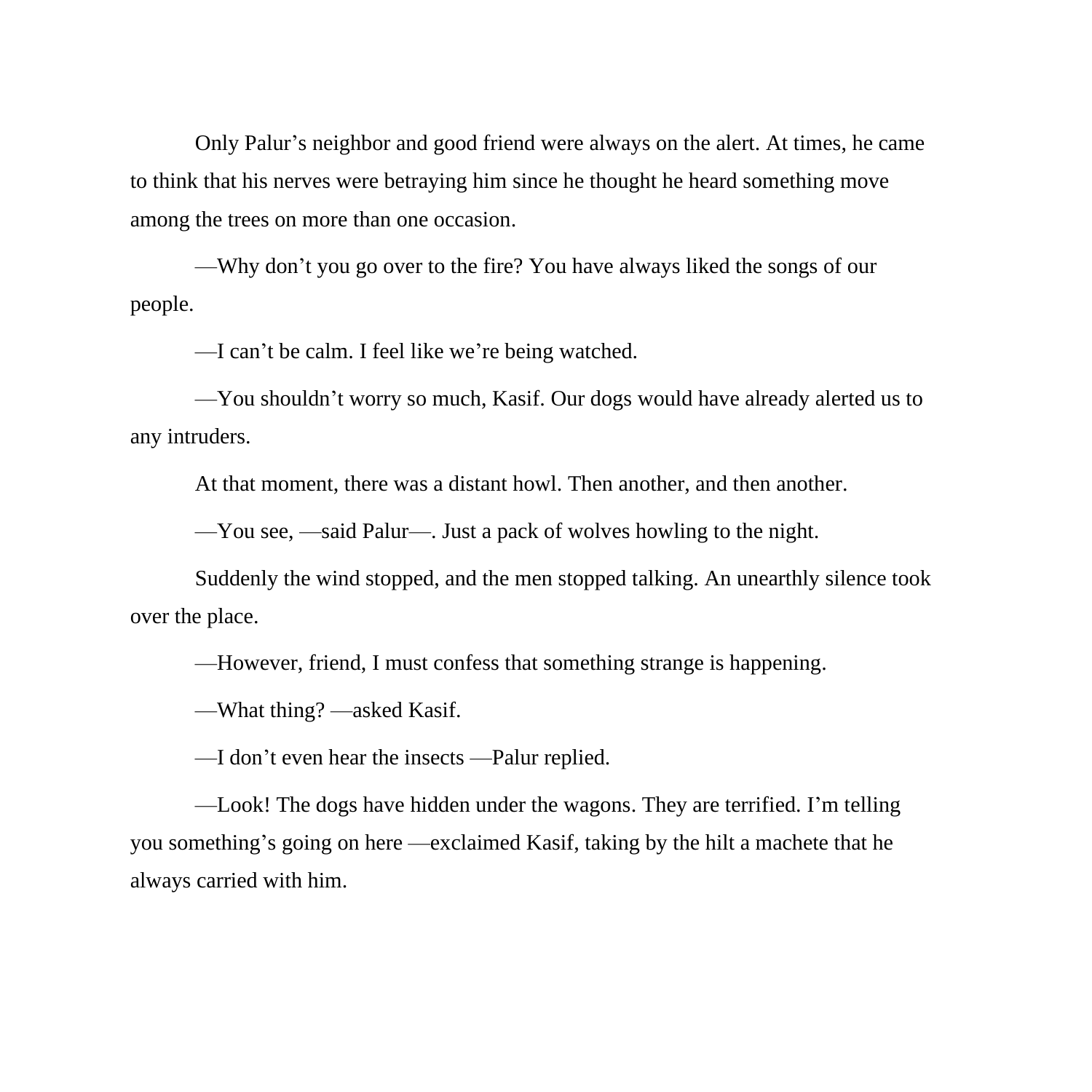Only Palur's neighbor and good friend were always on the alert. At times, he came to think that his nerves were betraying him since he thought he heard something move among the trees on more than one occasion.

—Why don't you go over to the fire? You have always liked the songs of our people.

—I can't be calm. I feel like we're being watched.

—You shouldn't worry so much, Kasif. Our dogs would have already alerted us to any intruders.

At that moment, there was a distant howl. Then another, and then another.

—You see, —said Palur—. Just a pack of wolves howling to the night.

Suddenly the wind stopped, and the men stopped talking. An unearthly silence took over the place.

—However, friend, I must confess that something strange is happening.

—What thing? —asked Kasif.

—I don't even hear the insects —Palur replied.

—Look! The dogs have hidden under the wagons. They are terrified. I'm telling you something's going on here —exclaimed Kasif, taking by the hilt a machete that he always carried with him.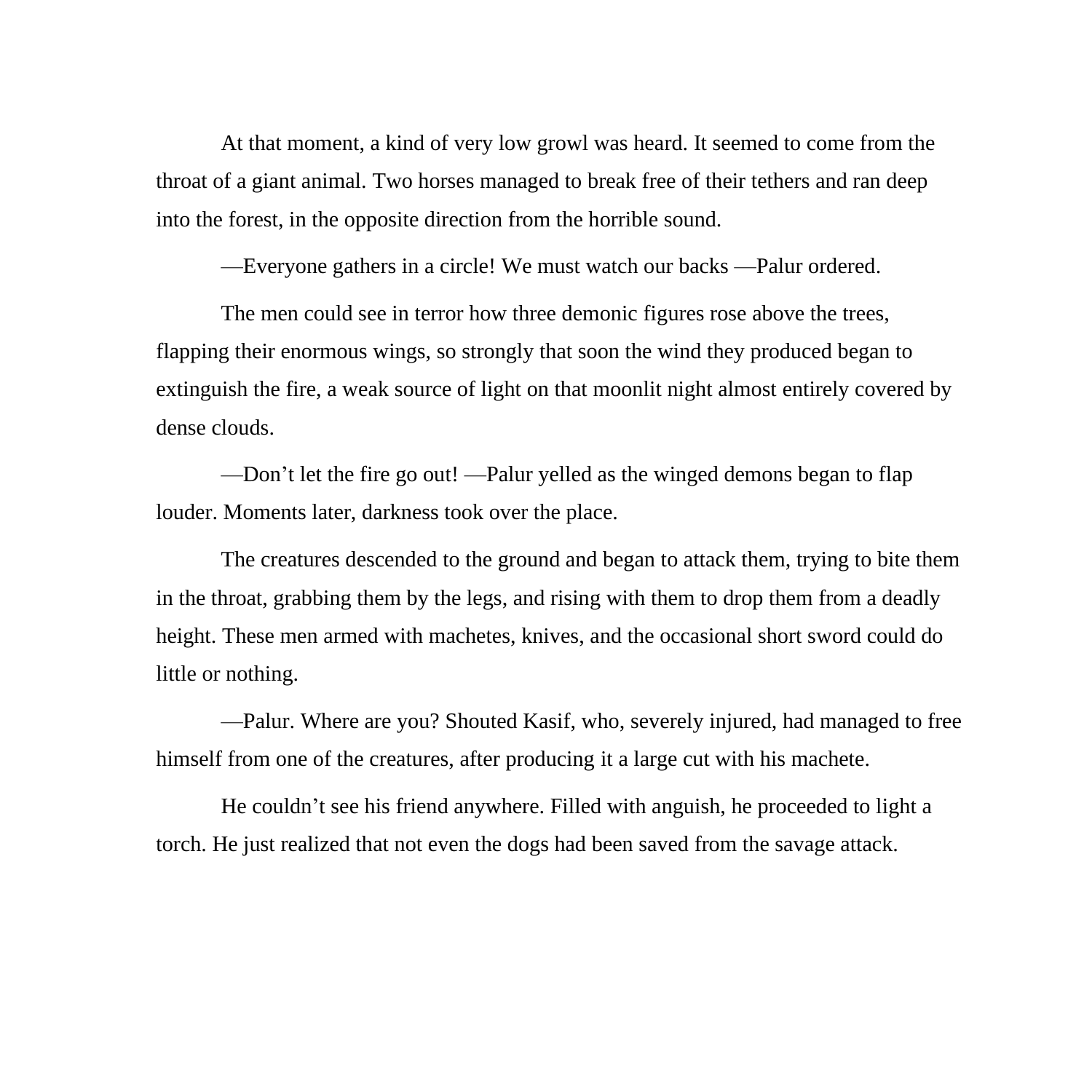At that moment, a kind of very low growl was heard. It seemed to come from the throat of a giant animal. Two horses managed to break free of their tethers and ran deep into the forest, in the opposite direction from the horrible sound.

—Everyone gathers in a circle! We must watch our backs —Palur ordered.

The men could see in terror how three demonic figures rose above the trees, flapping their enormous wings, so strongly that soon the wind they produced began to extinguish the fire, a weak source of light on that moonlit night almost entirely covered by dense clouds.

—Don't let the fire go out! —Palur yelled as the winged demons began to flap louder. Moments later, darkness took over the place.

The creatures descended to the ground and began to attack them, trying to bite them in the throat, grabbing them by the legs, and rising with them to drop them from a deadly height. These men armed with machetes, knives, and the occasional short sword could do little or nothing.

—Palur. Where are you? Shouted Kasif, who, severely injured, had managed to free himself from one of the creatures, after producing it a large cut with his machete.

He couldn't see his friend anywhere. Filled with anguish, he proceeded to light a torch. He just realized that not even the dogs had been saved from the savage attack.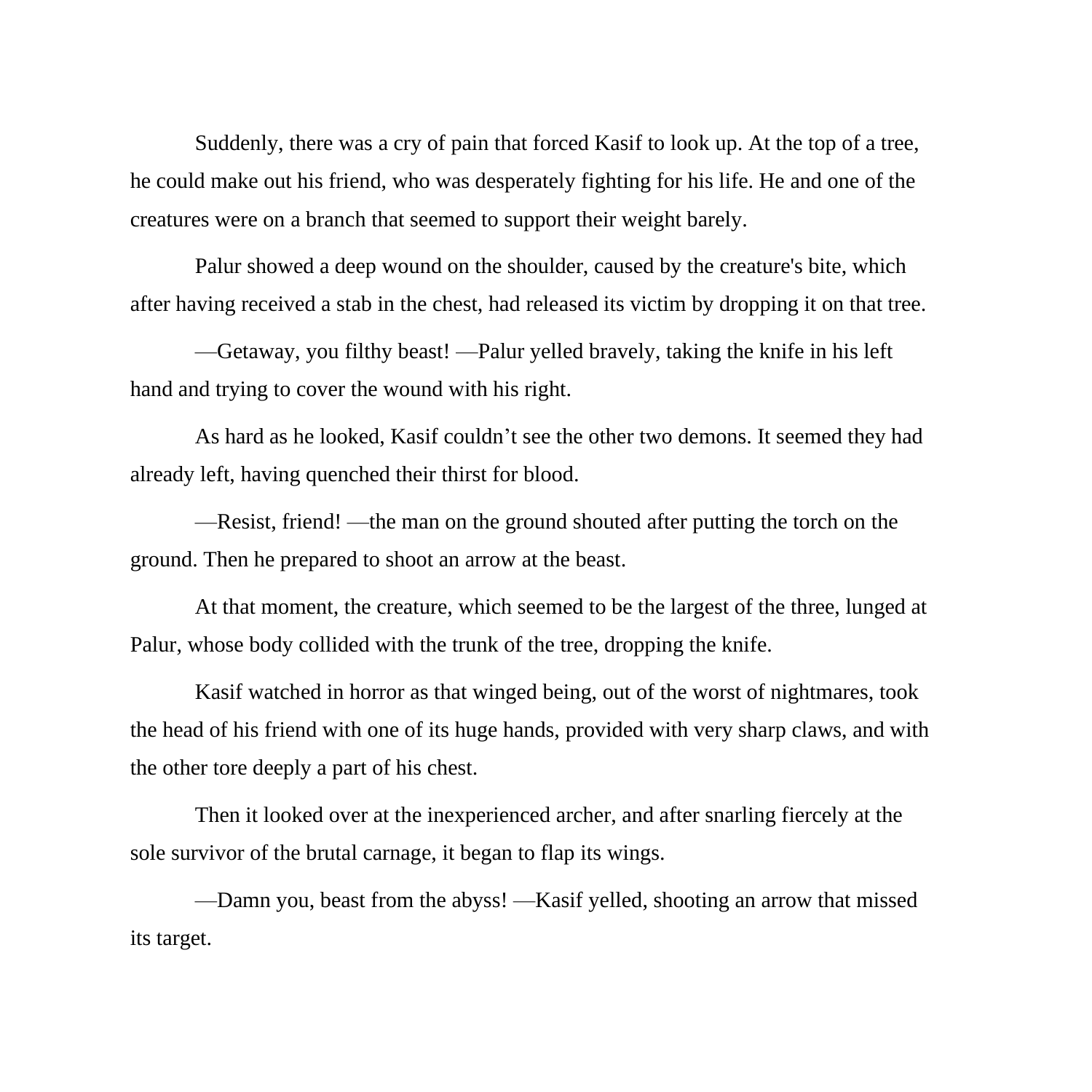Suddenly, there was a cry of pain that forced Kasif to look up. At the top of a tree, he could make out his friend, who was desperately fighting for his life. He and one of the creatures were on a branch that seemed to support their weight barely.

Palur showed a deep wound on the shoulder, caused by the creature's bite, which after having received a stab in the chest, had released its victim by dropping it on that tree.

—Getaway, you filthy beast! —Palur yelled bravely, taking the knife in his left hand and trying to cover the wound with his right.

As hard as he looked, Kasif couldn't see the other two demons. It seemed they had already left, having quenched their thirst for blood.

—Resist, friend! —the man on the ground shouted after putting the torch on the ground. Then he prepared to shoot an arrow at the beast.

At that moment, the creature, which seemed to be the largest of the three, lunged at Palur, whose body collided with the trunk of the tree, dropping the knife.

Kasif watched in horror as that winged being, out of the worst of nightmares, took the head of his friend with one of its huge hands, provided with very sharp claws, and with the other tore deeply a part of his chest.

Then it looked over at the inexperienced archer, and after snarling fiercely at the sole survivor of the brutal carnage, it began to flap its wings.

—Damn you, beast from the abyss! —Kasif yelled, shooting an arrow that missed its target.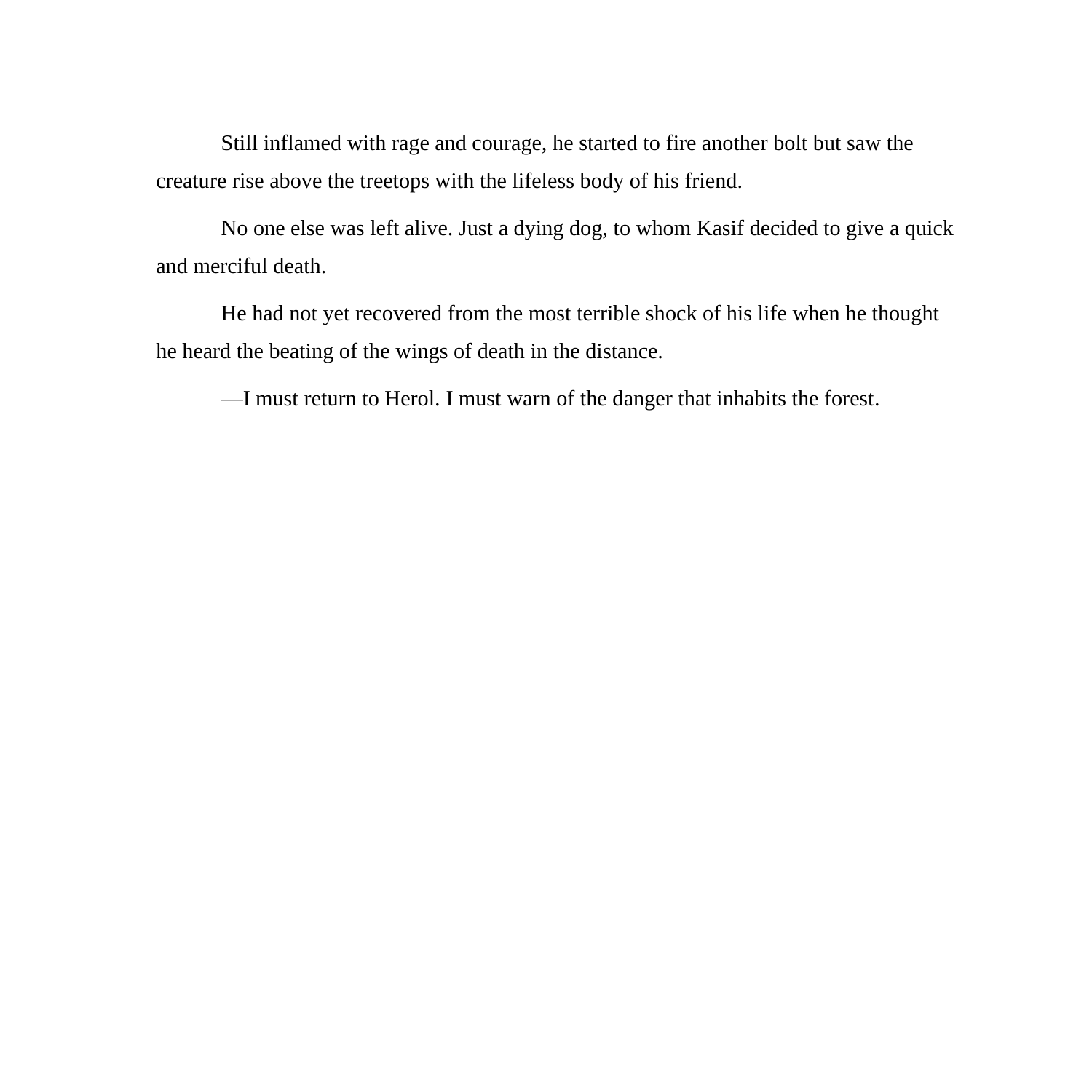Still inflamed with rage and courage, he started to fire another bolt but saw the creature rise above the treetops with the lifeless body of his friend.

No one else was left alive. Just a dying dog, to whom Kasif decided to give a quick and merciful death.

He had not yet recovered from the most terrible shock of his life when he thought he heard the beating of the wings of death in the distance.

—I must return to Herol. I must warn of the danger that inhabits the forest.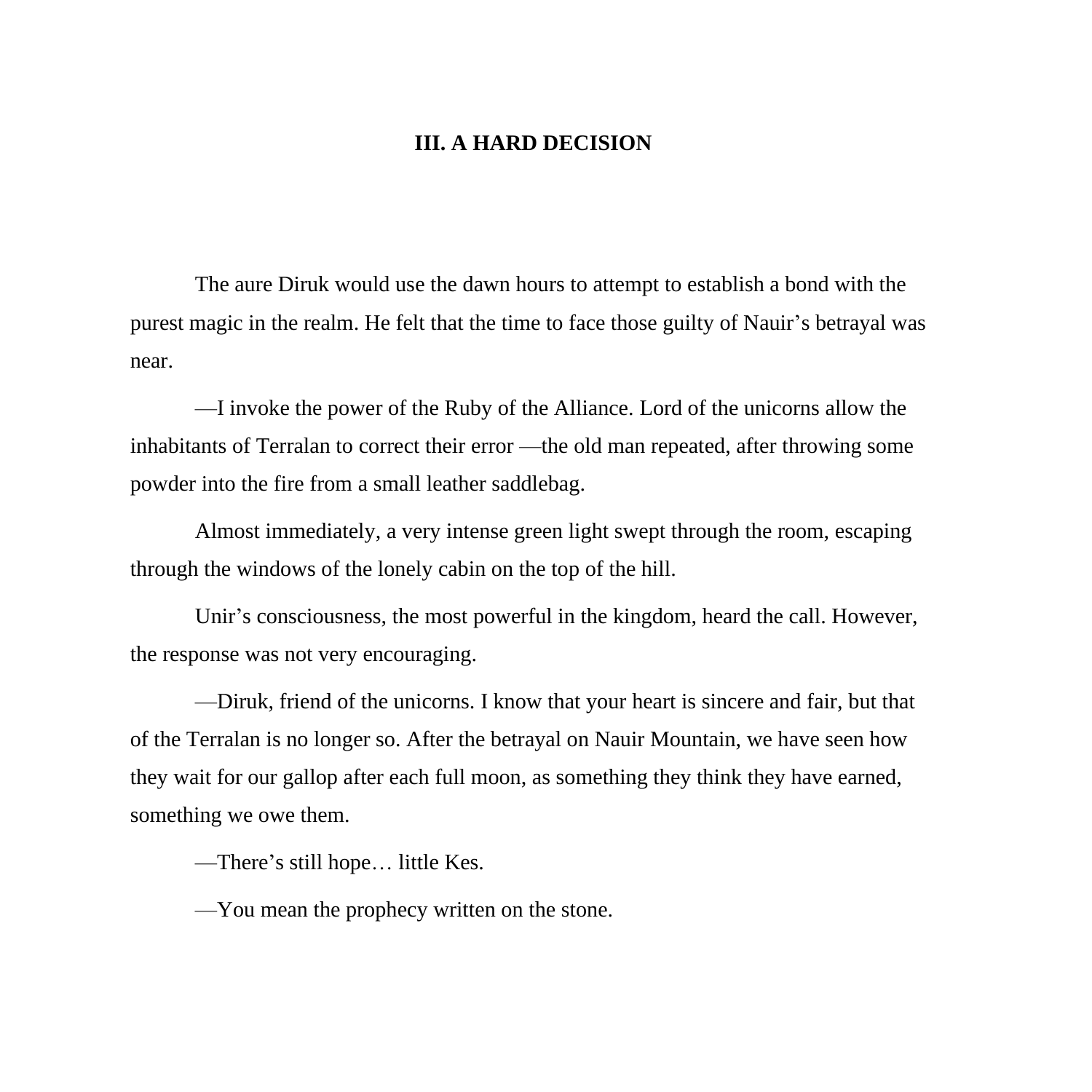## **III. A HARD DECISION**

The aure Diruk would use the dawn hours to attempt to establish a bond with the purest magic in the realm. He felt that the time to face those guilty of Nauir's betrayal was near.

—I invoke the power of the Ruby of the Alliance. Lord of the unicorns allow the inhabitants of Terralan to correct their error —the old man repeated, after throwing some powder into the fire from a small leather saddlebag.

Almost immediately, a very intense green light swept through the room, escaping through the windows of the lonely cabin on the top of the hill.

Unir's consciousness, the most powerful in the kingdom, heard the call. However, the response was not very encouraging.

—Diruk, friend of the unicorns. I know that your heart is sincere and fair, but that of the Terralan is no longer so. After the betrayal on Nauir Mountain, we have seen how they wait for our gallop after each full moon, as something they think they have earned, something we owe them.

—There's still hope… little Kes.

—You mean the prophecy written on the stone.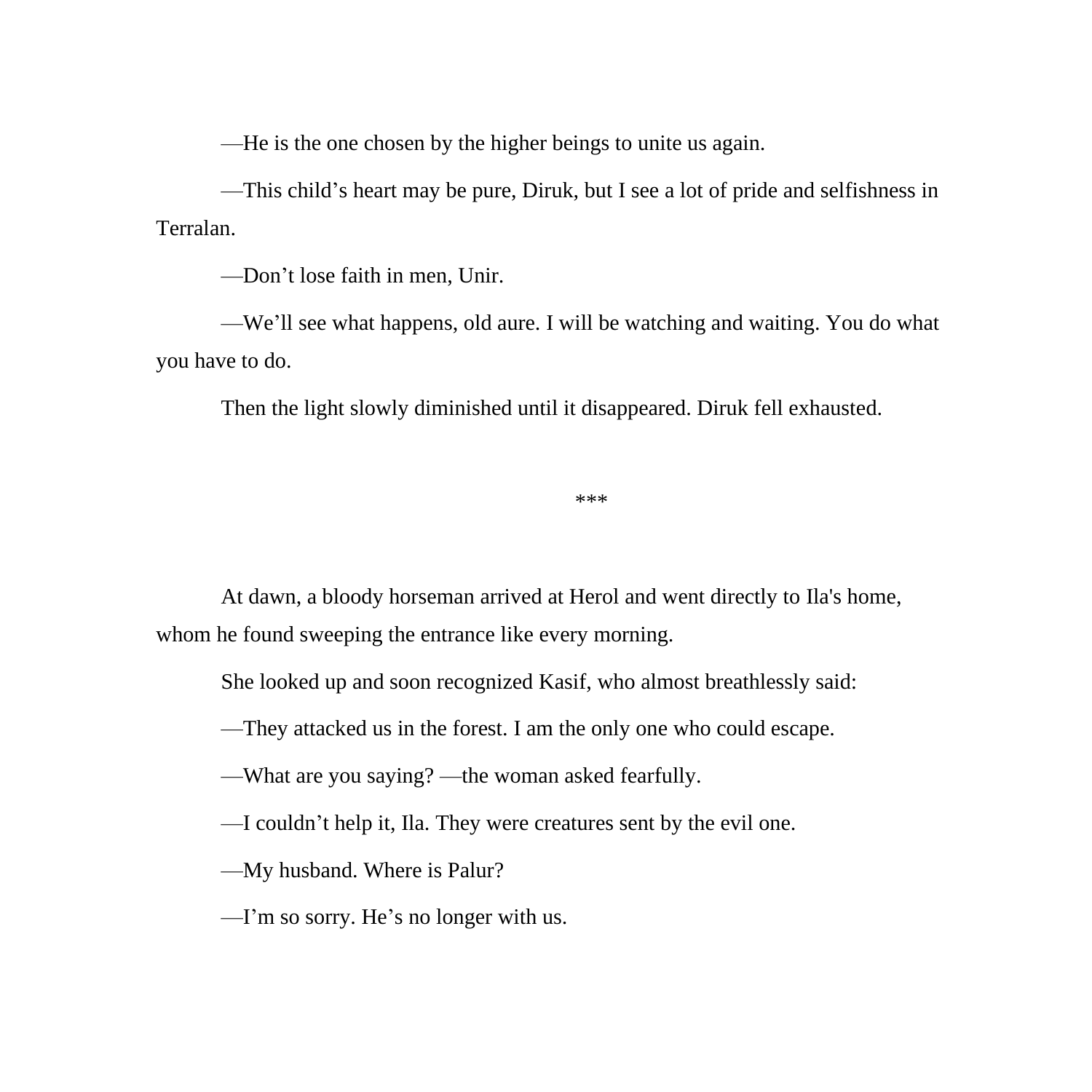—He is the one chosen by the higher beings to unite us again.

—This child's heart may be pure, Diruk, but I see a lot of pride and selfishness in Terralan.

—Don't lose faith in men, Unir.

—We'll see what happens, old aure. I will be watching and waiting. You do what you have to do.

Then the light slowly diminished until it disappeared. Diruk fell exhausted.

\*\*\*

At dawn, a bloody horseman arrived at Herol and went directly to Ila's home, whom he found sweeping the entrance like every morning.

She looked up and soon recognized Kasif, who almost breathlessly said:

—They attacked us in the forest. I am the only one who could escape.

—What are you saying? —the woman asked fearfully.

—I couldn't help it, Ila. They were creatures sent by the evil one.

—My husband. Where is Palur?

—I'm so sorry. He's no longer with us.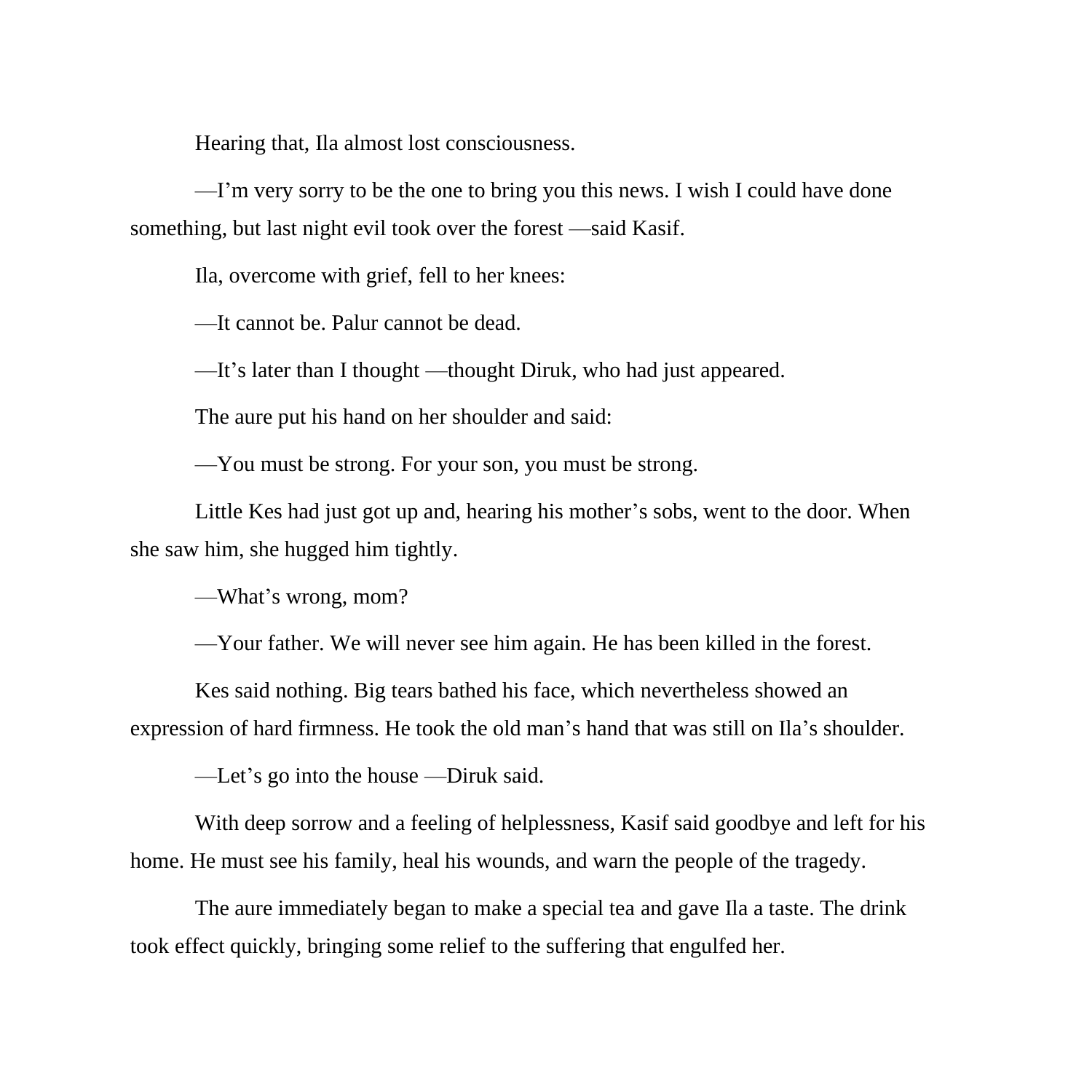Hearing that, Ila almost lost consciousness.

—I'm very sorry to be the one to bring you this news. I wish I could have done something, but last night evil took over the forest —said Kasif.

Ila, overcome with grief, fell to her knees:

—It cannot be. Palur cannot be dead.

—It's later than I thought —thought Diruk, who had just appeared.

The aure put his hand on her shoulder and said:

—You must be strong. For your son, you must be strong.

Little Kes had just got up and, hearing his mother's sobs, went to the door. When she saw him, she hugged him tightly.

—What's wrong, mom?

—Your father. We will never see him again. He has been killed in the forest.

Kes said nothing. Big tears bathed his face, which nevertheless showed an expression of hard firmness. He took the old man's hand that was still on Ila's shoulder.

—Let's go into the house —Diruk said.

With deep sorrow and a feeling of helplessness, Kasif said goodbye and left for his home. He must see his family, heal his wounds, and warn the people of the tragedy.

The aure immediately began to make a special tea and gave Ila a taste. The drink took effect quickly, bringing some relief to the suffering that engulfed her.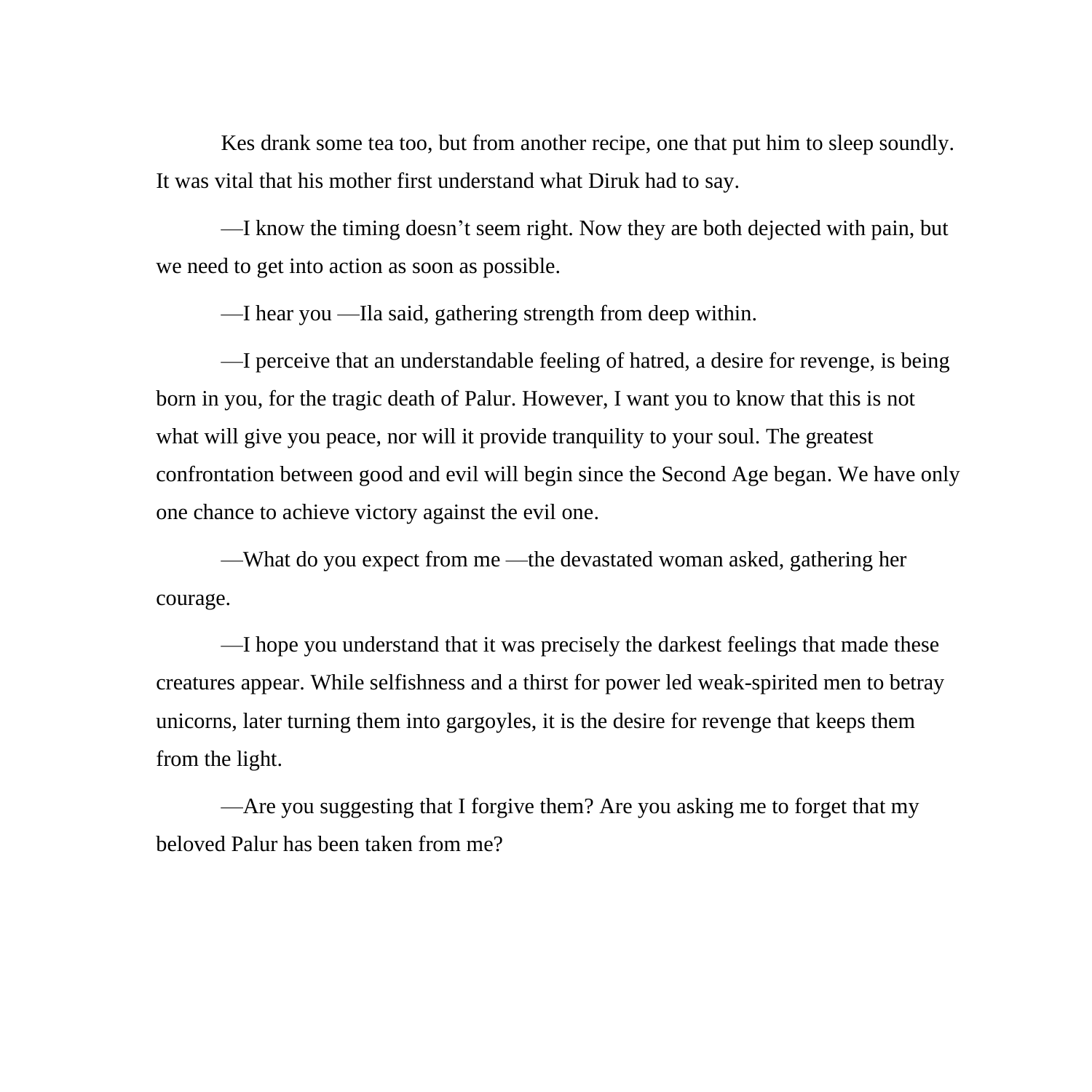Kes drank some tea too, but from another recipe, one that put him to sleep soundly. It was vital that his mother first understand what Diruk had to say.

—I know the timing doesn't seem right. Now they are both dejected with pain, but we need to get into action as soon as possible.

—I hear you —Ila said, gathering strength from deep within.

—I perceive that an understandable feeling of hatred, a desire for revenge, is being born in you, for the tragic death of Palur. However, I want you to know that this is not what will give you peace, nor will it provide tranquility to your soul. The greatest confrontation between good and evil will begin since the Second Age began. We have only one chance to achieve victory against the evil one.

—What do you expect from me —the devastated woman asked, gathering her courage.

—I hope you understand that it was precisely the darkest feelings that made these creatures appear. While selfishness and a thirst for power led weak-spirited men to betray unicorns, later turning them into gargoyles, it is the desire for revenge that keeps them from the light.

—Are you suggesting that I forgive them? Are you asking me to forget that my beloved Palur has been taken from me?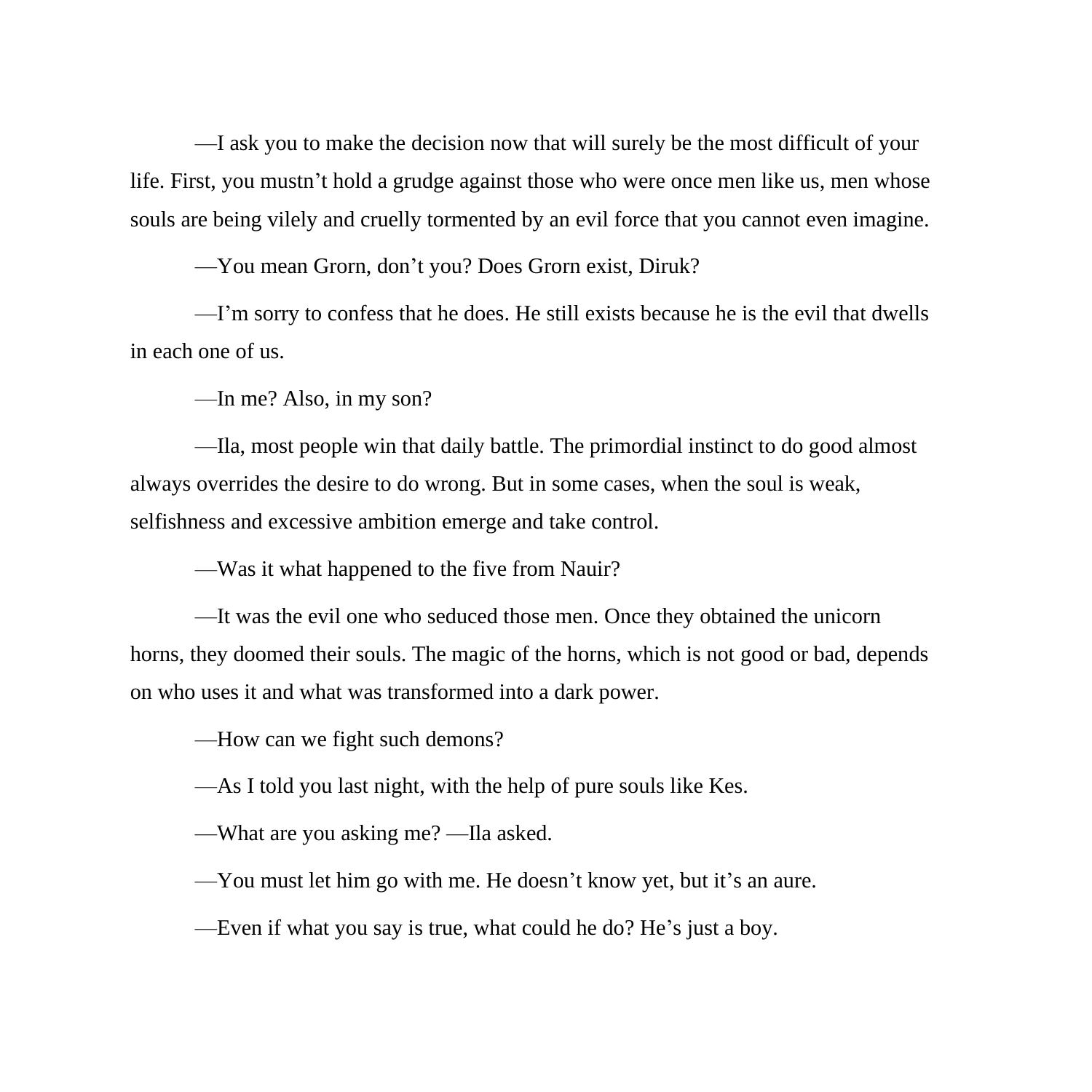—I ask you to make the decision now that will surely be the most difficult of your life. First, you mustn't hold a grudge against those who were once men like us, men whose souls are being vilely and cruelly tormented by an evil force that you cannot even imagine.

—You mean Grorn, don't you? Does Grorn exist, Diruk?

—I'm sorry to confess that he does. He still exists because he is the evil that dwells in each one of us.

—In me? Also, in my son?

—Ila, most people win that daily battle. The primordial instinct to do good almost always overrides the desire to do wrong. But in some cases, when the soul is weak, selfishness and excessive ambition emerge and take control.

—Was it what happened to the five from Nauir?

—It was the evil one who seduced those men. Once they obtained the unicorn horns, they doomed their souls. The magic of the horns, which is not good or bad, depends on who uses it and what was transformed into a dark power.

—How can we fight such demons?

—As I told you last night, with the help of pure souls like Kes.

—What are you asking me? —Ila asked.

—You must let him go with me. He doesn't know yet, but it's an aure.

—Even if what you say is true, what could he do? He's just a boy.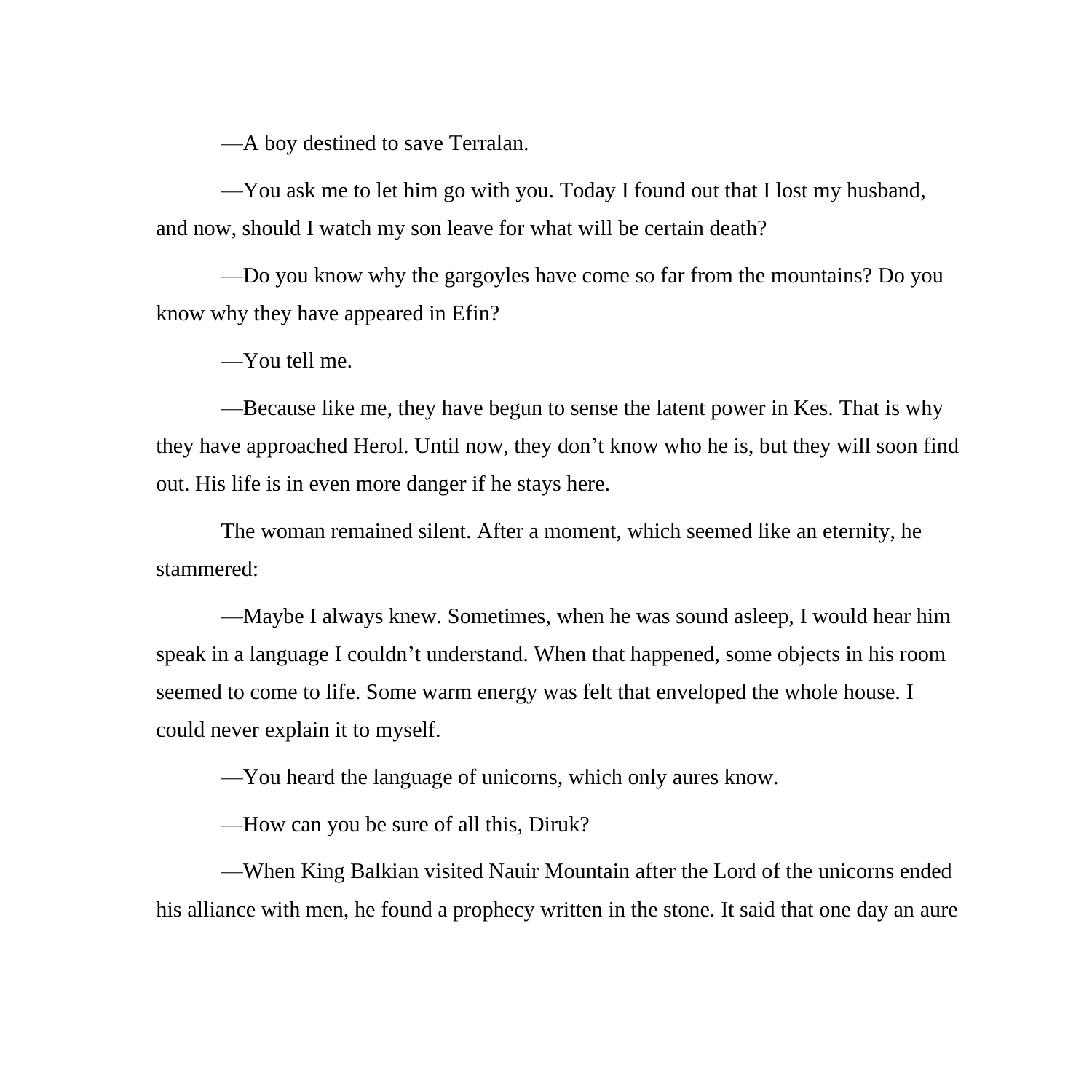—A boy destined to save Terralan.

—You ask me to let him go with you. Today I found out that I lost my husband, and now, should I watch my son leave for what will be certain death?

—Do you know why the gargoyles have come so far from the mountains? Do you know why they have appeared in Efin?

—You tell me.

—Because like me, they have begun to sense the latent power in Kes. That is why they have approached Herol. Until now, they don't know who he is, but they will soon find out. His life is in even more danger if he stays here.

The woman remained silent. After a moment, which seemed like an eternity, he stammered:

—Maybe I always knew. Sometimes, when he was sound asleep, I would hear him speak in a language I couldn't understand. When that happened, some objects in his room seemed to come to life. Some warm energy was felt that enveloped the whole house. I could never explain it to myself.

—You heard the language of unicorns, which only aures know.

—How can you be sure of all this, Diruk?

—When King Balkian visited Nauir Mountain after the Lord of the unicorns ended his alliance with men, he found a prophecy written in the stone. It said that one day an aure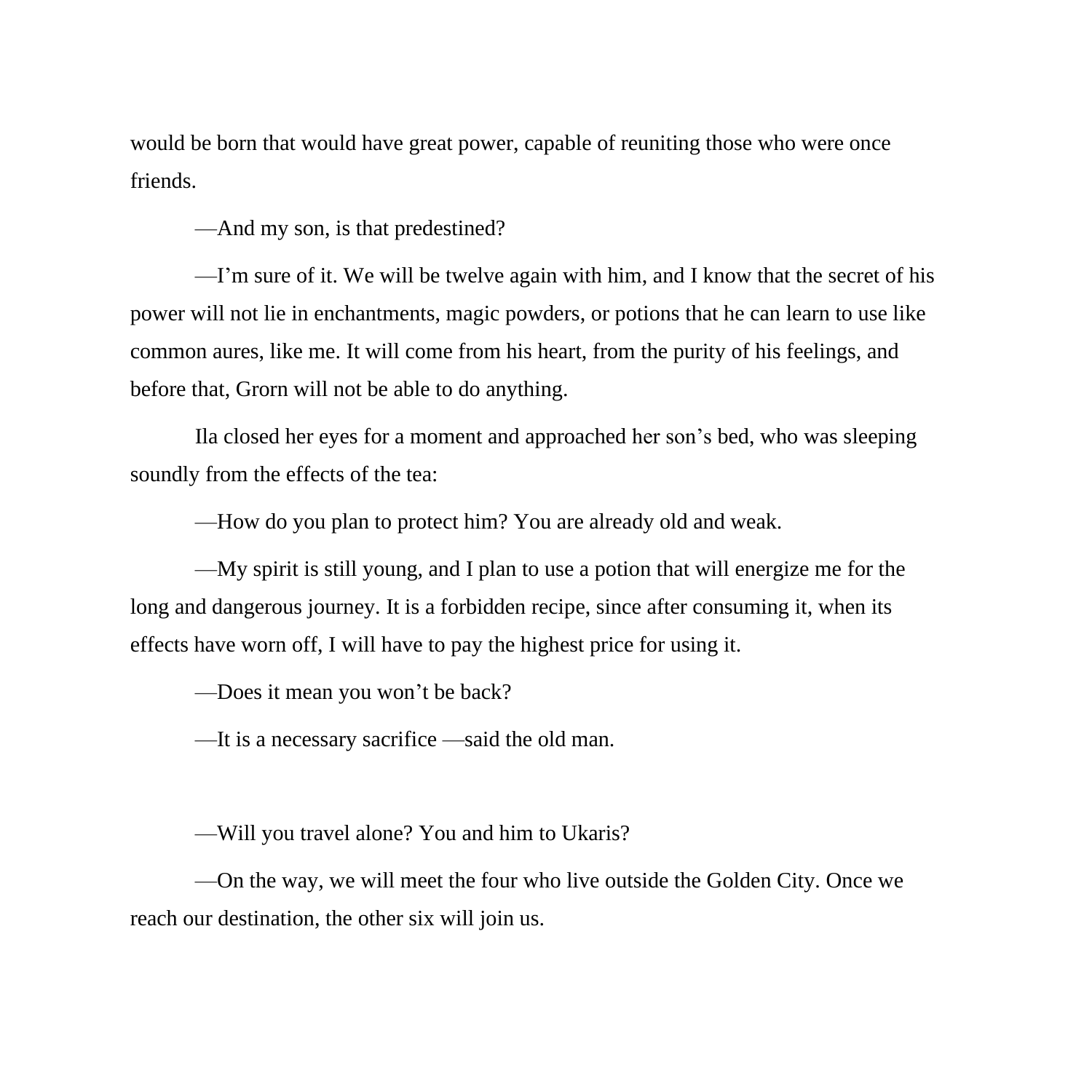would be born that would have great power, capable of reuniting those who were once friends.

—And my son, is that predestined?

—I'm sure of it. We will be twelve again with him, and I know that the secret of his power will not lie in enchantments, magic powders, or potions that he can learn to use like common aures, like me. It will come from his heart, from the purity of his feelings, and before that, Grorn will not be able to do anything.

Ila closed her eyes for a moment and approached her son's bed, who was sleeping soundly from the effects of the tea:

—How do you plan to protect him? You are already old and weak.

—My spirit is still young, and I plan to use a potion that will energize me for the long and dangerous journey. It is a forbidden recipe, since after consuming it, when its effects have worn off, I will have to pay the highest price for using it.

—Does it mean you won't be back?

—It is a necessary sacrifice —said the old man.

—Will you travel alone? You and him to Ukaris?

—On the way, we will meet the four who live outside the Golden City. Once we reach our destination, the other six will join us.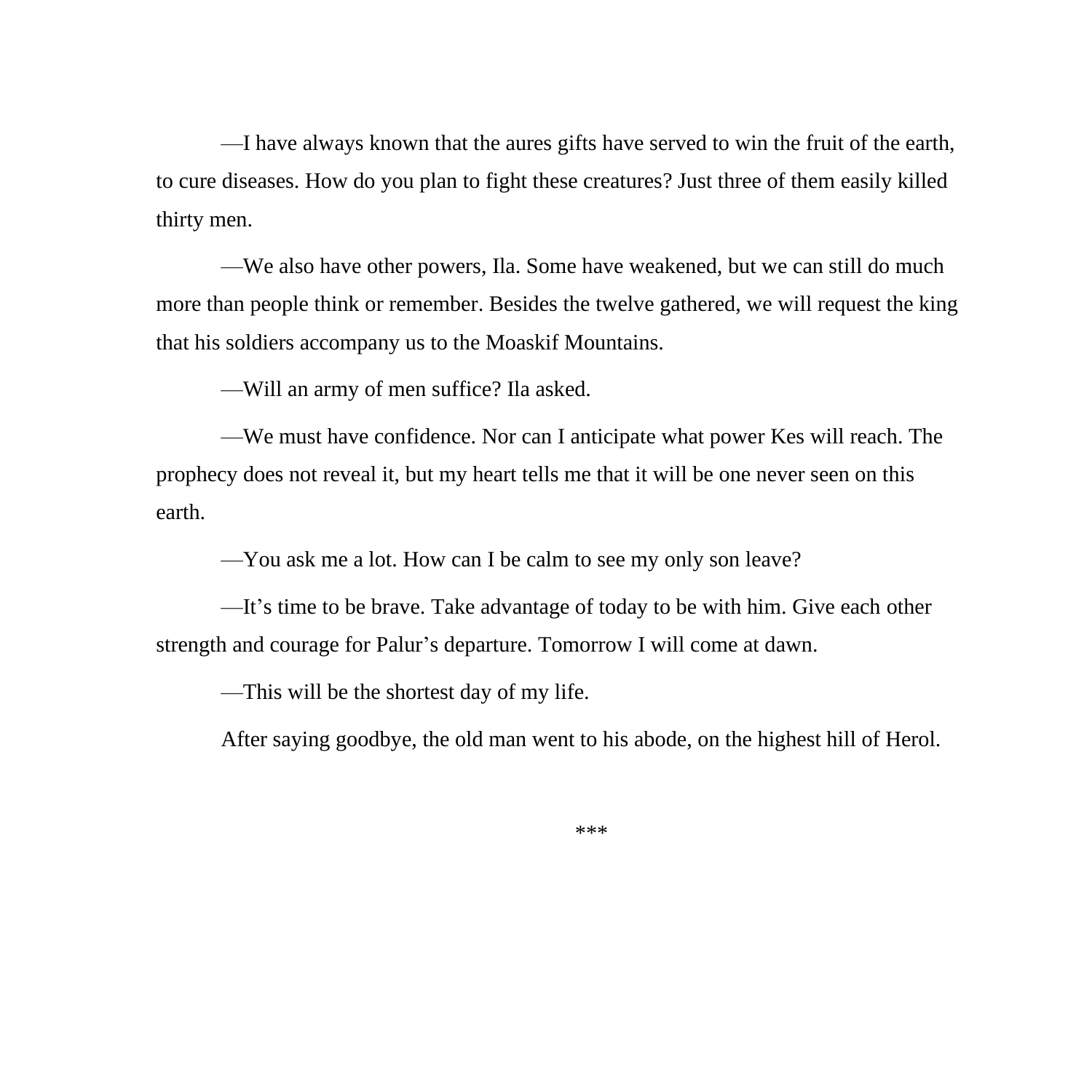—I have always known that the aures gifts have served to win the fruit of the earth, to cure diseases. How do you plan to fight these creatures? Just three of them easily killed thirty men.

—We also have other powers, Ila. Some have weakened, but we can still do much more than people think or remember. Besides the twelve gathered, we will request the king that his soldiers accompany us to the Moaskif Mountains.

—Will an army of men suffice? Ila asked.

—We must have confidence. Nor can I anticipate what power Kes will reach. The prophecy does not reveal it, but my heart tells me that it will be one never seen on this earth.

—You ask me a lot. How can I be calm to see my only son leave?

—It's time to be brave. Take advantage of today to be with him. Give each other strength and courage for Palur's departure. Tomorrow I will come at dawn.

—This will be the shortest day of my life.

After saying goodbye, the old man went to his abode, on the highest hill of Herol.

\*\*\*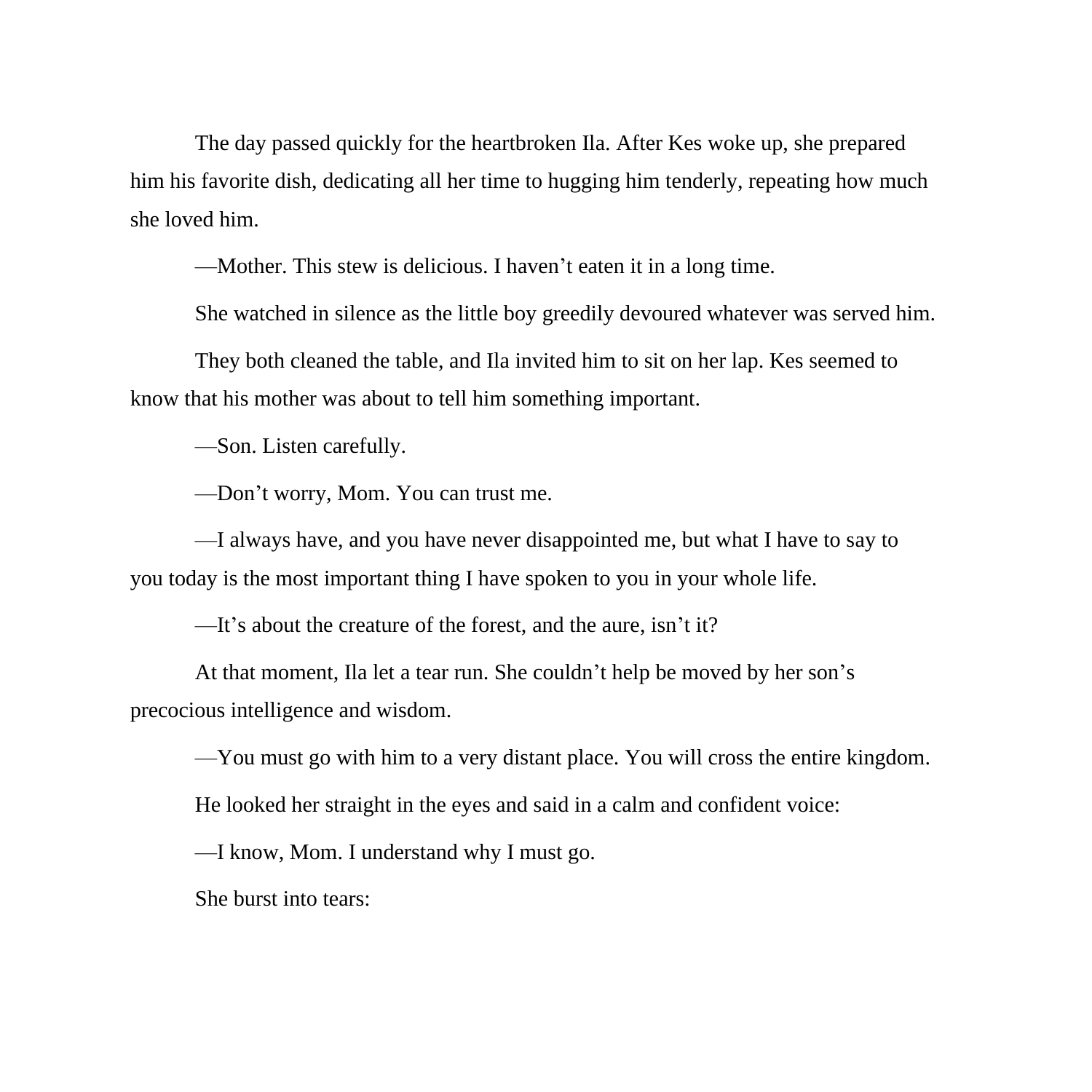The day passed quickly for the heartbroken Ila. After Kes woke up, she prepared him his favorite dish, dedicating all her time to hugging him tenderly, repeating how much she loved him.

—Mother. This stew is delicious. I haven't eaten it in a long time.

She watched in silence as the little boy greedily devoured whatever was served him.

They both cleaned the table, and Ila invited him to sit on her lap. Kes seemed to know that his mother was about to tell him something important.

—Son. Listen carefully.

—Don't worry, Mom. You can trust me.

—I always have, and you have never disappointed me, but what I have to say to you today is the most important thing I have spoken to you in your whole life.

—It's about the creature of the forest, and the aure, isn't it?

At that moment, Ila let a tear run. She couldn't help be moved by her son's precocious intelligence and wisdom.

—You must go with him to a very distant place. You will cross the entire kingdom.

He looked her straight in the eyes and said in a calm and confident voice:

—I know, Mom. I understand why I must go.

She burst into tears: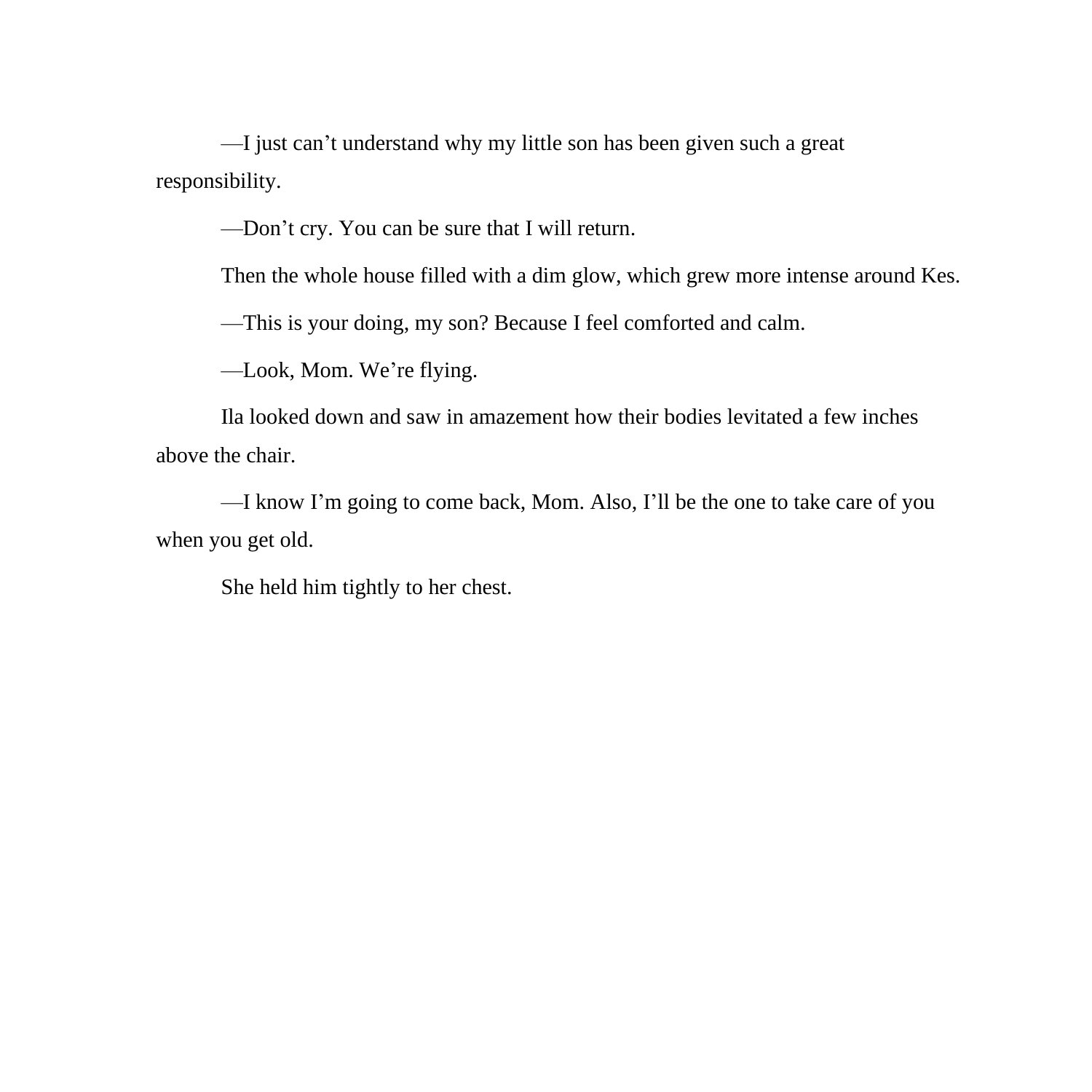—I just can't understand why my little son has been given such a great responsibility.

—Don't cry. You can be sure that I will return.

Then the whole house filled with a dim glow, which grew more intense around Kes.

—This is your doing, my son? Because I feel comforted and calm.

—Look, Mom. We're flying.

Ila looked down and saw in amazement how their bodies levitated a few inches above the chair.

—I know I'm going to come back, Mom. Also, I'll be the one to take care of you when you get old.

She held him tightly to her chest.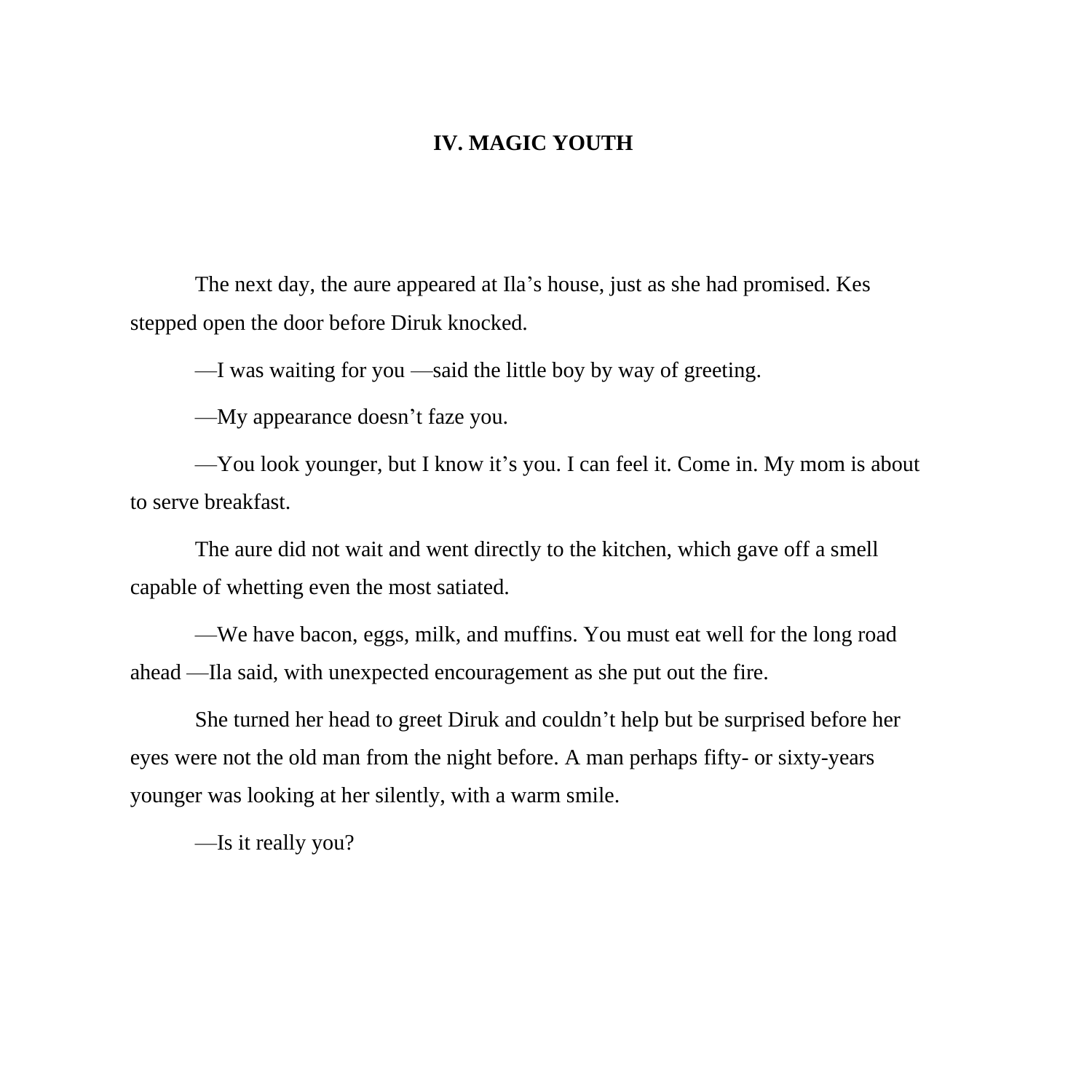## **IV. MAGIC YOUTH**

The next day, the aure appeared at Ila's house, just as she had promised. Kes stepped open the door before Diruk knocked.

—I was waiting for you —said the little boy by way of greeting.

—My appearance doesn't faze you.

—You look younger, but I know it's you. I can feel it. Come in. My mom is about to serve breakfast.

The aure did not wait and went directly to the kitchen, which gave off a smell capable of whetting even the most satiated.

—We have bacon, eggs, milk, and muffins. You must eat well for the long road ahead —Ila said, with unexpected encouragement as she put out the fire.

She turned her head to greet Diruk and couldn't help but be surprised before her eyes were not the old man from the night before. A man perhaps fifty- or sixty-years younger was looking at her silently, with a warm smile.

—Is it really you?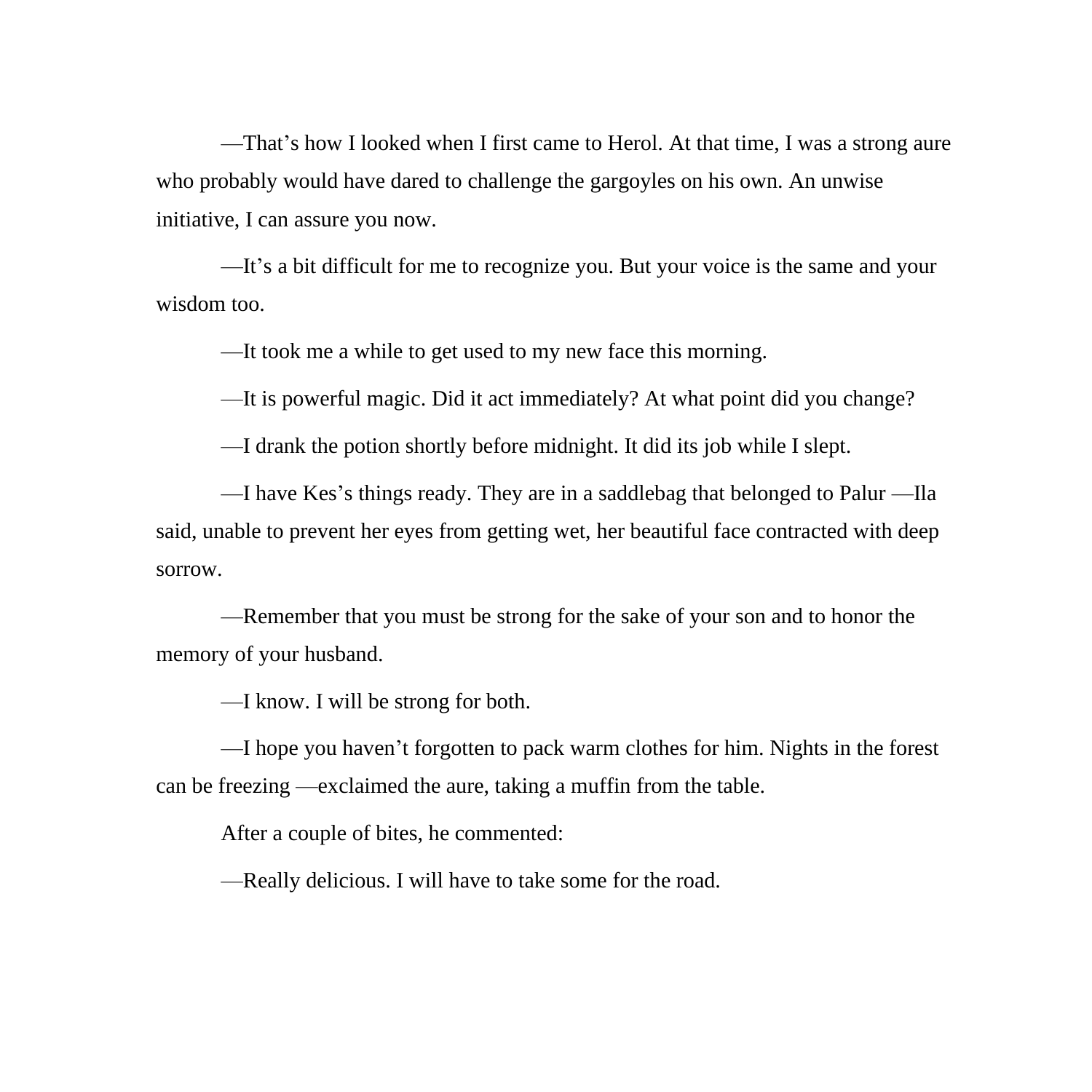—That's how I looked when I first came to Herol. At that time, I was a strong aure who probably would have dared to challenge the gargoyles on his own. An unwise initiative, I can assure you now.

—It's a bit difficult for me to recognize you. But your voice is the same and your wisdom too.

—It took me a while to get used to my new face this morning.

—It is powerful magic. Did it act immediately? At what point did you change?

—I drank the potion shortly before midnight. It did its job while I slept.

—I have Kes's things ready. They are in a saddlebag that belonged to Palur —Ila said, unable to prevent her eyes from getting wet, her beautiful face contracted with deep sorrow.

—Remember that you must be strong for the sake of your son and to honor the memory of your husband.

—I know. I will be strong for both.

—I hope you haven't forgotten to pack warm clothes for him. Nights in the forest can be freezing —exclaimed the aure, taking a muffin from the table.

After a couple of bites, he commented:

—Really delicious. I will have to take some for the road.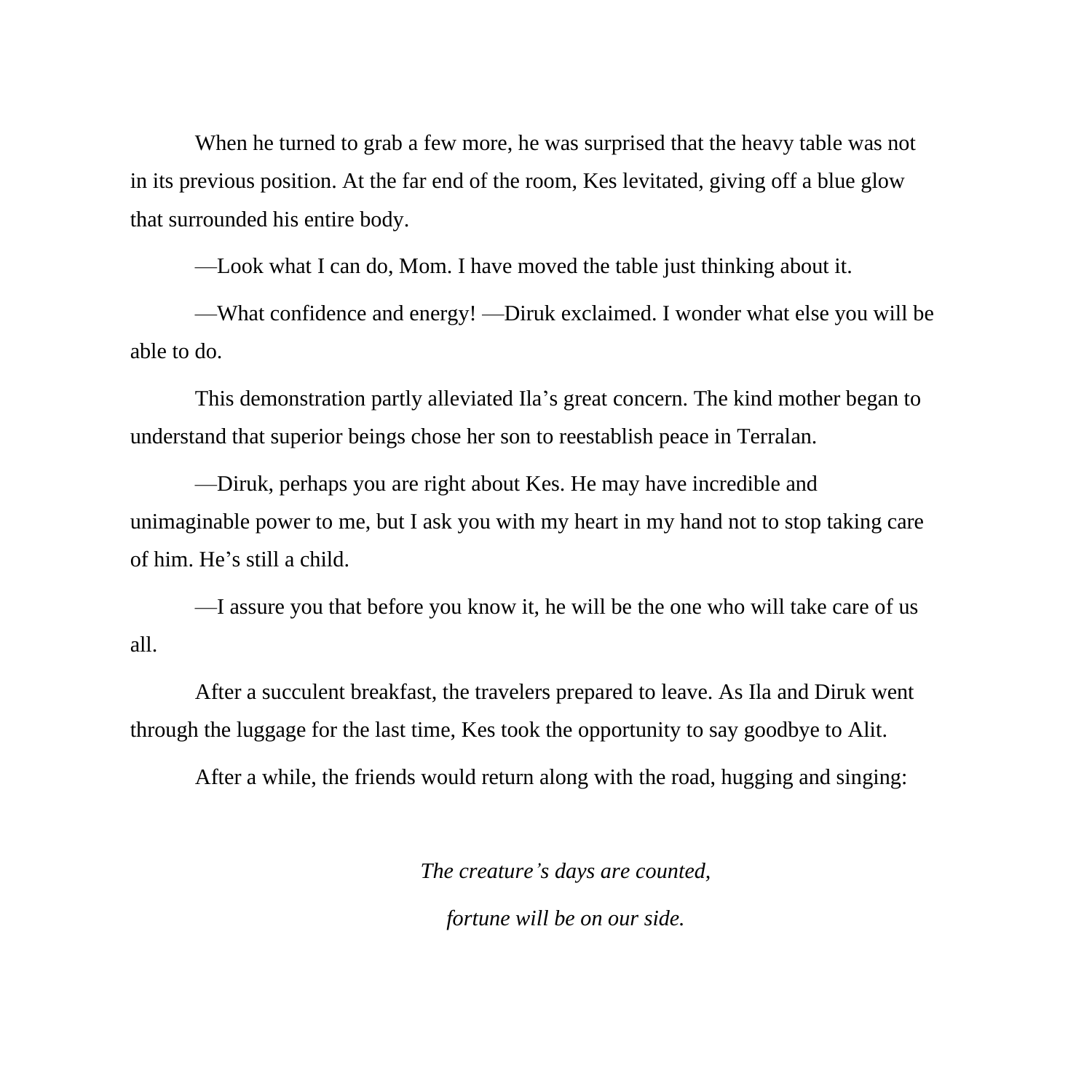When he turned to grab a few more, he was surprised that the heavy table was not in its previous position. At the far end of the room, Kes levitated, giving off a blue glow that surrounded his entire body.

—Look what I can do, Mom. I have moved the table just thinking about it.

—What confidence and energy! —Diruk exclaimed. I wonder what else you will be able to do.

This demonstration partly alleviated Ila's great concern. The kind mother began to understand that superior beings chose her son to reestablish peace in Terralan.

—Diruk, perhaps you are right about Kes. He may have incredible and unimaginable power to me, but I ask you with my heart in my hand not to stop taking care of him. He's still a child.

—I assure you that before you know it, he will be the one who will take care of us all.

After a succulent breakfast, the travelers prepared to leave. As Ila and Diruk went through the luggage for the last time, Kes took the opportunity to say goodbye to Alit.

After a while, the friends would return along with the road, hugging and singing:

*The creature's days are counted,*

*fortune will be on our side.*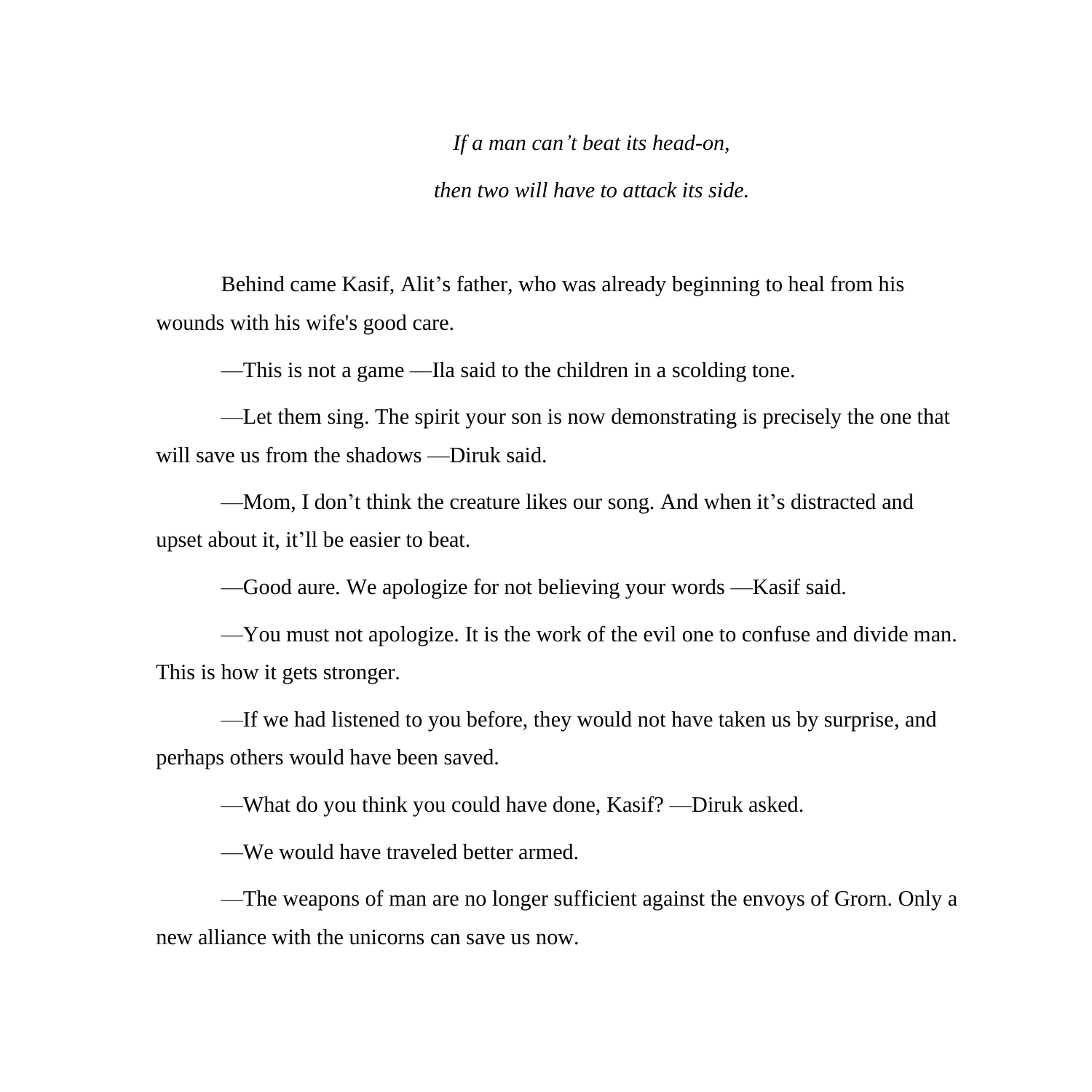*If a man can't beat its head-on,*

*then two will have to attack its side.*

Behind came Kasif, Alit's father, who was already beginning to heal from his wounds with his wife's good care.

—This is not a game —Ila said to the children in a scolding tone.

—Let them sing. The spirit your son is now demonstrating is precisely the one that will save us from the shadows —Diruk said.

—Mom, I don't think the creature likes our song. And when it's distracted and upset about it, it'll be easier to beat.

—Good aure. We apologize for not believing your words —Kasif said.

—You must not apologize. It is the work of the evil one to confuse and divide man. This is how it gets stronger.

—If we had listened to you before, they would not have taken us by surprise, and perhaps others would have been saved.

—What do you think you could have done, Kasif? —Diruk asked.

—We would have traveled better armed.

—The weapons of man are no longer sufficient against the envoys of Grorn. Only a new alliance with the unicorns can save us now.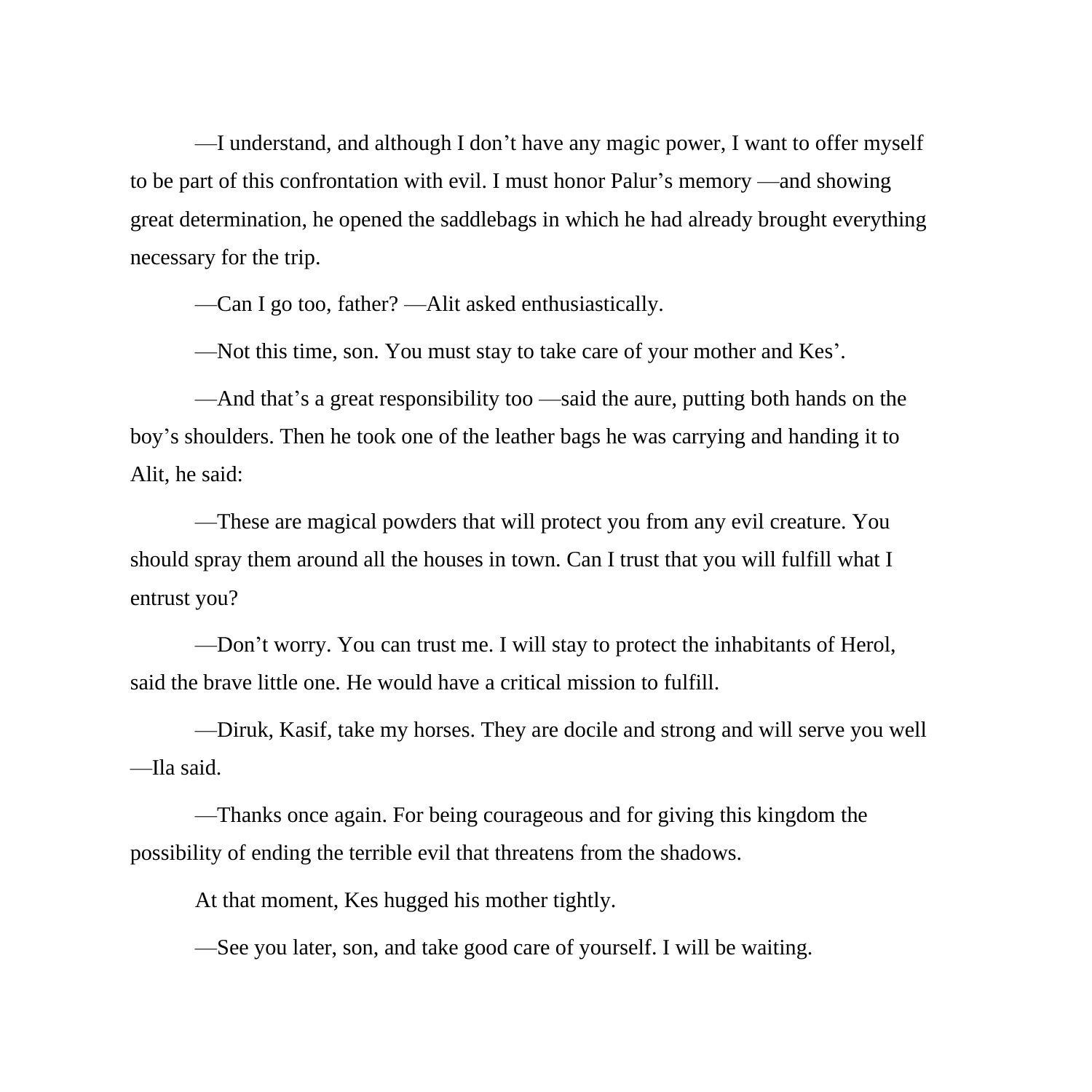—I understand, and although I don't have any magic power, I want to offer myself to be part of this confrontation with evil. I must honor Palur's memory —and showing great determination, he opened the saddlebags in which he had already brought everything necessary for the trip.

—Can I go too, father? —Alit asked enthusiastically.

—Not this time, son. You must stay to take care of your mother and Kes'.

—And that's a great responsibility too —said the aure, putting both hands on the boy's shoulders. Then he took one of the leather bags he was carrying and handing it to Alit, he said:

—These are magical powders that will protect you from any evil creature. You should spray them around all the houses in town. Can I trust that you will fulfill what I entrust you?

—Don't worry. You can trust me. I will stay to protect the inhabitants of Herol, said the brave little one. He would have a critical mission to fulfill.

—Diruk, Kasif, take my horses. They are docile and strong and will serve you well —Ila said.

—Thanks once again. For being courageous and for giving this kingdom the possibility of ending the terrible evil that threatens from the shadows.

At that moment, Kes hugged his mother tightly.

—See you later, son, and take good care of yourself. I will be waiting.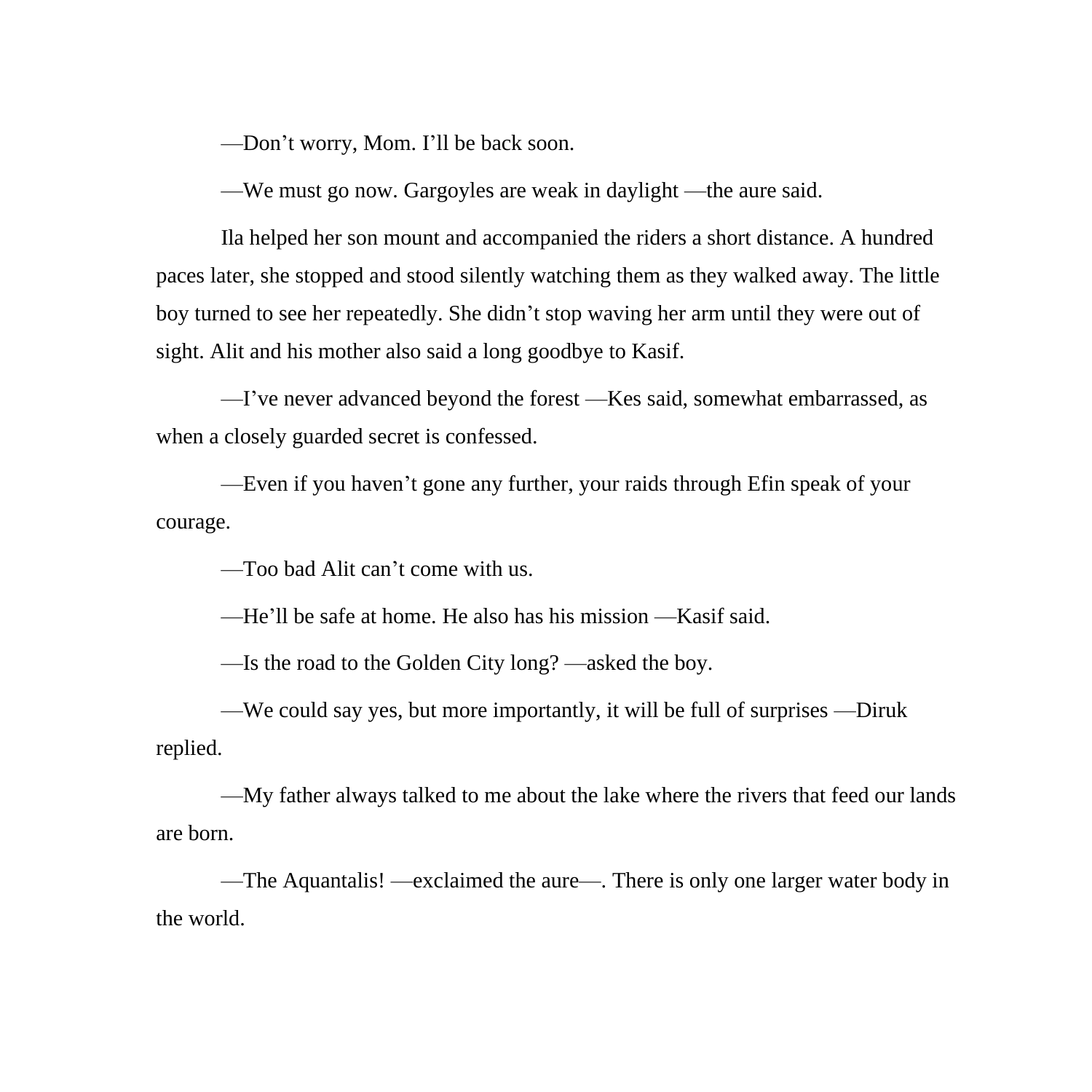—Don't worry, Mom. I'll be back soon.

—We must go now. Gargoyles are weak in daylight —the aure said.

Ila helped her son mount and accompanied the riders a short distance. A hundred paces later, she stopped and stood silently watching them as they walked away. The little boy turned to see her repeatedly. She didn't stop waving her arm until they were out of sight. Alit and his mother also said a long goodbye to Kasif.

—I've never advanced beyond the forest —Kes said, somewhat embarrassed, as when a closely guarded secret is confessed.

—Even if you haven't gone any further, your raids through Efin speak of your courage.

—Too bad Alit can't come with us.

—He'll be safe at home. He also has his mission —Kasif said.

—Is the road to the Golden City long? —asked the boy.

—We could say yes, but more importantly, it will be full of surprises —Diruk replied.

—My father always talked to me about the lake where the rivers that feed our lands are born.

—The Aquantalis! —exclaimed the aure—. There is only one larger water body in the world.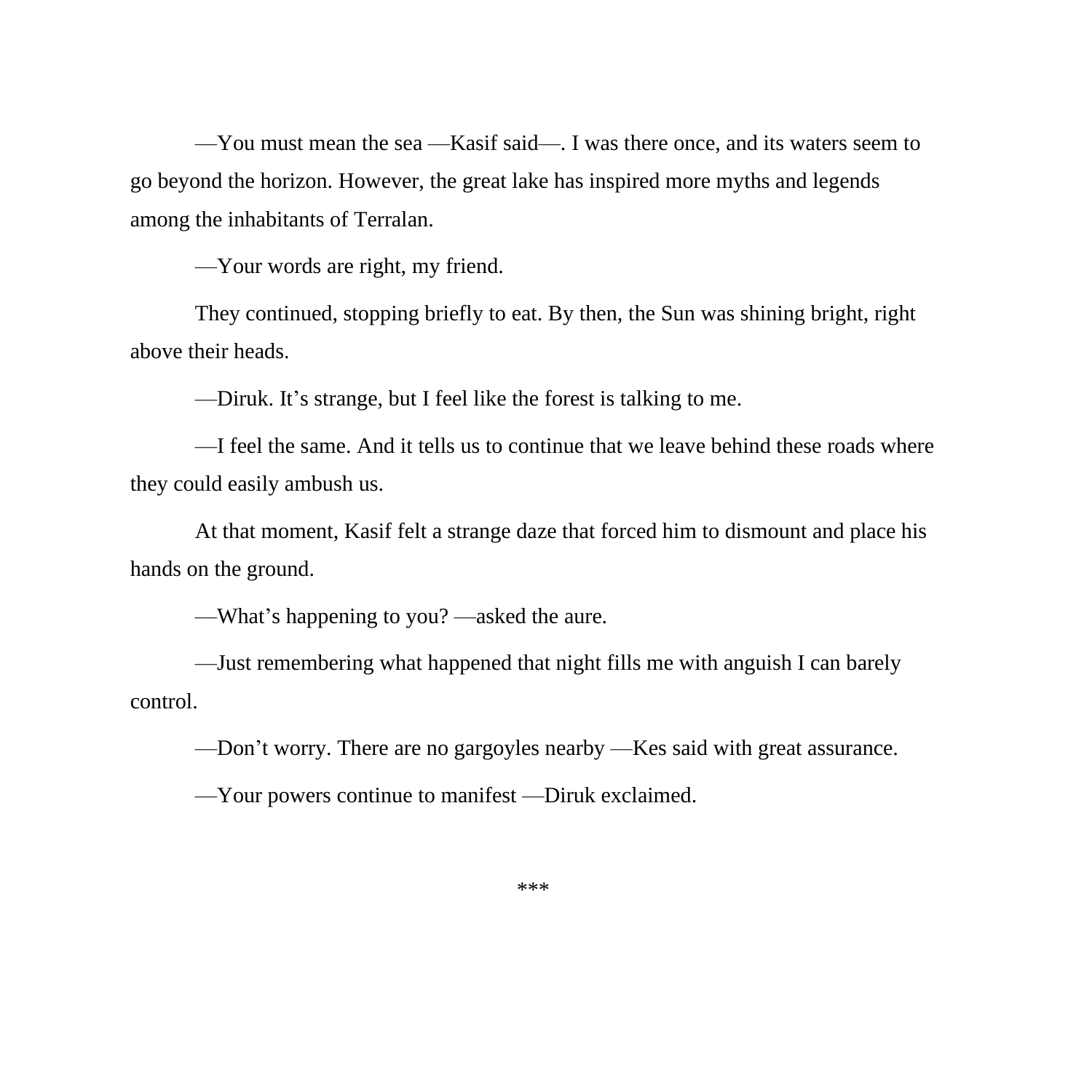—You must mean the sea —Kasif said—. I was there once, and its waters seem to go beyond the horizon. However, the great lake has inspired more myths and legends among the inhabitants of Terralan.

—Your words are right, my friend.

They continued, stopping briefly to eat. By then, the Sun was shining bright, right above their heads.

—Diruk. It's strange, but I feel like the forest is talking to me.

—I feel the same. And it tells us to continue that we leave behind these roads where they could easily ambush us.

At that moment, Kasif felt a strange daze that forced him to dismount and place his hands on the ground.

—What's happening to you? —asked the aure.

—Just remembering what happened that night fills me with anguish I can barely control.

—Don't worry. There are no gargoyles nearby —Kes said with great assurance.

—Your powers continue to manifest —Diruk exclaimed.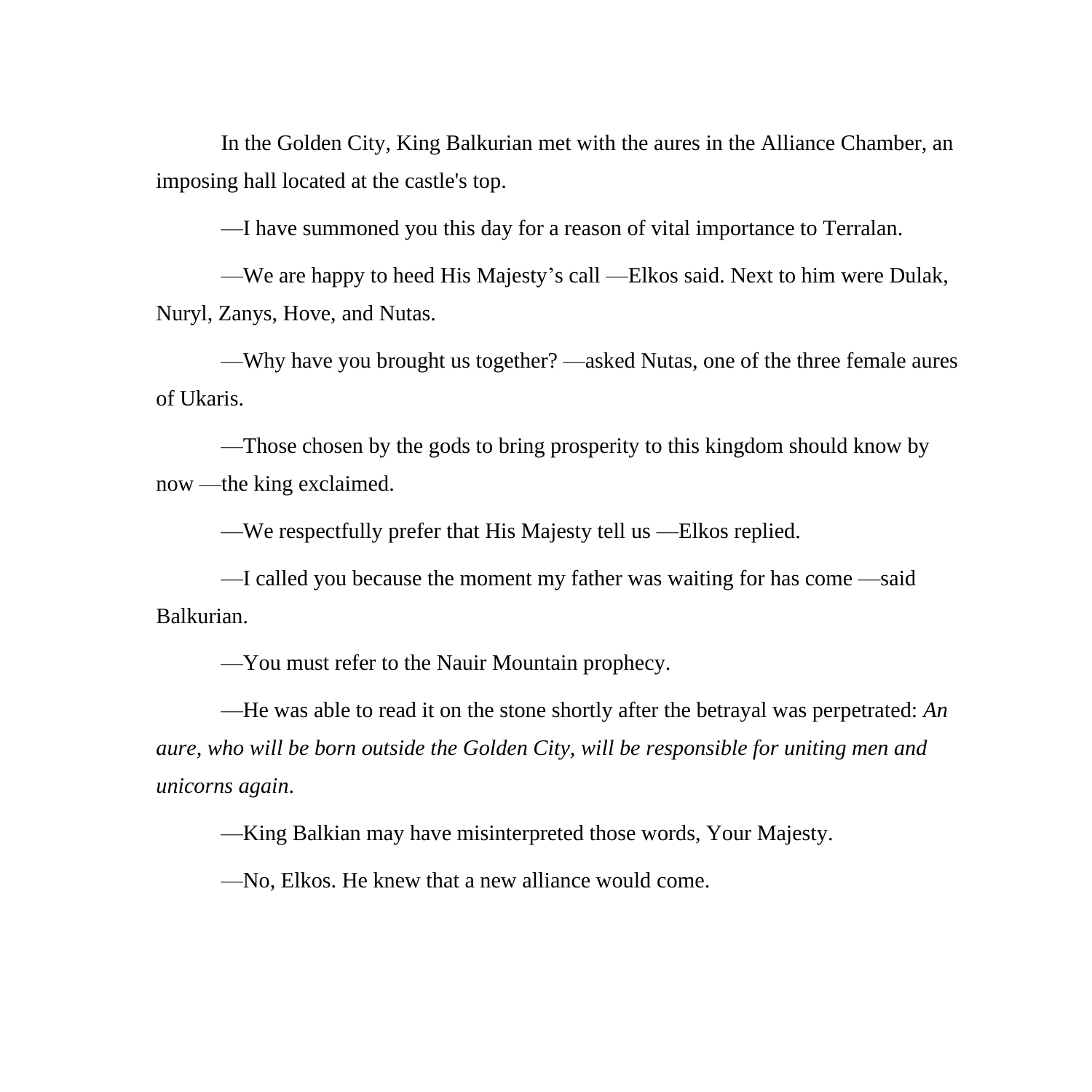In the Golden City, King Balkurian met with the aures in the Alliance Chamber, an imposing hall located at the castle's top.

—I have summoned you this day for a reason of vital importance to Terralan.

—We are happy to heed His Majesty's call —Elkos said. Next to him were Dulak, Nuryl, Zanys, Hove, and Nutas.

—Why have you brought us together? —asked Nutas, one of the three female aures of Ukaris.

—Those chosen by the gods to bring prosperity to this kingdom should know by now —the king exclaimed.

—We respectfully prefer that His Majesty tell us —Elkos replied.

—I called you because the moment my father was waiting for has come —said Balkurian.

—You must refer to the Nauir Mountain prophecy.

—He was able to read it on the stone shortly after the betrayal was perpetrated: *An aure, who will be born outside the Golden City, will be responsible for uniting men and unicorns again*.

—King Balkian may have misinterpreted those words, Your Majesty.

—No, Elkos. He knew that a new alliance would come.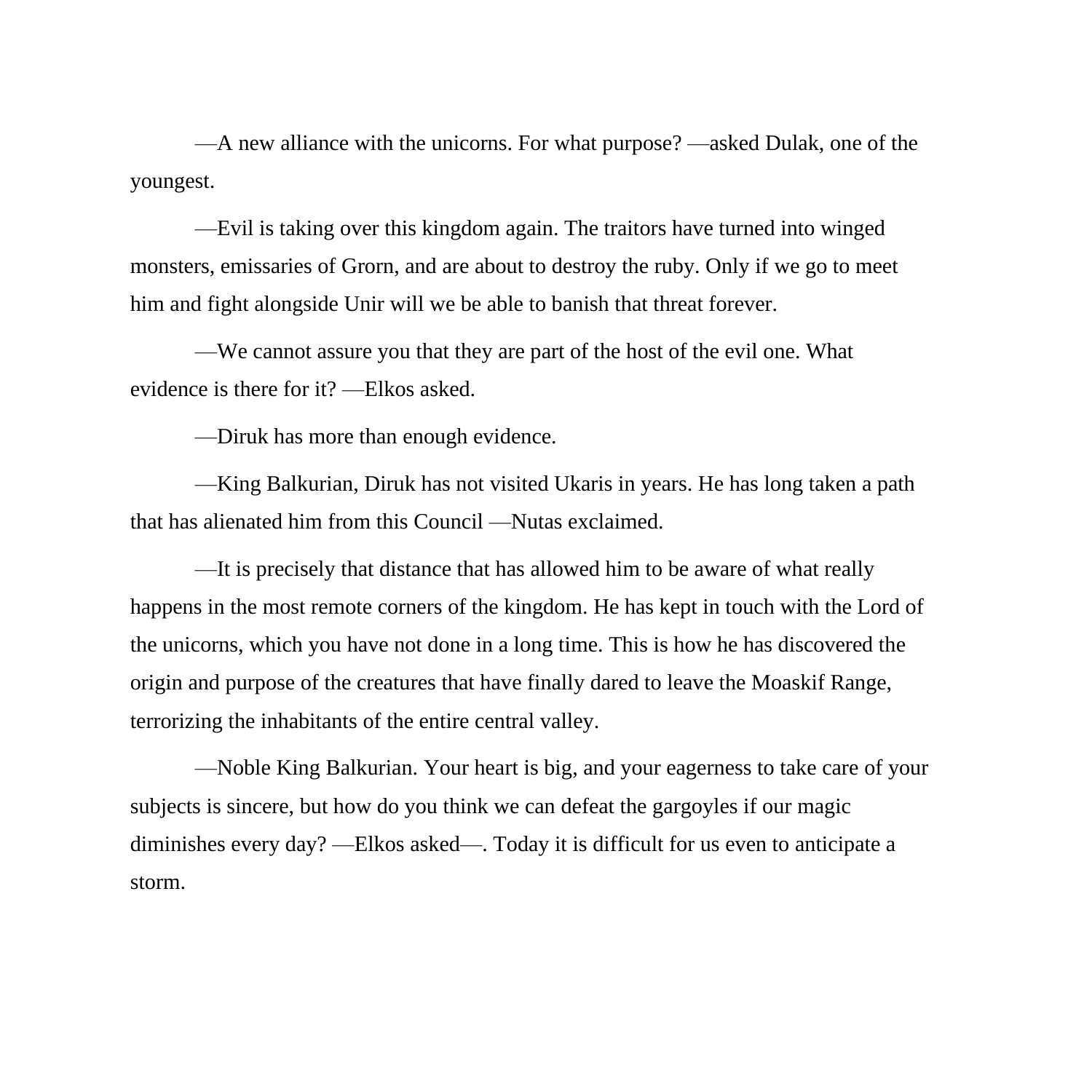—A new alliance with the unicorns. For what purpose? —asked Dulak, one of the youngest.

—Evil is taking over this kingdom again. The traitors have turned into winged monsters, emissaries of Grorn, and are about to destroy the ruby. Only if we go to meet him and fight alongside Unir will we be able to banish that threat forever.

—We cannot assure you that they are part of the host of the evil one. What evidence is there for it? —Elkos asked.

—Diruk has more than enough evidence.

—King Balkurian, Diruk has not visited Ukaris in years. He has long taken a path that has alienated him from this Council —Nutas exclaimed.

—It is precisely that distance that has allowed him to be aware of what really happens in the most remote corners of the kingdom. He has kept in touch with the Lord of the unicorns, which you have not done in a long time. This is how he has discovered the origin and purpose of the creatures that have finally dared to leave the Moaskif Range, terrorizing the inhabitants of the entire central valley.

—Noble King Balkurian. Your heart is big, and your eagerness to take care of your subjects is sincere, but how do you think we can defeat the gargoyles if our magic diminishes every day? —Elkos asked—. Today it is difficult for us even to anticipate a storm.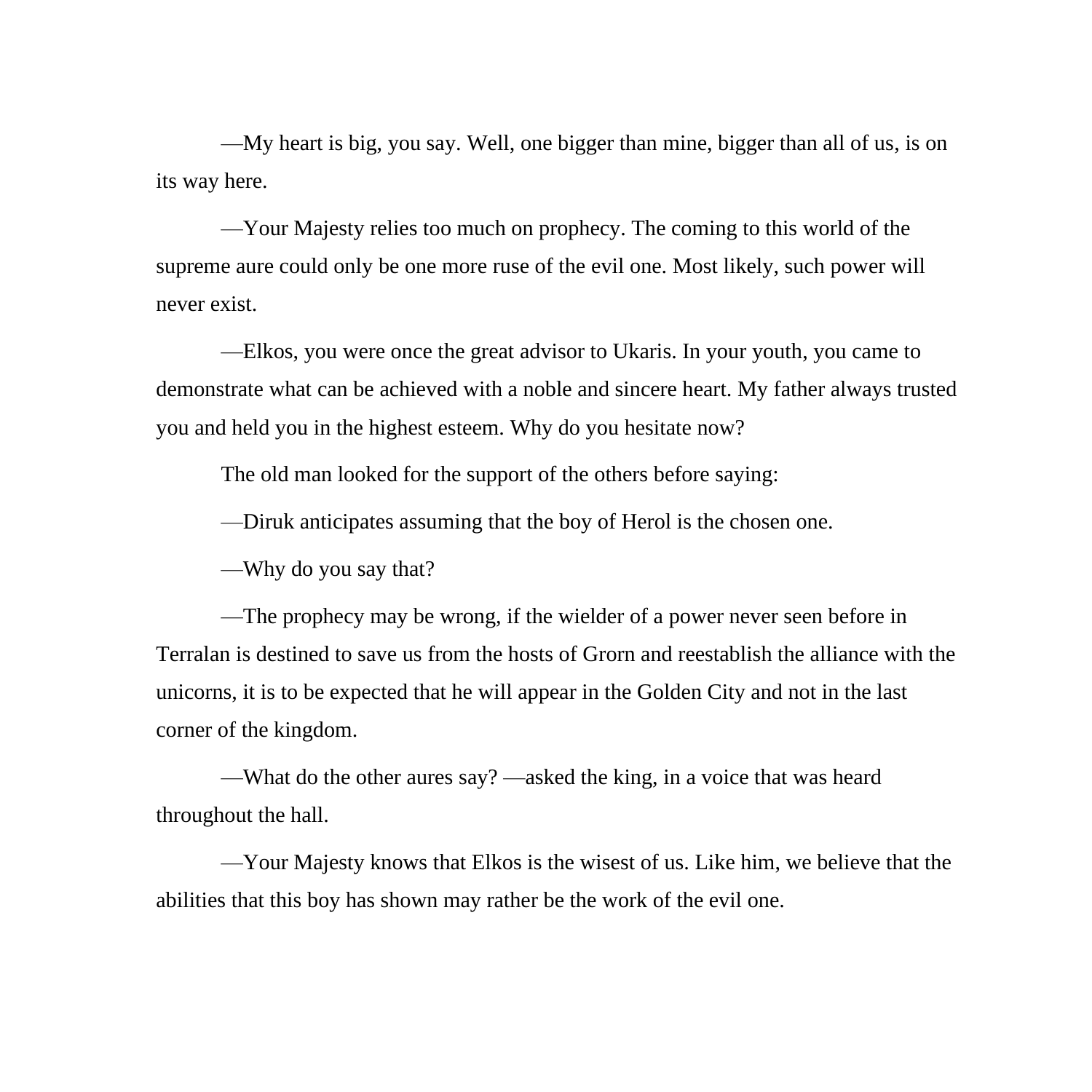—My heart is big, you say. Well, one bigger than mine, bigger than all of us, is on its way here.

—Your Majesty relies too much on prophecy. The coming to this world of the supreme aure could only be one more ruse of the evil one. Most likely, such power will never exist.

—Elkos, you were once the great advisor to Ukaris. In your youth, you came to demonstrate what can be achieved with a noble and sincere heart. My father always trusted you and held you in the highest esteem. Why do you hesitate now?

The old man looked for the support of the others before saying:

—Diruk anticipates assuming that the boy of Herol is the chosen one.

—Why do you say that?

—The prophecy may be wrong, if the wielder of a power never seen before in Terralan is destined to save us from the hosts of Grorn and reestablish the alliance with the unicorns, it is to be expected that he will appear in the Golden City and not in the last corner of the kingdom.

—What do the other aures say? —asked the king, in a voice that was heard throughout the hall.

—Your Majesty knows that Elkos is the wisest of us. Like him, we believe that the abilities that this boy has shown may rather be the work of the evil one.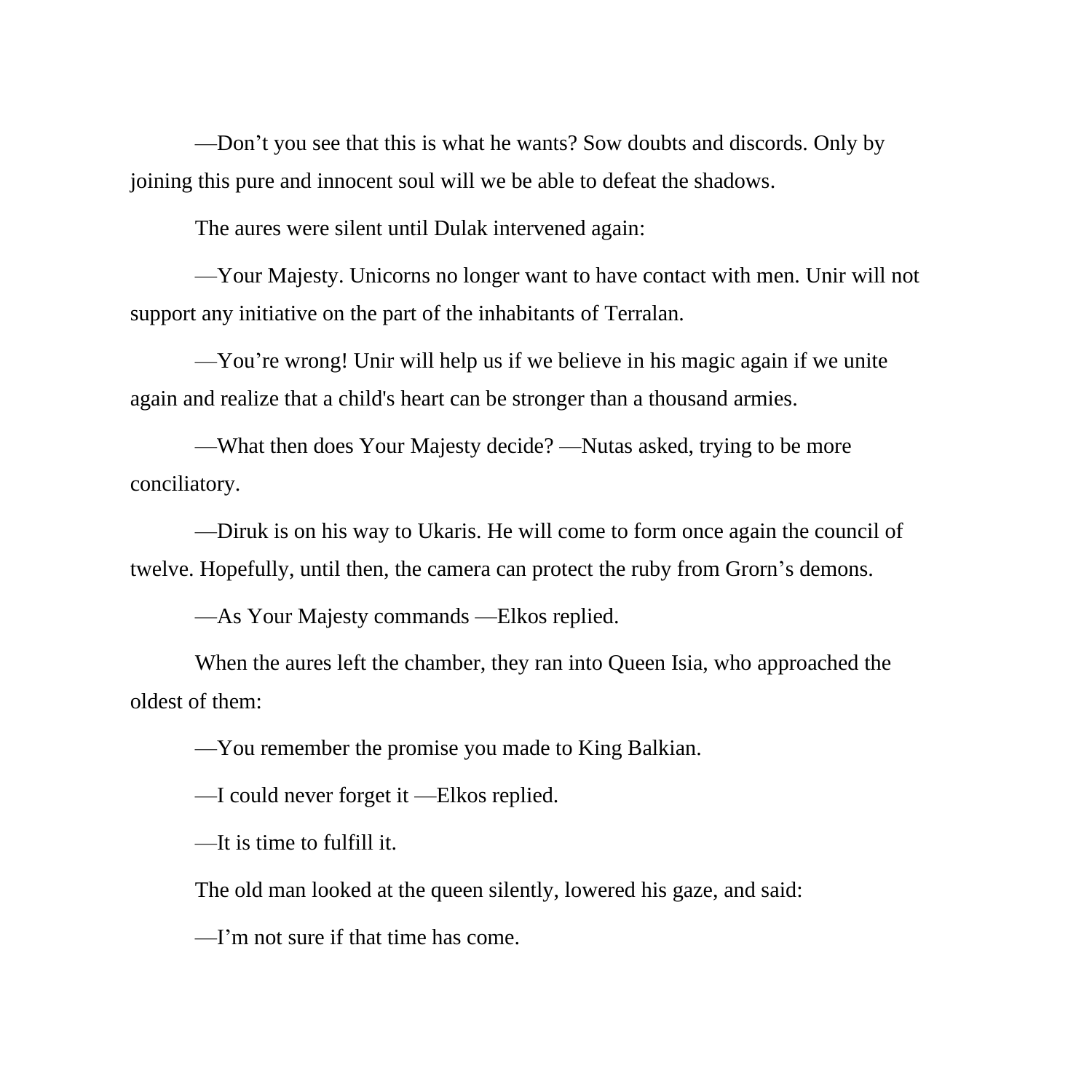—Don't you see that this is what he wants? Sow doubts and discords. Only by joining this pure and innocent soul will we be able to defeat the shadows.

The aures were silent until Dulak intervened again:

—Your Majesty. Unicorns no longer want to have contact with men. Unir will not support any initiative on the part of the inhabitants of Terralan.

—You're wrong! Unir will help us if we believe in his magic again if we unite again and realize that a child's heart can be stronger than a thousand armies.

—What then does Your Majesty decide? —Nutas asked, trying to be more conciliatory.

—Diruk is on his way to Ukaris. He will come to form once again the council of twelve. Hopefully, until then, the camera can protect the ruby from Grorn's demons.

—As Your Majesty commands —Elkos replied.

When the aures left the chamber, they ran into Queen Isia, who approached the oldest of them:

—You remember the promise you made to King Balkian.

—I could never forget it —Elkos replied.

—It is time to fulfill it.

The old man looked at the queen silently, lowered his gaze, and said:

—I'm not sure if that time has come.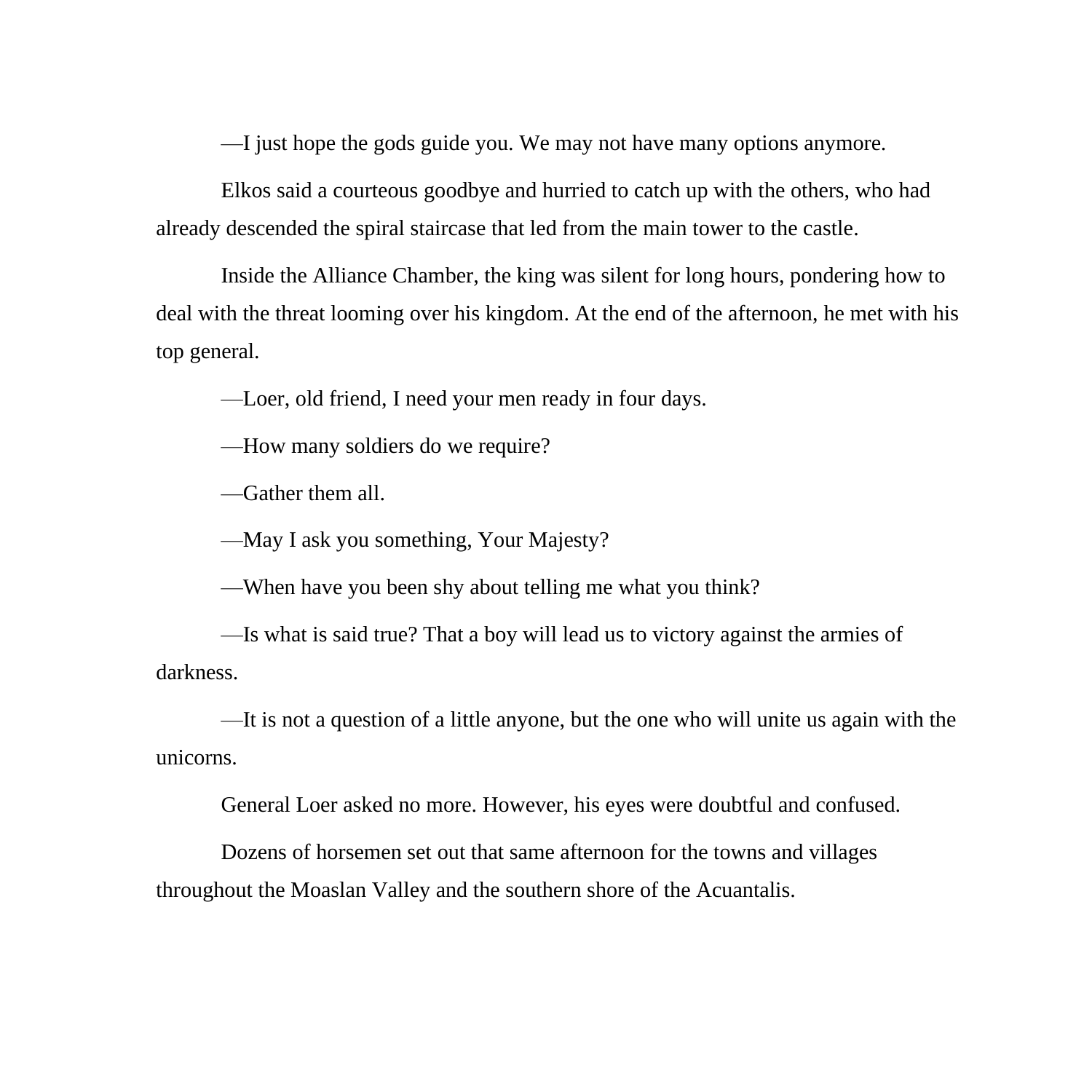—I just hope the gods guide you. We may not have many options anymore.

Elkos said a courteous goodbye and hurried to catch up with the others, who had already descended the spiral staircase that led from the main tower to the castle.

Inside the Alliance Chamber, the king was silent for long hours, pondering how to deal with the threat looming over his kingdom. At the end of the afternoon, he met with his top general.

—Loer, old friend, I need your men ready in four days.

—How many soldiers do we require?

—Gather them all.

—May I ask you something, Your Majesty?

—When have you been shy about telling me what you think?

—Is what is said true? That a boy will lead us to victory against the armies of darkness.

—It is not a question of a little anyone, but the one who will unite us again with the unicorns.

General Loer asked no more. However, his eyes were doubtful and confused.

Dozens of horsemen set out that same afternoon for the towns and villages throughout the Moaslan Valley and the southern shore of the Acuantalis.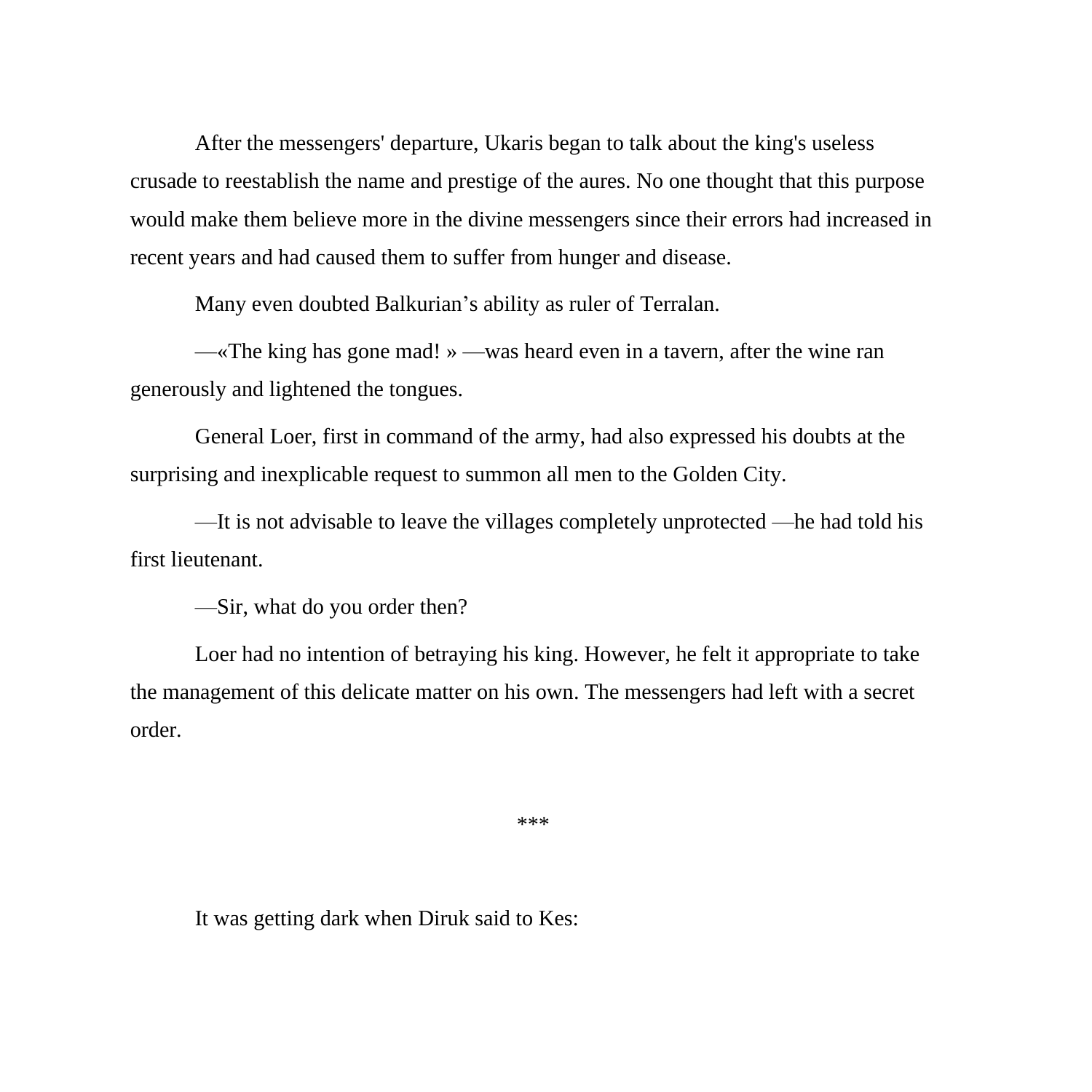After the messengers' departure, Ukaris began to talk about the king's useless crusade to reestablish the name and prestige of the aures. No one thought that this purpose would make them believe more in the divine messengers since their errors had increased in recent years and had caused them to suffer from hunger and disease.

Many even doubted Balkurian's ability as ruler of Terralan.

—«The king has gone mad! » —was heard even in a tavern, after the wine ran generously and lightened the tongues.

General Loer, first in command of the army, had also expressed his doubts at the surprising and inexplicable request to summon all men to the Golden City.

—It is not advisable to leave the villages completely unprotected —he had told his first lieutenant.

—Sir, what do you order then?

Loer had no intention of betraying his king. However, he felt it appropriate to take the management of this delicate matter on his own. The messengers had left with a secret order.

\*\*\*

It was getting dark when Diruk said to Kes: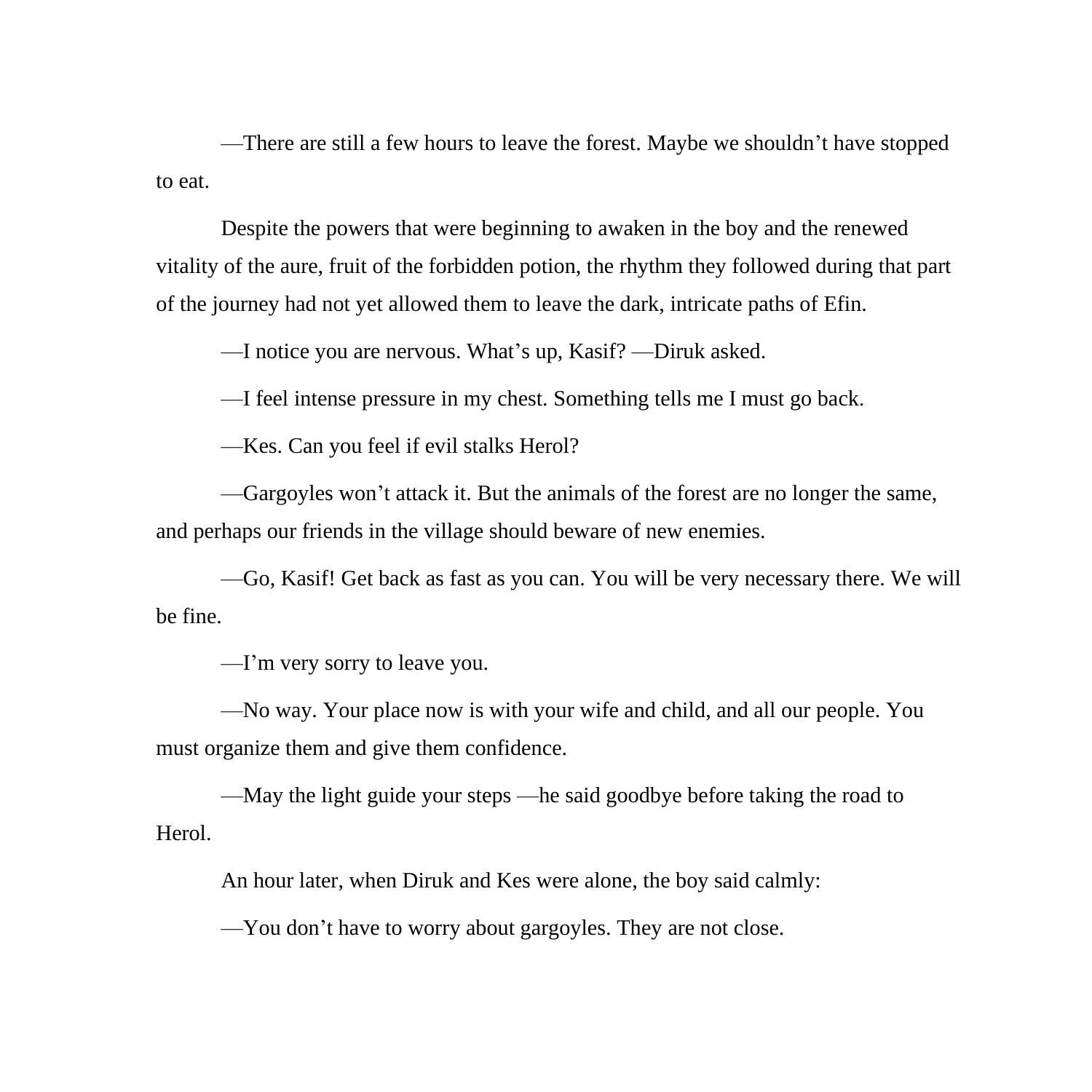—There are still a few hours to leave the forest. Maybe we shouldn't have stopped to eat.

Despite the powers that were beginning to awaken in the boy and the renewed vitality of the aure, fruit of the forbidden potion, the rhythm they followed during that part of the journey had not yet allowed them to leave the dark, intricate paths of Efin.

—I notice you are nervous. What's up, Kasif? —Diruk asked.

—I feel intense pressure in my chest. Something tells me I must go back.

—Kes. Can you feel if evil stalks Herol?

—Gargoyles won't attack it. But the animals of the forest are no longer the same, and perhaps our friends in the village should beware of new enemies.

—Go, Kasif! Get back as fast as you can. You will be very necessary there. We will be fine.

—I'm very sorry to leave you.

—No way. Your place now is with your wife and child, and all our people. You must organize them and give them confidence.

—May the light guide your steps —he said goodbye before taking the road to Herol.

An hour later, when Diruk and Kes were alone, the boy said calmly:

—You don't have to worry about gargoyles. They are not close.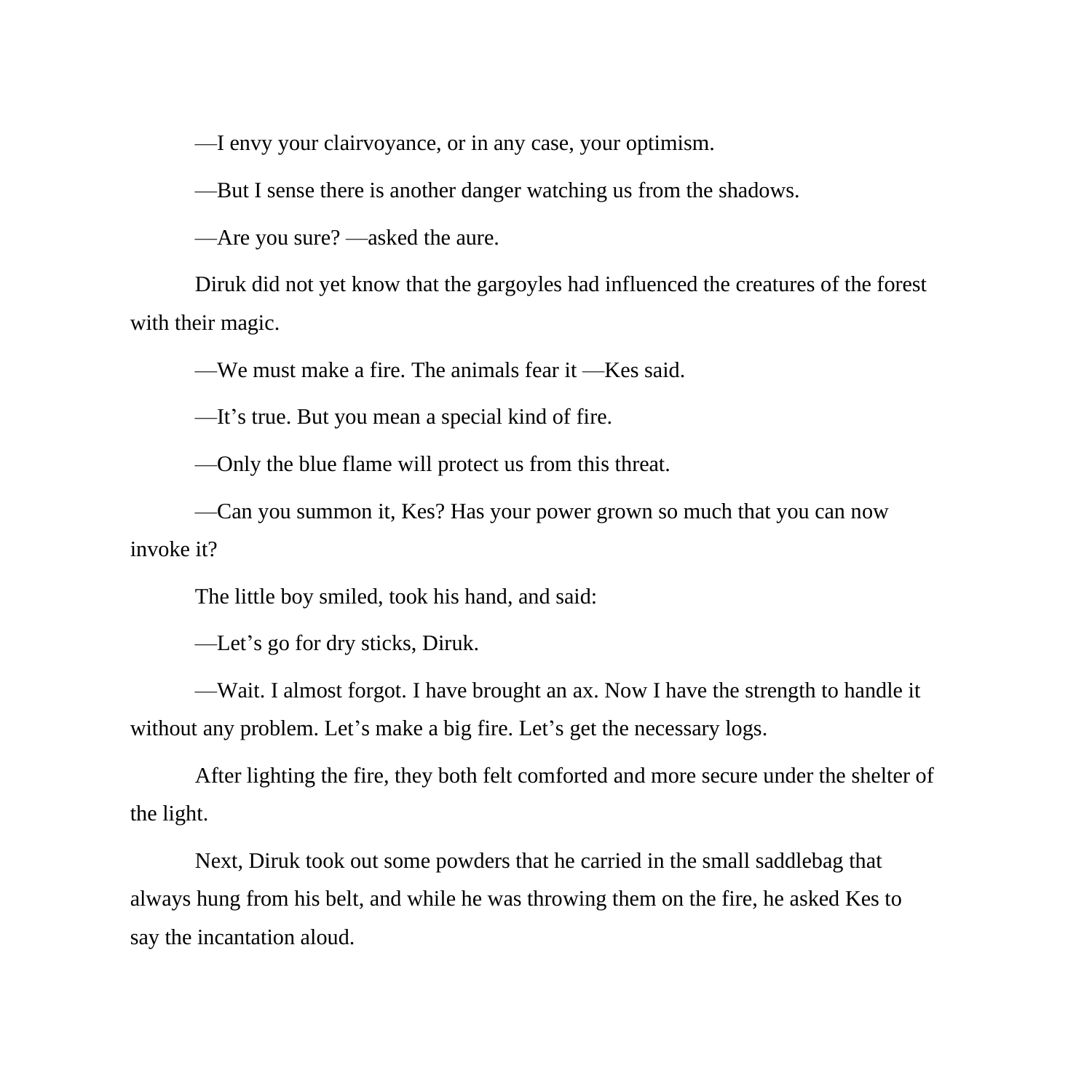—I envy your clairvoyance, or in any case, your optimism.

—But I sense there is another danger watching us from the shadows.

—Are you sure? —asked the aure.

Diruk did not yet know that the gargoyles had influenced the creatures of the forest with their magic.

—We must make a fire. The animals fear it —Kes said.

—It's true. But you mean a special kind of fire.

—Only the blue flame will protect us from this threat.

—Can you summon it, Kes? Has your power grown so much that you can now invoke it?

The little boy smiled, took his hand, and said:

—Let's go for dry sticks, Diruk.

—Wait. I almost forgot. I have brought an ax. Now I have the strength to handle it without any problem. Let's make a big fire. Let's get the necessary logs.

After lighting the fire, they both felt comforted and more secure under the shelter of the light.

Next, Diruk took out some powders that he carried in the small saddlebag that always hung from his belt, and while he was throwing them on the fire, he asked Kes to say the incantation aloud.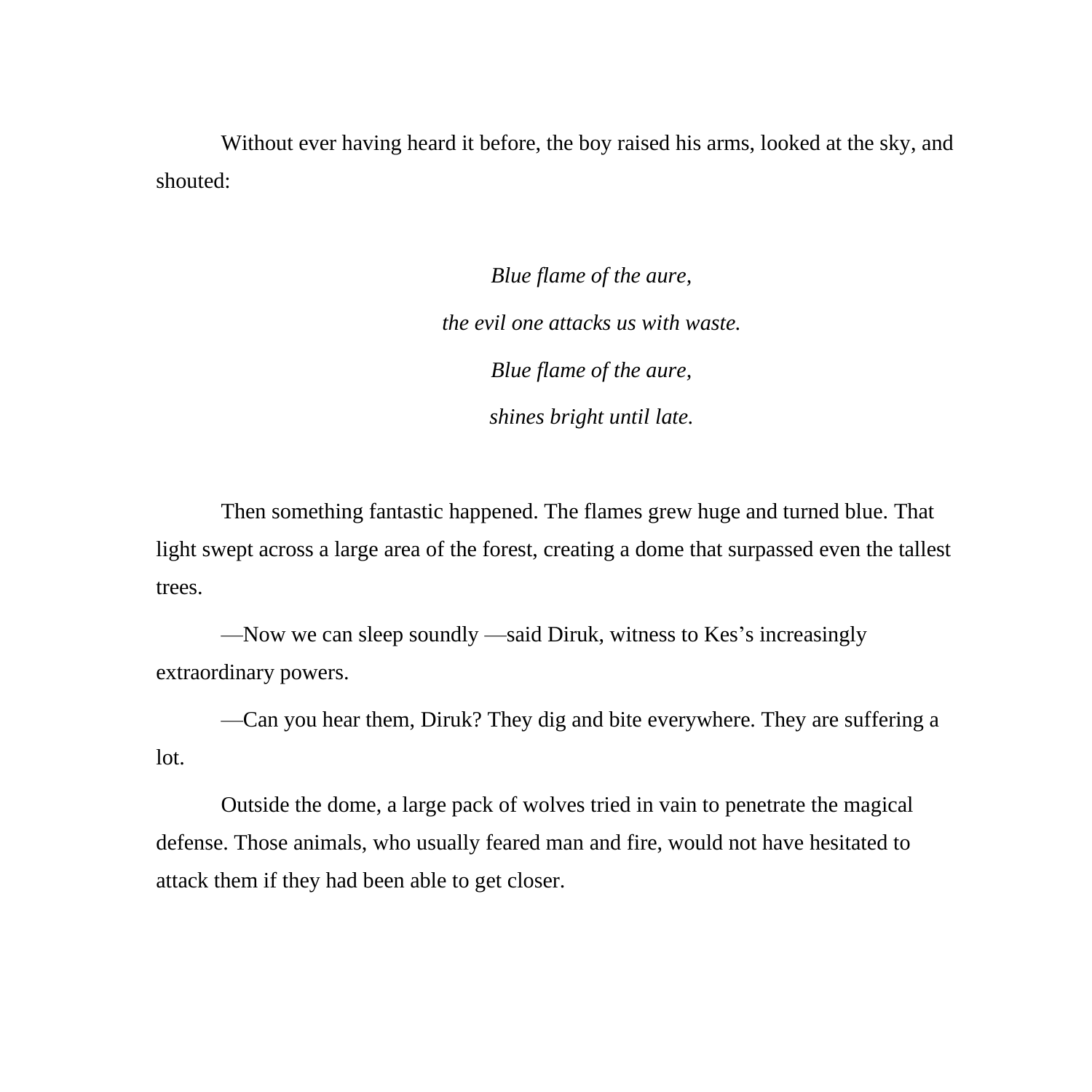Without ever having heard it before, the boy raised his arms, looked at the sky, and shouted:

> *Blue flame of the aure, the evil one attacks us with waste. Blue flame of the aure, shines bright until late.*

Then something fantastic happened. The flames grew huge and turned blue. That light swept across a large area of the forest, creating a dome that surpassed even the tallest trees.

—Now we can sleep soundly —said Diruk, witness to Kes's increasingly extraordinary powers.

—Can you hear them, Diruk? They dig and bite everywhere. They are suffering a lot.

Outside the dome, a large pack of wolves tried in vain to penetrate the magical defense. Those animals, who usually feared man and fire, would not have hesitated to attack them if they had been able to get closer.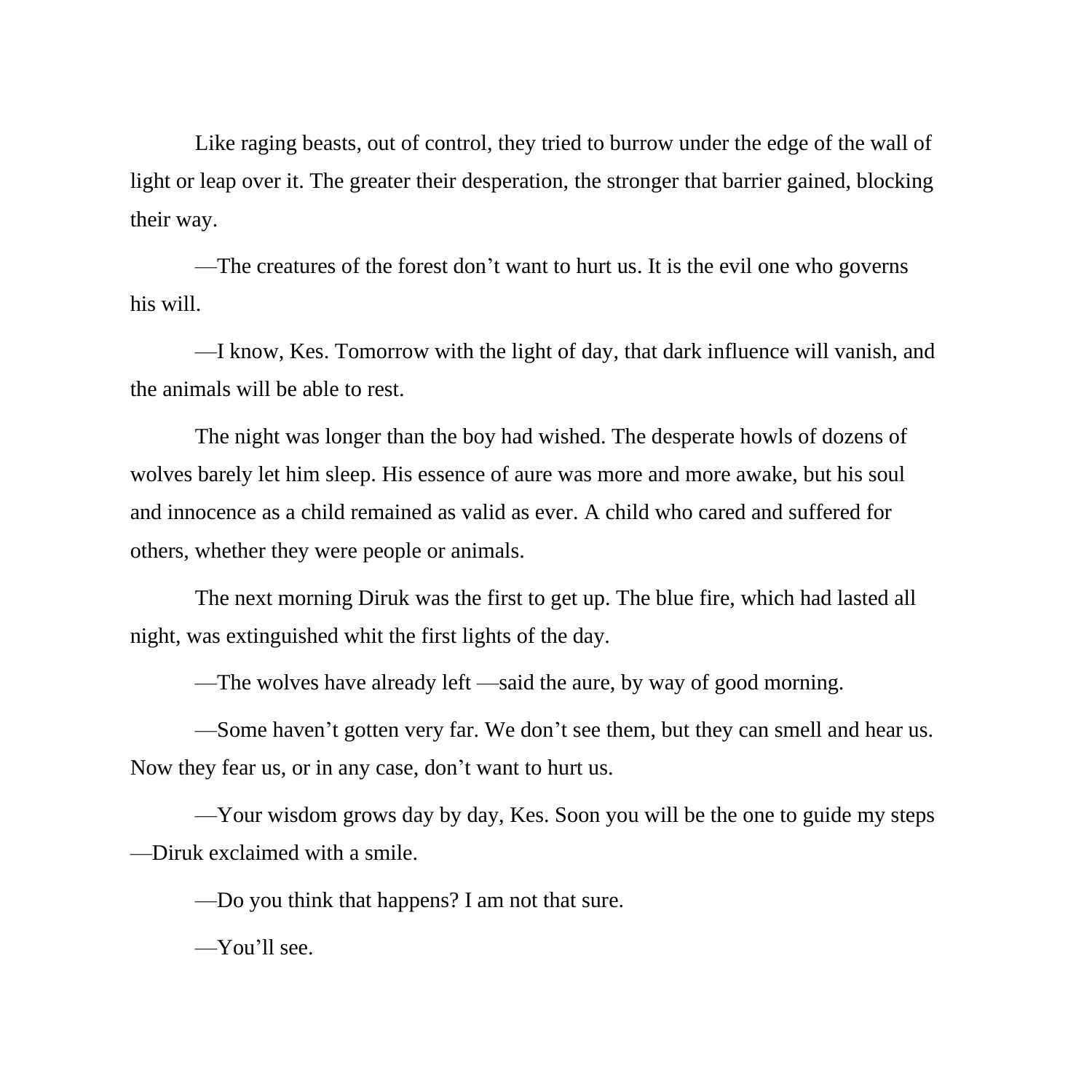Like raging beasts, out of control, they tried to burrow under the edge of the wall of light or leap over it. The greater their desperation, the stronger that barrier gained, blocking their way.

—The creatures of the forest don't want to hurt us. It is the evil one who governs his will.

—I know, Kes. Tomorrow with the light of day, that dark influence will vanish, and the animals will be able to rest.

The night was longer than the boy had wished. The desperate howls of dozens of wolves barely let him sleep. His essence of aure was more and more awake, but his soul and innocence as a child remained as valid as ever. A child who cared and suffered for others, whether they were people or animals.

The next morning Diruk was the first to get up. The blue fire, which had lasted all night, was extinguished whit the first lights of the day.

—The wolves have already left —said the aure, by way of good morning.

—Some haven't gotten very far. We don't see them, but they can smell and hear us. Now they fear us, or in any case, don't want to hurt us.

—Your wisdom grows day by day, Kes. Soon you will be the one to guide my steps —Diruk exclaimed with a smile.

—Do you think that happens? I am not that sure.

—You'll see.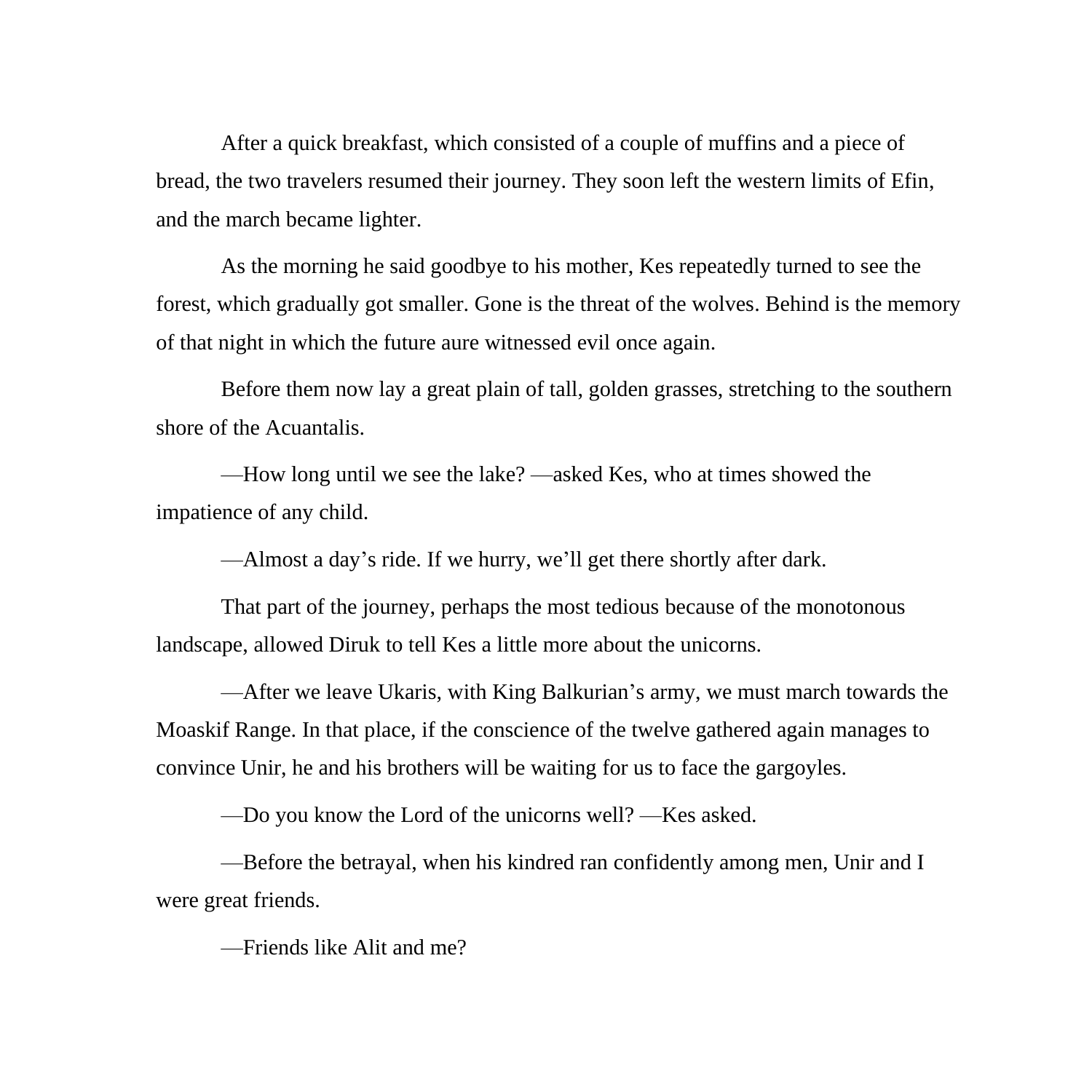After a quick breakfast, which consisted of a couple of muffins and a piece of bread, the two travelers resumed their journey. They soon left the western limits of Efin, and the march became lighter.

As the morning he said goodbye to his mother, Kes repeatedly turned to see the forest, which gradually got smaller. Gone is the threat of the wolves. Behind is the memory of that night in which the future aure witnessed evil once again.

Before them now lay a great plain of tall, golden grasses, stretching to the southern shore of the Acuantalis.

—How long until we see the lake? —asked Kes, who at times showed the impatience of any child.

—Almost a day's ride. If we hurry, we'll get there shortly after dark.

That part of the journey, perhaps the most tedious because of the monotonous landscape, allowed Diruk to tell Kes a little more about the unicorns.

—After we leave Ukaris, with King Balkurian's army, we must march towards the Moaskif Range. In that place, if the conscience of the twelve gathered again manages to convince Unir, he and his brothers will be waiting for us to face the gargoyles.

—Do you know the Lord of the unicorns well? —Kes asked.

—Before the betrayal, when his kindred ran confidently among men, Unir and I were great friends.

—Friends like Alit and me?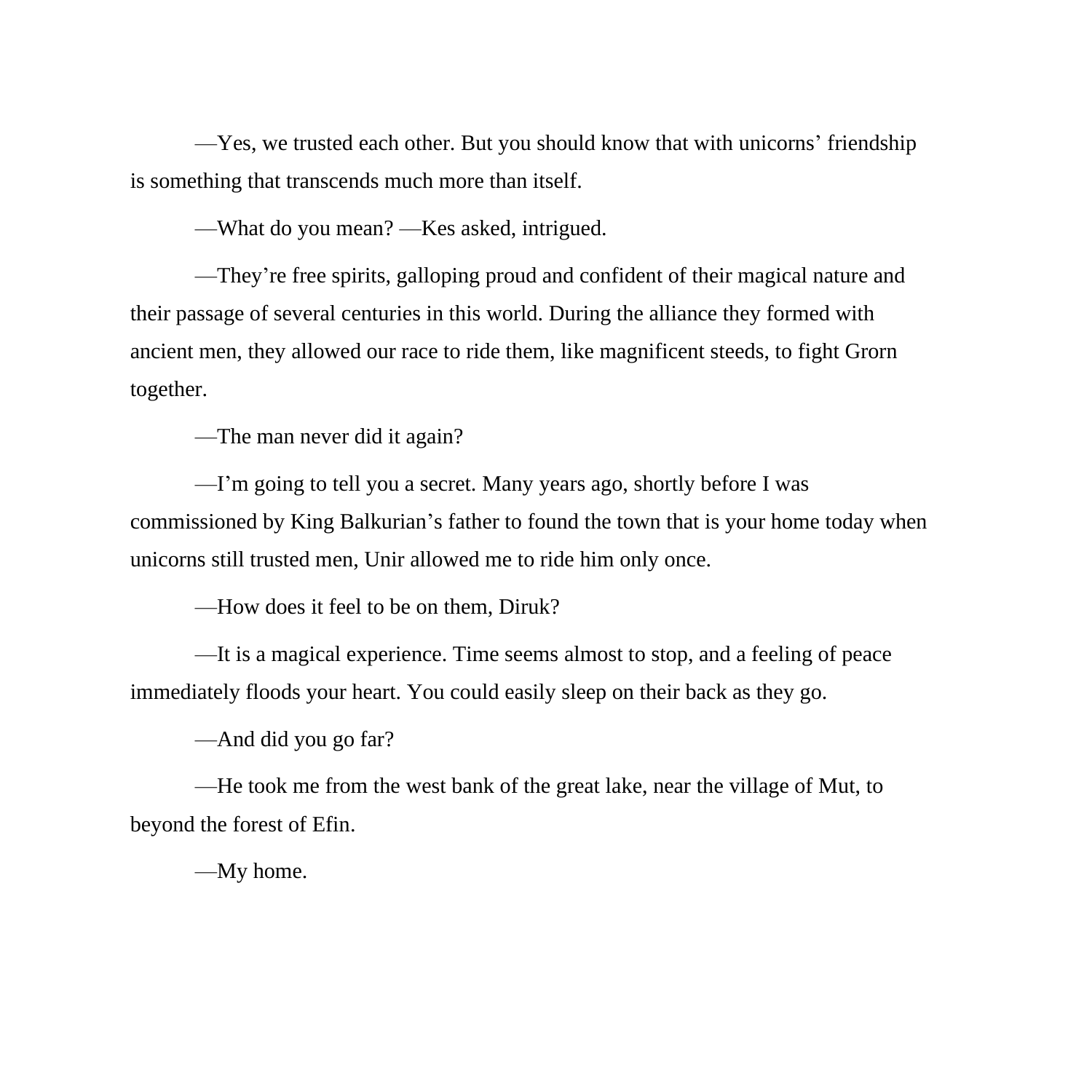—Yes, we trusted each other. But you should know that with unicorns' friendship is something that transcends much more than itself.

—What do you mean? —Kes asked, intrigued.

—They're free spirits, galloping proud and confident of their magical nature and their passage of several centuries in this world. During the alliance they formed with ancient men, they allowed our race to ride them, like magnificent steeds, to fight Grorn together.

—The man never did it again?

—I'm going to tell you a secret. Many years ago, shortly before I was commissioned by King Balkurian's father to found the town that is your home today when unicorns still trusted men, Unir allowed me to ride him only once.

—How does it feel to be on them, Diruk?

—It is a magical experience. Time seems almost to stop, and a feeling of peace immediately floods your heart. You could easily sleep on their back as they go.

—And did you go far?

—He took me from the west bank of the great lake, near the village of Mut, to beyond the forest of Efin.

—My home.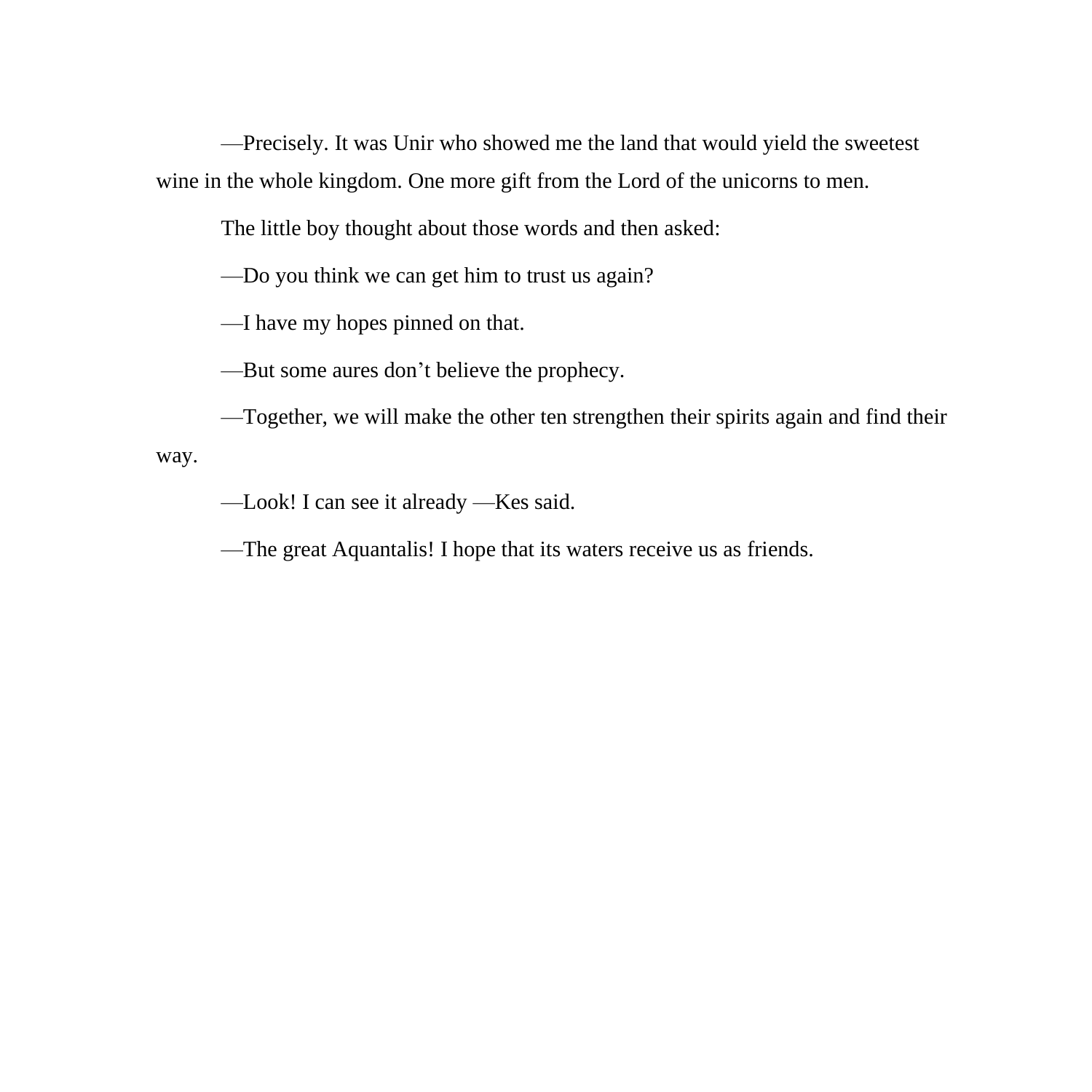—Precisely. It was Unir who showed me the land that would yield the sweetest wine in the whole kingdom. One more gift from the Lord of the unicorns to men.

The little boy thought about those words and then asked:

—Do you think we can get him to trust us again?

—I have my hopes pinned on that.

—But some aures don't believe the prophecy.

—Together, we will make the other ten strengthen their spirits again and find their way.

—Look! I can see it already —Kes said.

—The great Aquantalis! I hope that its waters receive us as friends.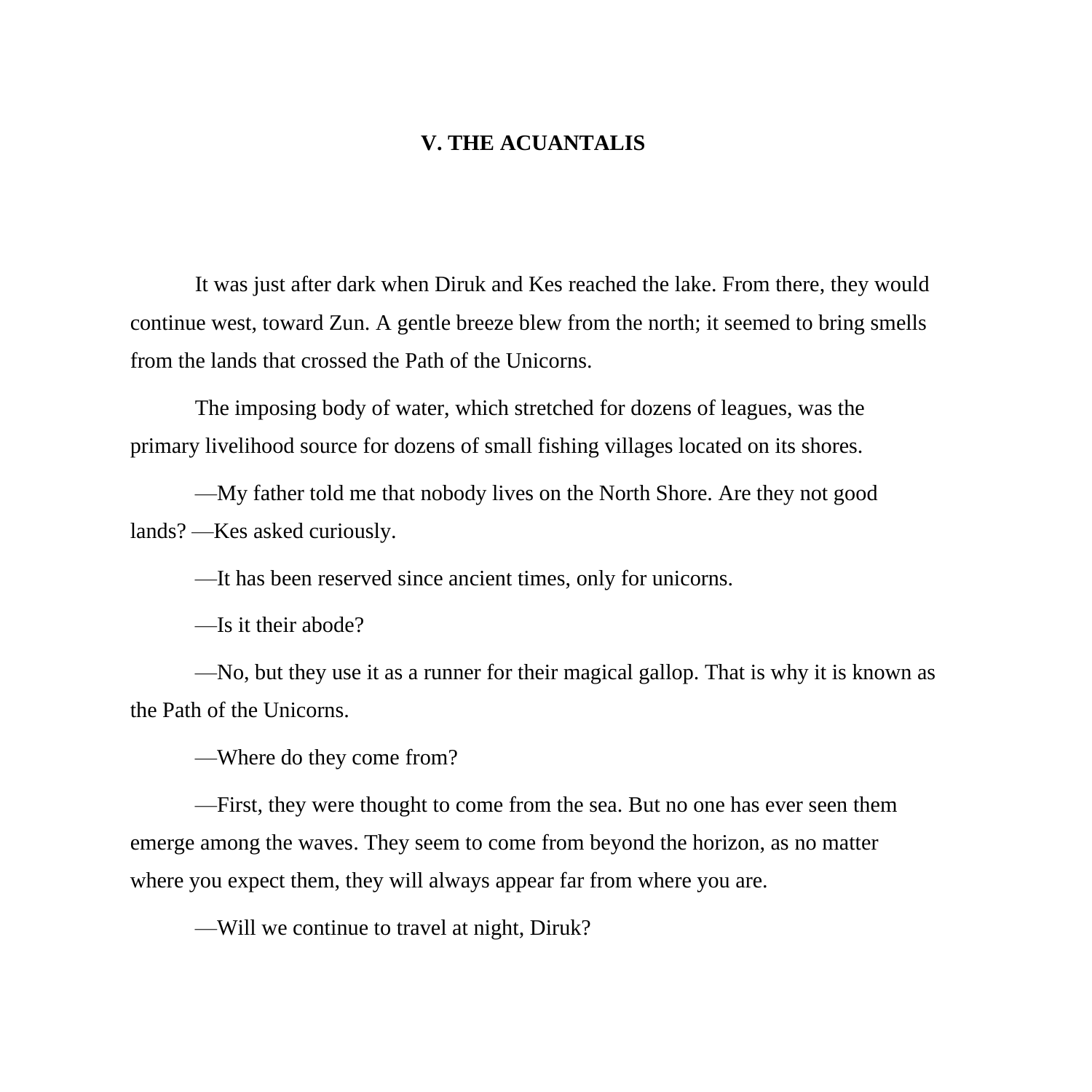## **V. THE ACUANTALIS**

It was just after dark when Diruk and Kes reached the lake. From there, they would continue west, toward Zun. A gentle breeze blew from the north; it seemed to bring smells from the lands that crossed the Path of the Unicorns.

The imposing body of water, which stretched for dozens of leagues, was the primary livelihood source for dozens of small fishing villages located on its shores.

—My father told me that nobody lives on the North Shore. Are they not good lands? —Kes asked curiously.

—It has been reserved since ancient times, only for unicorns.

—Is it their abode?

—No, but they use it as a runner for their magical gallop. That is why it is known as the Path of the Unicorns.

—Where do they come from?

—First, they were thought to come from the sea. But no one has ever seen them emerge among the waves. They seem to come from beyond the horizon, as no matter where you expect them, they will always appear far from where you are.

—Will we continue to travel at night, Diruk?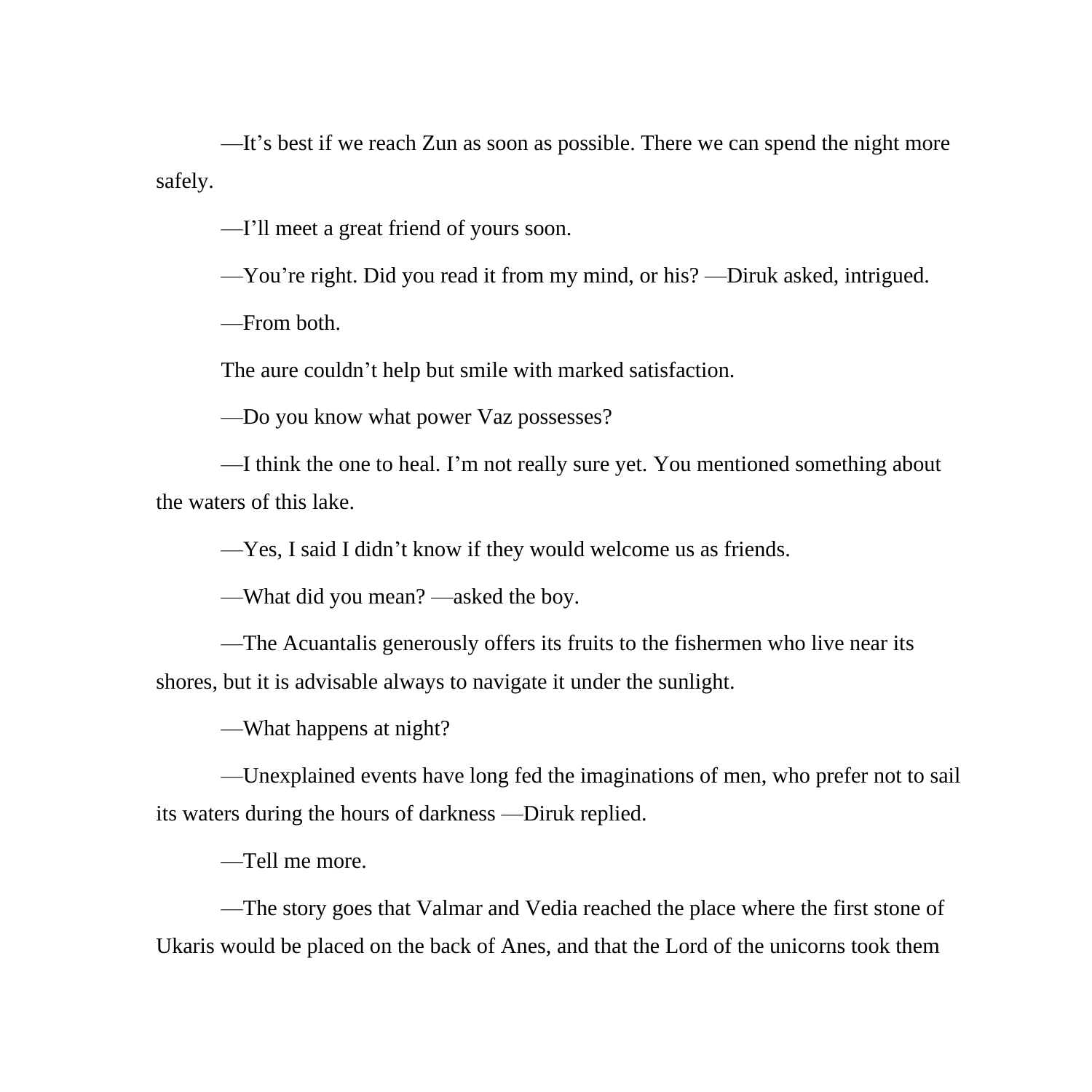—It's best if we reach Zun as soon as possible. There we can spend the night more safely.

—I'll meet a great friend of yours soon.

—You're right. Did you read it from my mind, or his? —Diruk asked, intrigued.

—From both.

The aure couldn't help but smile with marked satisfaction.

—Do you know what power Vaz possesses?

—I think the one to heal. I'm not really sure yet. You mentioned something about the waters of this lake.

—Yes, I said I didn't know if they would welcome us as friends.

—What did you mean? —asked the boy.

—The Acuantalis generously offers its fruits to the fishermen who live near its shores, but it is advisable always to navigate it under the sunlight.

—What happens at night?

—Unexplained events have long fed the imaginations of men, who prefer not to sail its waters during the hours of darkness —Diruk replied.

—Tell me more.

—The story goes that Valmar and Vedia reached the place where the first stone of Ukaris would be placed on the back of Anes, and that the Lord of the unicorns took them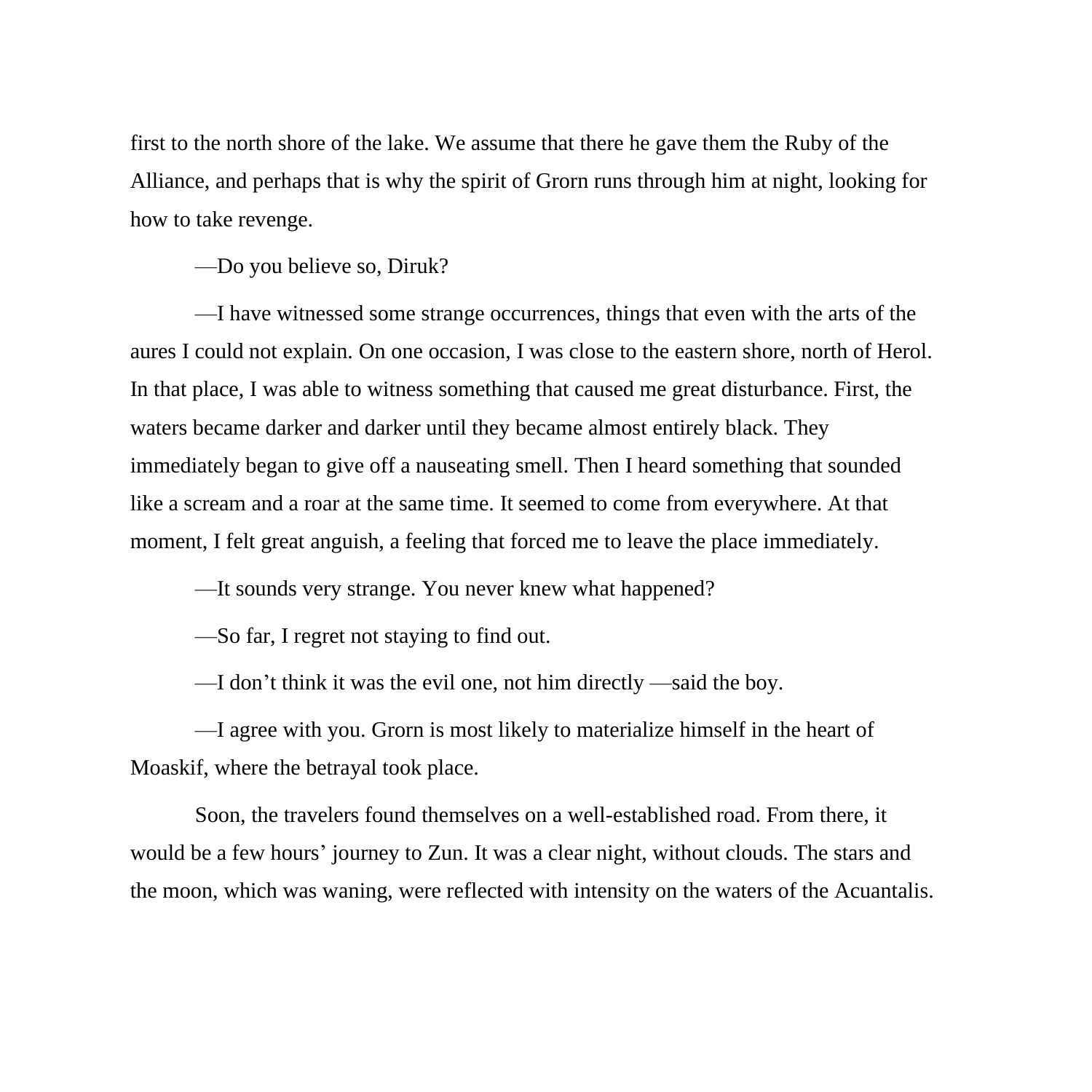first to the north shore of the lake. We assume that there he gave them the Ruby of the Alliance, and perhaps that is why the spirit of Grorn runs through him at night, looking for how to take revenge.

—Do you believe so, Diruk?

—I have witnessed some strange occurrences, things that even with the arts of the aures I could not explain. On one occasion, I was close to the eastern shore, north of Herol. In that place, I was able to witness something that caused me great disturbance. First, the waters became darker and darker until they became almost entirely black. They immediately began to give off a nauseating smell. Then I heard something that sounded like a scream and a roar at the same time. It seemed to come from everywhere. At that moment, I felt great anguish, a feeling that forced me to leave the place immediately.

—It sounds very strange. You never knew what happened?

—So far, I regret not staying to find out.

—I don't think it was the evil one, not him directly —said the boy.

—I agree with you. Grorn is most likely to materialize himself in the heart of Moaskif, where the betrayal took place.

Soon, the travelers found themselves on a well-established road. From there, it would be a few hours' journey to Zun. It was a clear night, without clouds. The stars and the moon, which was waning, were reflected with intensity on the waters of the Acuantalis.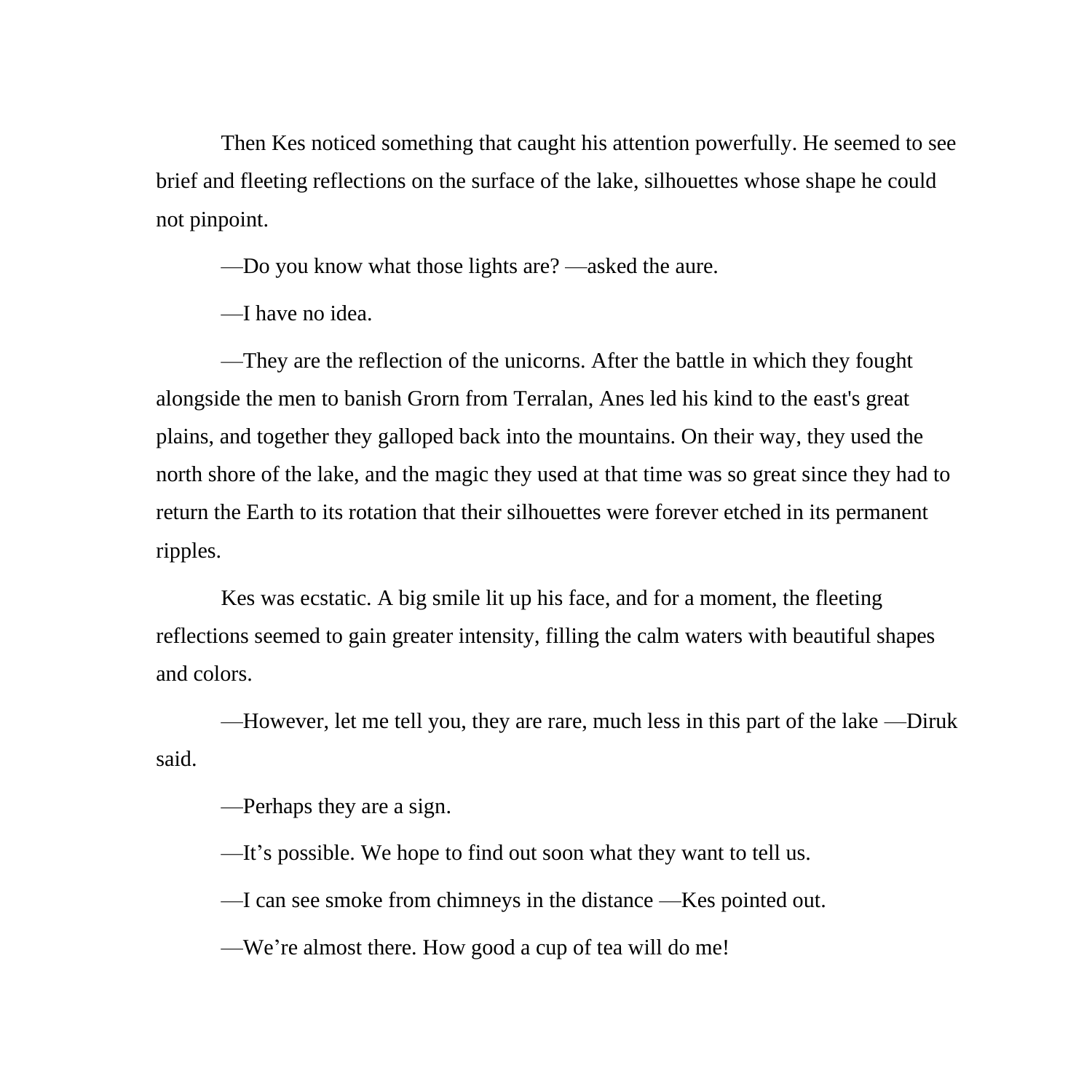Then Kes noticed something that caught his attention powerfully. He seemed to see brief and fleeting reflections on the surface of the lake, silhouettes whose shape he could not pinpoint.

—Do you know what those lights are? —asked the aure.

—I have no idea.

—They are the reflection of the unicorns. After the battle in which they fought alongside the men to banish Grorn from Terralan, Anes led his kind to the east's great plains, and together they galloped back into the mountains. On their way, they used the north shore of the lake, and the magic they used at that time was so great since they had to return the Earth to its rotation that their silhouettes were forever etched in its permanent ripples.

Kes was ecstatic. A big smile lit up his face, and for a moment, the fleeting reflections seemed to gain greater intensity, filling the calm waters with beautiful shapes and colors.

—However, let me tell you, they are rare, much less in this part of the lake —Diruk said.

—Perhaps they are a sign.

—It's possible. We hope to find out soon what they want to tell us.

—I can see smoke from chimneys in the distance —Kes pointed out.

—We're almost there. How good a cup of tea will do me!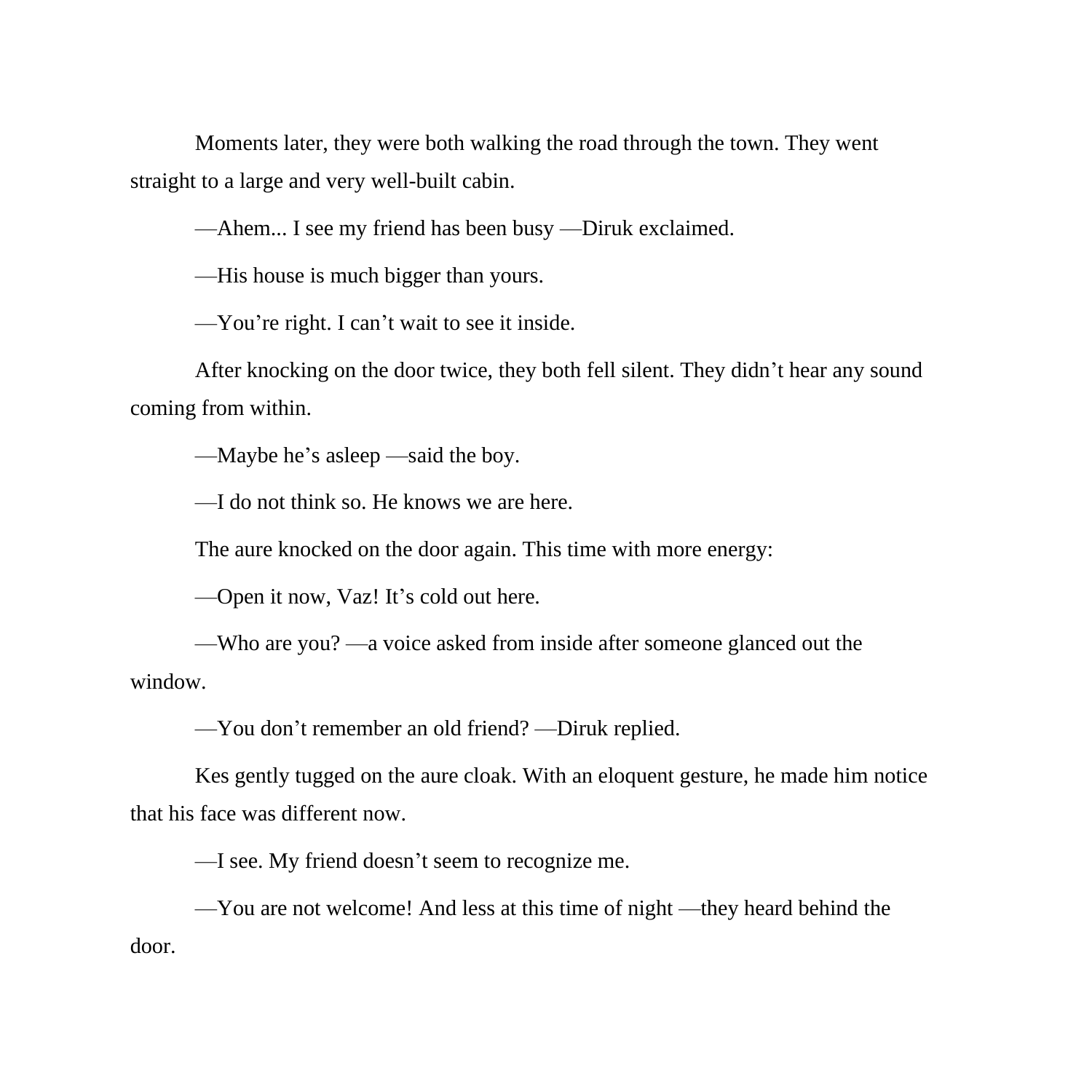Moments later, they were both walking the road through the town. They went straight to a large and very well-built cabin.

—Ahem... I see my friend has been busy —Diruk exclaimed.

—His house is much bigger than yours.

—You're right. I can't wait to see it inside.

After knocking on the door twice, they both fell silent. They didn't hear any sound coming from within.

—Maybe he's asleep —said the boy.

—I do not think so. He knows we are here.

The aure knocked on the door again. This time with more energy:

—Open it now, Vaz! It's cold out here.

—Who are you? —a voice asked from inside after someone glanced out the window.

—You don't remember an old friend? —Diruk replied.

Kes gently tugged on the aure cloak. With an eloquent gesture, he made him notice that his face was different now.

—I see. My friend doesn't seem to recognize me.

—You are not welcome! And less at this time of night —they heard behind the door.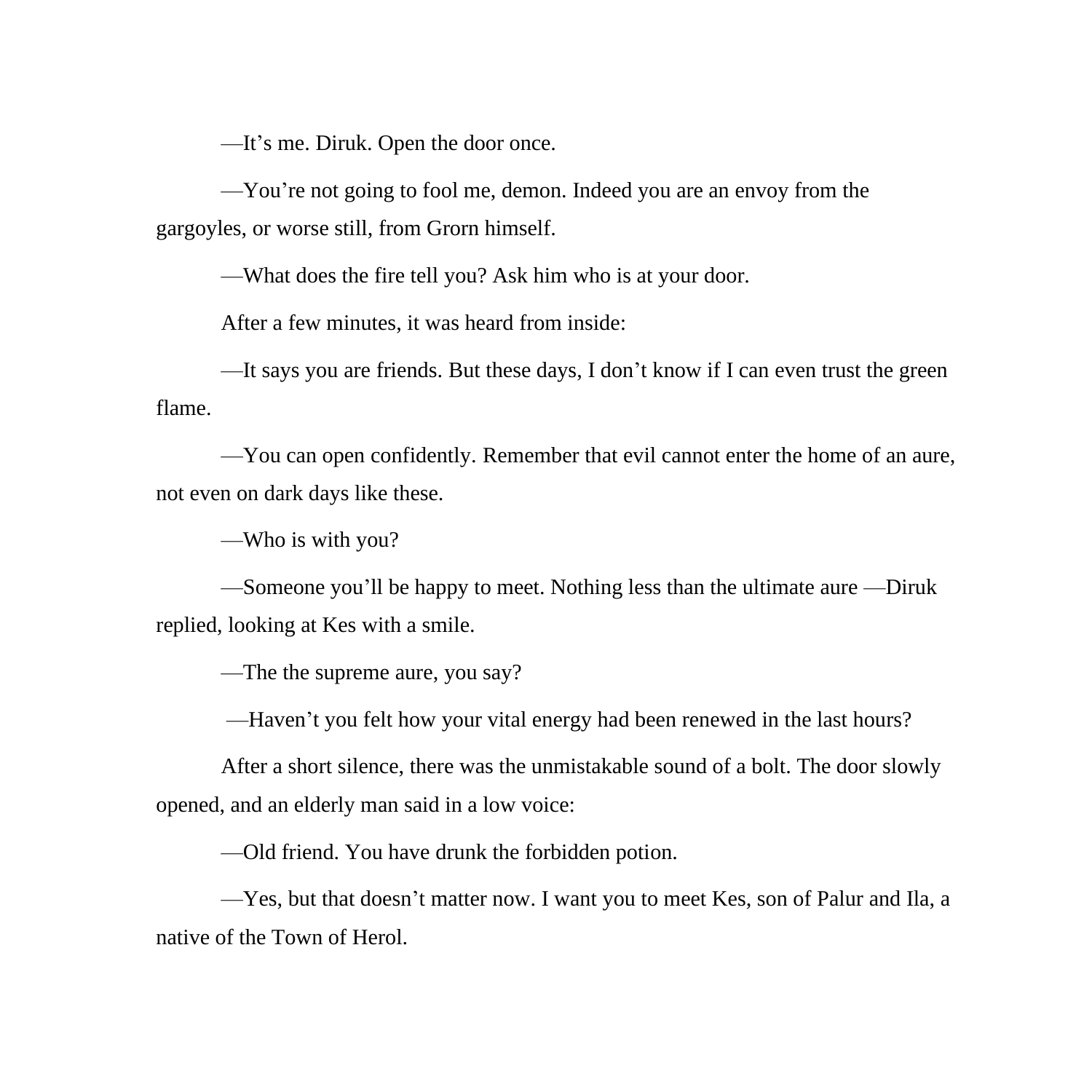—It's me. Diruk. Open the door once.

—You're not going to fool me, demon. Indeed you are an envoy from the gargoyles, or worse still, from Grorn himself.

—What does the fire tell you? Ask him who is at your door.

After a few minutes, it was heard from inside:

—It says you are friends. But these days, I don't know if I can even trust the green flame.

—You can open confidently. Remember that evil cannot enter the home of an aure, not even on dark days like these.

—Who is with you?

—Someone you'll be happy to meet. Nothing less than the ultimate aure —Diruk replied, looking at Kes with a smile.

—The the supreme aure, you say?

—Haven't you felt how your vital energy had been renewed in the last hours?

After a short silence, there was the unmistakable sound of a bolt. The door slowly opened, and an elderly man said in a low voice:

—Old friend. You have drunk the forbidden potion.

—Yes, but that doesn't matter now. I want you to meet Kes, son of Palur and Ila, a native of the Town of Herol.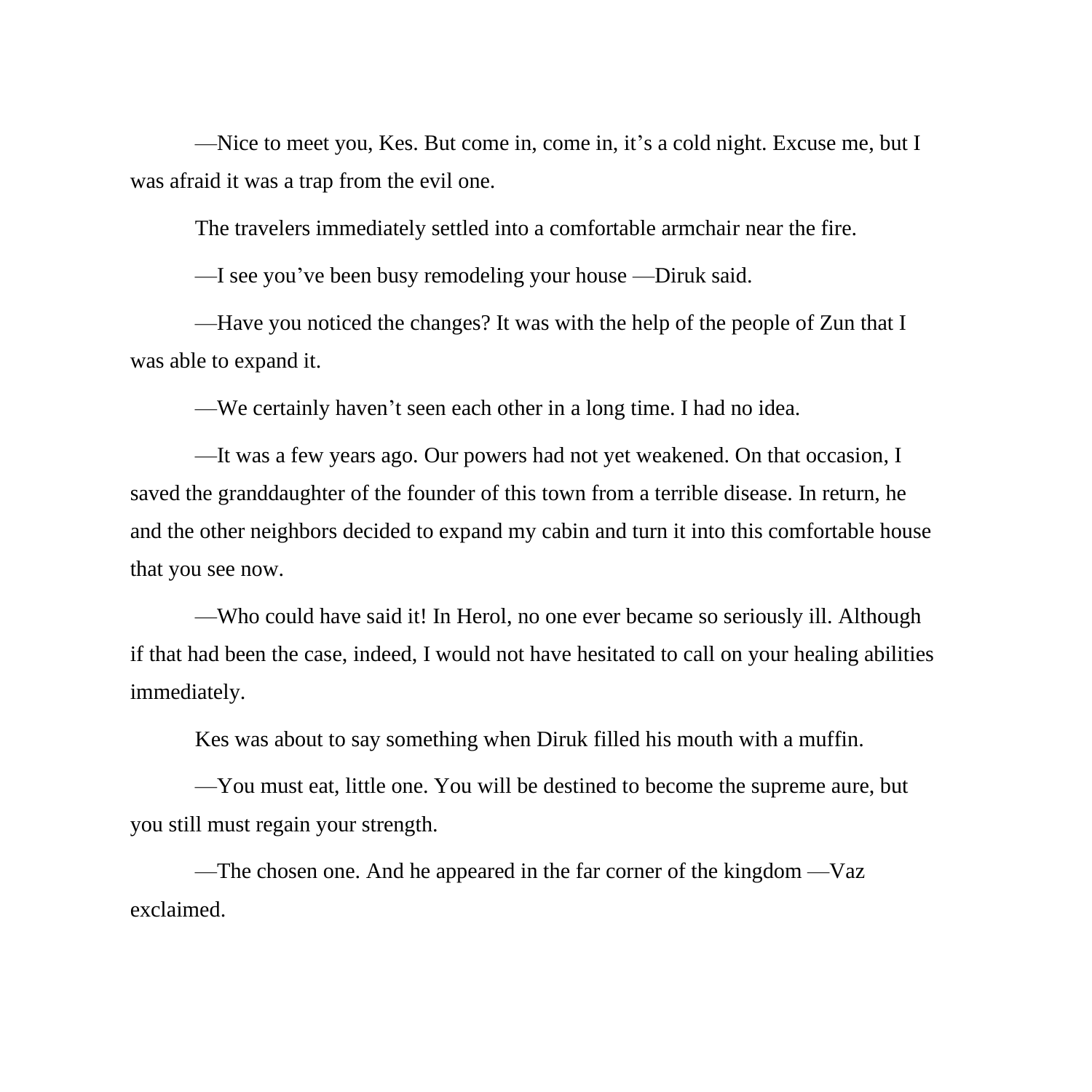—Nice to meet you, Kes. But come in, come in, it's a cold night. Excuse me, but I was afraid it was a trap from the evil one.

The travelers immediately settled into a comfortable armchair near the fire.

—I see you've been busy remodeling your house —Diruk said.

—Have you noticed the changes? It was with the help of the people of Zun that I was able to expand it.

—We certainly haven't seen each other in a long time. I had no idea.

—It was a few years ago. Our powers had not yet weakened. On that occasion, I saved the granddaughter of the founder of this town from a terrible disease. In return, he and the other neighbors decided to expand my cabin and turn it into this comfortable house that you see now.

—Who could have said it! In Herol, no one ever became so seriously ill. Although if that had been the case, indeed, I would not have hesitated to call on your healing abilities immediately.

Kes was about to say something when Diruk filled his mouth with a muffin.

—You must eat, little one. You will be destined to become the supreme aure, but you still must regain your strength.

—The chosen one. And he appeared in the far corner of the kingdom —Vaz exclaimed.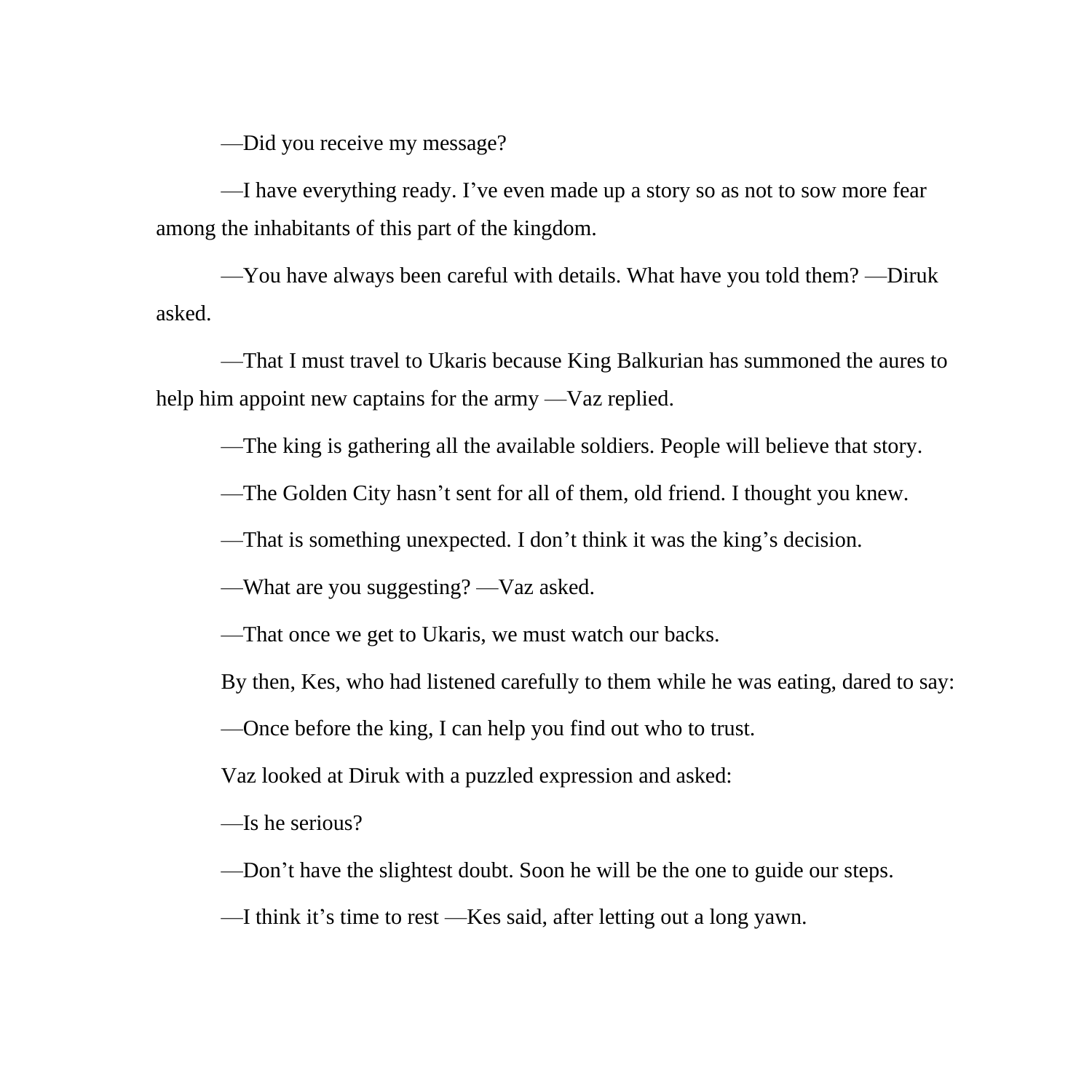—Did you receive my message?

—I have everything ready. I've even made up a story so as not to sow more fear among the inhabitants of this part of the kingdom.

—You have always been careful with details. What have you told them? —Diruk asked.

—That I must travel to Ukaris because King Balkurian has summoned the aures to help him appoint new captains for the army —Vaz replied.

—The king is gathering all the available soldiers. People will believe that story.

—The Golden City hasn't sent for all of them, old friend. I thought you knew.

—That is something unexpected. I don't think it was the king's decision.

—What are you suggesting? —Vaz asked.

—That once we get to Ukaris, we must watch our backs.

By then, Kes, who had listened carefully to them while he was eating, dared to say:

—Once before the king, I can help you find out who to trust.

Vaz looked at Diruk with a puzzled expression and asked:

—Is he serious?

—Don't have the slightest doubt. Soon he will be the one to guide our steps.

—I think it's time to rest —Kes said, after letting out a long yawn.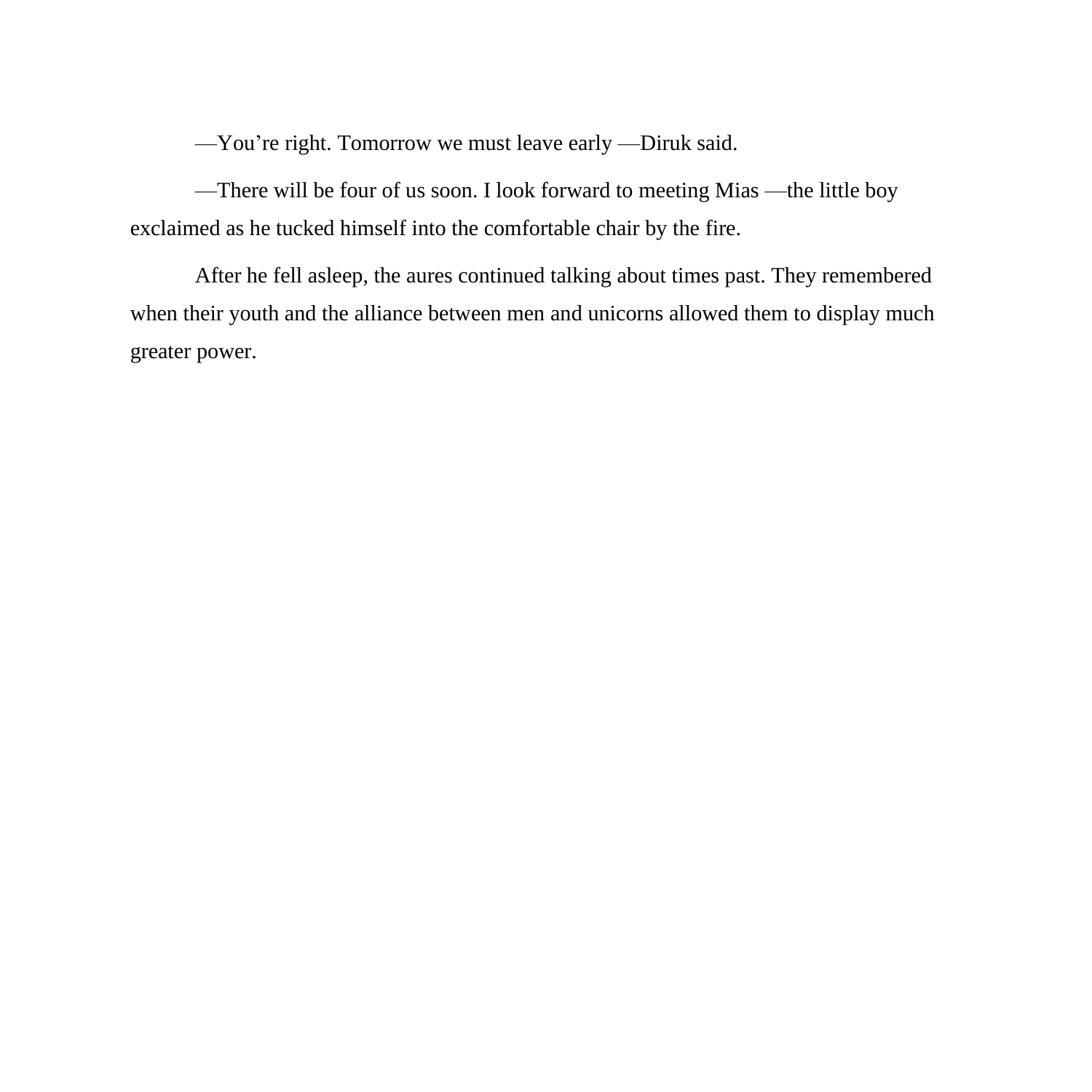—You're right. Tomorrow we must leave early —Diruk said.

—There will be four of us soon. I look forward to meeting Mias —the little boy exclaimed as he tucked himself into the comfortable chair by the fire.

After he fell asleep, the aures continued talking about times past. They remembered when their youth and the alliance between men and unicorns allowed them to display much greater power.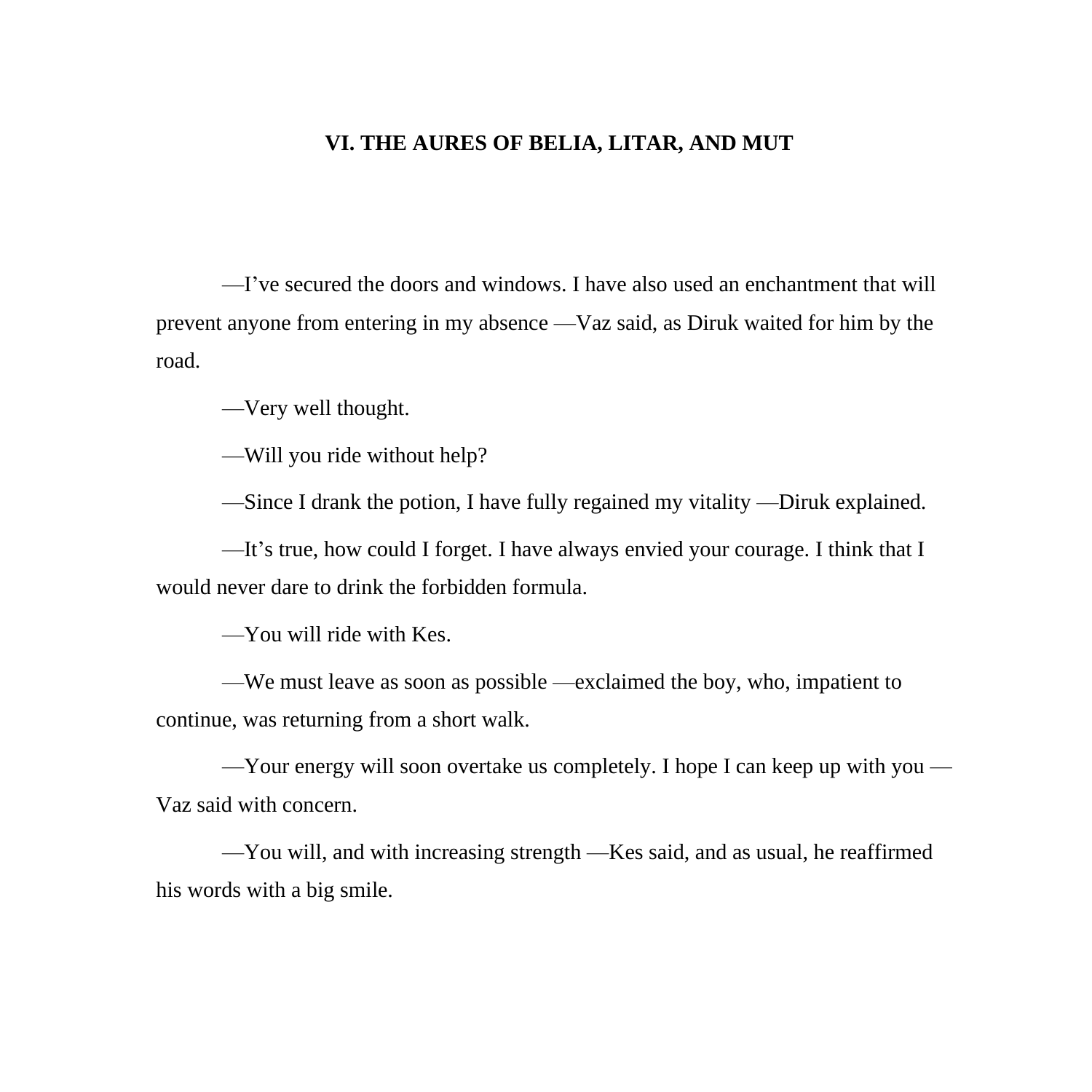## **VI. THE AURES OF BELIA, LITAR, AND MUT**

—I've secured the doors and windows. I have also used an enchantment that will prevent anyone from entering in my absence —Vaz said, as Diruk waited for him by the road.

—Very well thought.

—Will you ride without help?

—Since I drank the potion, I have fully regained my vitality —Diruk explained.

—It's true, how could I forget. I have always envied your courage. I think that I would never dare to drink the forbidden formula.

—You will ride with Kes.

—We must leave as soon as possible —exclaimed the boy, who, impatient to continue, was returning from a short walk.

—Your energy will soon overtake us completely. I hope I can keep up with you — Vaz said with concern.

—You will, and with increasing strength —Kes said, and as usual, he reaffirmed his words with a big smile.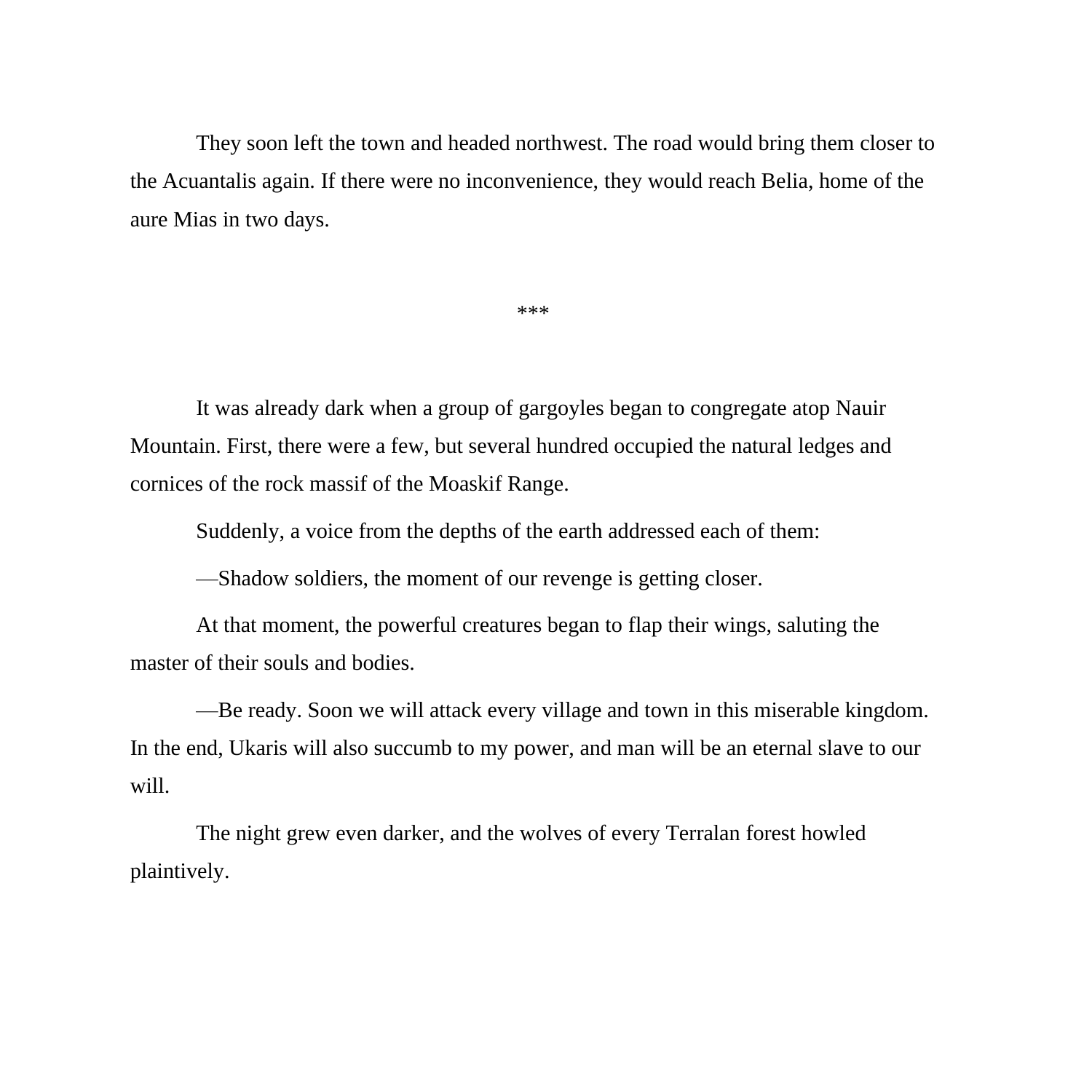They soon left the town and headed northwest. The road would bring them closer to the Acuantalis again. If there were no inconvenience, they would reach Belia, home of the aure Mias in two days.

\*\*\*

It was already dark when a group of gargoyles began to congregate atop Nauir Mountain. First, there were a few, but several hundred occupied the natural ledges and cornices of the rock massif of the Moaskif Range.

Suddenly, a voice from the depths of the earth addressed each of them:

—Shadow soldiers, the moment of our revenge is getting closer.

At that moment, the powerful creatures began to flap their wings, saluting the master of their souls and bodies.

—Be ready. Soon we will attack every village and town in this miserable kingdom. In the end, Ukaris will also succumb to my power, and man will be an eternal slave to our will.

The night grew even darker, and the wolves of every Terralan forest howled plaintively.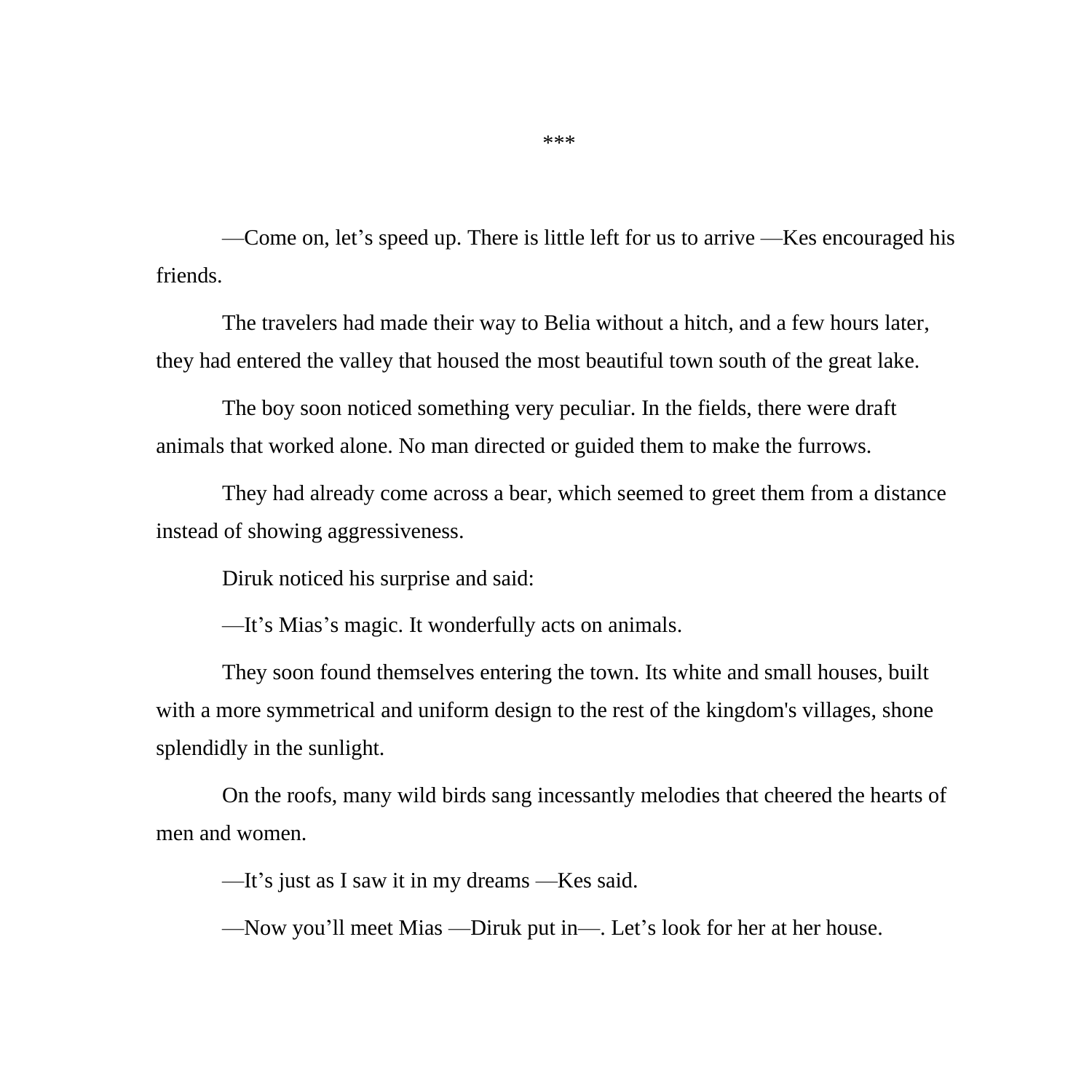—Come on, let's speed up. There is little left for us to arrive —Kes encouraged his friends.

The travelers had made their way to Belia without a hitch, and a few hours later, they had entered the valley that housed the most beautiful town south of the great lake.

The boy soon noticed something very peculiar. In the fields, there were draft animals that worked alone. No man directed or guided them to make the furrows.

They had already come across a bear, which seemed to greet them from a distance instead of showing aggressiveness.

Diruk noticed his surprise and said:

—It's Mias's magic. It wonderfully acts on animals.

They soon found themselves entering the town. Its white and small houses, built with a more symmetrical and uniform design to the rest of the kingdom's villages, shone splendidly in the sunlight.

On the roofs, many wild birds sang incessantly melodies that cheered the hearts of men and women.

—It's just as I saw it in my dreams —Kes said.

—Now you'll meet Mias —Diruk put in—. Let's look for her at her house.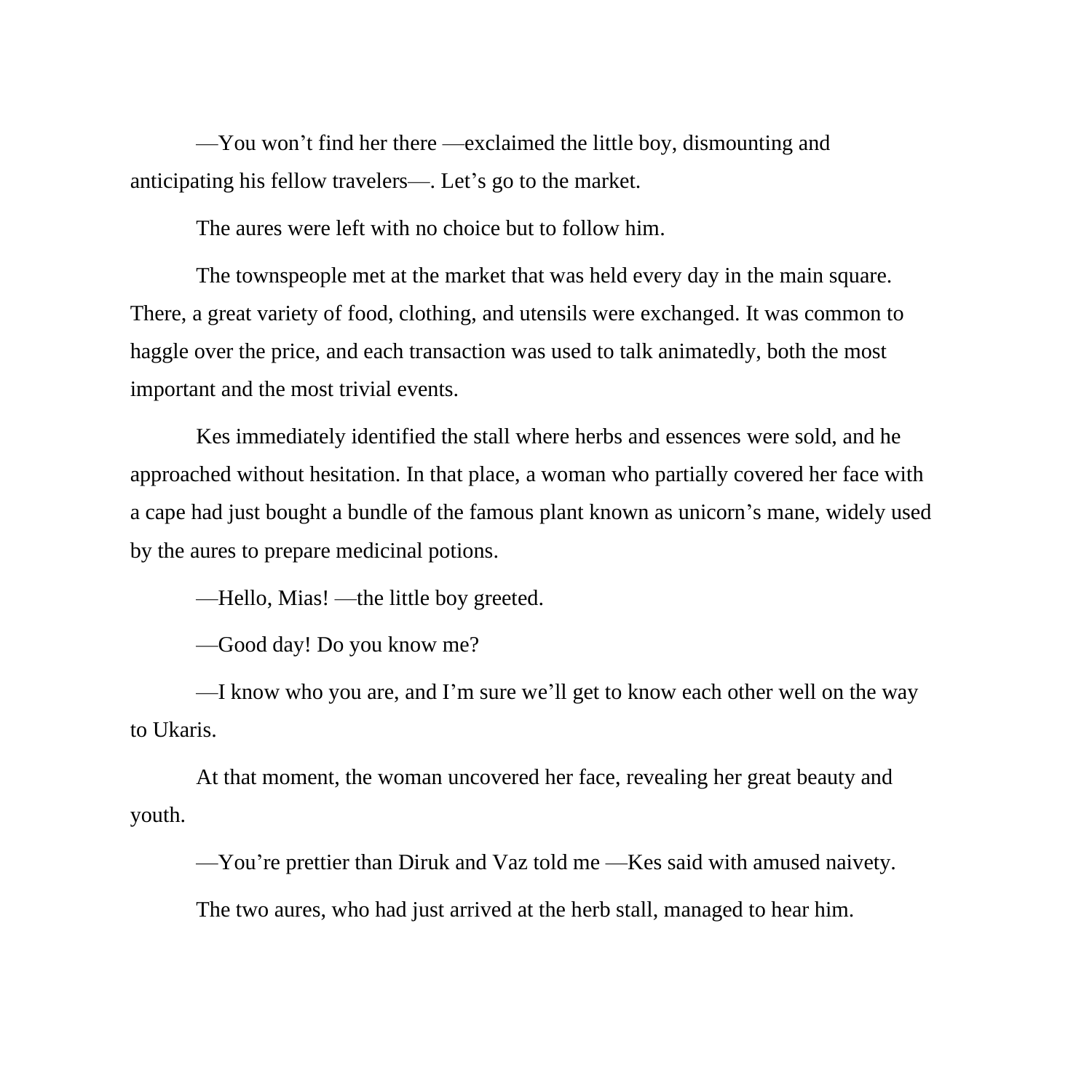—You won't find her there —exclaimed the little boy, dismounting and anticipating his fellow travelers—. Let's go to the market.

The aures were left with no choice but to follow him.

The townspeople met at the market that was held every day in the main square. There, a great variety of food, clothing, and utensils were exchanged. It was common to haggle over the price, and each transaction was used to talk animatedly, both the most important and the most trivial events.

Kes immediately identified the stall where herbs and essences were sold, and he approached without hesitation. In that place, a woman who partially covered her face with a cape had just bought a bundle of the famous plant known as unicorn's mane, widely used by the aures to prepare medicinal potions.

—Hello, Mias! —the little boy greeted.

—Good day! Do you know me?

—I know who you are, and I'm sure we'll get to know each other well on the way to Ukaris.

At that moment, the woman uncovered her face, revealing her great beauty and youth.

—You're prettier than Diruk and Vaz told me —Kes said with amused naivety.

The two aures, who had just arrived at the herb stall, managed to hear him.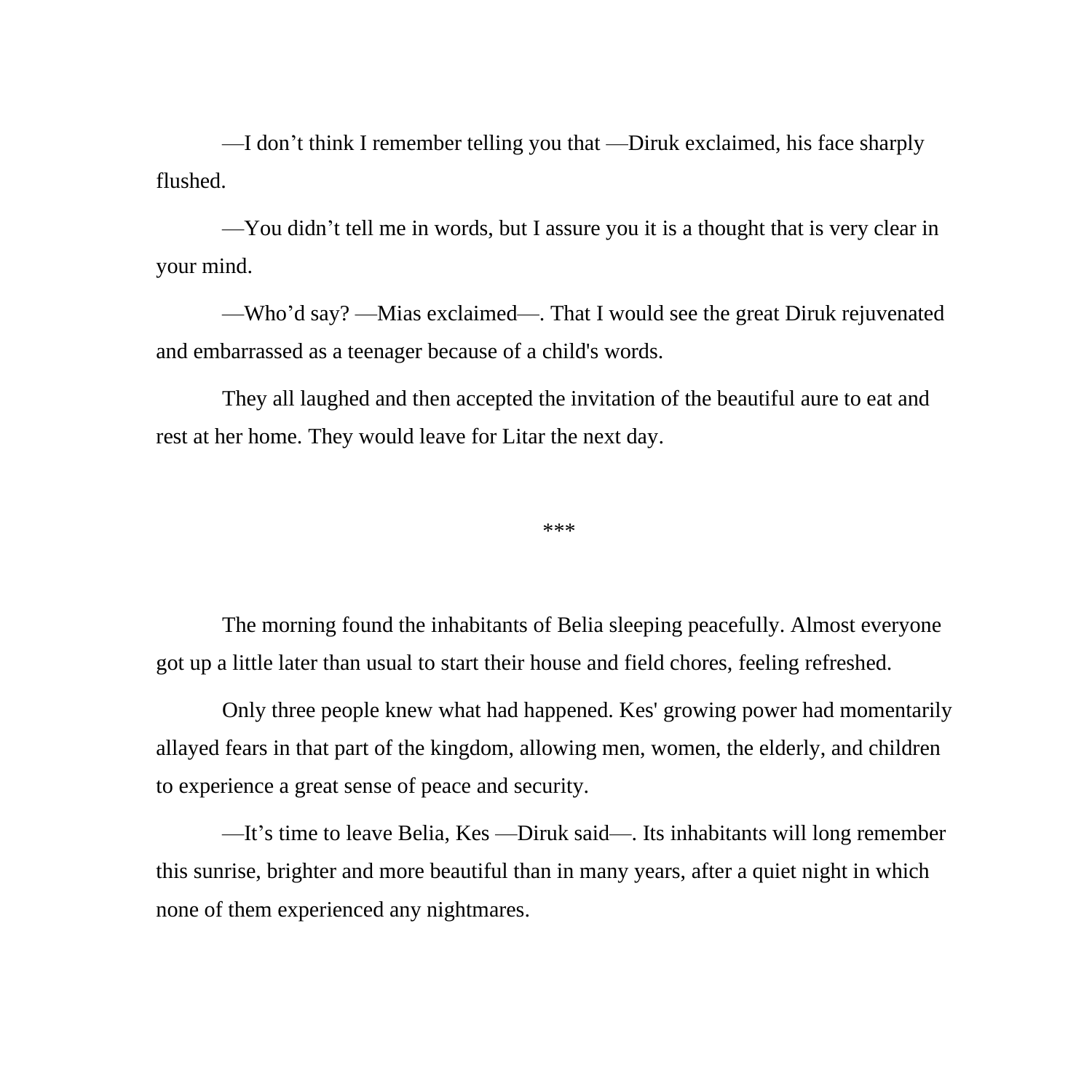—I don't think I remember telling you that —Diruk exclaimed, his face sharply flushed.

—You didn't tell me in words, but I assure you it is a thought that is very clear in your mind.

—Who'd say? —Mias exclaimed—. That I would see the great Diruk rejuvenated and embarrassed as a teenager because of a child's words.

They all laughed and then accepted the invitation of the beautiful aure to eat and rest at her home. They would leave for Litar the next day.

\*\*\*

The morning found the inhabitants of Belia sleeping peacefully. Almost everyone got up a little later than usual to start their house and field chores, feeling refreshed.

Only three people knew what had happened. Kes' growing power had momentarily allayed fears in that part of the kingdom, allowing men, women, the elderly, and children to experience a great sense of peace and security.

—It's time to leave Belia, Kes —Diruk said—. Its inhabitants will long remember this sunrise, brighter and more beautiful than in many years, after a quiet night in which none of them experienced any nightmares.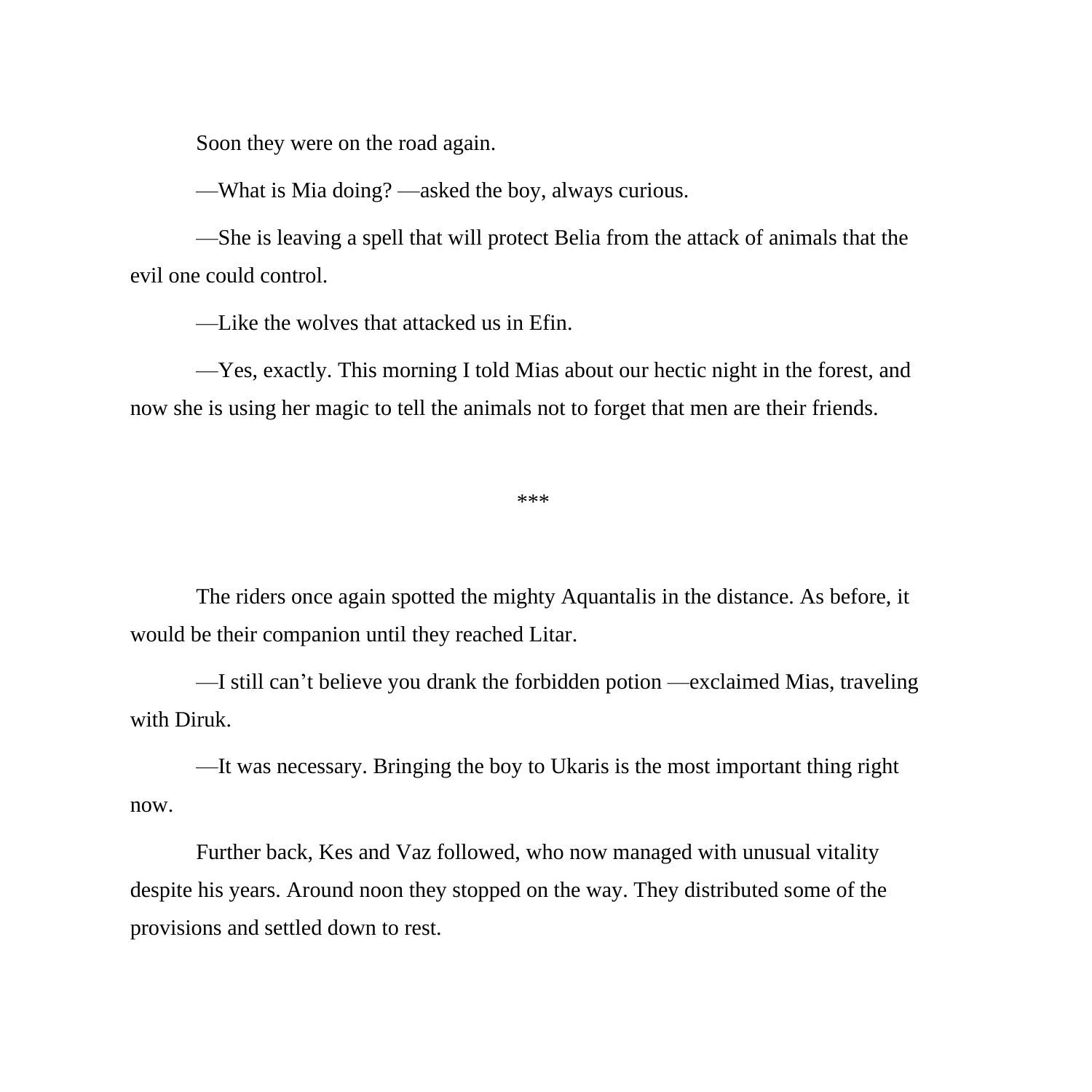Soon they were on the road again.

—What is Mia doing? —asked the boy, always curious.

—She is leaving a spell that will protect Belia from the attack of animals that the evil one could control.

—Like the wolves that attacked us in Efin.

—Yes, exactly. This morning I told Mias about our hectic night in the forest, and now she is using her magic to tell the animals not to forget that men are their friends.

\*\*\*

The riders once again spotted the mighty Aquantalis in the distance. As before, it would be their companion until they reached Litar.

—I still can't believe you drank the forbidden potion —exclaimed Mias, traveling with Diruk.

—It was necessary. Bringing the boy to Ukaris is the most important thing right now.

Further back, Kes and Vaz followed, who now managed with unusual vitality despite his years. Around noon they stopped on the way. They distributed some of the provisions and settled down to rest.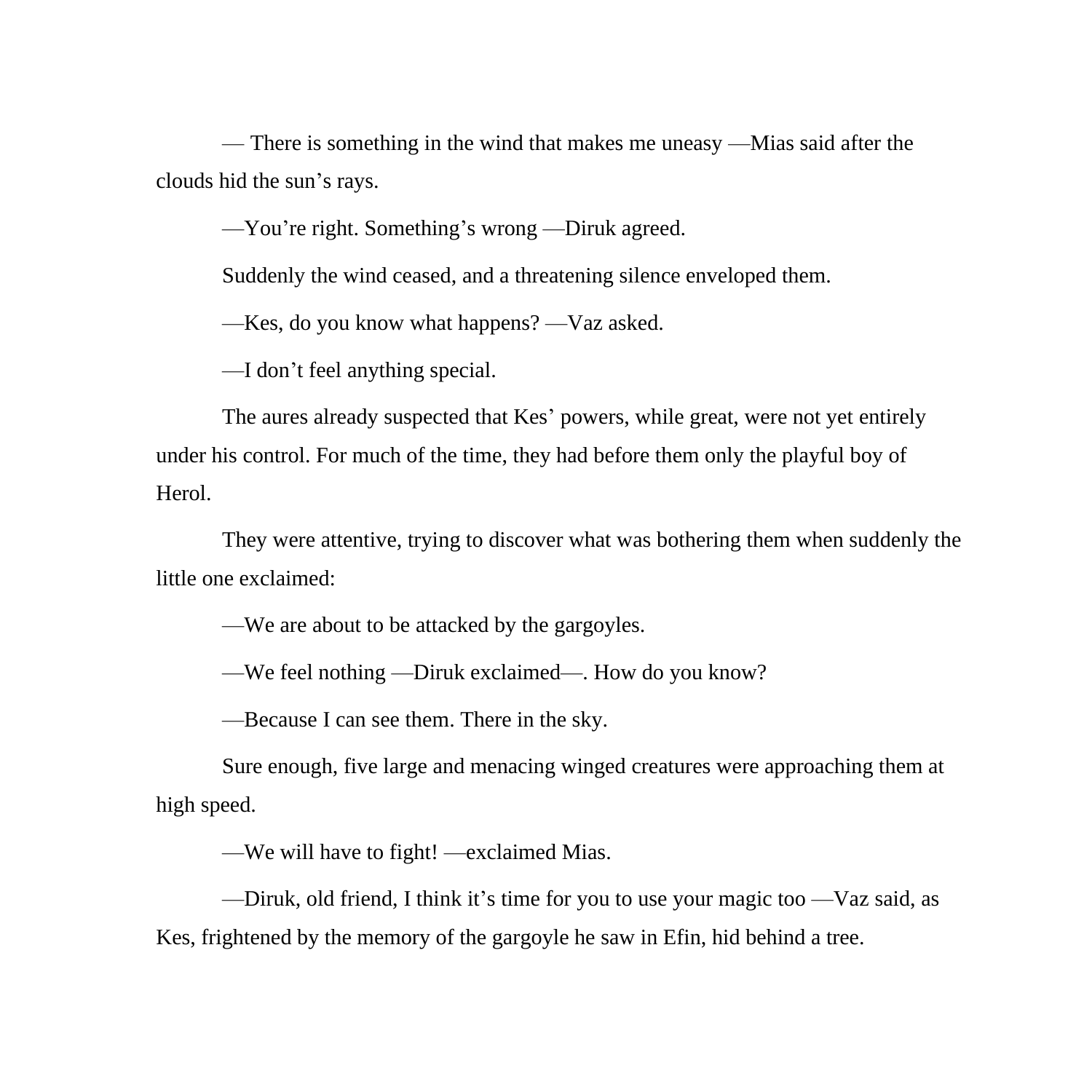— There is something in the wind that makes me uneasy —Mias said after the clouds hid the sun's rays.

—You're right. Something's wrong —Diruk agreed.

Suddenly the wind ceased, and a threatening silence enveloped them.

—Kes, do you know what happens? —Vaz asked.

—I don't feel anything special.

The aures already suspected that Kes' powers, while great, were not yet entirely under his control. For much of the time, they had before them only the playful boy of Herol.

They were attentive, trying to discover what was bothering them when suddenly the little one exclaimed:

—We are about to be attacked by the gargoyles.

—We feel nothing —Diruk exclaimed—. How do you know?

—Because I can see them. There in the sky.

Sure enough, five large and menacing winged creatures were approaching them at high speed.

—We will have to fight! —exclaimed Mias.

—Diruk, old friend, I think it's time for you to use your magic too —Vaz said, as Kes, frightened by the memory of the gargoyle he saw in Efin, hid behind a tree.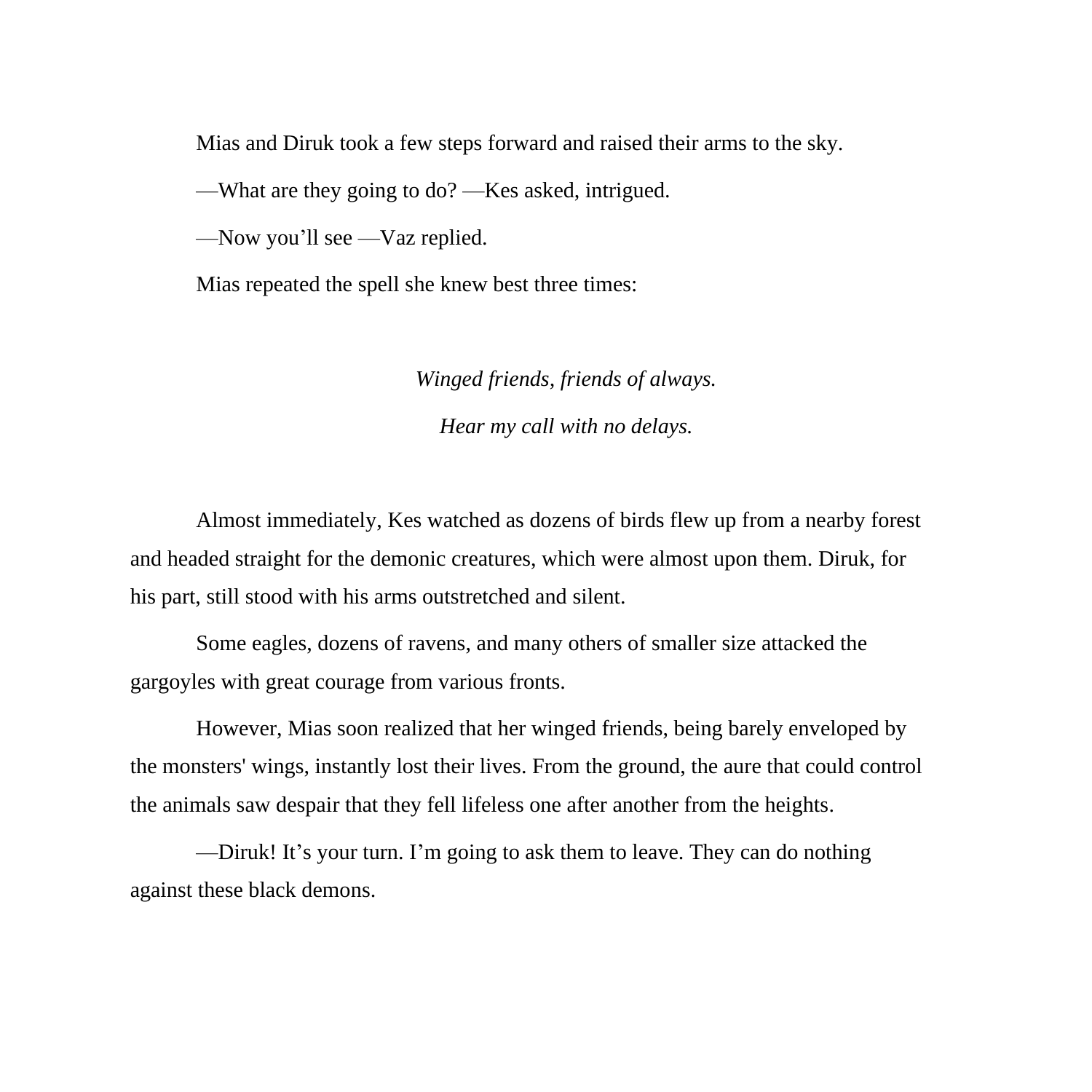Mias and Diruk took a few steps forward and raised their arms to the sky.

—What are they going to do? —Kes asked, intrigued.

—Now you'll see —Vaz replied.

Mias repeated the spell she knew best three times:

## *Winged friends, friends of always. Hear my call with no delays.*

Almost immediately, Kes watched as dozens of birds flew up from a nearby forest and headed straight for the demonic creatures, which were almost upon them. Diruk, for his part, still stood with his arms outstretched and silent.

Some eagles, dozens of ravens, and many others of smaller size attacked the gargoyles with great courage from various fronts.

However, Mias soon realized that her winged friends, being barely enveloped by the monsters' wings, instantly lost their lives. From the ground, the aure that could control the animals saw despair that they fell lifeless one after another from the heights.

—Diruk! It's your turn. I'm going to ask them to leave. They can do nothing against these black demons.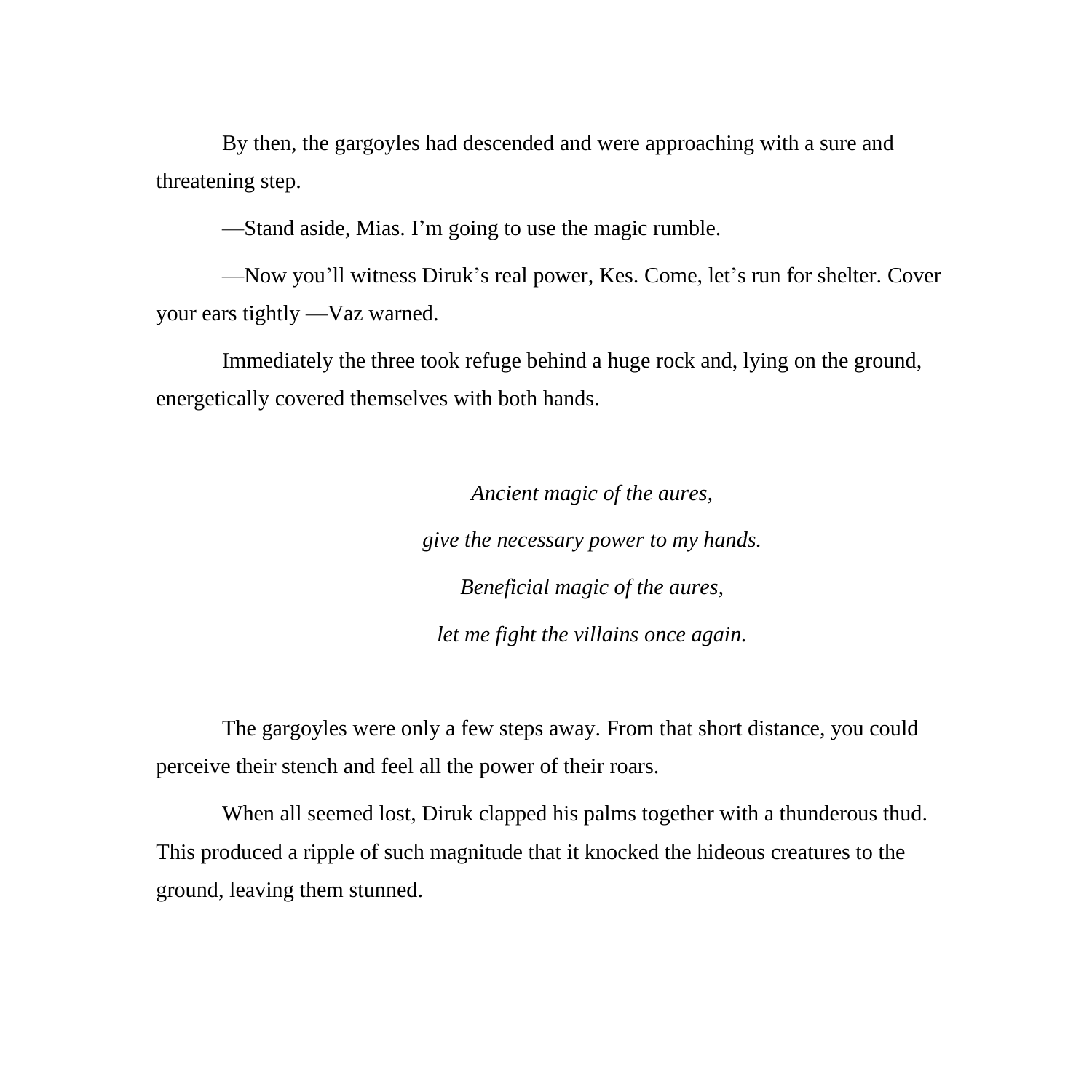By then, the gargoyles had descended and were approaching with a sure and threatening step.

—Stand aside, Mias. I'm going to use the magic rumble.

—Now you'll witness Diruk's real power, Kes. Come, let's run for shelter. Cover your ears tightly —Vaz warned.

Immediately the three took refuge behind a huge rock and, lying on the ground, energetically covered themselves with both hands.

> *Ancient magic of the aures, give the necessary power to my hands. Beneficial magic of the aures, let me fight the villains once again.*

The gargoyles were only a few steps away. From that short distance, you could perceive their stench and feel all the power of their roars.

When all seemed lost, Diruk clapped his palms together with a thunderous thud. This produced a ripple of such magnitude that it knocked the hideous creatures to the ground, leaving them stunned.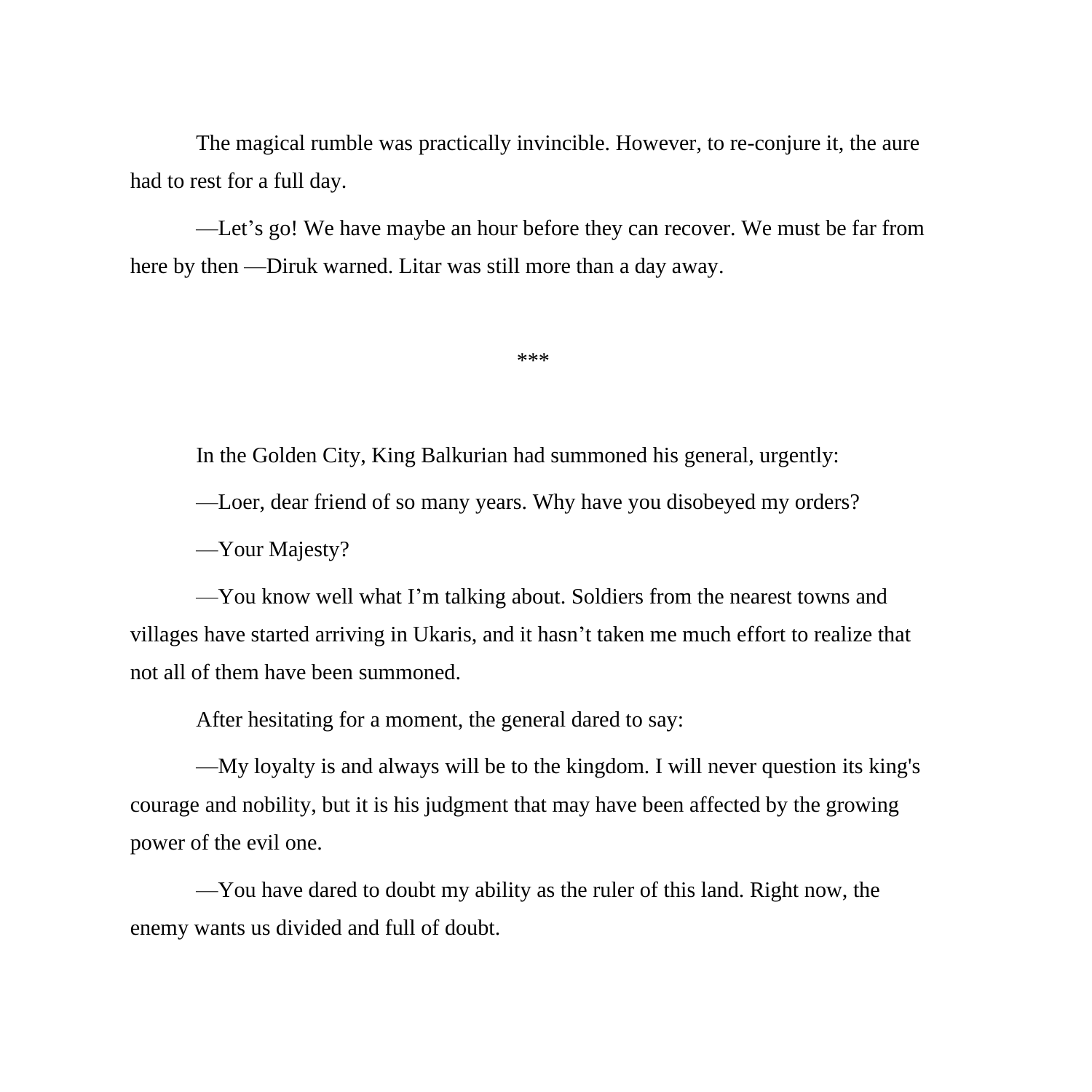The magical rumble was practically invincible. However, to re-conjure it, the aure had to rest for a full day.

—Let's go! We have maybe an hour before they can recover. We must be far from here by then —Diruk warned. Litar was still more than a day away.

\*\*\*

In the Golden City, King Balkurian had summoned his general, urgently:

—Loer, dear friend of so many years. Why have you disobeyed my orders?

—Your Majesty?

—You know well what I'm talking about. Soldiers from the nearest towns and villages have started arriving in Ukaris, and it hasn't taken me much effort to realize that not all of them have been summoned.

After hesitating for a moment, the general dared to say:

—My loyalty is and always will be to the kingdom. I will never question its king's courage and nobility, but it is his judgment that may have been affected by the growing power of the evil one.

—You have dared to doubt my ability as the ruler of this land. Right now, the enemy wants us divided and full of doubt.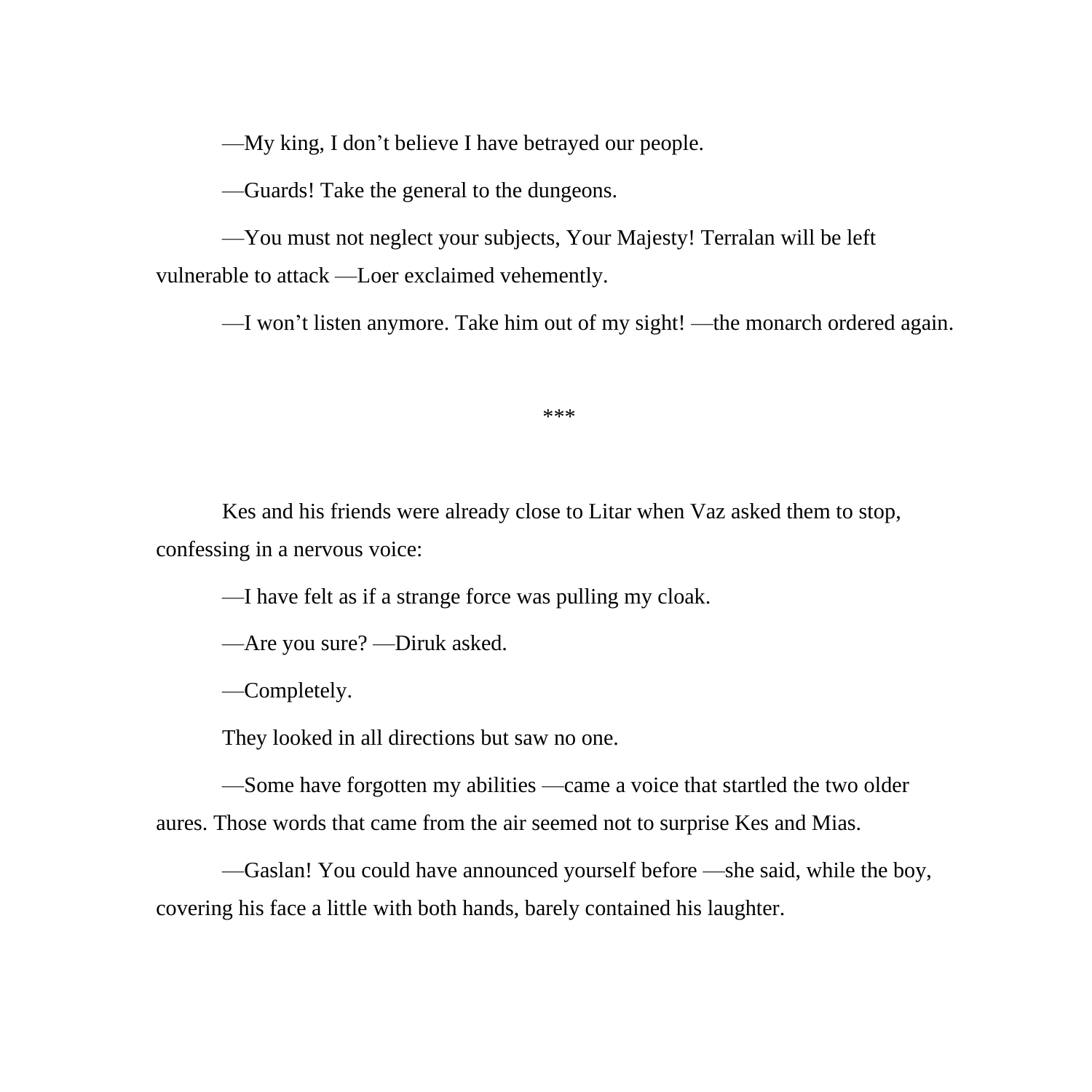—My king, I don't believe I have betrayed our people.

—Guards! Take the general to the dungeons.

—You must not neglect your subjects, Your Majesty! Terralan will be left vulnerable to attack —Loer exclaimed vehemently.

—I won't listen anymore. Take him out of my sight! —the monarch ordered again.

\*\*\*

Kes and his friends were already close to Litar when Vaz asked them to stop, confessing in a nervous voice:

—I have felt as if a strange force was pulling my cloak.

—Are you sure? —Diruk asked.

—Completely.

They looked in all directions but saw no one.

—Some have forgotten my abilities —came a voice that startled the two older aures. Those words that came from the air seemed not to surprise Kes and Mias.

—Gaslan! You could have announced yourself before —she said, while the boy, covering his face a little with both hands, barely contained his laughter.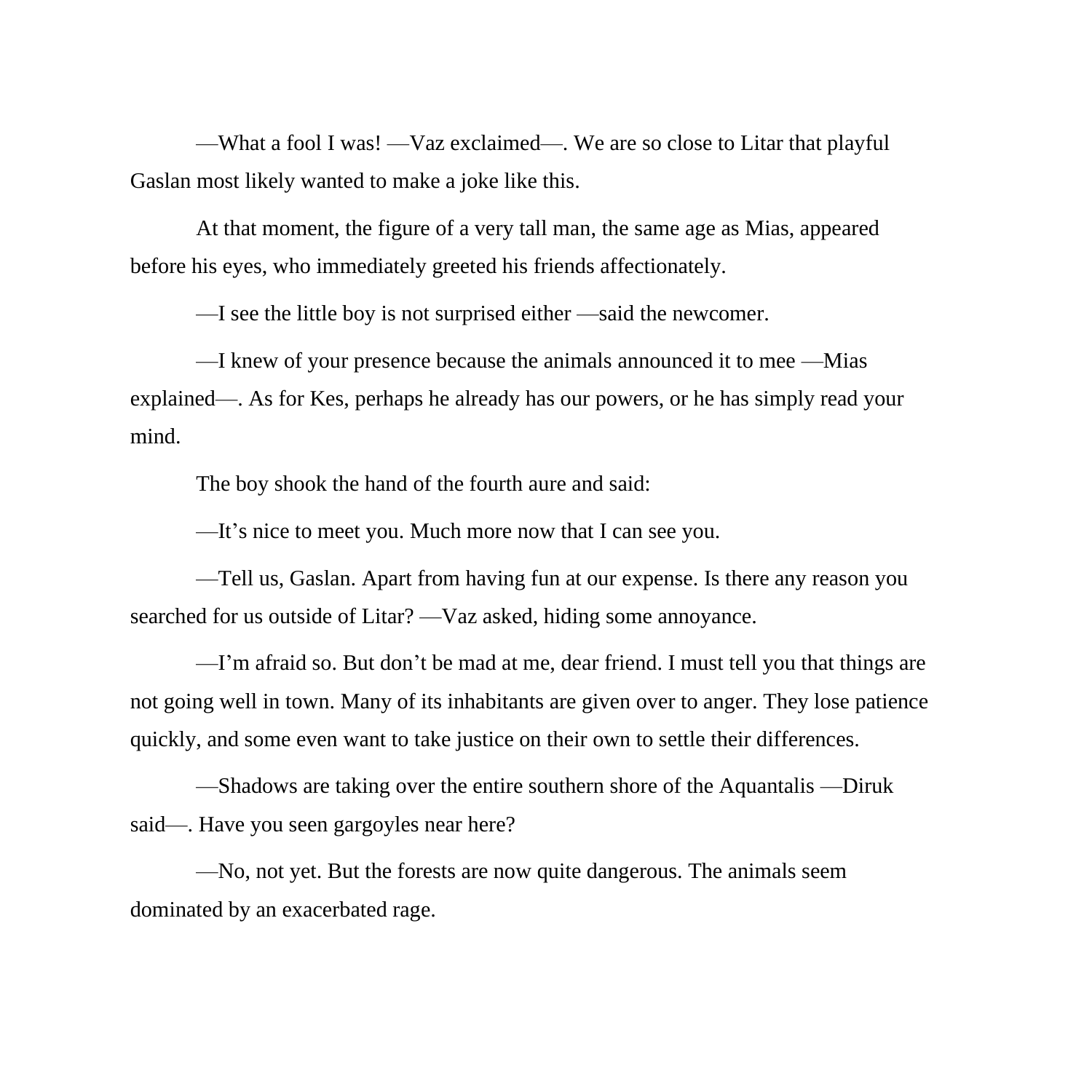—What a fool I was! —Vaz exclaimed—. We are so close to Litar that playful Gaslan most likely wanted to make a joke like this.

At that moment, the figure of a very tall man, the same age as Mias, appeared before his eyes, who immediately greeted his friends affectionately.

—I see the little boy is not surprised either —said the newcomer.

—I knew of your presence because the animals announced it to mee —Mias explained—. As for Kes, perhaps he already has our powers, or he has simply read your mind.

The boy shook the hand of the fourth aure and said:

—It's nice to meet you. Much more now that I can see you.

—Tell us, Gaslan. Apart from having fun at our expense. Is there any reason you searched for us outside of Litar? —Vaz asked, hiding some annoyance.

—I'm afraid so. But don't be mad at me, dear friend. I must tell you that things are not going well in town. Many of its inhabitants are given over to anger. They lose patience quickly, and some even want to take justice on their own to settle their differences.

—Shadows are taking over the entire southern shore of the Aquantalis —Diruk said—. Have you seen gargoyles near here?

—No, not yet. But the forests are now quite dangerous. The animals seem dominated by an exacerbated rage.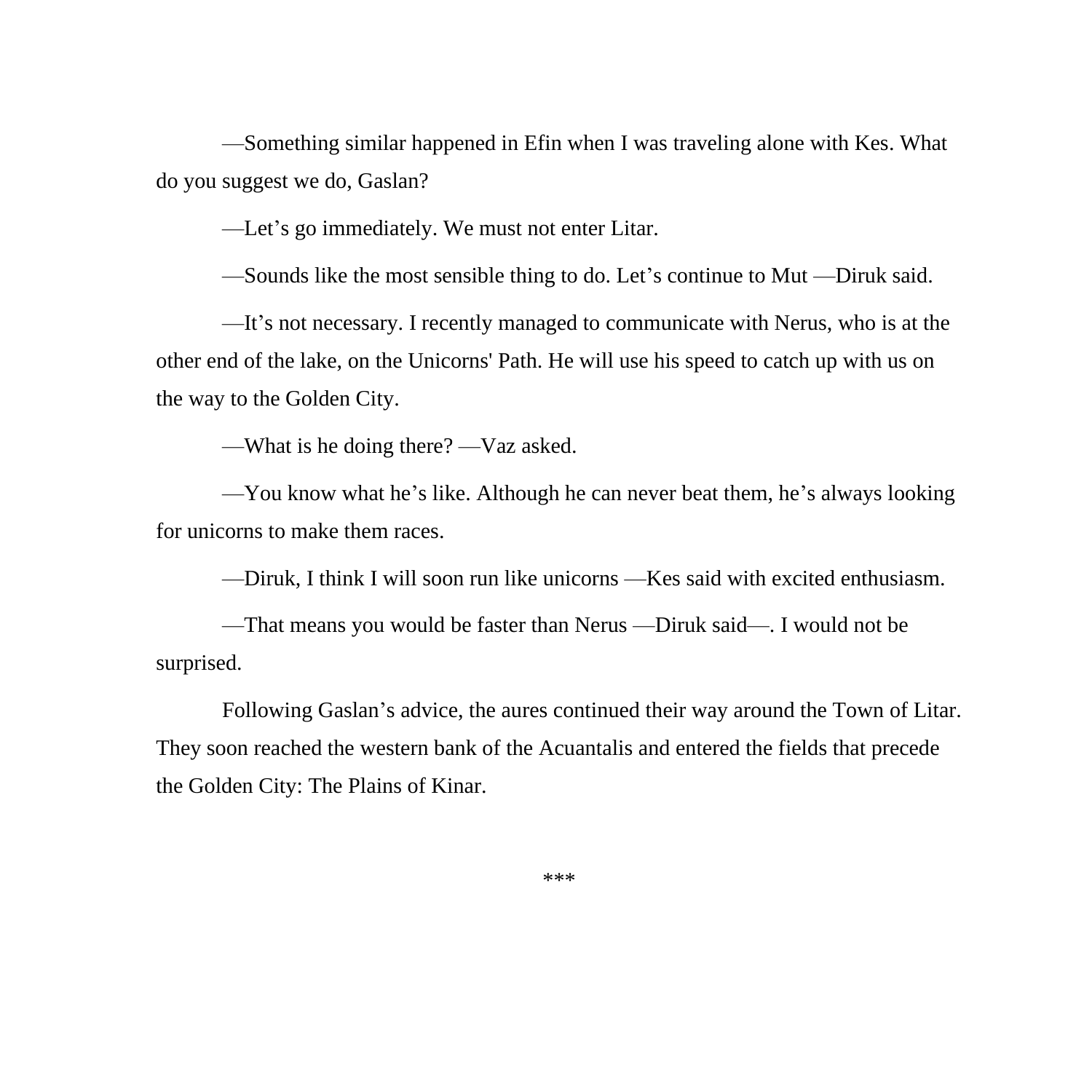—Something similar happened in Efin when I was traveling alone with Kes. What do you suggest we do, Gaslan?

—Let's go immediately. We must not enter Litar.

—Sounds like the most sensible thing to do. Let's continue to Mut —Diruk said.

—It's not necessary. I recently managed to communicate with Nerus, who is at the other end of the lake, on the Unicorns' Path. He will use his speed to catch up with us on the way to the Golden City.

—What is he doing there? —Vaz asked.

—You know what he's like. Although he can never beat them, he's always looking for unicorns to make them races.

—Diruk, I think I will soon run like unicorns —Kes said with excited enthusiasm.

—That means you would be faster than Nerus —Diruk said—. I would not be surprised.

Following Gaslan's advice, the aures continued their way around the Town of Litar. They soon reached the western bank of the Acuantalis and entered the fields that precede the Golden City: The Plains of Kinar.

\*\*\*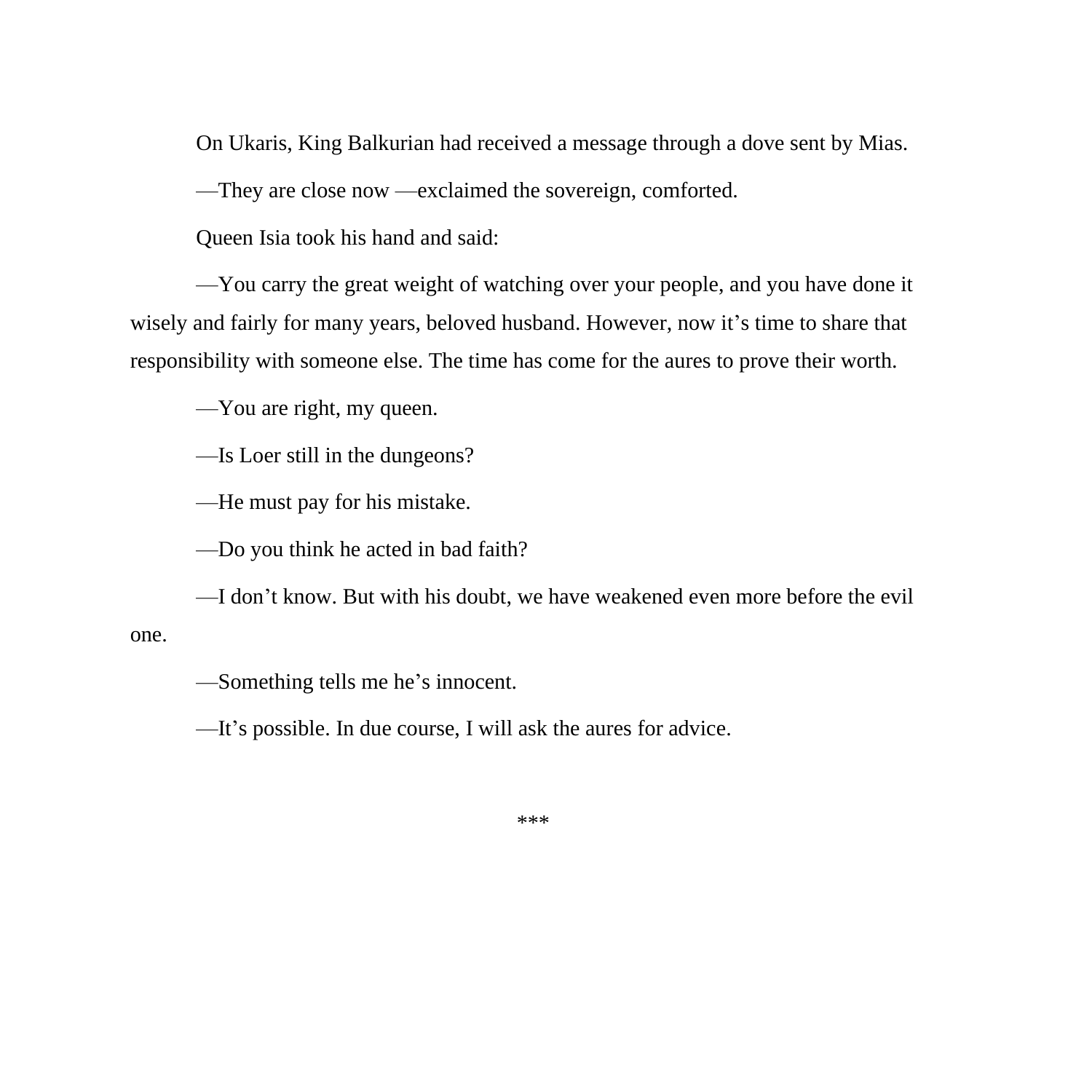On Ukaris, King Balkurian had received a message through a dove sent by Mias.

—They are close now —exclaimed the sovereign, comforted.

Queen Isia took his hand and said:

—You carry the great weight of watching over your people, and you have done it wisely and fairly for many years, beloved husband. However, now it's time to share that responsibility with someone else. The time has come for the aures to prove their worth.

—You are right, my queen.

—Is Loer still in the dungeons?

—He must pay for his mistake.

—Do you think he acted in bad faith?

—I don't know. But with his doubt, we have weakened even more before the evil one.

—Something tells me he's innocent.

—It's possible. In due course, I will ask the aures for advice.

\*\*\*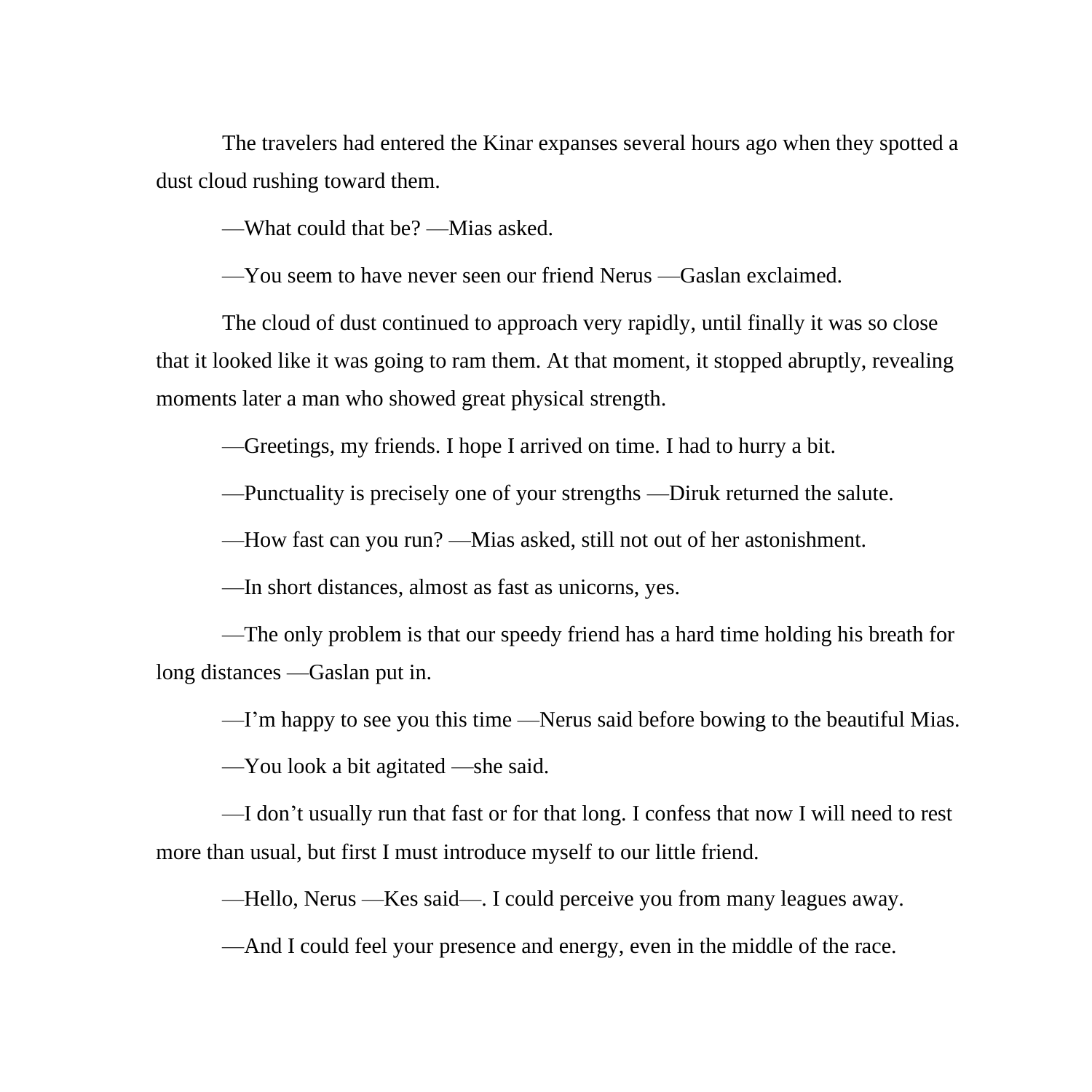The travelers had entered the Kinar expanses several hours ago when they spotted a dust cloud rushing toward them.

—What could that be? —Mias asked.

—You seem to have never seen our friend Nerus —Gaslan exclaimed.

The cloud of dust continued to approach very rapidly, until finally it was so close that it looked like it was going to ram them. At that moment, it stopped abruptly, revealing moments later a man who showed great physical strength.

—Greetings, my friends. I hope I arrived on time. I had to hurry a bit.

—Punctuality is precisely one of your strengths —Diruk returned the salute.

—How fast can you run? —Mias asked, still not out of her astonishment.

—In short distances, almost as fast as unicorns, yes.

—The only problem is that our speedy friend has a hard time holding his breath for long distances —Gaslan put in.

—I'm happy to see you this time —Nerus said before bowing to the beautiful Mias.

—You look a bit agitated —she said.

—I don't usually run that fast or for that long. I confess that now I will need to rest more than usual, but first I must introduce myself to our little friend.

—Hello, Nerus —Kes said—. I could perceive you from many leagues away.

—And I could feel your presence and energy, even in the middle of the race.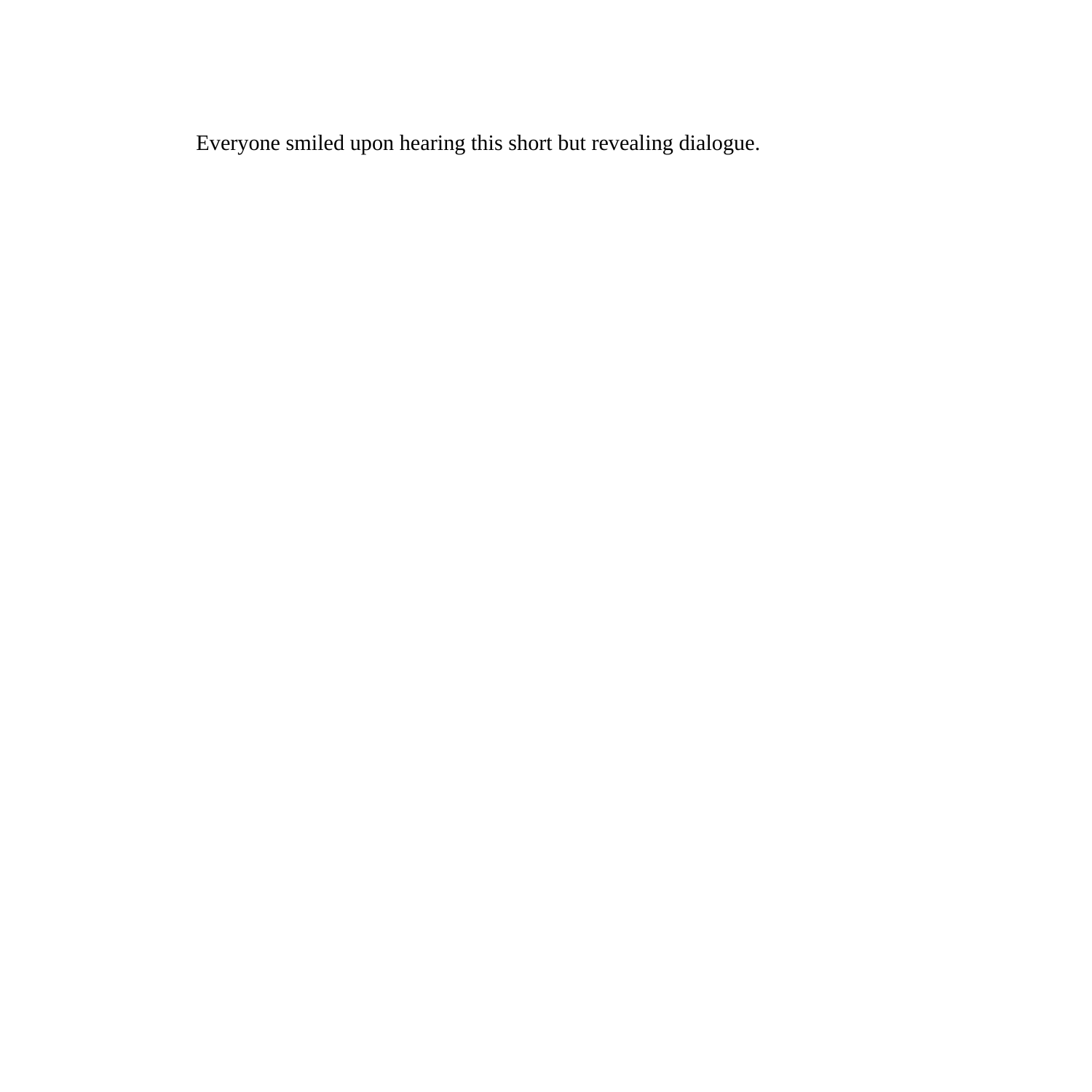Everyone smiled upon hearing this short but revealing dialogue.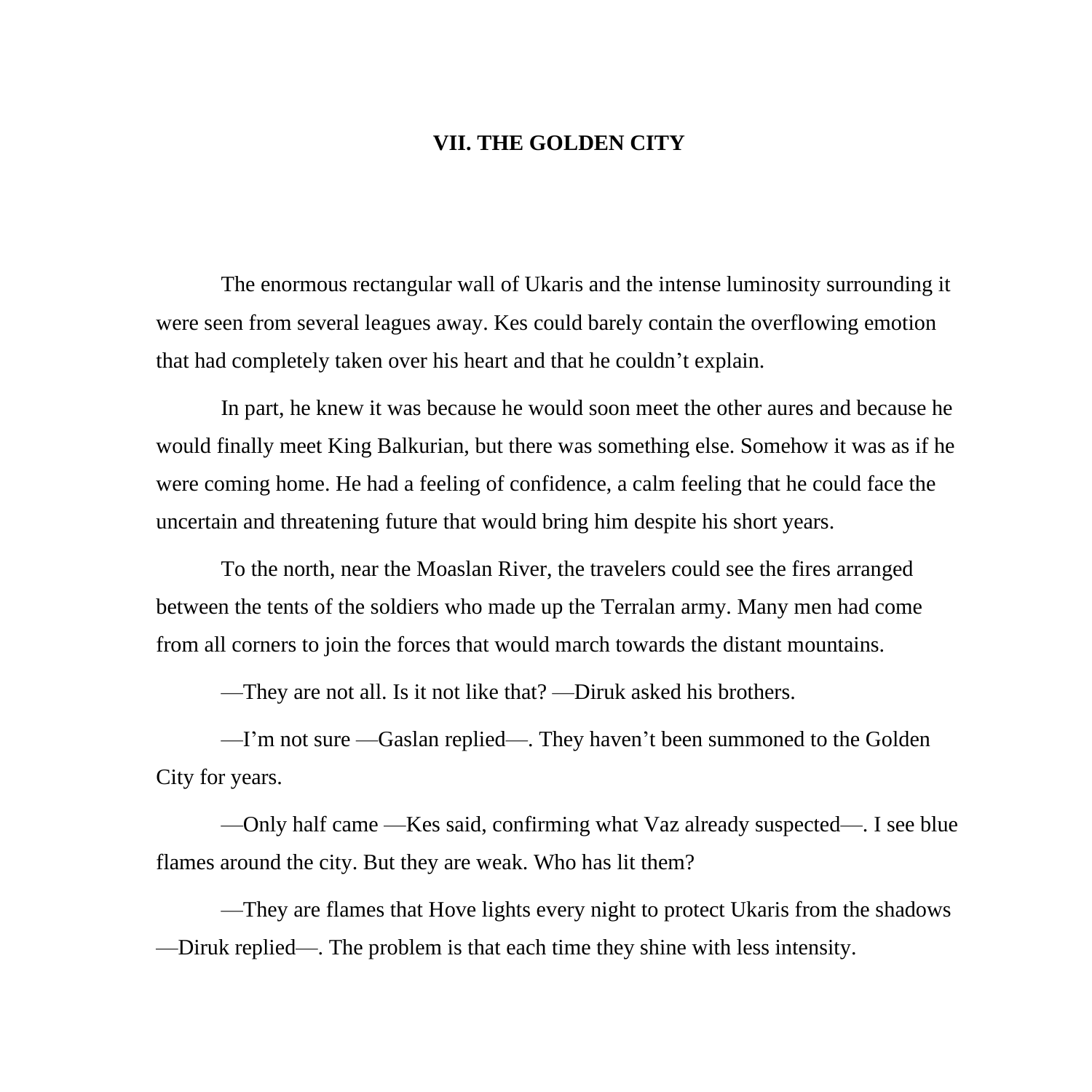## **VII. THE GOLDEN CITY**

The enormous rectangular wall of Ukaris and the intense luminosity surrounding it were seen from several leagues away. Kes could barely contain the overflowing emotion that had completely taken over his heart and that he couldn't explain.

In part, he knew it was because he would soon meet the other aures and because he would finally meet King Balkurian, but there was something else. Somehow it was as if he were coming home. He had a feeling of confidence, a calm feeling that he could face the uncertain and threatening future that would bring him despite his short years.

To the north, near the Moaslan River, the travelers could see the fires arranged between the tents of the soldiers who made up the Terralan army. Many men had come from all corners to join the forces that would march towards the distant mountains.

—They are not all. Is it not like that? —Diruk asked his brothers.

—I'm not sure —Gaslan replied—. They haven't been summoned to the Golden City for years.

—Only half came —Kes said, confirming what Vaz already suspected—. I see blue flames around the city. But they are weak. Who has lit them?

—They are flames that Hove lights every night to protect Ukaris from the shadows —Diruk replied—. The problem is that each time they shine with less intensity.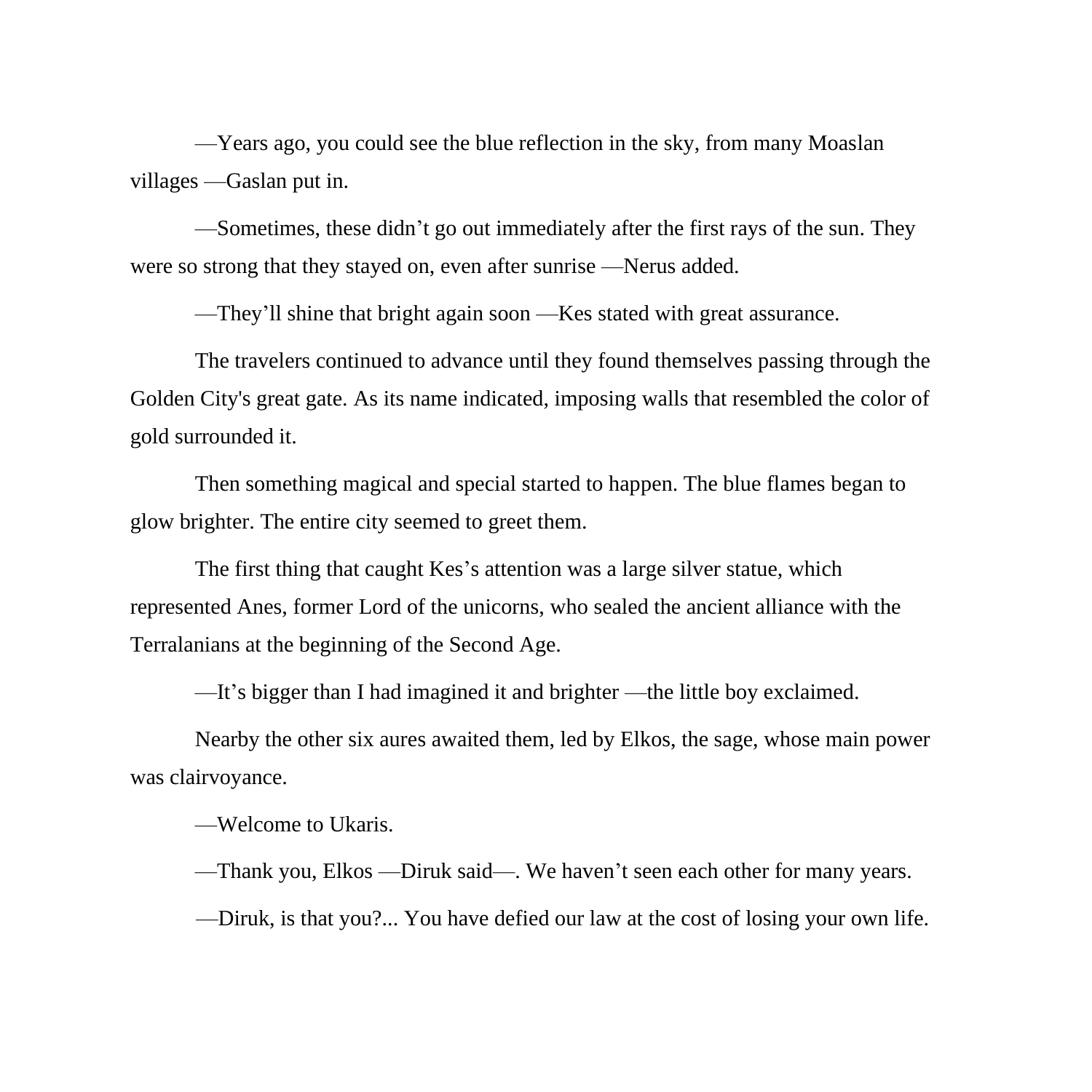—Years ago, you could see the blue reflection in the sky, from many Moaslan villages —Gaslan put in.

—Sometimes, these didn't go out immediately after the first rays of the sun. They were so strong that they stayed on, even after sunrise —Nerus added.

—They'll shine that bright again soon —Kes stated with great assurance.

The travelers continued to advance until they found themselves passing through the Golden City's great gate. As its name indicated, imposing walls that resembled the color of gold surrounded it.

Then something magical and special started to happen. The blue flames began to glow brighter. The entire city seemed to greet them.

The first thing that caught Kes's attention was a large silver statue, which represented Anes, former Lord of the unicorns, who sealed the ancient alliance with the Terralanians at the beginning of the Second Age.

—It's bigger than I had imagined it and brighter —the little boy exclaimed.

Nearby the other six aures awaited them, led by Elkos, the sage, whose main power was clairvoyance.

—Welcome to Ukaris.

—Thank you, Elkos —Diruk said—. We haven't seen each other for many years.

—Diruk, is that you?... You have defied our law at the cost of losing your own life.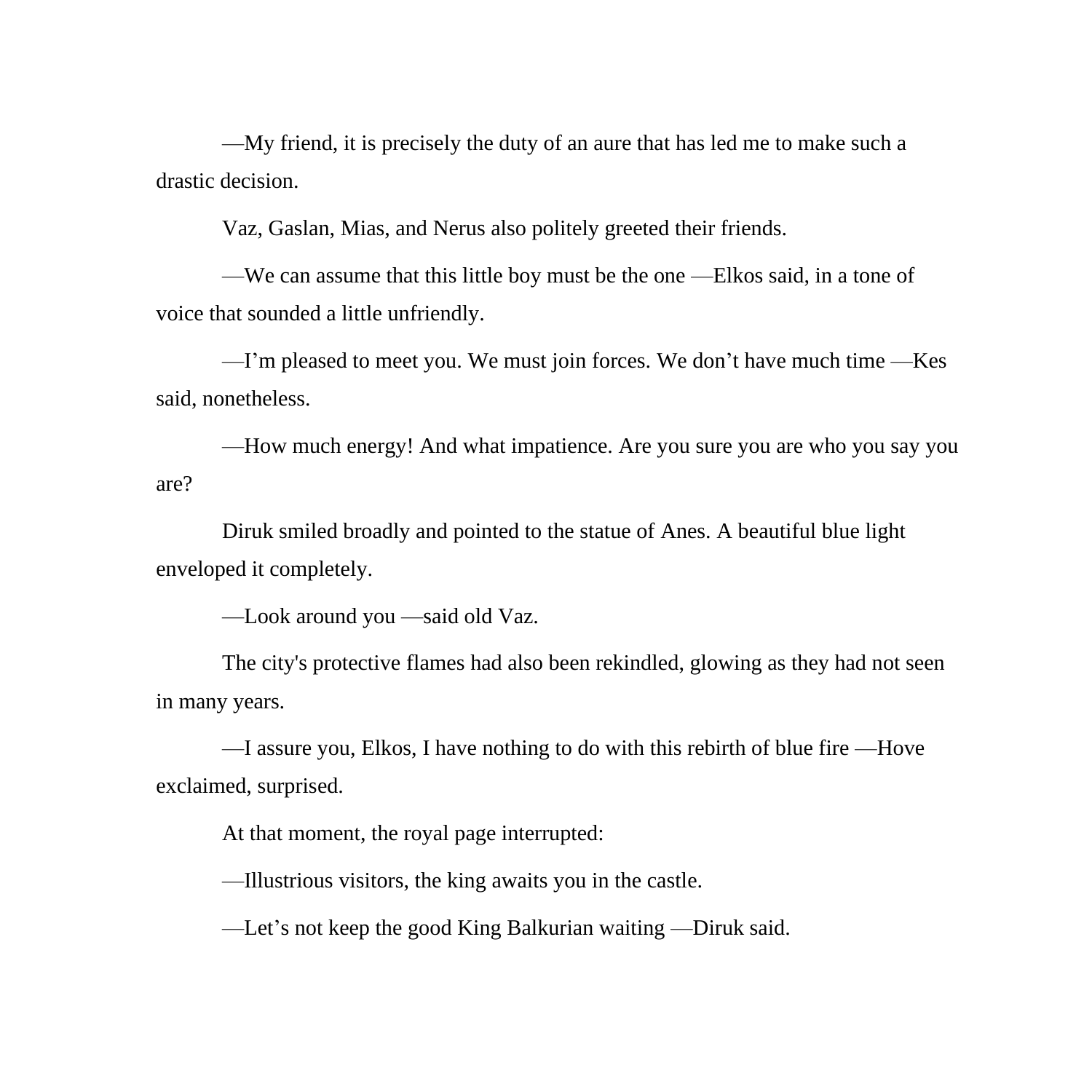—My friend, it is precisely the duty of an aure that has led me to make such a drastic decision.

Vaz, Gaslan, Mias, and Nerus also politely greeted their friends.

—We can assume that this little boy must be the one —Elkos said, in a tone of voice that sounded a little unfriendly.

—I'm pleased to meet you. We must join forces. We don't have much time —Kes said, nonetheless.

—How much energy! And what impatience. Are you sure you are who you say you are?

Diruk smiled broadly and pointed to the statue of Anes. A beautiful blue light enveloped it completely.

—Look around you —said old Vaz.

The city's protective flames had also been rekindled, glowing as they had not seen in many years.

—I assure you, Elkos, I have nothing to do with this rebirth of blue fire —Hove exclaimed, surprised.

At that moment, the royal page interrupted:

—Illustrious visitors, the king awaits you in the castle.

—Let's not keep the good King Balkurian waiting —Diruk said.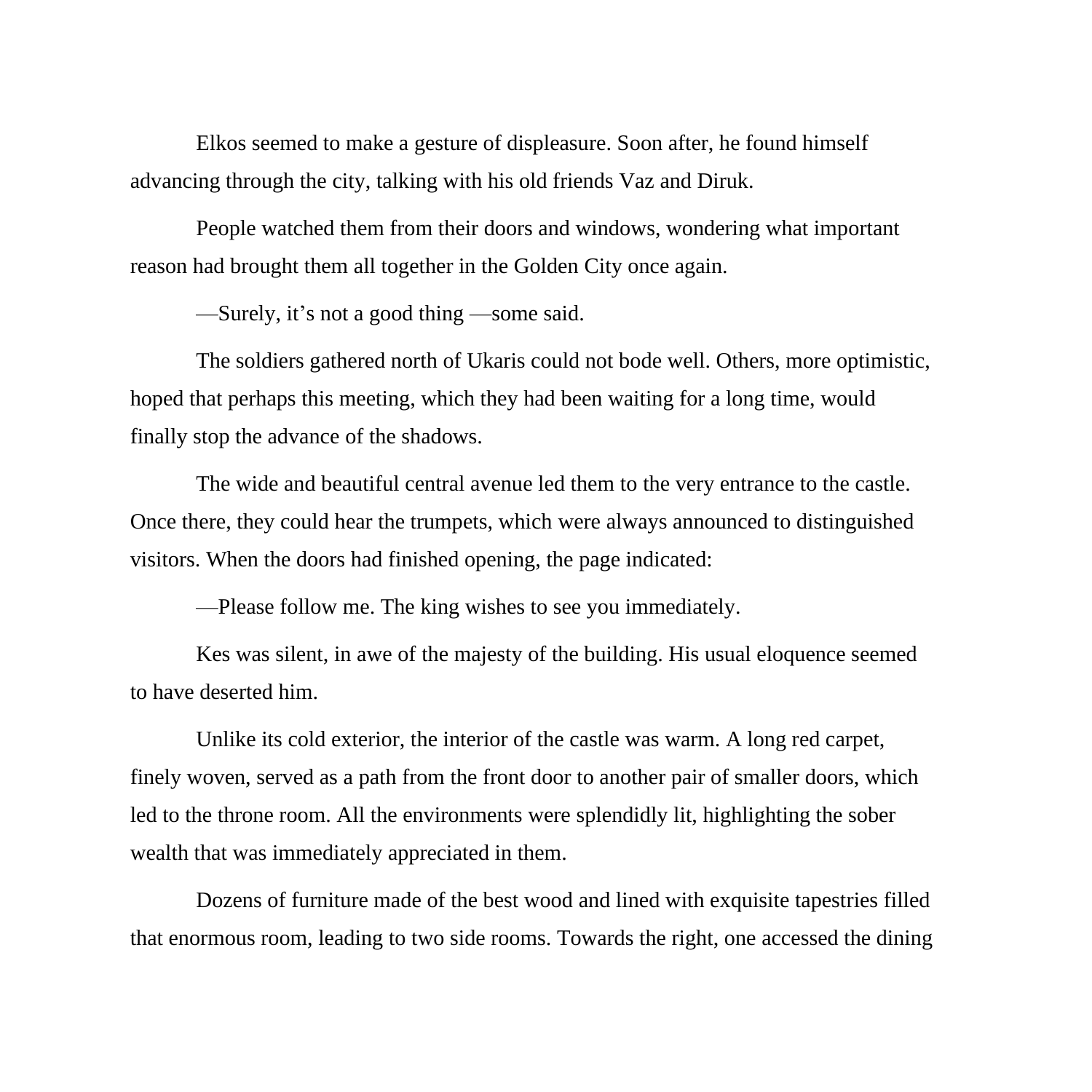Elkos seemed to make a gesture of displeasure. Soon after, he found himself advancing through the city, talking with his old friends Vaz and Diruk.

People watched them from their doors and windows, wondering what important reason had brought them all together in the Golden City once again.

—Surely, it's not a good thing —some said.

The soldiers gathered north of Ukaris could not bode well. Others, more optimistic, hoped that perhaps this meeting, which they had been waiting for a long time, would finally stop the advance of the shadows.

The wide and beautiful central avenue led them to the very entrance to the castle. Once there, they could hear the trumpets, which were always announced to distinguished visitors. When the doors had finished opening, the page indicated:

—Please follow me. The king wishes to see you immediately.

Kes was silent, in awe of the majesty of the building. His usual eloquence seemed to have deserted him.

Unlike its cold exterior, the interior of the castle was warm. A long red carpet, finely woven, served as a path from the front door to another pair of smaller doors, which led to the throne room. All the environments were splendidly lit, highlighting the sober wealth that was immediately appreciated in them.

Dozens of furniture made of the best wood and lined with exquisite tapestries filled that enormous room, leading to two side rooms. Towards the right, one accessed the dining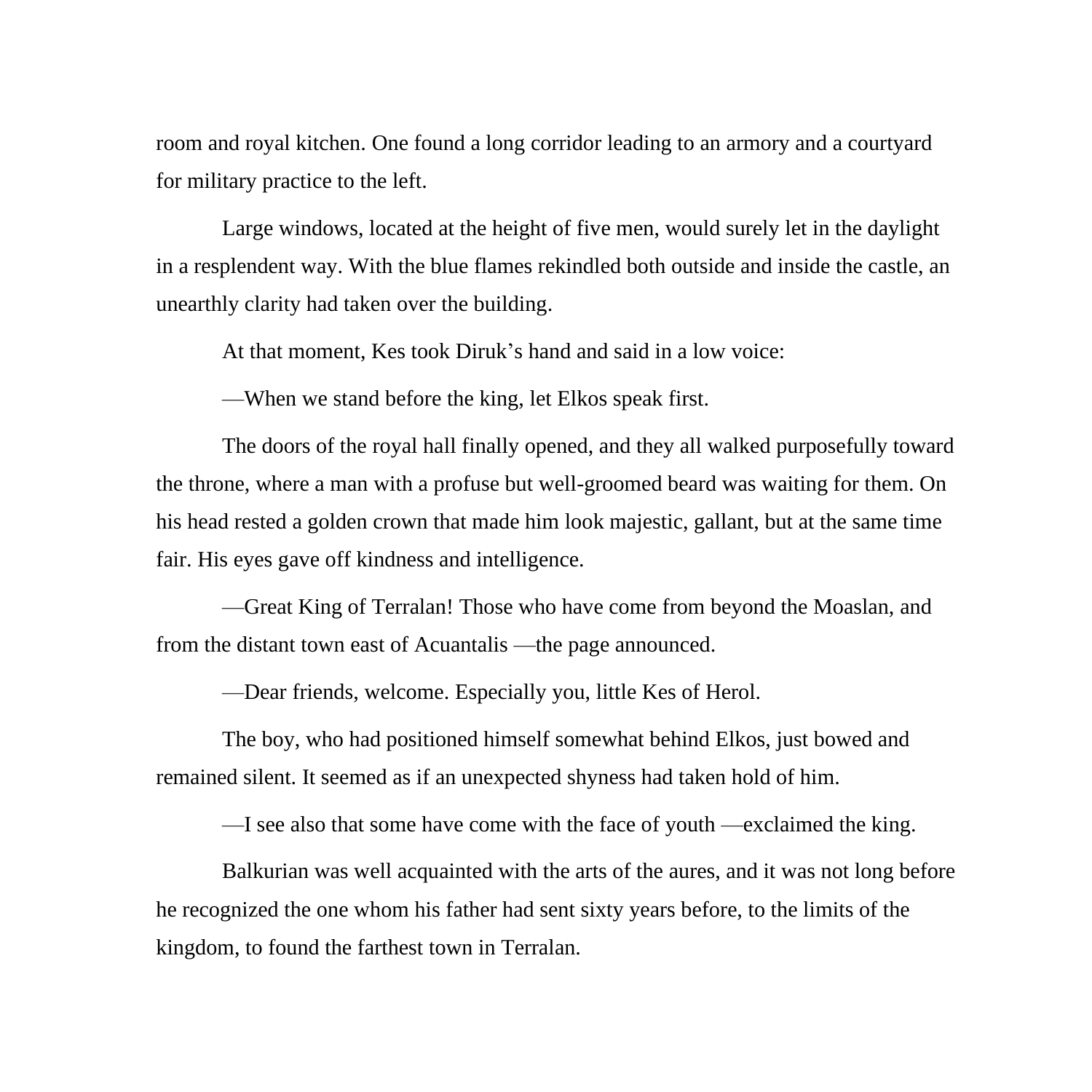room and royal kitchen. One found a long corridor leading to an armory and a courtyard for military practice to the left.

Large windows, located at the height of five men, would surely let in the daylight in a resplendent way. With the blue flames rekindled both outside and inside the castle, an unearthly clarity had taken over the building.

At that moment, Kes took Diruk's hand and said in a low voice:

—When we stand before the king, let Elkos speak first.

The doors of the royal hall finally opened, and they all walked purposefully toward the throne, where a man with a profuse but well-groomed beard was waiting for them. On his head rested a golden crown that made him look majestic, gallant, but at the same time fair. His eyes gave off kindness and intelligence.

—Great King of Terralan! Those who have come from beyond the Moaslan, and from the distant town east of Acuantalis —the page announced.

—Dear friends, welcome. Especially you, little Kes of Herol.

The boy, who had positioned himself somewhat behind Elkos, just bowed and remained silent. It seemed as if an unexpected shyness had taken hold of him.

—I see also that some have come with the face of youth —exclaimed the king.

Balkurian was well acquainted with the arts of the aures, and it was not long before he recognized the one whom his father had sent sixty years before, to the limits of the kingdom, to found the farthest town in Terralan.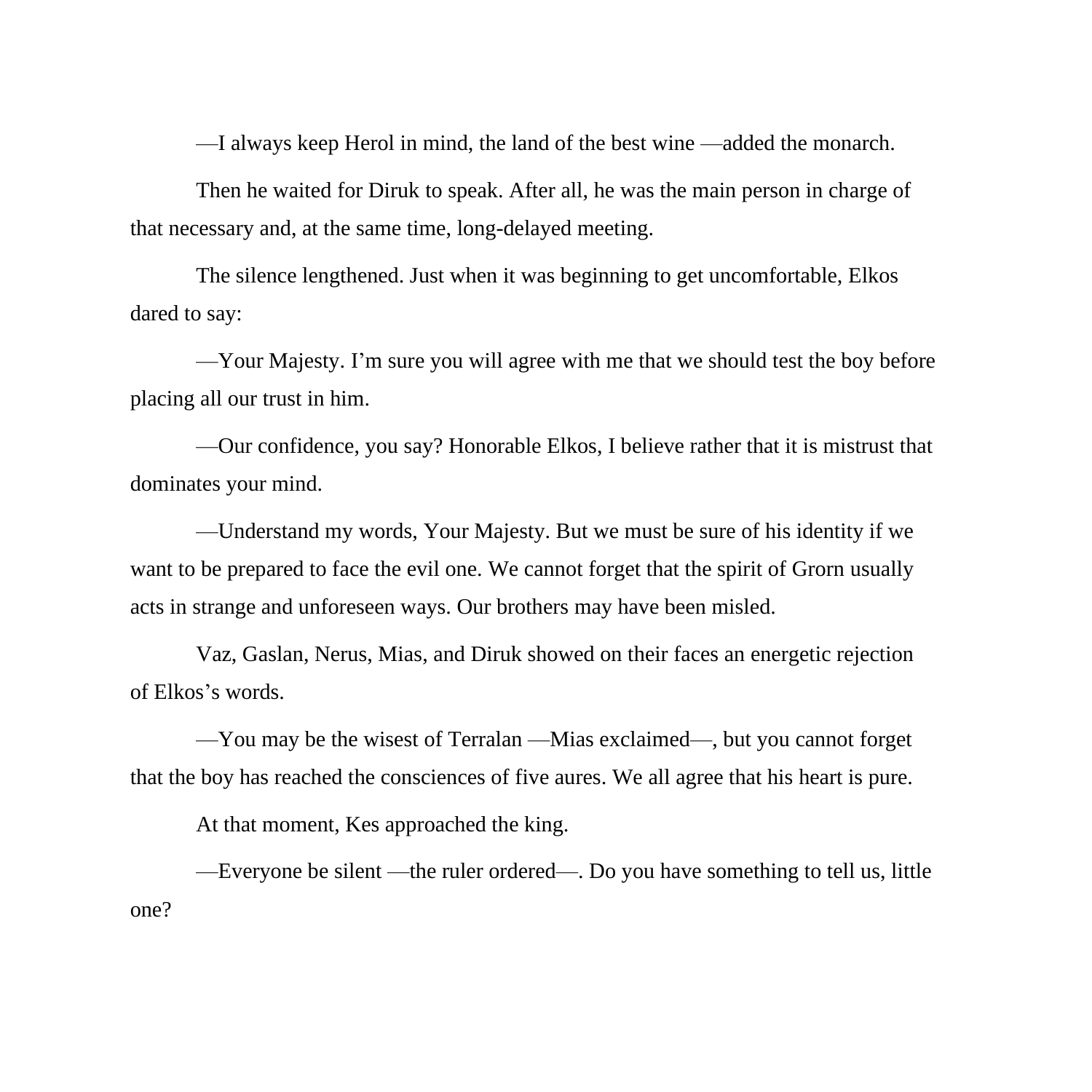—I always keep Herol in mind, the land of the best wine —added the monarch.

Then he waited for Diruk to speak. After all, he was the main person in charge of that necessary and, at the same time, long-delayed meeting.

The silence lengthened. Just when it was beginning to get uncomfortable, Elkos dared to say:

—Your Majesty. I'm sure you will agree with me that we should test the boy before placing all our trust in him.

—Our confidence, you say? Honorable Elkos, I believe rather that it is mistrust that dominates your mind.

—Understand my words, Your Majesty. But we must be sure of his identity if we want to be prepared to face the evil one. We cannot forget that the spirit of Grorn usually acts in strange and unforeseen ways. Our brothers may have been misled.

Vaz, Gaslan, Nerus, Mias, and Diruk showed on their faces an energetic rejection of Elkos's words.

—You may be the wisest of Terralan —Mias exclaimed—, but you cannot forget that the boy has reached the consciences of five aures. We all agree that his heart is pure.

At that moment, Kes approached the king.

—Everyone be silent —the ruler ordered—. Do you have something to tell us, little one?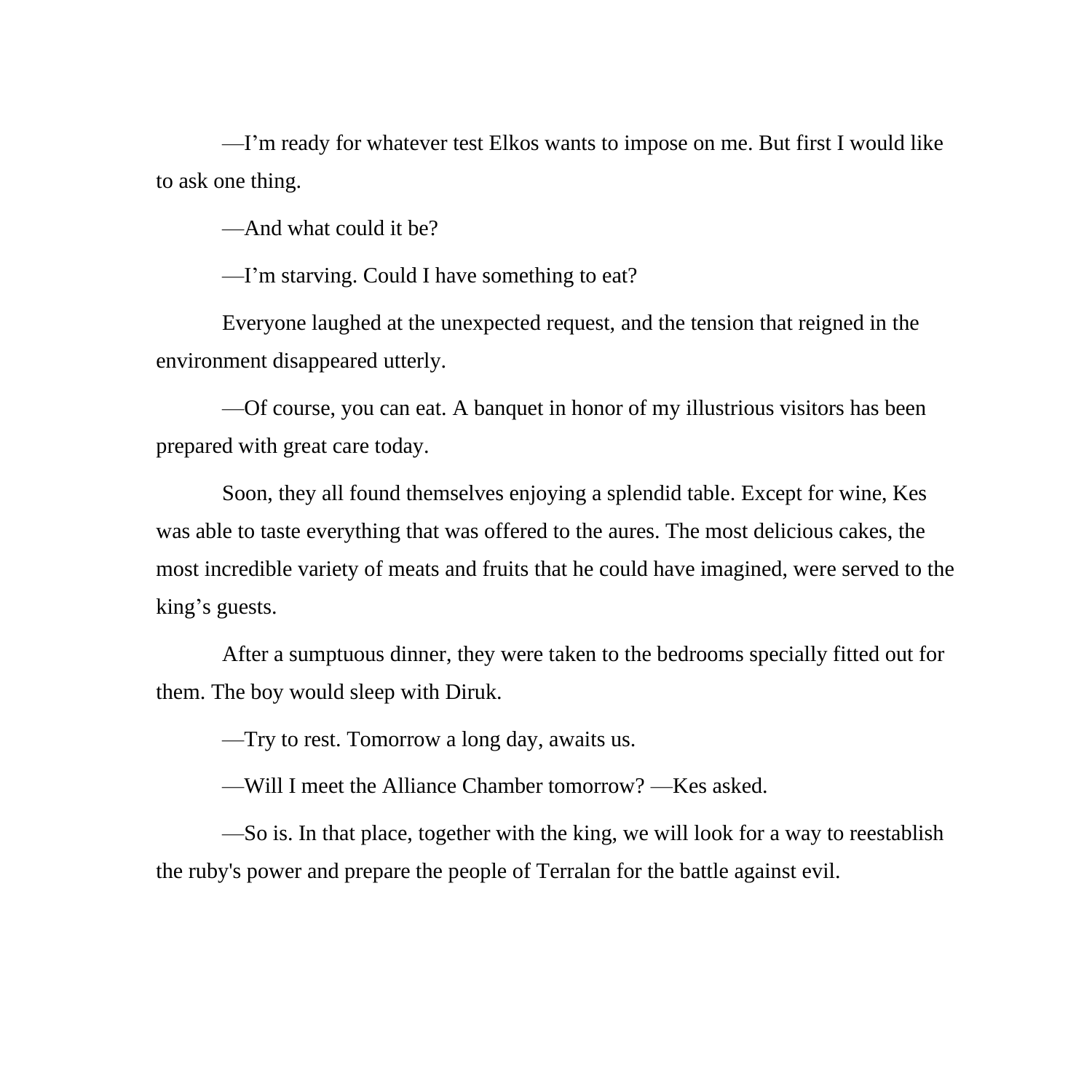—I'm ready for whatever test Elkos wants to impose on me. But first I would like to ask one thing.

—And what could it be?

—I'm starving. Could I have something to eat?

Everyone laughed at the unexpected request, and the tension that reigned in the environment disappeared utterly.

—Of course, you can eat. A banquet in honor of my illustrious visitors has been prepared with great care today.

Soon, they all found themselves enjoying a splendid table. Except for wine, Kes was able to taste everything that was offered to the aures. The most delicious cakes, the most incredible variety of meats and fruits that he could have imagined, were served to the king's guests.

After a sumptuous dinner, they were taken to the bedrooms specially fitted out for them. The boy would sleep with Diruk.

—Try to rest. Tomorrow a long day, awaits us.

—Will I meet the Alliance Chamber tomorrow? —Kes asked.

—So is. In that place, together with the king, we will look for a way to reestablish the ruby's power and prepare the people of Terralan for the battle against evil.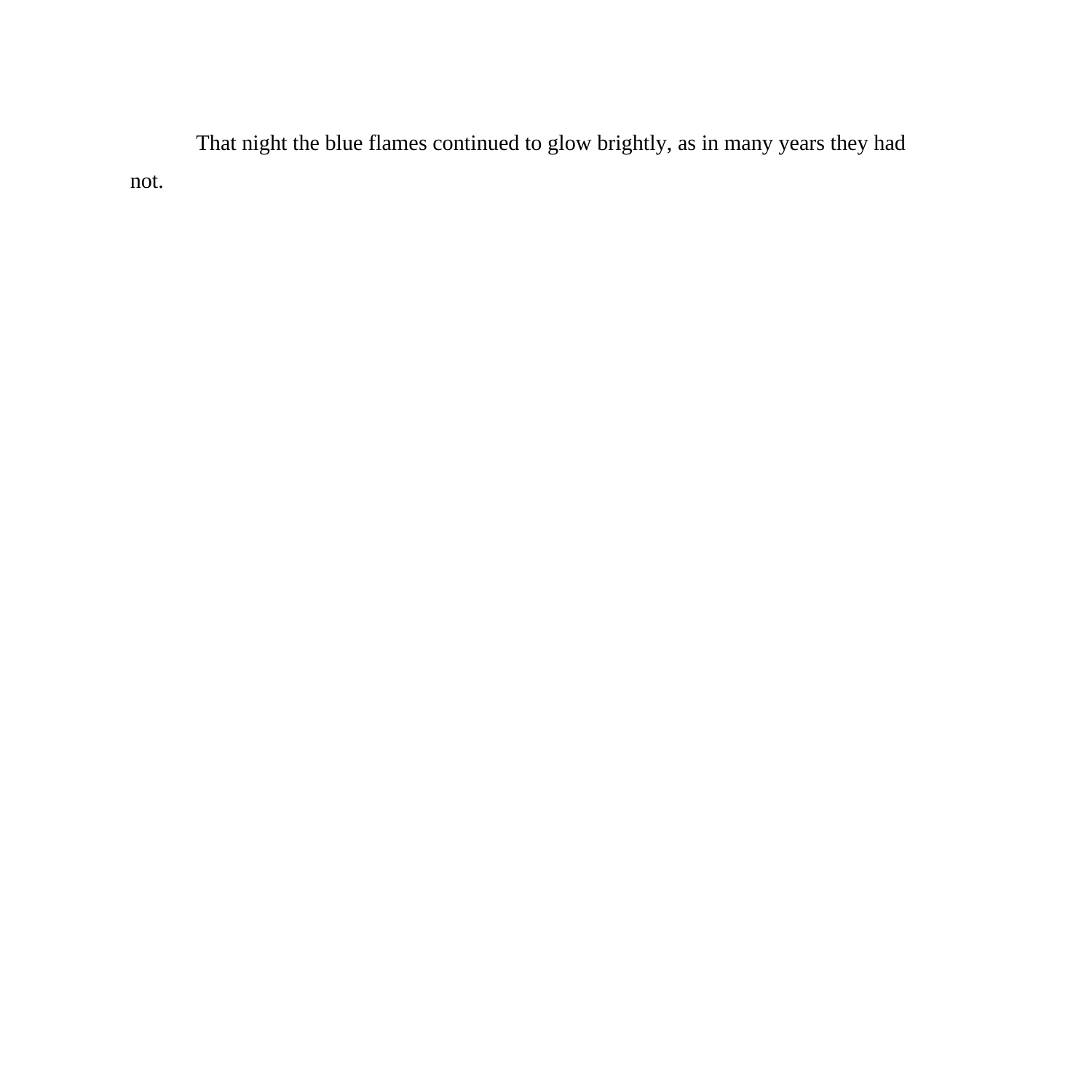That night the blue flames continued to glow brightly, as in many years they had not.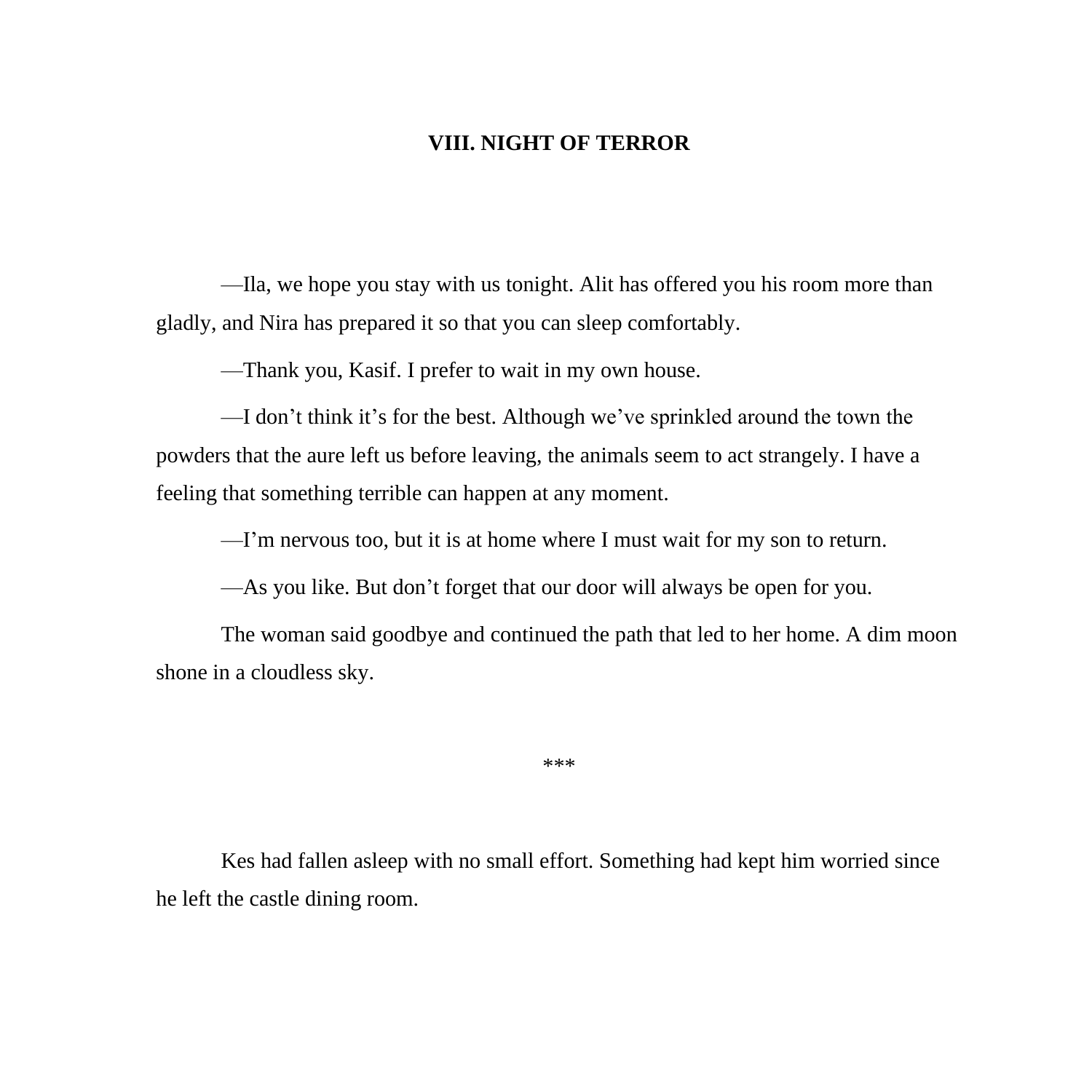## **VIII. NIGHT OF TERROR**

—Ila, we hope you stay with us tonight. Alit has offered you his room more than gladly, and Nira has prepared it so that you can sleep comfortably.

—Thank you, Kasif. I prefer to wait in my own house.

—I don't think it's for the best. Although we've sprinkled around the town the powders that the aure left us before leaving, the animals seem to act strangely. I have a feeling that something terrible can happen at any moment.

—I'm nervous too, but it is at home where I must wait for my son to return.

—As you like. But don't forget that our door will always be open for you.

The woman said goodbye and continued the path that led to her home. A dim moon shone in a cloudless sky.

\*\*\*

Kes had fallen asleep with no small effort. Something had kept him worried since he left the castle dining room.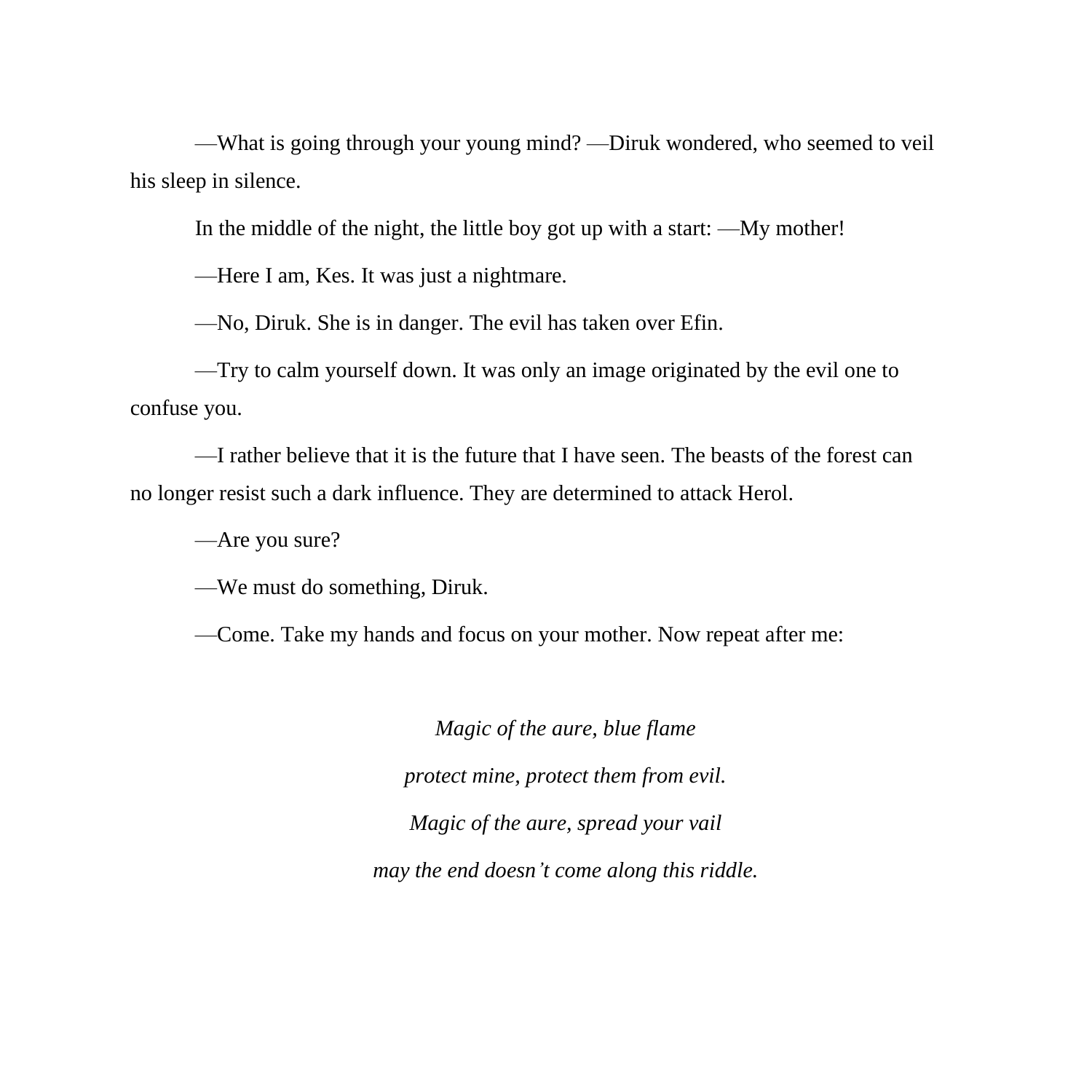—What is going through your young mind? —Diruk wondered, who seemed to veil his sleep in silence.

In the middle of the night, the little boy got up with a start: —My mother!

—Here I am, Kes. It was just a nightmare.

—No, Diruk. She is in danger. The evil has taken over Efin.

—Try to calm yourself down. It was only an image originated by the evil one to confuse you.

—I rather believe that it is the future that I have seen. The beasts of the forest can no longer resist such a dark influence. They are determined to attack Herol.

—Are you sure?

—We must do something, Diruk.

—Come. Take my hands and focus on your mother. Now repeat after me:

*Magic of the aure, blue flame protect mine, protect them from evil. Magic of the aure, spread your vail may the end doesn't come along this riddle.*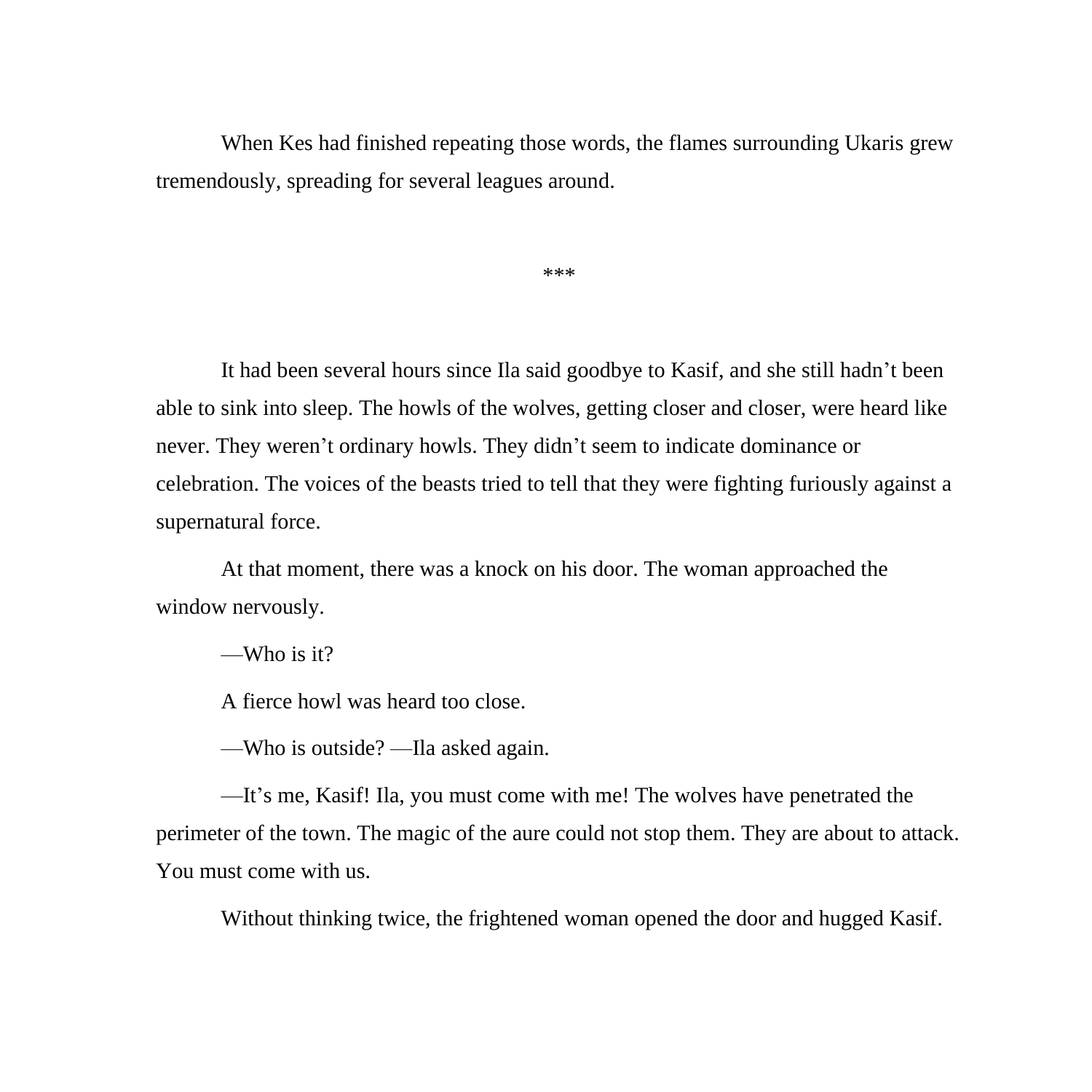When Kes had finished repeating those words, the flames surrounding Ukaris grew tremendously, spreading for several leagues around.

\*\*\*

It had been several hours since Ila said goodbye to Kasif, and she still hadn't been able to sink into sleep. The howls of the wolves, getting closer and closer, were heard like never. They weren't ordinary howls. They didn't seem to indicate dominance or celebration. The voices of the beasts tried to tell that they were fighting furiously against a supernatural force.

At that moment, there was a knock on his door. The woman approached the window nervously.

—Who is it?

A fierce howl was heard too close.

—Who is outside? —Ila asked again.

—It's me, Kasif! Ila, you must come with me! The wolves have penetrated the perimeter of the town. The magic of the aure could not stop them. They are about to attack. You must come with us.

Without thinking twice, the frightened woman opened the door and hugged Kasif.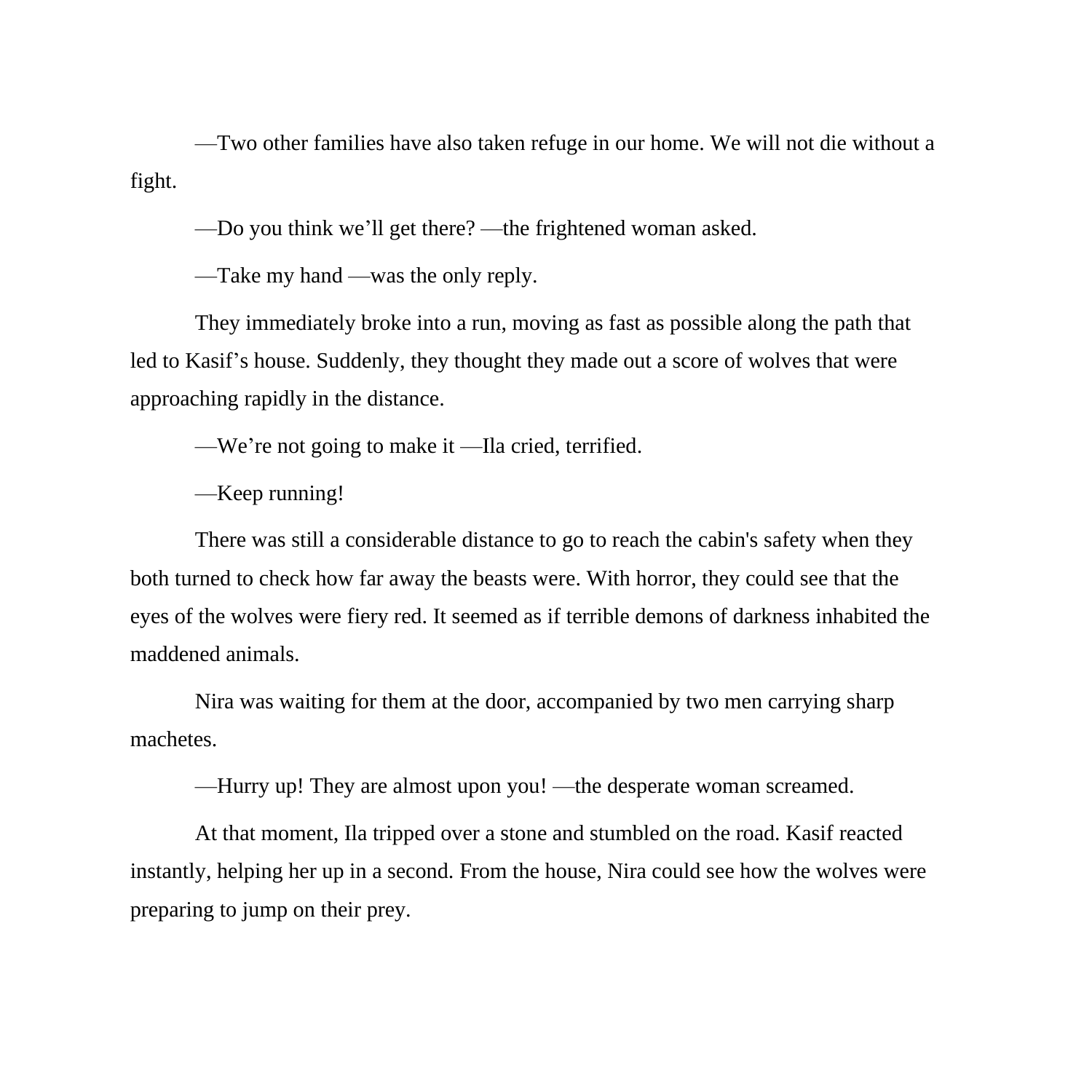—Two other families have also taken refuge in our home. We will not die without a fight.

—Do you think we'll get there? —the frightened woman asked.

—Take my hand —was the only reply.

They immediately broke into a run, moving as fast as possible along the path that led to Kasif's house. Suddenly, they thought they made out a score of wolves that were approaching rapidly in the distance.

—We're not going to make it —Ila cried, terrified.

—Keep running!

There was still a considerable distance to go to reach the cabin's safety when they both turned to check how far away the beasts were. With horror, they could see that the eyes of the wolves were fiery red. It seemed as if terrible demons of darkness inhabited the maddened animals.

Nira was waiting for them at the door, accompanied by two men carrying sharp machetes.

—Hurry up! They are almost upon you! —the desperate woman screamed.

At that moment, Ila tripped over a stone and stumbled on the road. Kasif reacted instantly, helping her up in a second. From the house, Nira could see how the wolves were preparing to jump on their prey.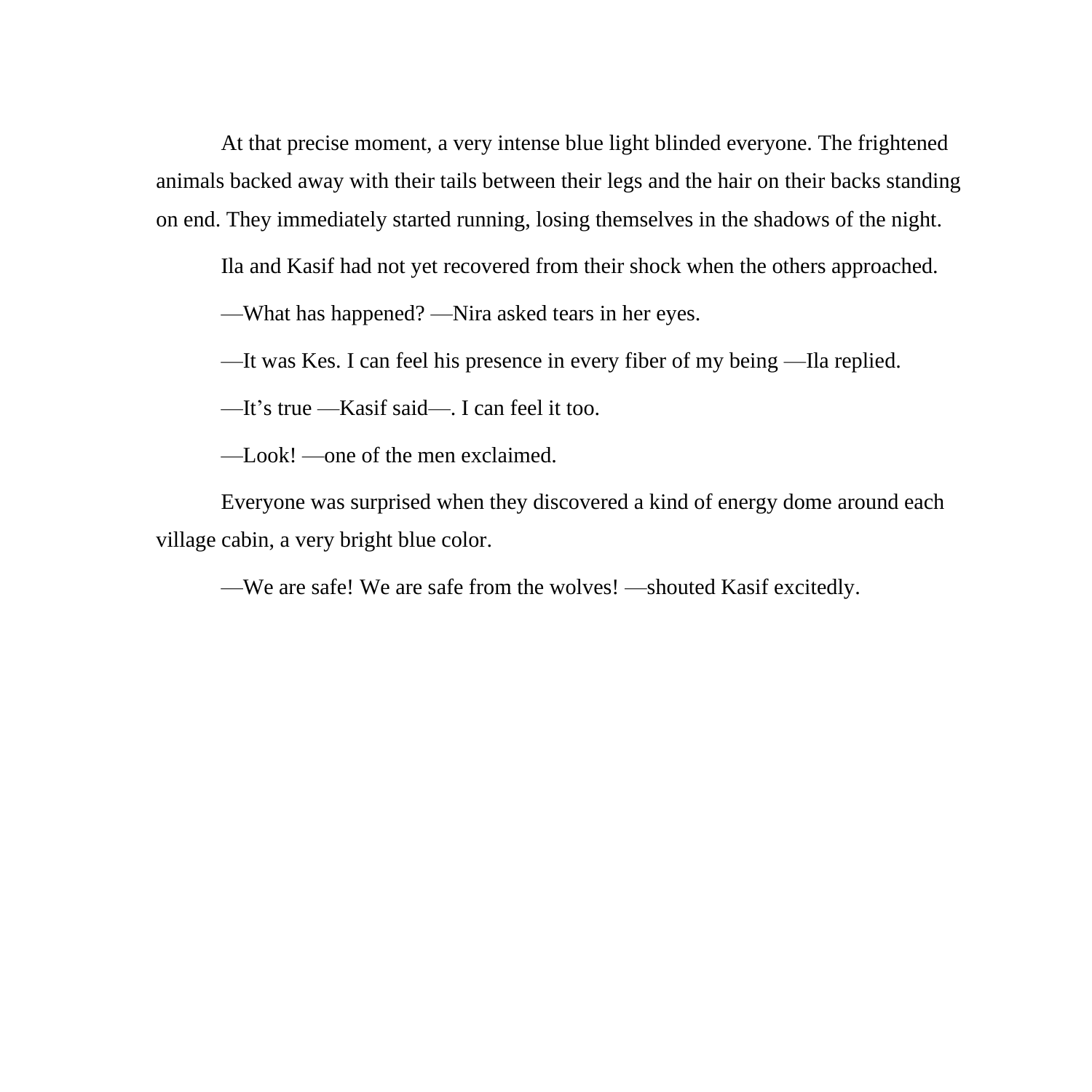At that precise moment, a very intense blue light blinded everyone. The frightened animals backed away with their tails between their legs and the hair on their backs standing on end. They immediately started running, losing themselves in the shadows of the night.

Ila and Kasif had not yet recovered from their shock when the others approached.

—What has happened? —Nira asked tears in her eyes.

—It was Kes. I can feel his presence in every fiber of my being —Ila replied.

—It's true —Kasif said—. I can feel it too.

—Look! —one of the men exclaimed.

Everyone was surprised when they discovered a kind of energy dome around each village cabin, a very bright blue color.

—We are safe! We are safe from the wolves! —shouted Kasif excitedly.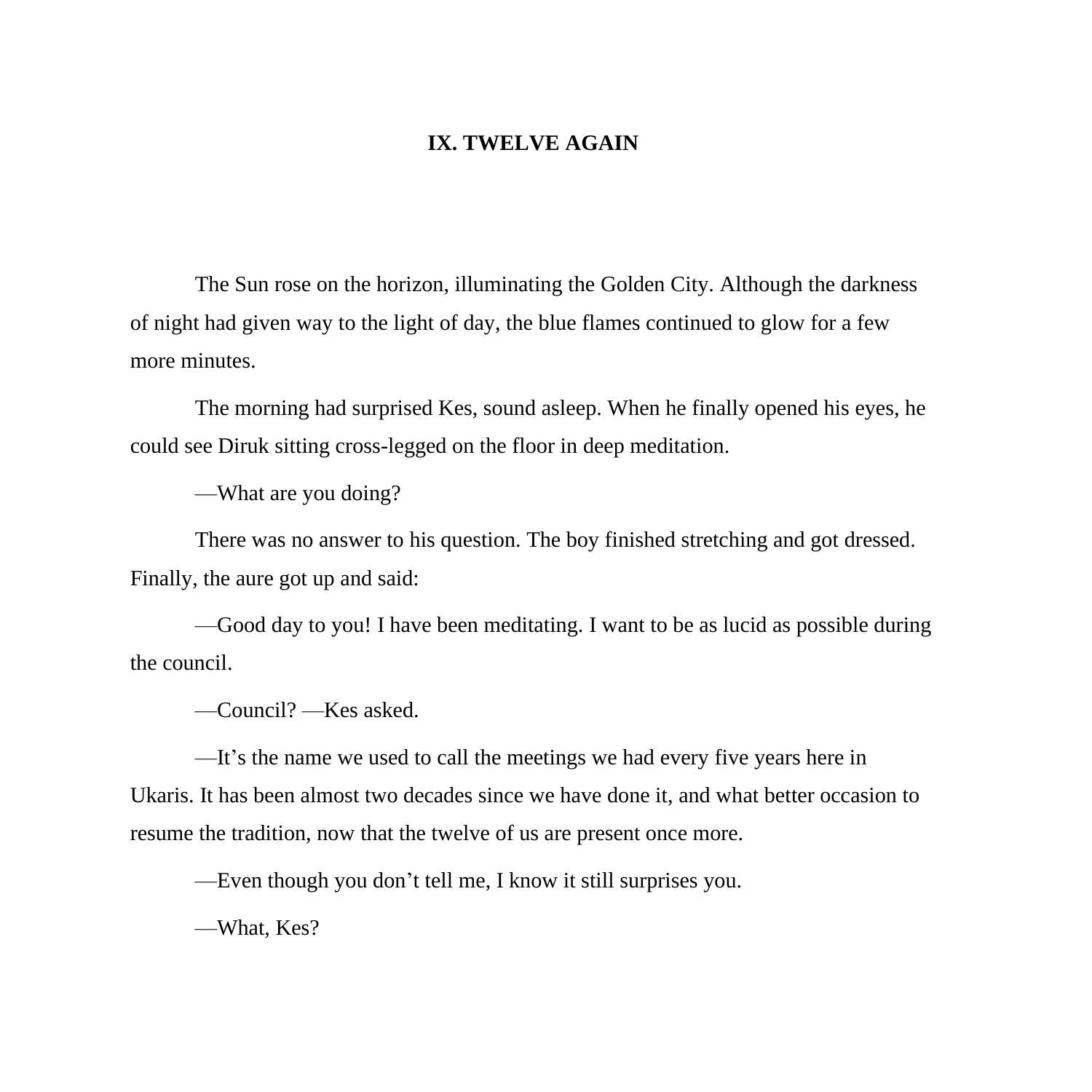## **IX. TWELVE AGAIN**

The Sun rose on the horizon, illuminating the Golden City. Although the darkness of night had given way to the light of day, the blue flames continued to glow for a few more minutes.

The morning had surprised Kes, sound asleep. When he finally opened his eyes, he could see Diruk sitting cross-legged on the floor in deep meditation.

—What are you doing?

There was no answer to his question. The boy finished stretching and got dressed. Finally, the aure got up and said:

—Good day to you! I have been meditating. I want to be as lucid as possible during the council.

—Council? —Kes asked.

—It's the name we used to call the meetings we had every five years here in Ukaris. It has been almost two decades since we have done it, and what better occasion to resume the tradition, now that the twelve of us are present once more.

—Even though you don't tell me, I know it still surprises you.

—What, Kes?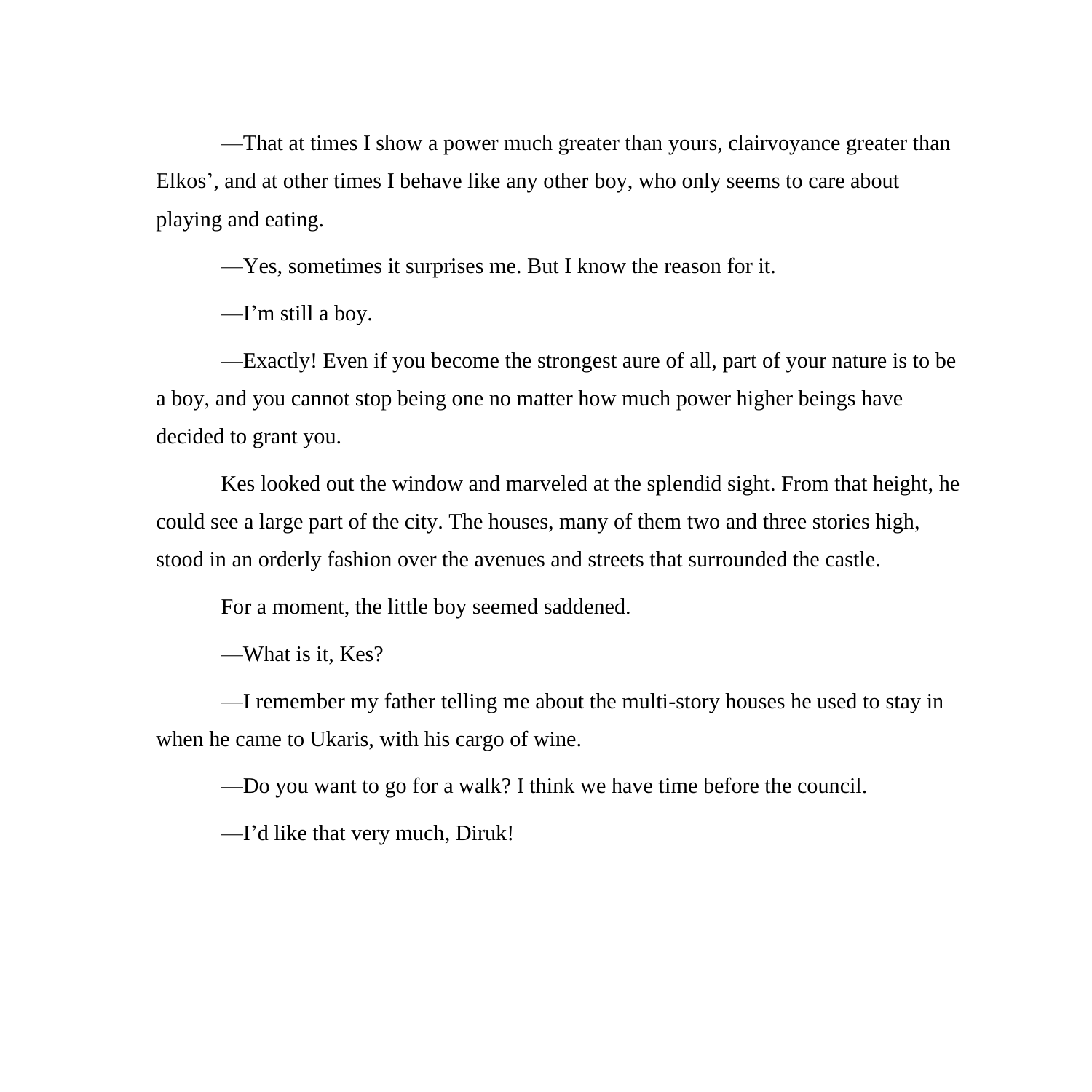—That at times I show a power much greater than yours, clairvoyance greater than Elkos', and at other times I behave like any other boy, who only seems to care about playing and eating.

—Yes, sometimes it surprises me. But I know the reason for it.

—I'm still a boy.

—Exactly! Even if you become the strongest aure of all, part of your nature is to be a boy, and you cannot stop being one no matter how much power higher beings have decided to grant you.

Kes looked out the window and marveled at the splendid sight. From that height, he could see a large part of the city. The houses, many of them two and three stories high, stood in an orderly fashion over the avenues and streets that surrounded the castle.

For a moment, the little boy seemed saddened.

—What is it, Kes?

—I remember my father telling me about the multi-story houses he used to stay in when he came to Ukaris, with his cargo of wine.

—Do you want to go for a walk? I think we have time before the council.

—I'd like that very much, Diruk!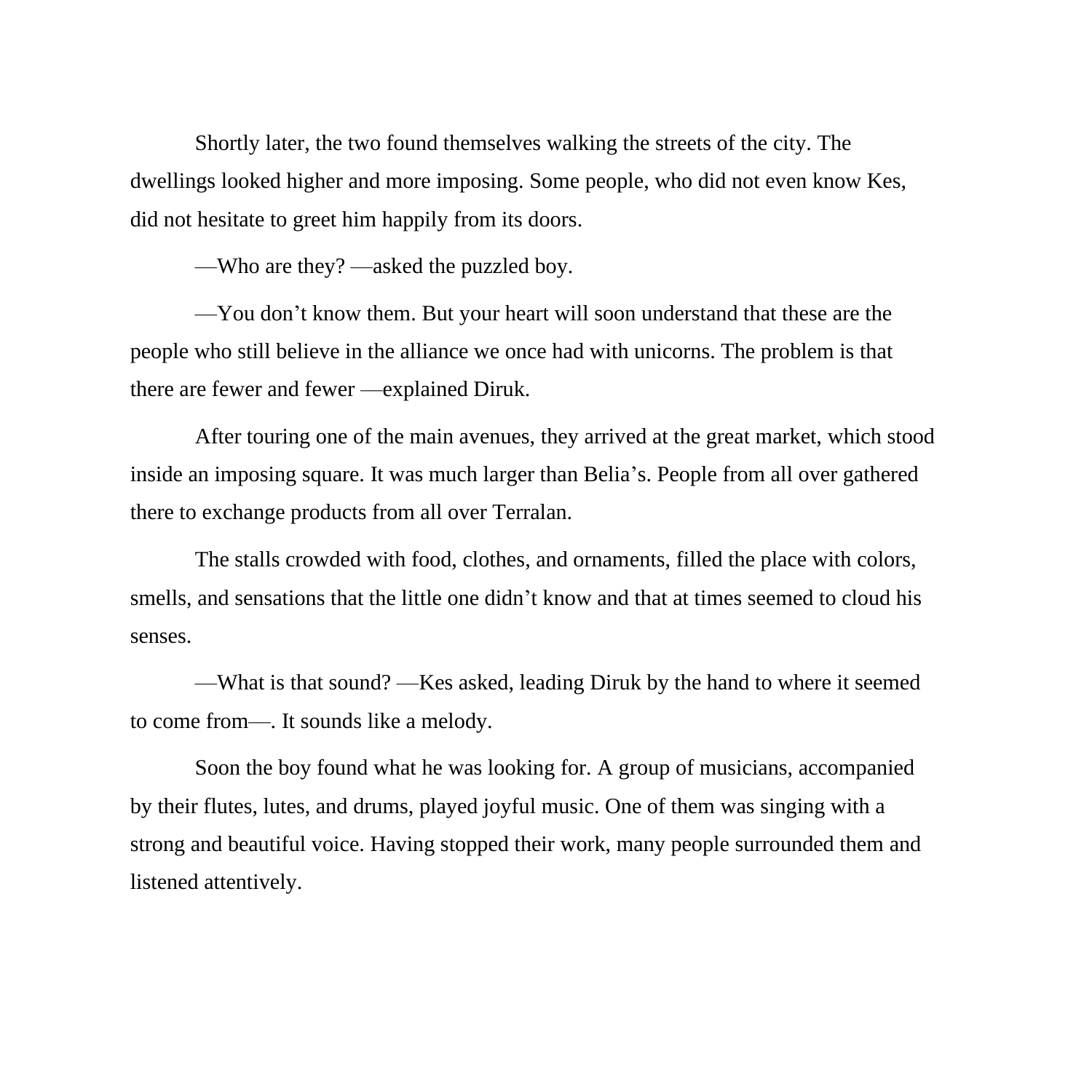Shortly later, the two found themselves walking the streets of the city. The dwellings looked higher and more imposing. Some people, who did not even know Kes, did not hesitate to greet him happily from its doors.

—Who are they? —asked the puzzled boy.

—You don't know them. But your heart will soon understand that these are the people who still believe in the alliance we once had with unicorns. The problem is that there are fewer and fewer —explained Diruk.

After touring one of the main avenues, they arrived at the great market, which stood inside an imposing square. It was much larger than Belia's. People from all over gathered there to exchange products from all over Terralan.

The stalls crowded with food, clothes, and ornaments, filled the place with colors, smells, and sensations that the little one didn't know and that at times seemed to cloud his senses.

—What is that sound? —Kes asked, leading Diruk by the hand to where it seemed to come from—. It sounds like a melody.

Soon the boy found what he was looking for. A group of musicians, accompanied by their flutes, lutes, and drums, played joyful music. One of them was singing with a strong and beautiful voice. Having stopped their work, many people surrounded them and listened attentively.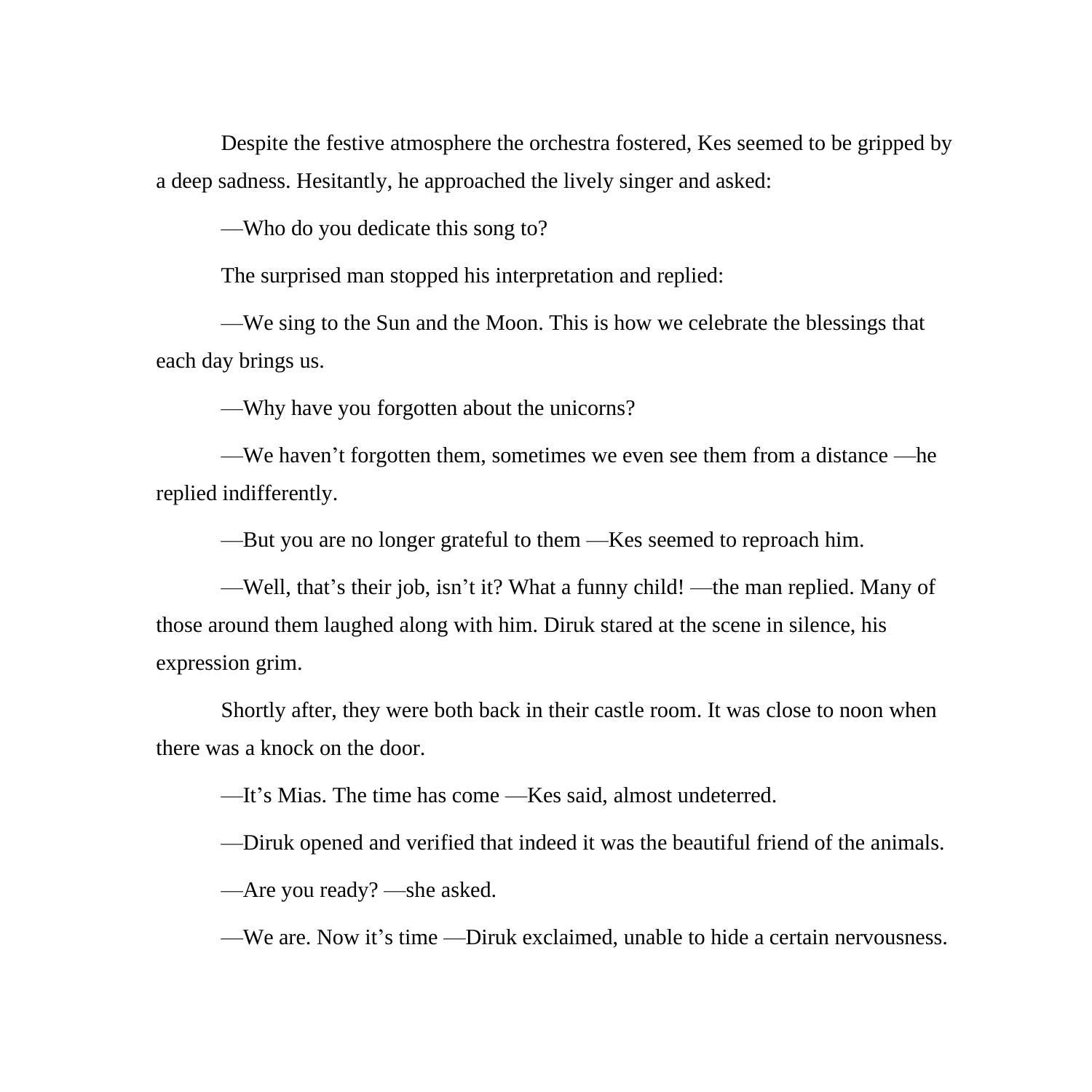Despite the festive atmosphere the orchestra fostered, Kes seemed to be gripped by a deep sadness. Hesitantly, he approached the lively singer and asked:

—Who do you dedicate this song to?

The surprised man stopped his interpretation and replied:

—We sing to the Sun and the Moon. This is how we celebrate the blessings that each day brings us.

—Why have you forgotten about the unicorns?

—We haven't forgotten them, sometimes we even see them from a distance —he replied indifferently.

—But you are no longer grateful to them —Kes seemed to reproach him.

—Well, that's their job, isn't it? What a funny child! —the man replied. Many of those around them laughed along with him. Diruk stared at the scene in silence, his expression grim.

Shortly after, they were both back in their castle room. It was close to noon when there was a knock on the door.

—It's Mias. The time has come —Kes said, almost undeterred.

—Diruk opened and verified that indeed it was the beautiful friend of the animals.

—Are you ready? —she asked.

—We are. Now it's time —Diruk exclaimed, unable to hide a certain nervousness.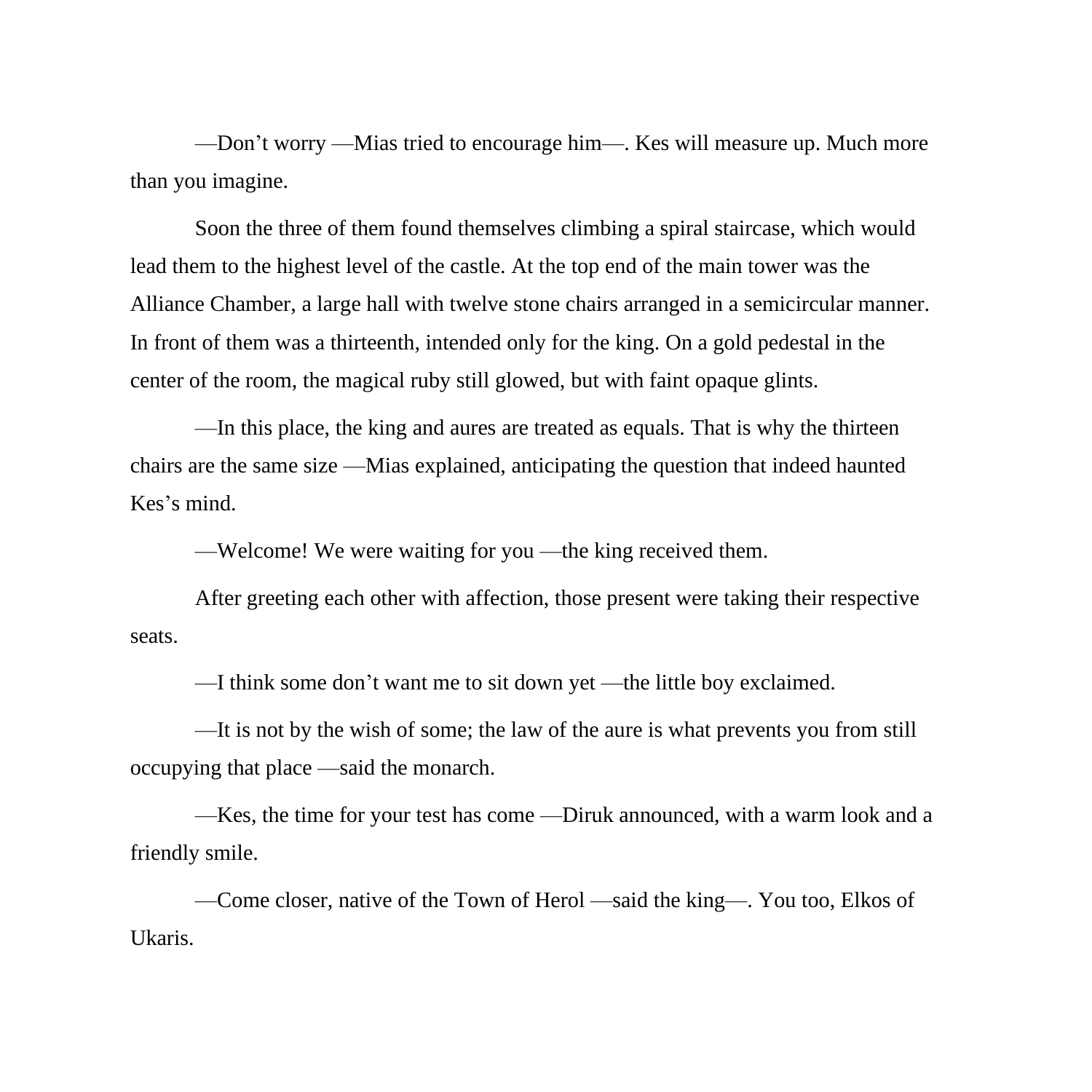—Don't worry —Mias tried to encourage him—. Kes will measure up. Much more than you imagine.

Soon the three of them found themselves climbing a spiral staircase, which would lead them to the highest level of the castle. At the top end of the main tower was the Alliance Chamber, a large hall with twelve stone chairs arranged in a semicircular manner. In front of them was a thirteenth, intended only for the king. On a gold pedestal in the center of the room, the magical ruby still glowed, but with faint opaque glints.

—In this place, the king and aures are treated as equals. That is why the thirteen chairs are the same size —Mias explained, anticipating the question that indeed haunted Kes's mind.

—Welcome! We were waiting for you —the king received them.

After greeting each other with affection, those present were taking their respective seats.

—I think some don't want me to sit down yet —the little boy exclaimed.

—It is not by the wish of some; the law of the aure is what prevents you from still occupying that place —said the monarch.

—Kes, the time for your test has come —Diruk announced, with a warm look and a friendly smile.

—Come closer, native of the Town of Herol —said the king—. You too, Elkos of Ukaris.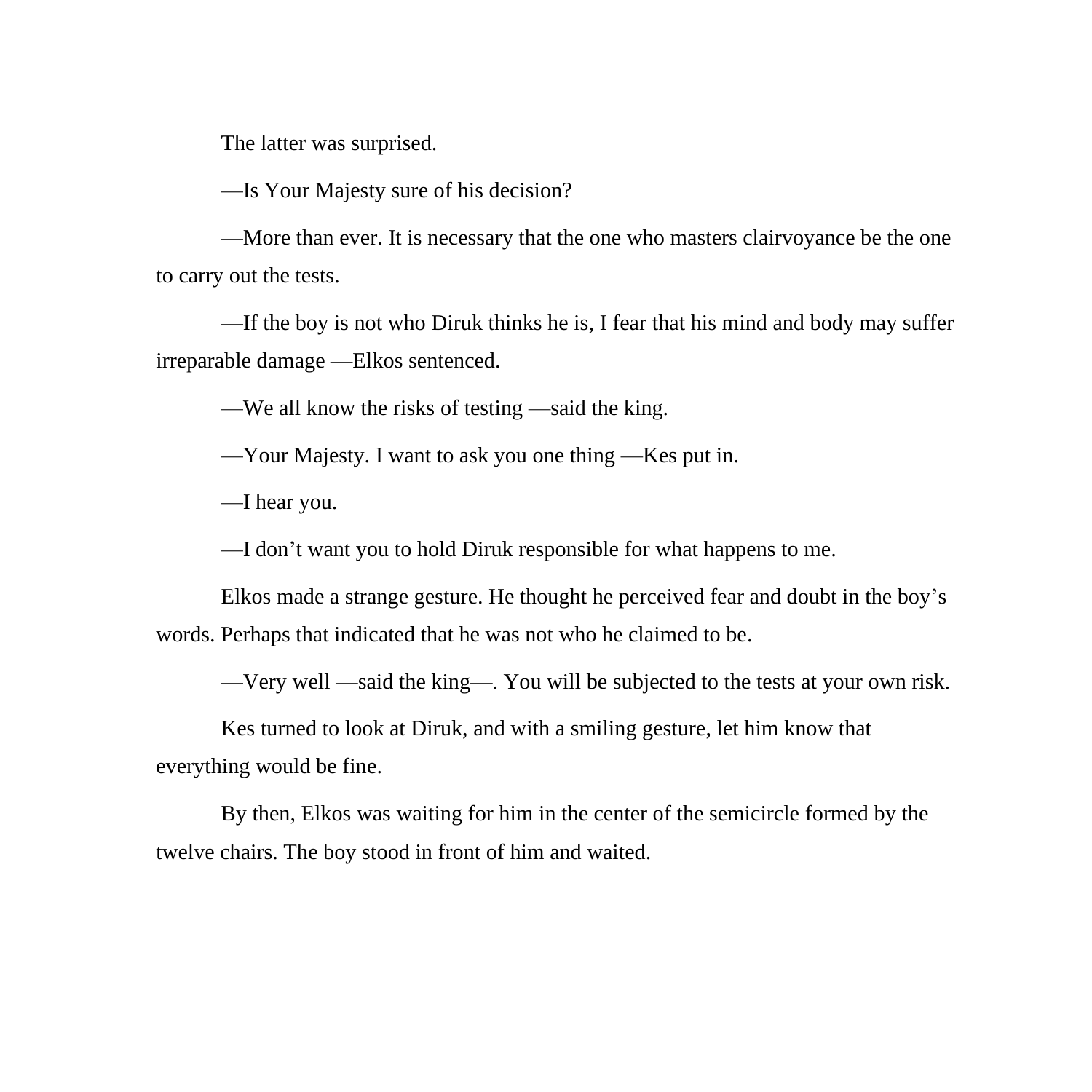The latter was surprised.

—Is Your Majesty sure of his decision?

—More than ever. It is necessary that the one who masters clairvoyance be the one to carry out the tests.

—If the boy is not who Diruk thinks he is, I fear that his mind and body may suffer irreparable damage —Elkos sentenced.

—We all know the risks of testing —said the king.

—Your Majesty. I want to ask you one thing —Kes put in.

—I hear you.

—I don't want you to hold Diruk responsible for what happens to me.

Elkos made a strange gesture. He thought he perceived fear and doubt in the boy's words. Perhaps that indicated that he was not who he claimed to be.

—Very well —said the king—. You will be subjected to the tests at your own risk.

Kes turned to look at Diruk, and with a smiling gesture, let him know that everything would be fine.

By then, Elkos was waiting for him in the center of the semicircle formed by the twelve chairs. The boy stood in front of him and waited.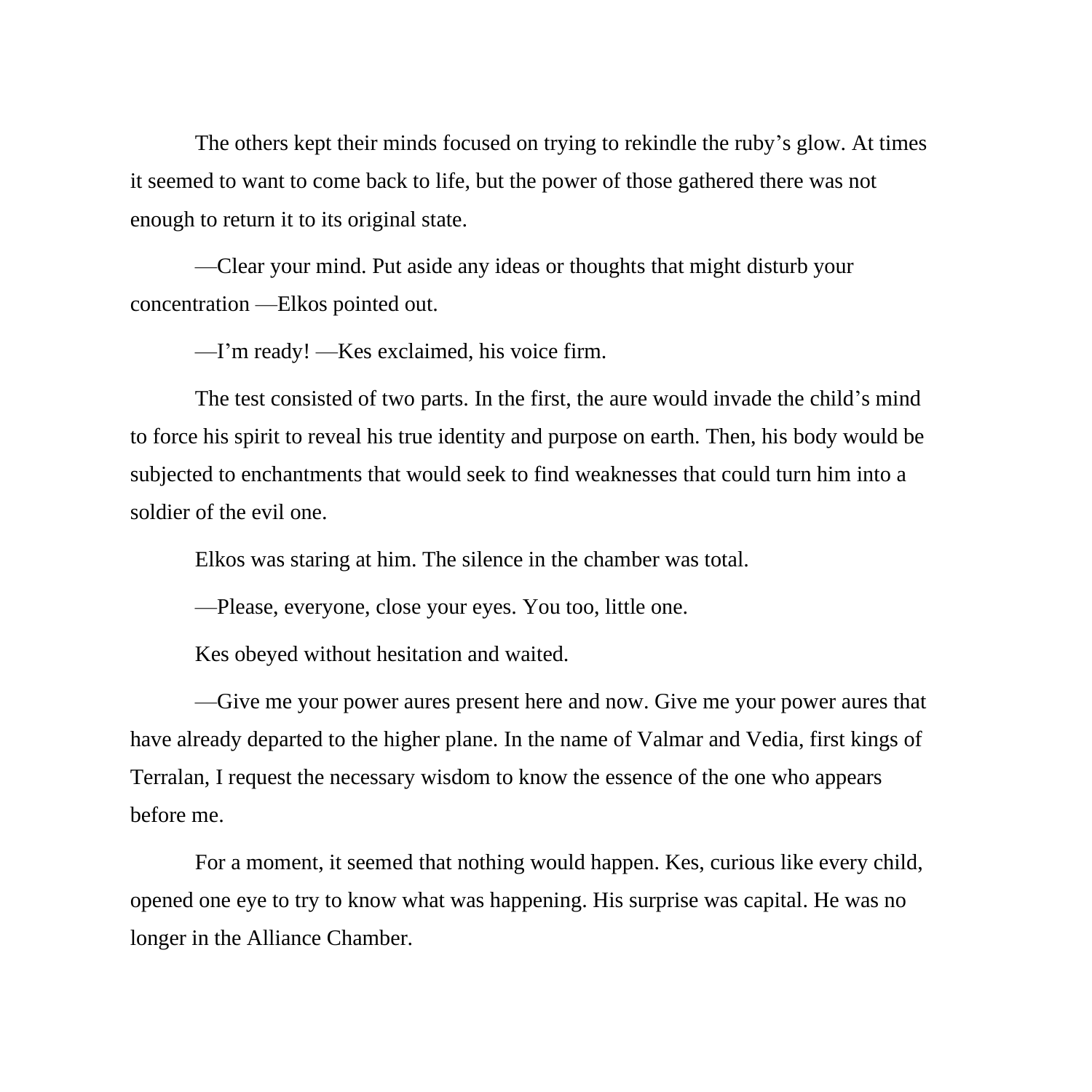The others kept their minds focused on trying to rekindle the ruby's glow. At times it seemed to want to come back to life, but the power of those gathered there was not enough to return it to its original state.

—Clear your mind. Put aside any ideas or thoughts that might disturb your concentration —Elkos pointed out.

—I'm ready! —Kes exclaimed, his voice firm.

The test consisted of two parts. In the first, the aure would invade the child's mind to force his spirit to reveal his true identity and purpose on earth. Then, his body would be subjected to enchantments that would seek to find weaknesses that could turn him into a soldier of the evil one.

Elkos was staring at him. The silence in the chamber was total.

—Please, everyone, close your eyes. You too, little one.

Kes obeyed without hesitation and waited.

—Give me your power aures present here and now. Give me your power aures that have already departed to the higher plane. In the name of Valmar and Vedia, first kings of Terralan, I request the necessary wisdom to know the essence of the one who appears before me.

For a moment, it seemed that nothing would happen. Kes, curious like every child, opened one eye to try to know what was happening. His surprise was capital. He was no longer in the Alliance Chamber.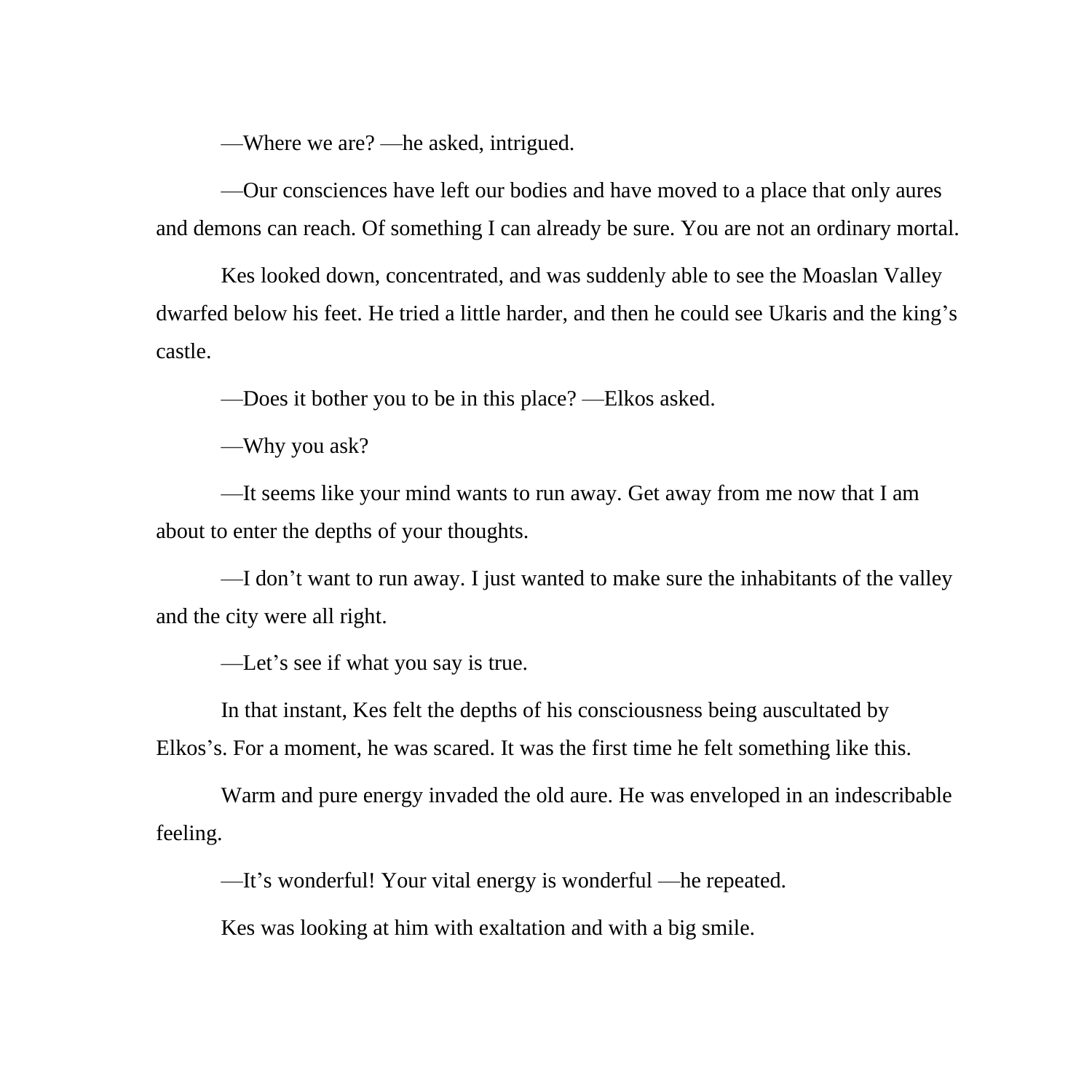—Where we are? —he asked, intrigued.

—Our consciences have left our bodies and have moved to a place that only aures and demons can reach. Of something I can already be sure. You are not an ordinary mortal.

Kes looked down, concentrated, and was suddenly able to see the Moaslan Valley dwarfed below his feet. He tried a little harder, and then he could see Ukaris and the king's castle.

—Does it bother you to be in this place? —Elkos asked.

—Why you ask?

—It seems like your mind wants to run away. Get away from me now that I am about to enter the depths of your thoughts.

—I don't want to run away. I just wanted to make sure the inhabitants of the valley and the city were all right.

—Let's see if what you say is true.

In that instant, Kes felt the depths of his consciousness being auscultated by Elkos's. For a moment, he was scared. It was the first time he felt something like this.

Warm and pure energy invaded the old aure. He was enveloped in an indescribable feeling.

—It's wonderful! Your vital energy is wonderful —he repeated.

Kes was looking at him with exaltation and with a big smile.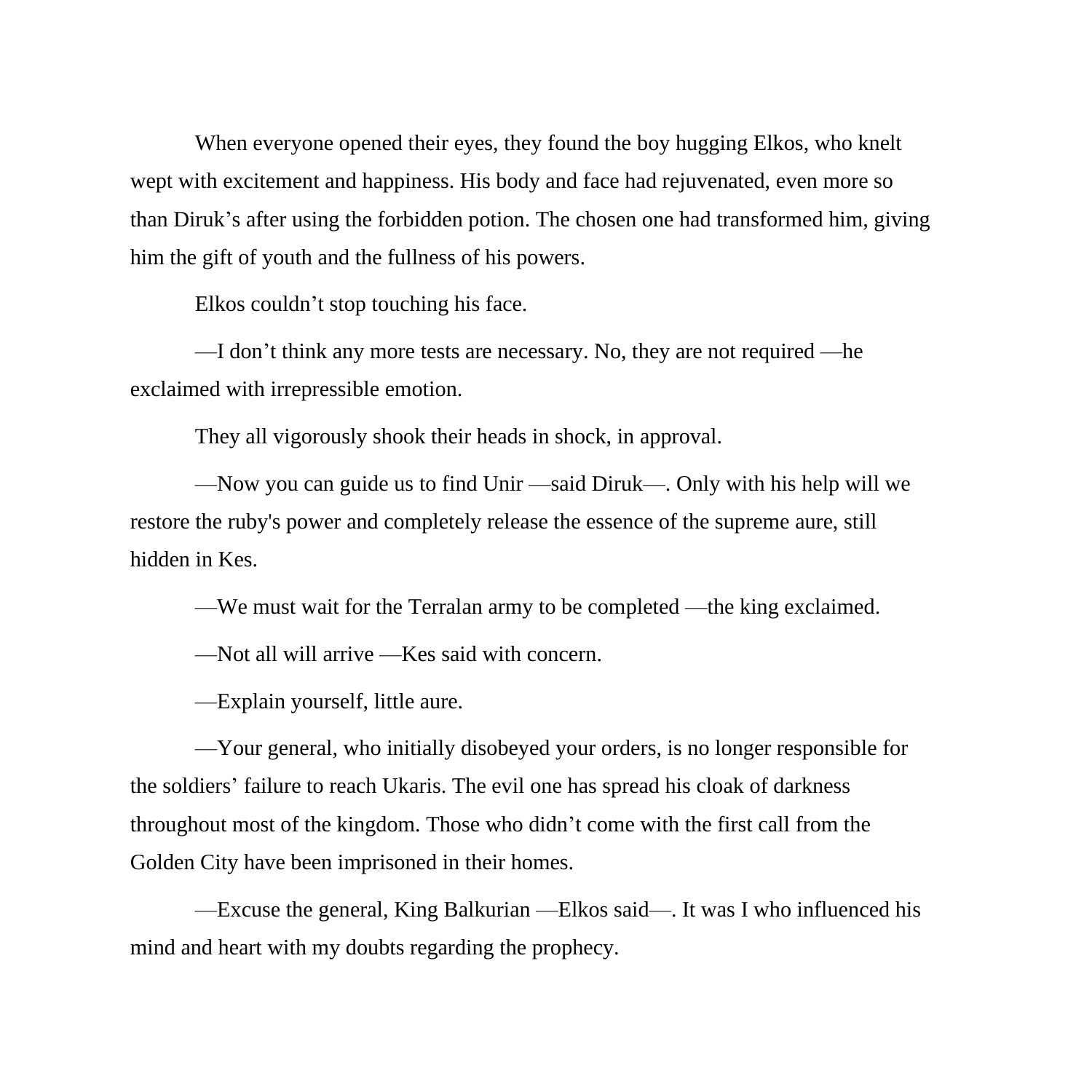When everyone opened their eyes, they found the boy hugging Elkos, who knelt wept with excitement and happiness. His body and face had rejuvenated, even more so than Diruk's after using the forbidden potion. The chosen one had transformed him, giving him the gift of youth and the fullness of his powers.

Elkos couldn't stop touching his face.

—I don't think any more tests are necessary. No, they are not required —he exclaimed with irrepressible emotion.

They all vigorously shook their heads in shock, in approval.

—Now you can guide us to find Unir —said Diruk—. Only with his help will we restore the ruby's power and completely release the essence of the supreme aure, still hidden in Kes.

—We must wait for the Terralan army to be completed —the king exclaimed.

—Not all will arrive —Kes said with concern.

—Explain yourself, little aure.

—Your general, who initially disobeyed your orders, is no longer responsible for the soldiers' failure to reach Ukaris. The evil one has spread his cloak of darkness throughout most of the kingdom. Those who didn't come with the first call from the Golden City have been imprisoned in their homes.

—Excuse the general, King Balkurian —Elkos said—. It was I who influenced his mind and heart with my doubts regarding the prophecy.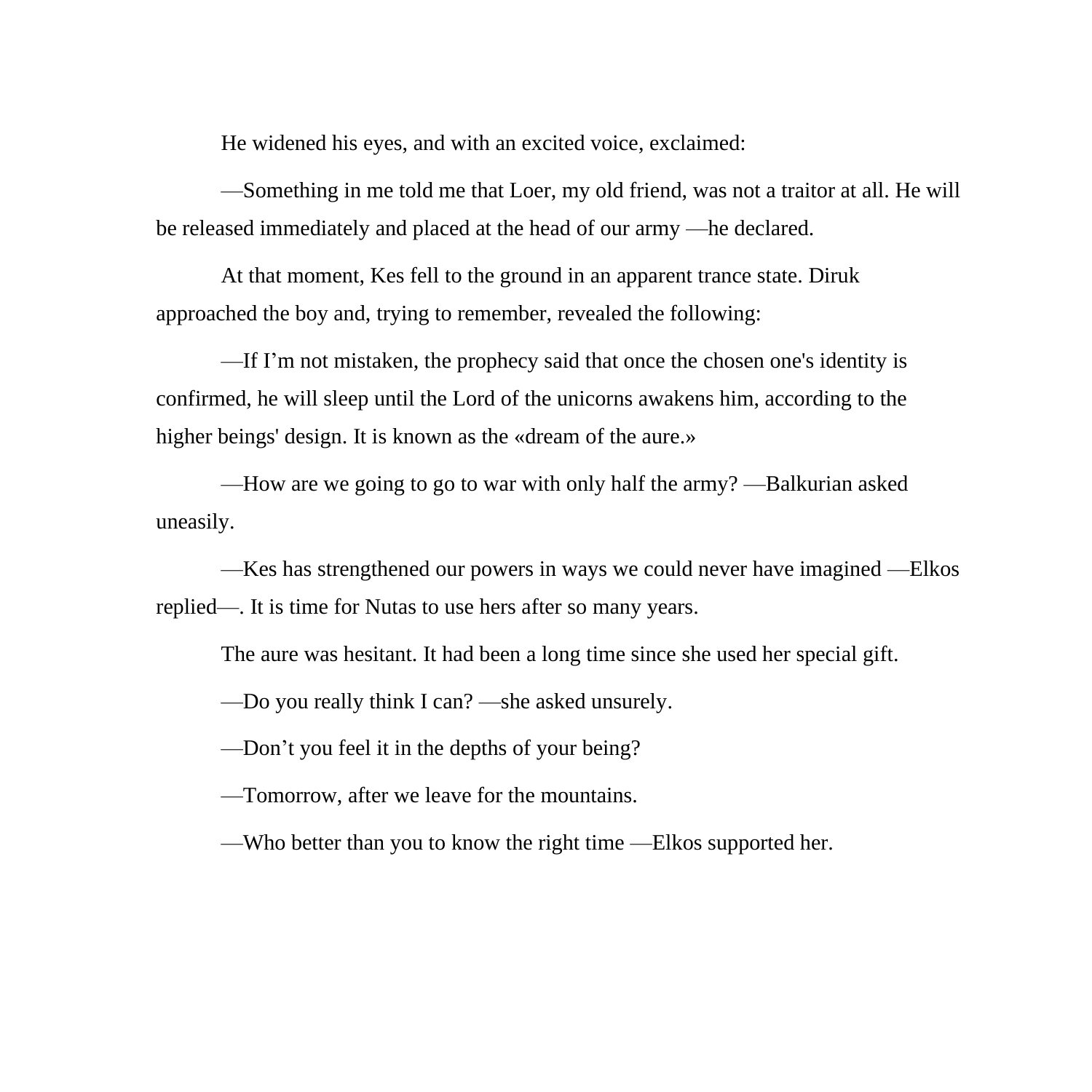He widened his eyes, and with an excited voice, exclaimed:

—Something in me told me that Loer, my old friend, was not a traitor at all. He will be released immediately and placed at the head of our army —he declared.

At that moment, Kes fell to the ground in an apparent trance state. Diruk approached the boy and, trying to remember, revealed the following:

—If I'm not mistaken, the prophecy said that once the chosen one's identity is confirmed, he will sleep until the Lord of the unicorns awakens him, according to the higher beings' design. It is known as the «dream of the aure.»

—How are we going to go to war with only half the army? —Balkurian asked uneasily.

—Kes has strengthened our powers in ways we could never have imagined —Elkos replied—. It is time for Nutas to use hers after so many years.

The aure was hesitant. It had been a long time since she used her special gift.

—Do you really think I can? —she asked unsurely.

—Don't you feel it in the depths of your being?

—Tomorrow, after we leave for the mountains.

—Who better than you to know the right time —Elkos supported her.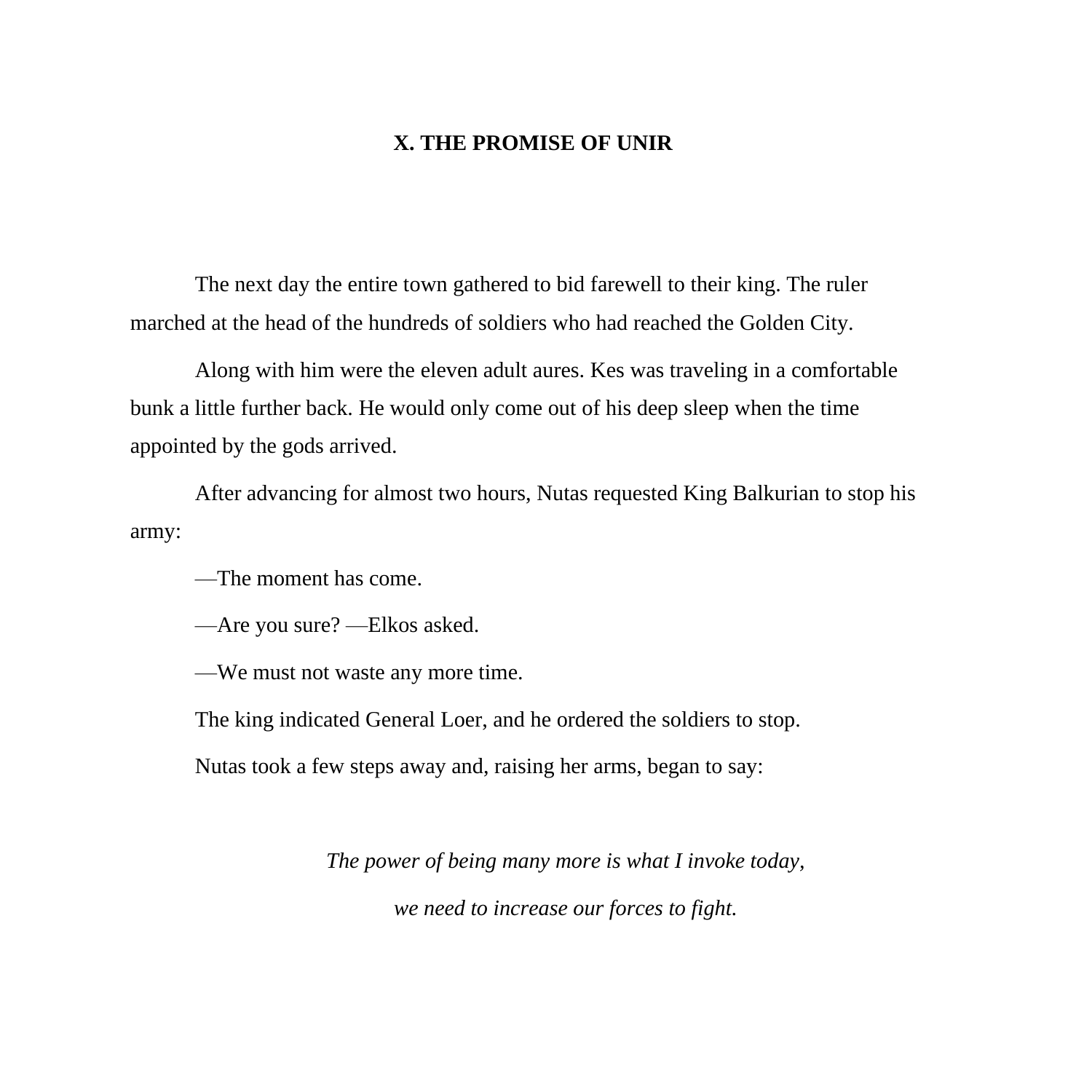## **X. THE PROMISE OF UNIR**

The next day the entire town gathered to bid farewell to their king. The ruler marched at the head of the hundreds of soldiers who had reached the Golden City.

Along with him were the eleven adult aures. Kes was traveling in a comfortable bunk a little further back. He would only come out of his deep sleep when the time appointed by the gods arrived.

After advancing for almost two hours, Nutas requested King Balkurian to stop his army:

—The moment has come.

—Are you sure? —Elkos asked.

—We must not waste any more time.

The king indicated General Loer, and he ordered the soldiers to stop.

Nutas took a few steps away and, raising her arms, began to say:

*The power of being many more is what I invoke today,*

*we need to increase our forces to fight.*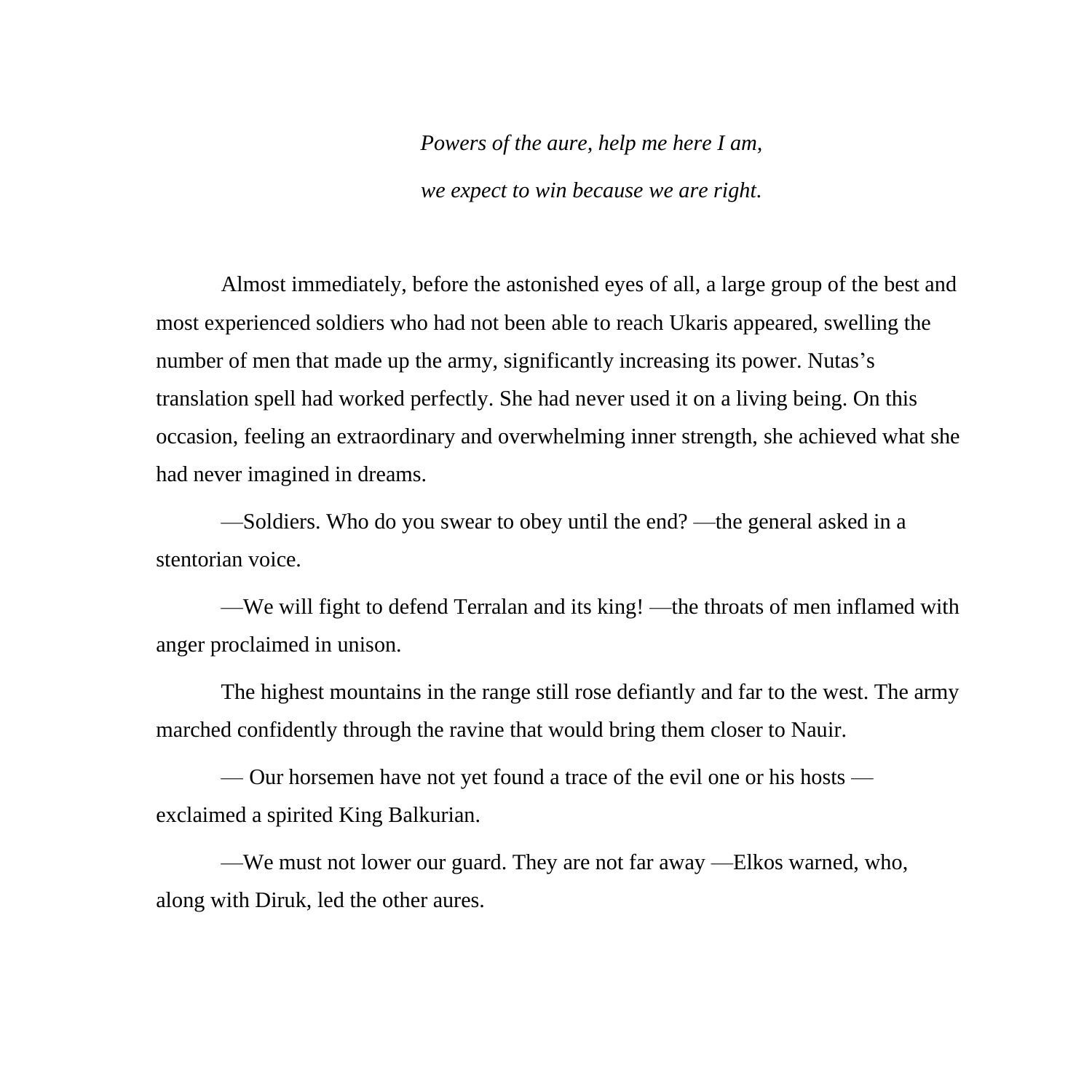*Powers of the aure, help me here I am,*

*we expect to win because we are right.*

Almost immediately, before the astonished eyes of all, a large group of the best and most experienced soldiers who had not been able to reach Ukaris appeared, swelling the number of men that made up the army, significantly increasing its power. Nutas's translation spell had worked perfectly. She had never used it on a living being. On this occasion, feeling an extraordinary and overwhelming inner strength, she achieved what she had never imagined in dreams.

—Soldiers. Who do you swear to obey until the end? —the general asked in a stentorian voice.

—We will fight to defend Terralan and its king! —the throats of men inflamed with anger proclaimed in unison.

The highest mountains in the range still rose defiantly and far to the west. The army marched confidently through the ravine that would bring them closer to Nauir.

— Our horsemen have not yet found a trace of the evil one or his hosts exclaimed a spirited King Balkurian.

—We must not lower our guard. They are not far away —Elkos warned, who, along with Diruk, led the other aures.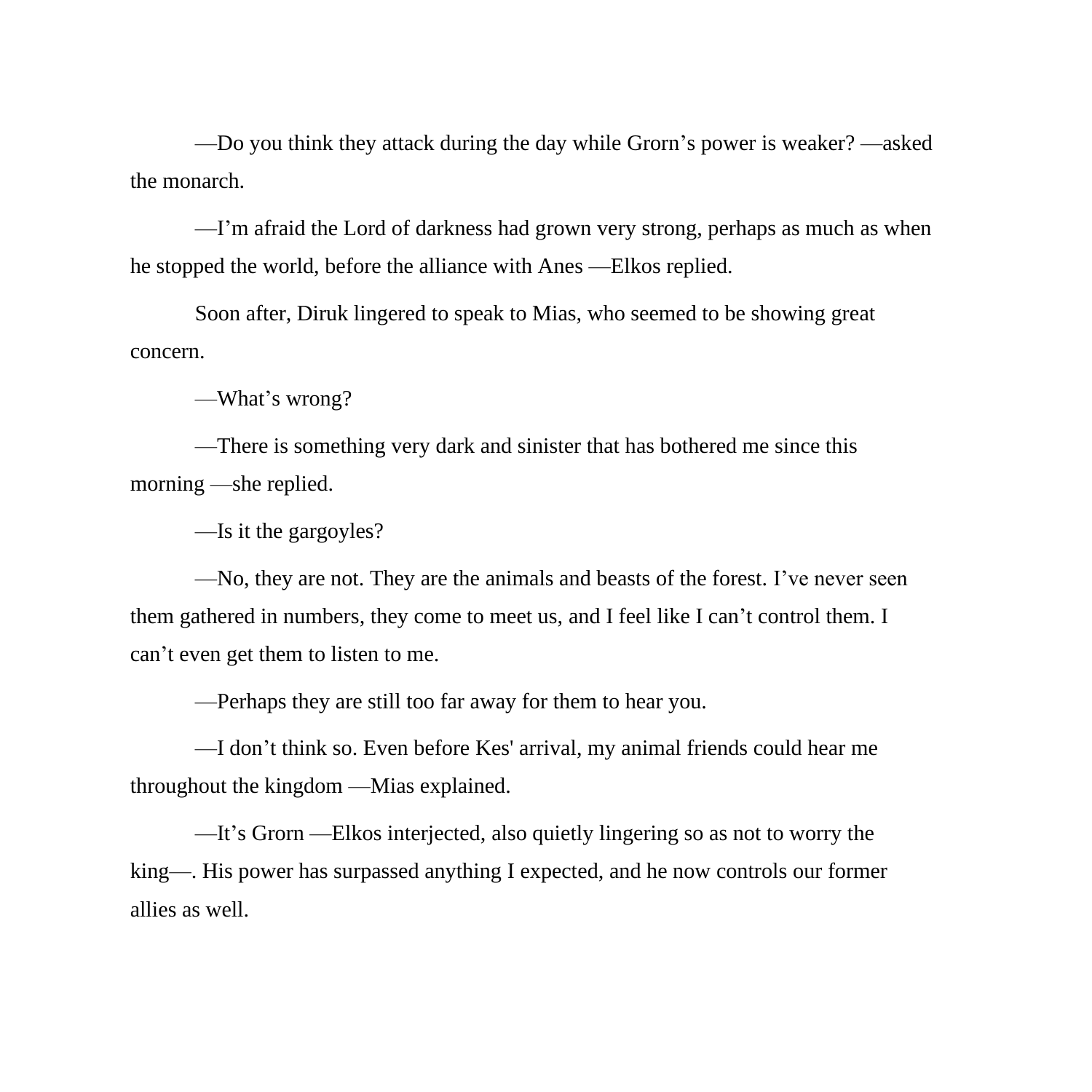—Do you think they attack during the day while Grorn's power is weaker? —asked the monarch.

—I'm afraid the Lord of darkness had grown very strong, perhaps as much as when he stopped the world, before the alliance with Anes —Elkos replied.

Soon after, Diruk lingered to speak to Mias, who seemed to be showing great concern.

—What's wrong?

—There is something very dark and sinister that has bothered me since this morning —she replied.

—Is it the gargoyles?

—No, they are not. They are the animals and beasts of the forest. I've never seen them gathered in numbers, they come to meet us, and I feel like I can't control them. I can't even get them to listen to me.

—Perhaps they are still too far away for them to hear you.

—I don't think so. Even before Kes' arrival, my animal friends could hear me throughout the kingdom —Mias explained.

—It's Grorn —Elkos interjected, also quietly lingering so as not to worry the king—. His power has surpassed anything I expected, and he now controls our former allies as well.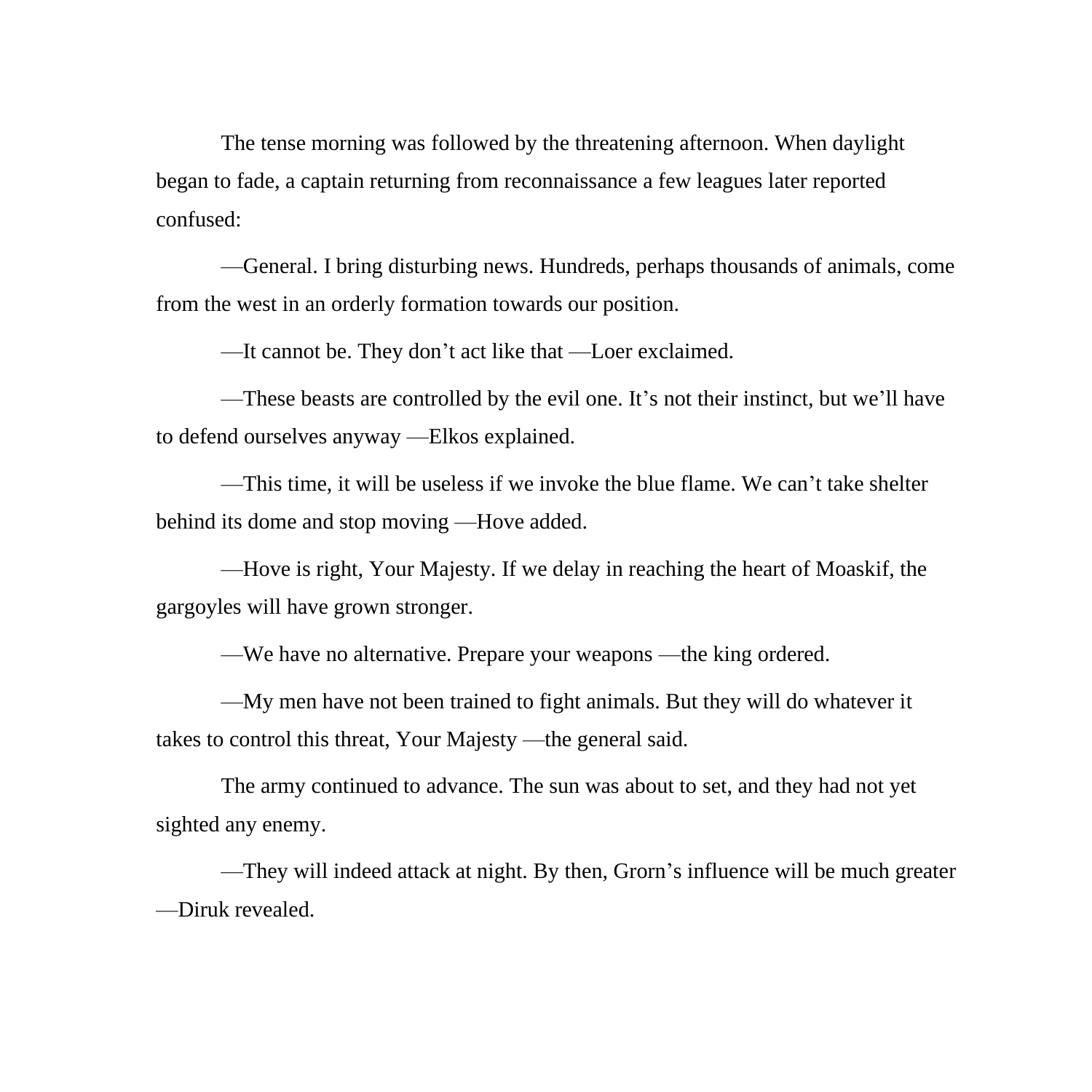The tense morning was followed by the threatening afternoon. When daylight began to fade, a captain returning from reconnaissance a few leagues later reported confused:

—General. I bring disturbing news. Hundreds, perhaps thousands of animals, come from the west in an orderly formation towards our position.

—It cannot be. They don't act like that —Loer exclaimed.

—These beasts are controlled by the evil one. It's not their instinct, but we'll have to defend ourselves anyway —Elkos explained.

—This time, it will be useless if we invoke the blue flame. We can't take shelter behind its dome and stop moving —Hove added.

—Hove is right, Your Majesty. If we delay in reaching the heart of Moaskif, the gargoyles will have grown stronger.

—We have no alternative. Prepare your weapons —the king ordered.

—My men have not been trained to fight animals. But they will do whatever it takes to control this threat, Your Majesty —the general said.

The army continued to advance. The sun was about to set, and they had not yet sighted any enemy.

—They will indeed attack at night. By then, Grorn's influence will be much greater —Diruk revealed.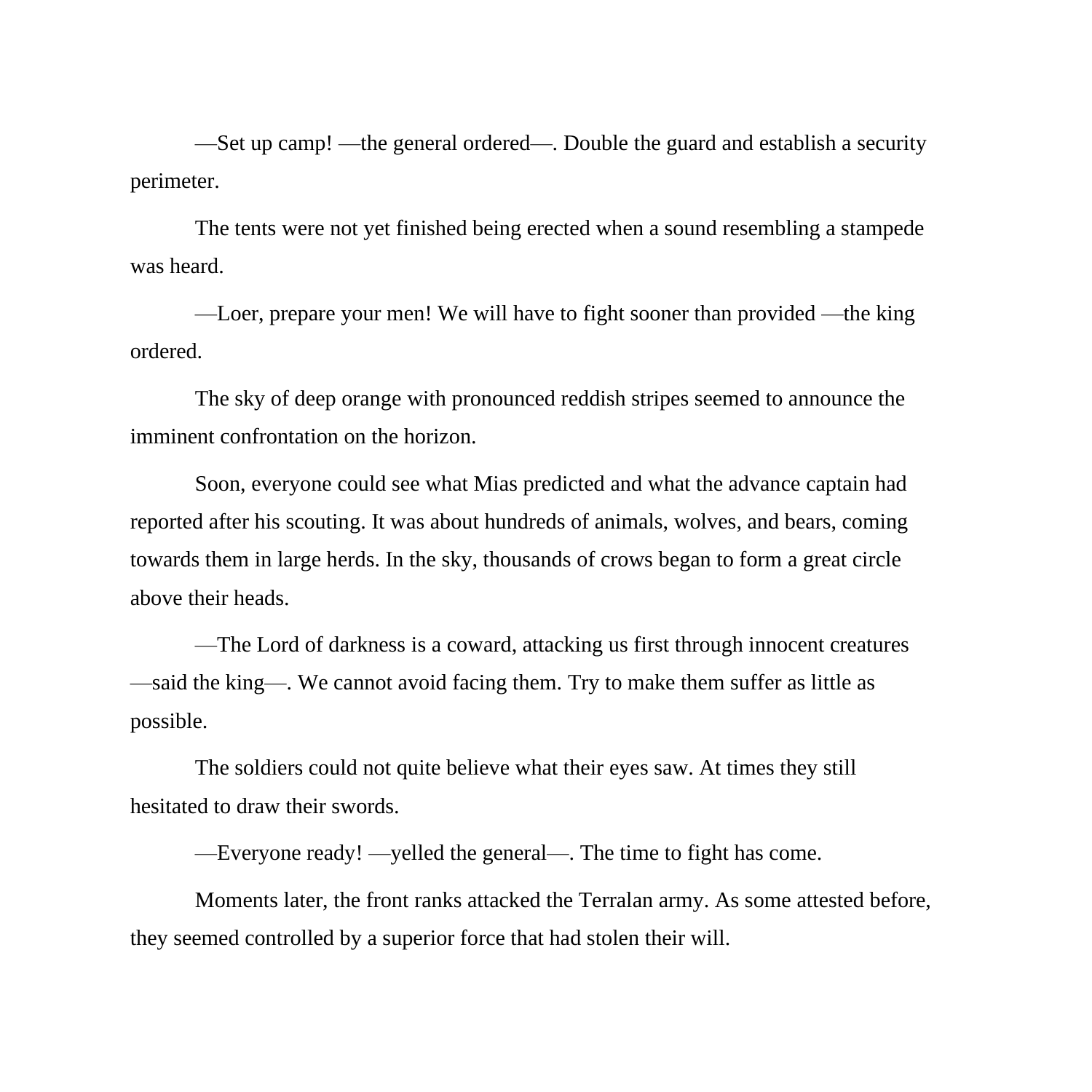—Set up camp! —the general ordered—. Double the guard and establish a security perimeter.

The tents were not yet finished being erected when a sound resembling a stampede was heard.

—Loer, prepare your men! We will have to fight sooner than provided —the king ordered.

The sky of deep orange with pronounced reddish stripes seemed to announce the imminent confrontation on the horizon.

Soon, everyone could see what Mias predicted and what the advance captain had reported after his scouting. It was about hundreds of animals, wolves, and bears, coming towards them in large herds. In the sky, thousands of crows began to form a great circle above their heads.

—The Lord of darkness is a coward, attacking us first through innocent creatures —said the king—. We cannot avoid facing them. Try to make them suffer as little as possible.

The soldiers could not quite believe what their eyes saw. At times they still hesitated to draw their swords.

—Everyone ready! —yelled the general—. The time to fight has come.

Moments later, the front ranks attacked the Terralan army. As some attested before, they seemed controlled by a superior force that had stolen their will.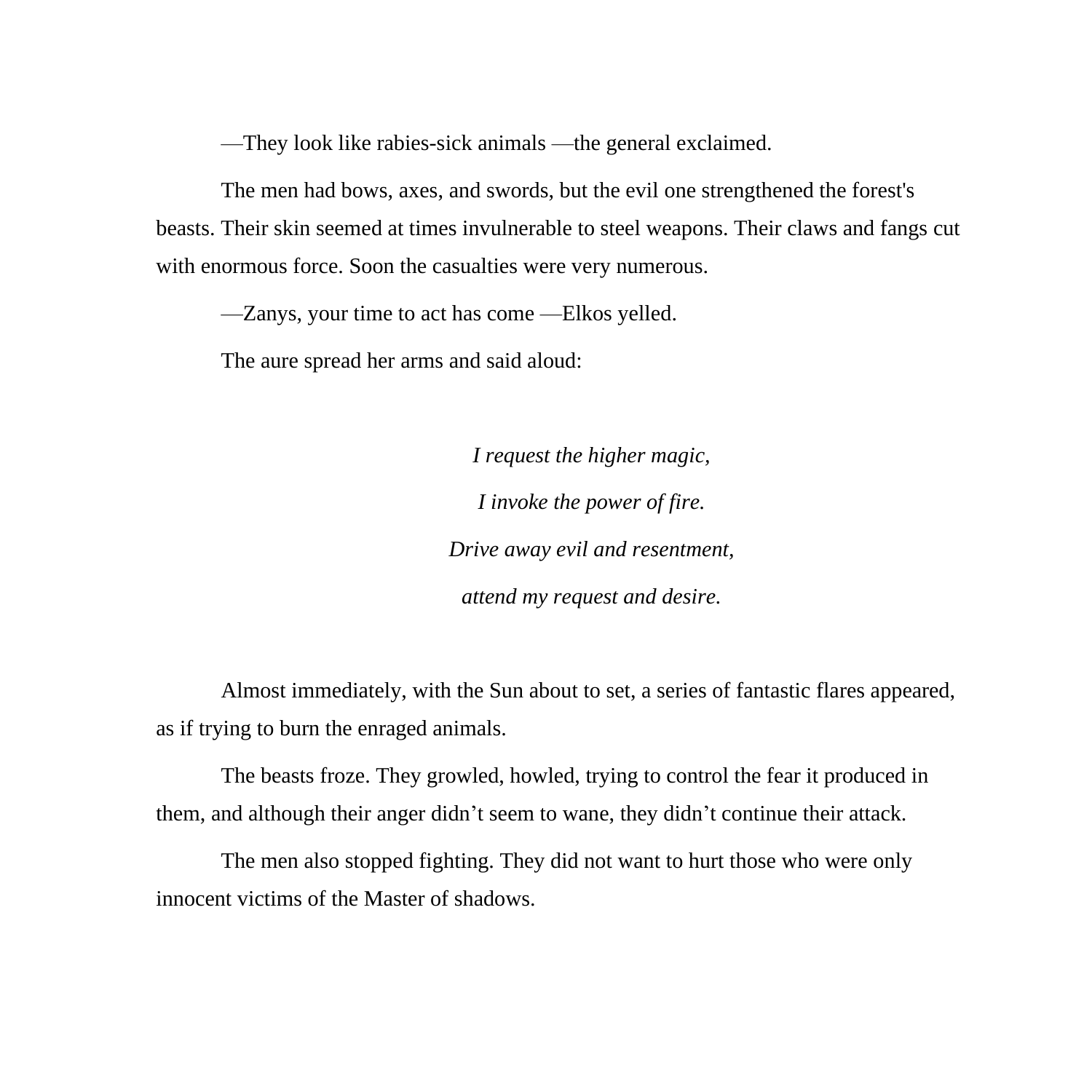—They look like rabies-sick animals —the general exclaimed.

The men had bows, axes, and swords, but the evil one strengthened the forest's beasts. Their skin seemed at times invulnerable to steel weapons. Their claws and fangs cut with enormous force. Soon the casualties were very numerous.

—Zanys, your time to act has come —Elkos yelled.

The aure spread her arms and said aloud:

*I request the higher magic, I invoke the power of fire. Drive away evil and resentment, attend my request and desire.*

Almost immediately, with the Sun about to set, a series of fantastic flares appeared, as if trying to burn the enraged animals.

The beasts froze. They growled, howled, trying to control the fear it produced in them, and although their anger didn't seem to wane, they didn't continue their attack.

The men also stopped fighting. They did not want to hurt those who were only innocent victims of the Master of shadows.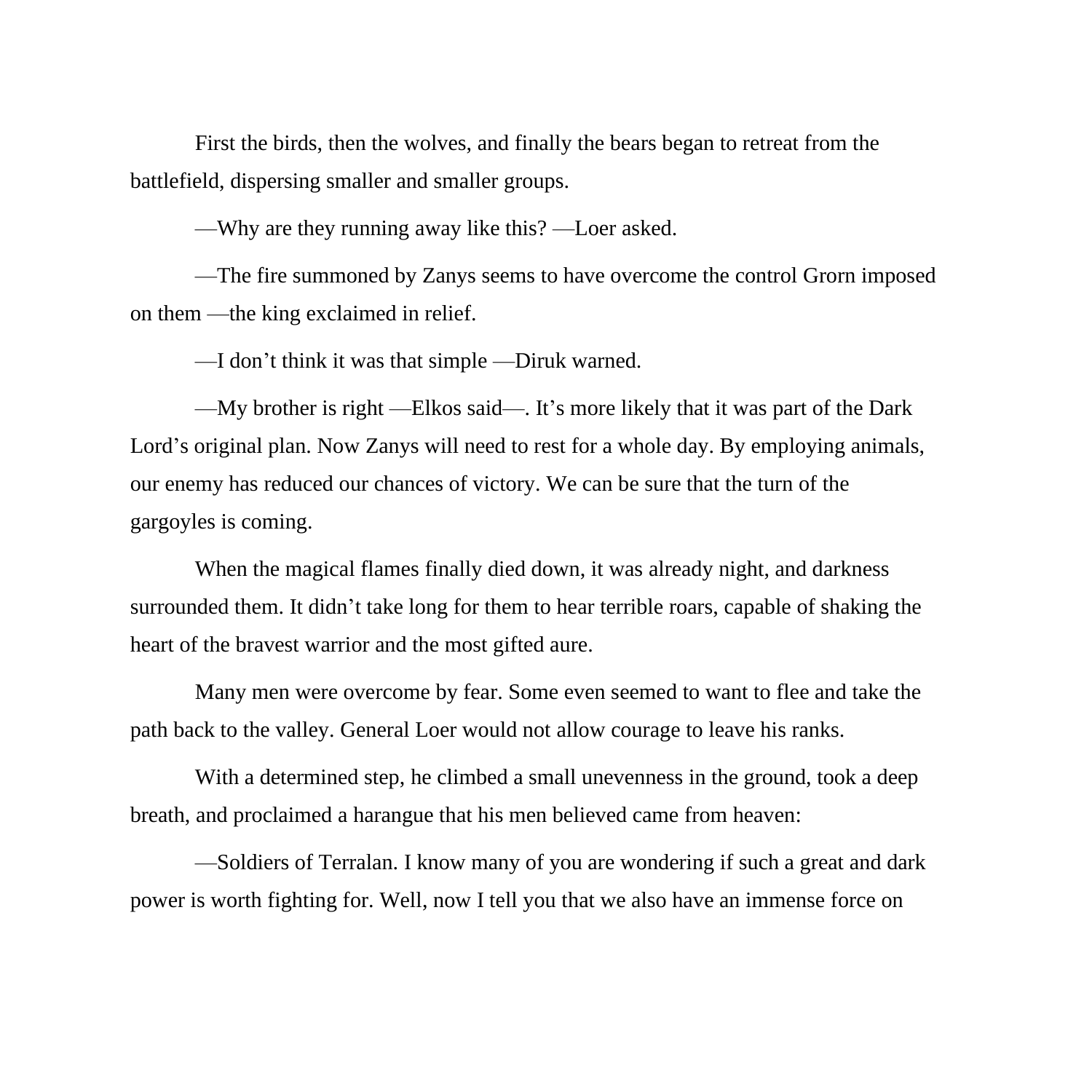First the birds, then the wolves, and finally the bears began to retreat from the battlefield, dispersing smaller and smaller groups.

—Why are they running away like this? —Loer asked.

—The fire summoned by Zanys seems to have overcome the control Grorn imposed on them —the king exclaimed in relief.

—I don't think it was that simple —Diruk warned.

—My brother is right —Elkos said—. It's more likely that it was part of the Dark Lord's original plan. Now Zanys will need to rest for a whole day. By employing animals, our enemy has reduced our chances of victory. We can be sure that the turn of the gargoyles is coming.

When the magical flames finally died down, it was already night, and darkness surrounded them. It didn't take long for them to hear terrible roars, capable of shaking the heart of the bravest warrior and the most gifted aure.

Many men were overcome by fear. Some even seemed to want to flee and take the path back to the valley. General Loer would not allow courage to leave his ranks.

With a determined step, he climbed a small unevenness in the ground, took a deep breath, and proclaimed a harangue that his men believed came from heaven:

—Soldiers of Terralan. I know many of you are wondering if such a great and dark power is worth fighting for. Well, now I tell you that we also have an immense force on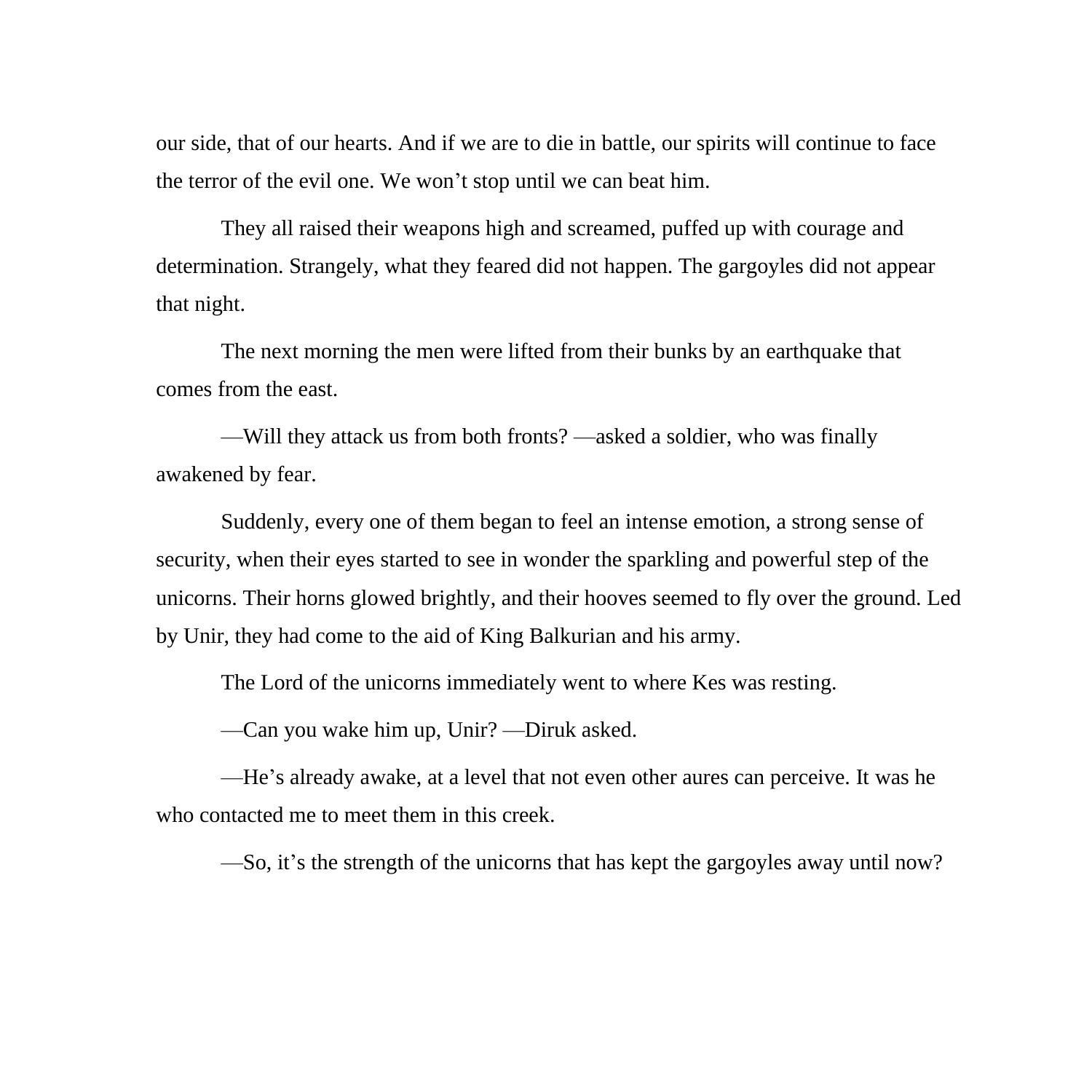our side, that of our hearts. And if we are to die in battle, our spirits will continue to face the terror of the evil one. We won't stop until we can beat him.

They all raised their weapons high and screamed, puffed up with courage and determination. Strangely, what they feared did not happen. The gargoyles did not appear that night.

The next morning the men were lifted from their bunks by an earthquake that comes from the east.

—Will they attack us from both fronts? —asked a soldier, who was finally awakened by fear.

Suddenly, every one of them began to feel an intense emotion, a strong sense of security, when their eyes started to see in wonder the sparkling and powerful step of the unicorns. Their horns glowed brightly, and their hooves seemed to fly over the ground. Led by Unir, they had come to the aid of King Balkurian and his army.

The Lord of the unicorns immediately went to where Kes was resting.

—Can you wake him up, Unir? —Diruk asked.

—He's already awake, at a level that not even other aures can perceive. It was he who contacted me to meet them in this creek.

—So, it's the strength of the unicorns that has kept the gargoyles away until now?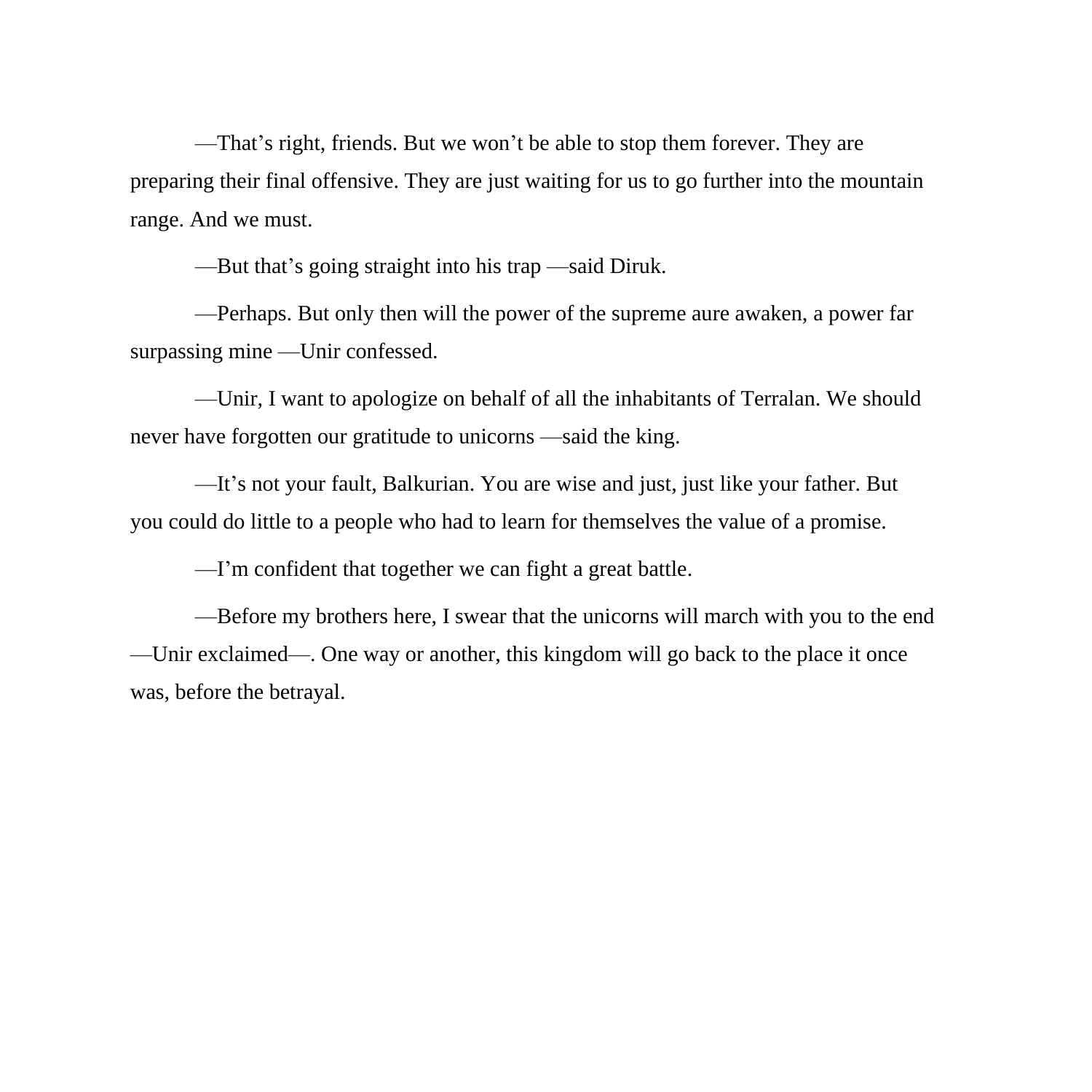—That's right, friends. But we won't be able to stop them forever. They are preparing their final offensive. They are just waiting for us to go further into the mountain range. And we must.

—But that's going straight into his trap —said Diruk.

—Perhaps. But only then will the power of the supreme aure awaken, a power far surpassing mine —Unir confessed.

—Unir, I want to apologize on behalf of all the inhabitants of Terralan. We should never have forgotten our gratitude to unicorns —said the king.

—It's not your fault, Balkurian. You are wise and just, just like your father. But you could do little to a people who had to learn for themselves the value of a promise.

—I'm confident that together we can fight a great battle.

—Before my brothers here, I swear that the unicorns will march with you to the end —Unir exclaimed—. One way or another, this kingdom will go back to the place it once was, before the betrayal.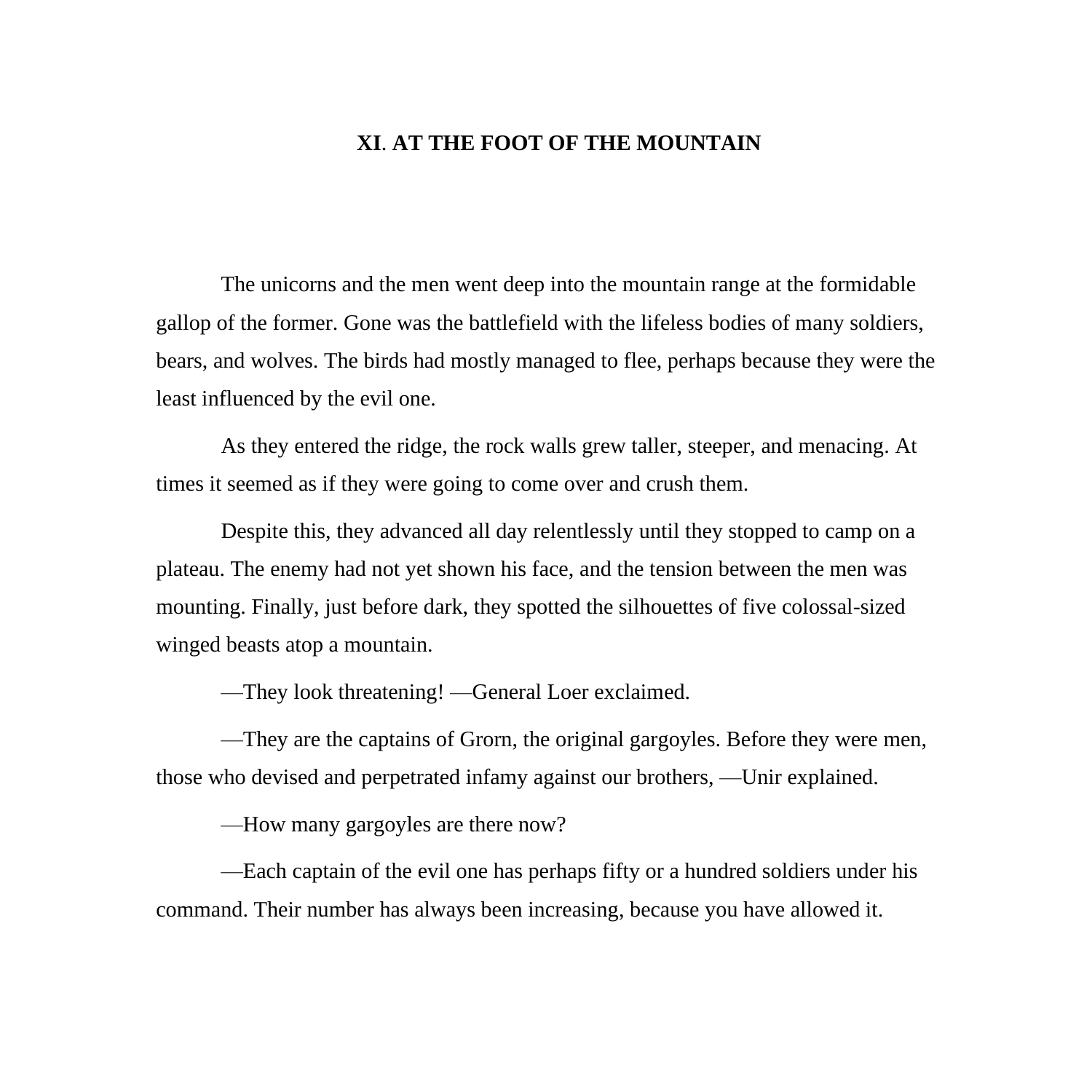## **XI**. **AT THE FOOT OF THE MOUNTAIN**

The unicorns and the men went deep into the mountain range at the formidable gallop of the former. Gone was the battlefield with the lifeless bodies of many soldiers, bears, and wolves. The birds had mostly managed to flee, perhaps because they were the least influenced by the evil one.

As they entered the ridge, the rock walls grew taller, steeper, and menacing. At times it seemed as if they were going to come over and crush them.

Despite this, they advanced all day relentlessly until they stopped to camp on a plateau. The enemy had not yet shown his face, and the tension between the men was mounting. Finally, just before dark, they spotted the silhouettes of five colossal-sized winged beasts atop a mountain.

—They look threatening! —General Loer exclaimed.

—They are the captains of Grorn, the original gargoyles. Before they were men, those who devised and perpetrated infamy against our brothers, —Unir explained.

—How many gargoyles are there now?

—Each captain of the evil one has perhaps fifty or a hundred soldiers under his command. Their number has always been increasing, because you have allowed it.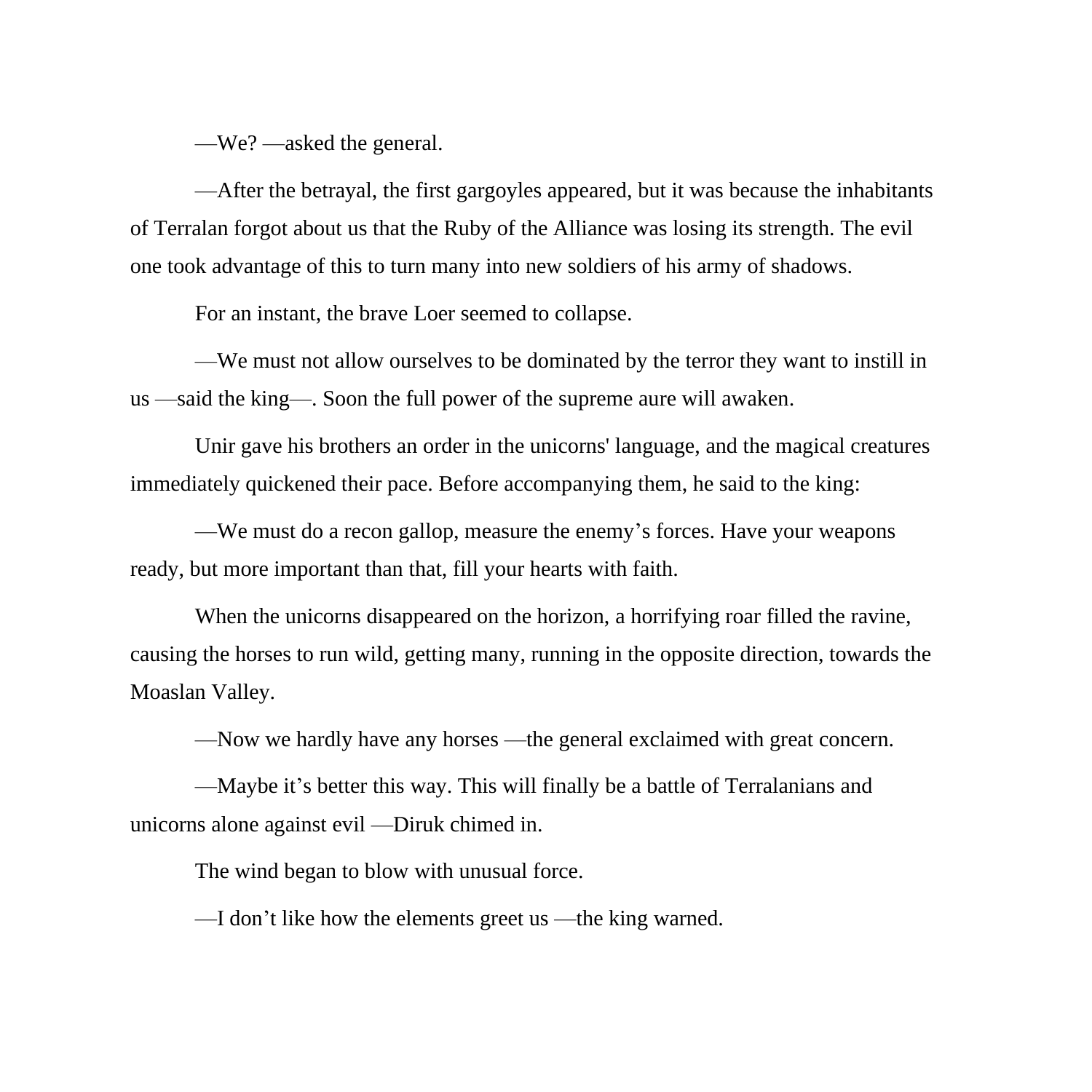—We? —asked the general.

—After the betrayal, the first gargoyles appeared, but it was because the inhabitants of Terralan forgot about us that the Ruby of the Alliance was losing its strength. The evil one took advantage of this to turn many into new soldiers of his army of shadows.

For an instant, the brave Loer seemed to collapse.

—We must not allow ourselves to be dominated by the terror they want to instill in us —said the king—. Soon the full power of the supreme aure will awaken.

Unir gave his brothers an order in the unicorns' language, and the magical creatures immediately quickened their pace. Before accompanying them, he said to the king:

—We must do a recon gallop, measure the enemy's forces. Have your weapons ready, but more important than that, fill your hearts with faith.

When the unicorns disappeared on the horizon, a horrifying roar filled the ravine, causing the horses to run wild, getting many, running in the opposite direction, towards the Moaslan Valley.

—Now we hardly have any horses —the general exclaimed with great concern.

—Maybe it's better this way. This will finally be a battle of Terralanians and unicorns alone against evil —Diruk chimed in.

The wind began to blow with unusual force.

—I don't like how the elements greet us —the king warned.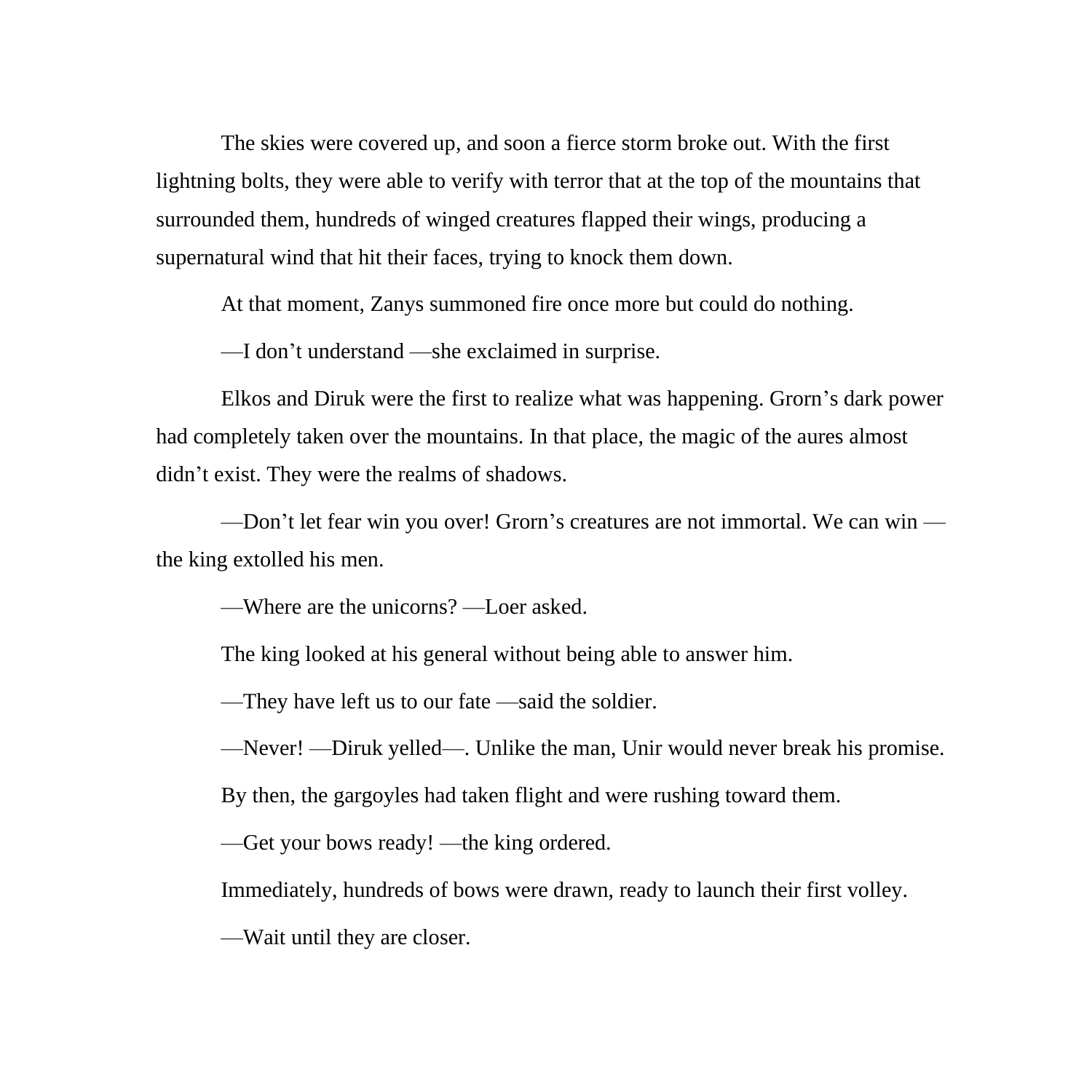The skies were covered up, and soon a fierce storm broke out. With the first lightning bolts, they were able to verify with terror that at the top of the mountains that surrounded them, hundreds of winged creatures flapped their wings, producing a supernatural wind that hit their faces, trying to knock them down.

At that moment, Zanys summoned fire once more but could do nothing.

—I don't understand —she exclaimed in surprise.

Elkos and Diruk were the first to realize what was happening. Grorn's dark power had completely taken over the mountains. In that place, the magic of the aures almost didn't exist. They were the realms of shadows.

—Don't let fear win you over! Grorn's creatures are not immortal. We can win the king extolled his men.

—Where are the unicorns? —Loer asked.

The king looked at his general without being able to answer him.

—They have left us to our fate —said the soldier.

—Never! —Diruk yelled—. Unlike the man, Unir would never break his promise.

By then, the gargoyles had taken flight and were rushing toward them.

—Get your bows ready! —the king ordered.

Immediately, hundreds of bows were drawn, ready to launch their first volley.

—Wait until they are closer.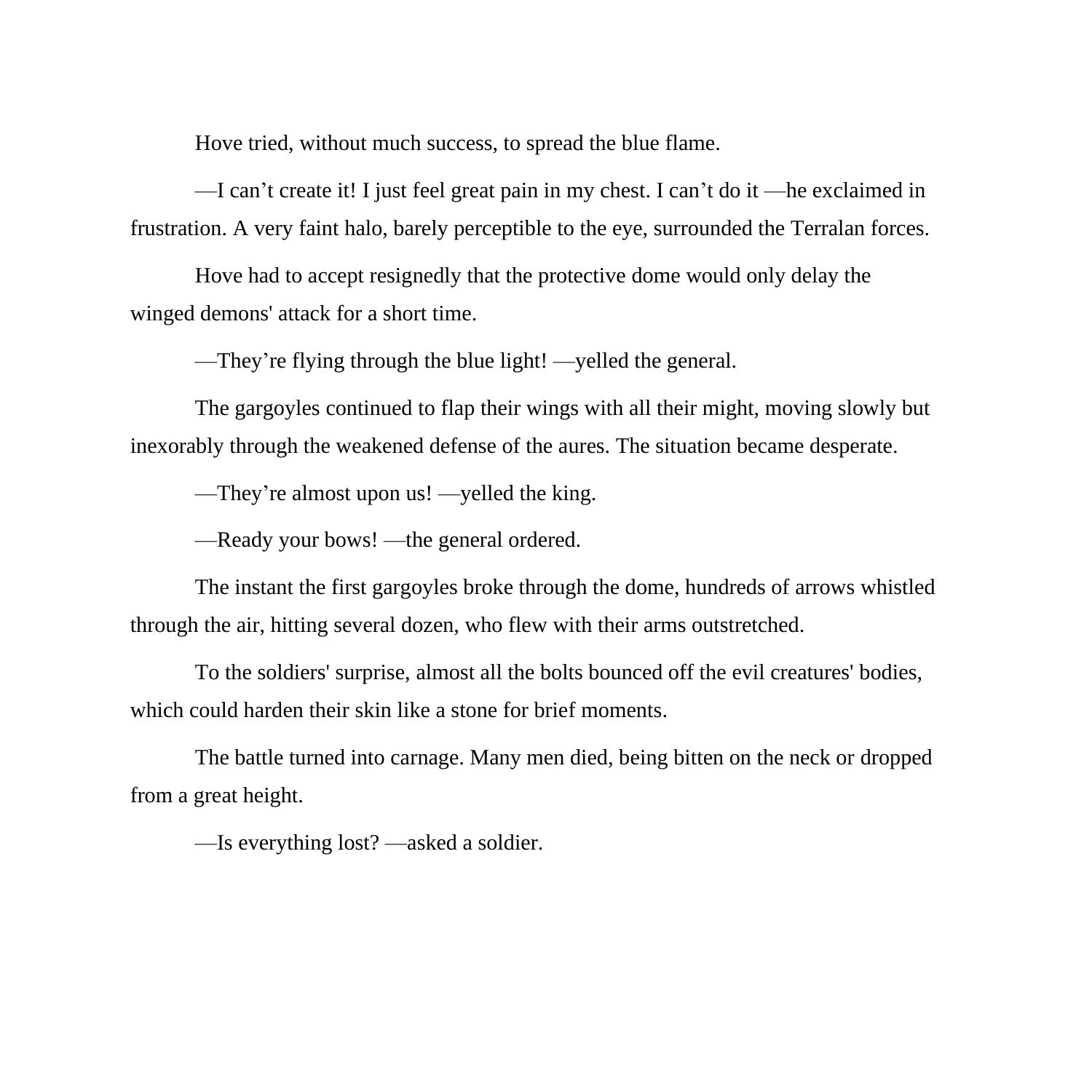Hove tried, without much success, to spread the blue flame.

—I can't create it! I just feel great pain in my chest. I can't do it —he exclaimed in frustration. A very faint halo, barely perceptible to the eye, surrounded the Terralan forces.

Hove had to accept resignedly that the protective dome would only delay the winged demons' attack for a short time.

—They're flying through the blue light! —yelled the general.

The gargoyles continued to flap their wings with all their might, moving slowly but inexorably through the weakened defense of the aures. The situation became desperate.

—They're almost upon us! —yelled the king.

—Ready your bows! —the general ordered.

The instant the first gargoyles broke through the dome, hundreds of arrows whistled through the air, hitting several dozen, who flew with their arms outstretched.

To the soldiers' surprise, almost all the bolts bounced off the evil creatures' bodies, which could harden their skin like a stone for brief moments.

The battle turned into carnage. Many men died, being bitten on the neck or dropped from a great height.

—Is everything lost? —asked a soldier.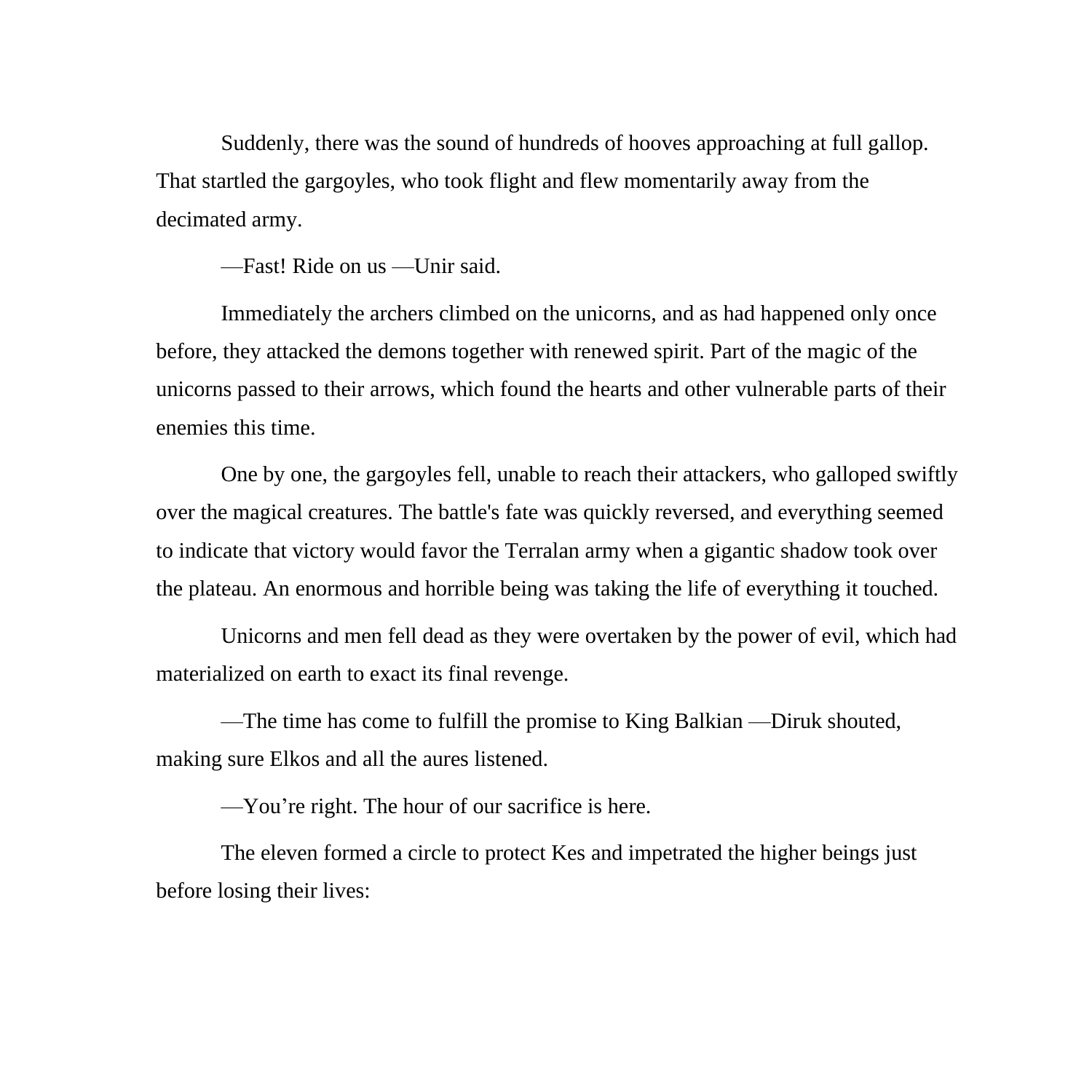Suddenly, there was the sound of hundreds of hooves approaching at full gallop. That startled the gargoyles, who took flight and flew momentarily away from the decimated army.

—Fast! Ride on us —Unir said.

Immediately the archers climbed on the unicorns, and as had happened only once before, they attacked the demons together with renewed spirit. Part of the magic of the unicorns passed to their arrows, which found the hearts and other vulnerable parts of their enemies this time.

One by one, the gargoyles fell, unable to reach their attackers, who galloped swiftly over the magical creatures. The battle's fate was quickly reversed, and everything seemed to indicate that victory would favor the Terralan army when a gigantic shadow took over the plateau. An enormous and horrible being was taking the life of everything it touched.

Unicorns and men fell dead as they were overtaken by the power of evil, which had materialized on earth to exact its final revenge.

—The time has come to fulfill the promise to King Balkian —Diruk shouted, making sure Elkos and all the aures listened.

—You're right. The hour of our sacrifice is here.

The eleven formed a circle to protect Kes and impetrated the higher beings just before losing their lives: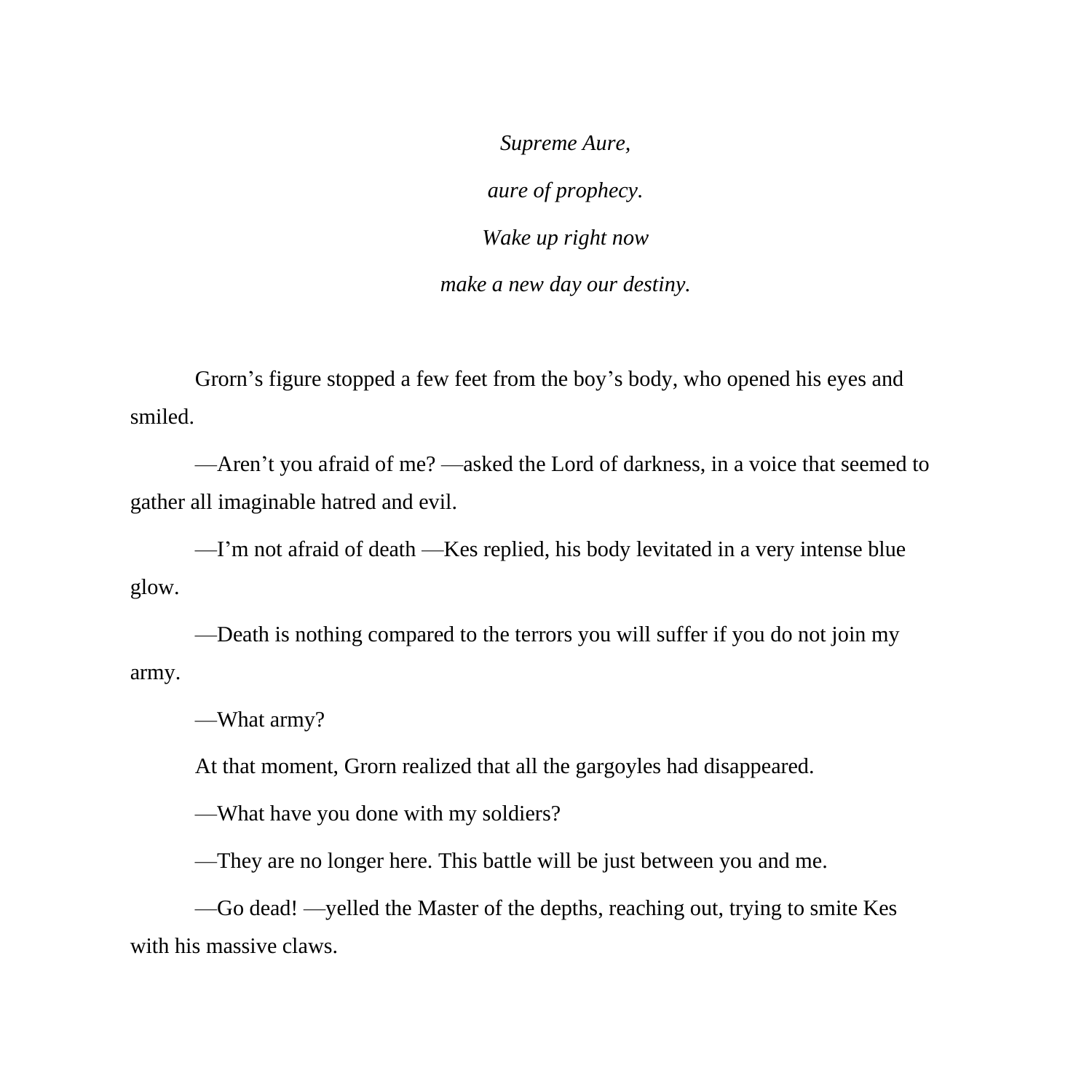*Supreme Aure, aure of prophecy. Wake up right now make a new day our destiny.*

Grorn's figure stopped a few feet from the boy's body, who opened his eyes and smiled.

—Aren't you afraid of me? —asked the Lord of darkness, in a voice that seemed to gather all imaginable hatred and evil.

—I'm not afraid of death —Kes replied, his body levitated in a very intense blue glow.

—Death is nothing compared to the terrors you will suffer if you do not join my army.

—What army?

At that moment, Grorn realized that all the gargoyles had disappeared.

—What have you done with my soldiers?

—They are no longer here. This battle will be just between you and me.

—Go dead! —yelled the Master of the depths, reaching out, trying to smite Kes with his massive claws.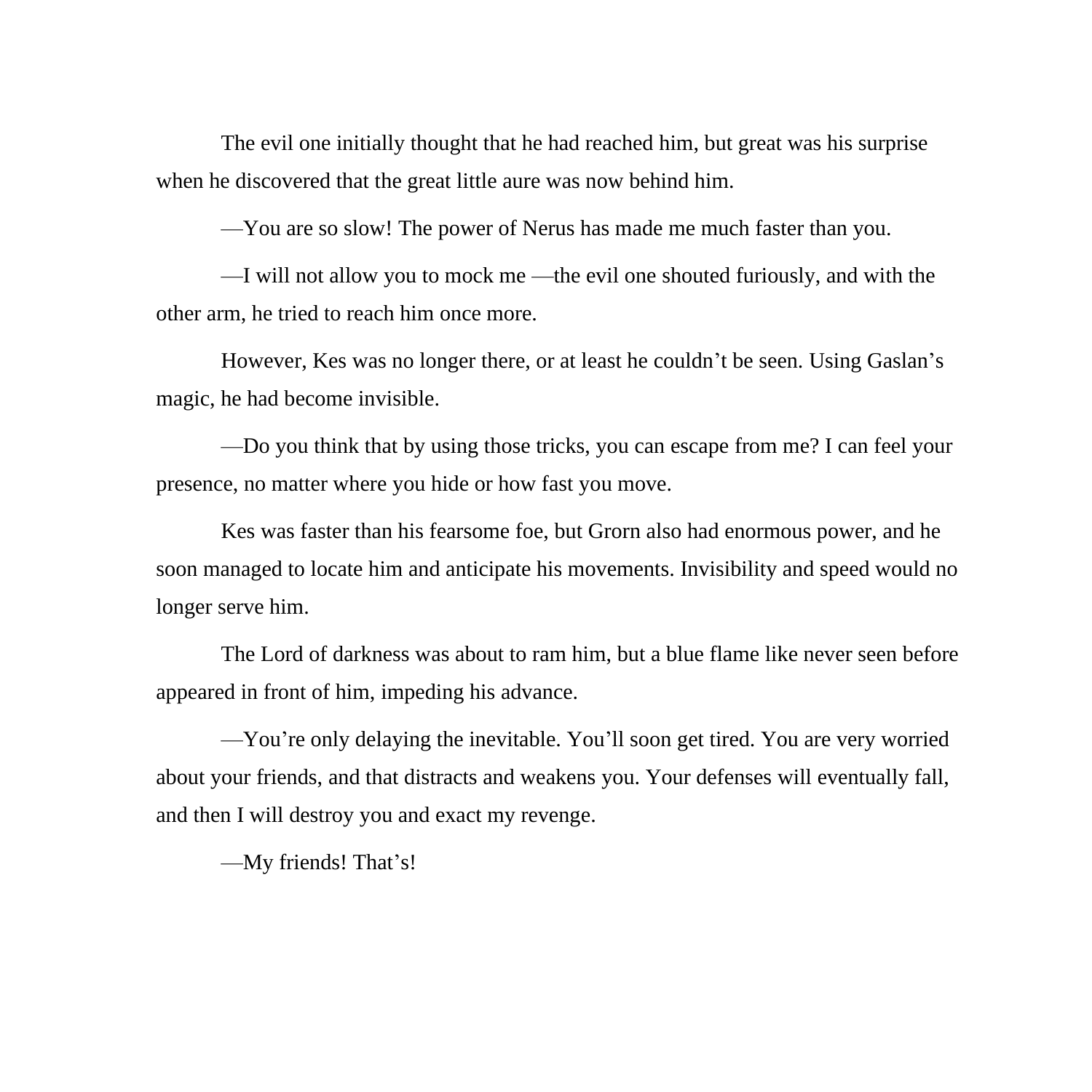The evil one initially thought that he had reached him, but great was his surprise when he discovered that the great little aure was now behind him.

—You are so slow! The power of Nerus has made me much faster than you.

—I will not allow you to mock me —the evil one shouted furiously, and with the other arm, he tried to reach him once more.

However, Kes was no longer there, or at least he couldn't be seen. Using Gaslan's magic, he had become invisible.

—Do you think that by using those tricks, you can escape from me? I can feel your presence, no matter where you hide or how fast you move.

Kes was faster than his fearsome foe, but Grorn also had enormous power, and he soon managed to locate him and anticipate his movements. Invisibility and speed would no longer serve him.

The Lord of darkness was about to ram him, but a blue flame like never seen before appeared in front of him, impeding his advance.

—You're only delaying the inevitable. You'll soon get tired. You are very worried about your friends, and that distracts and weakens you. Your defenses will eventually fall, and then I will destroy you and exact my revenge.

—My friends! That's!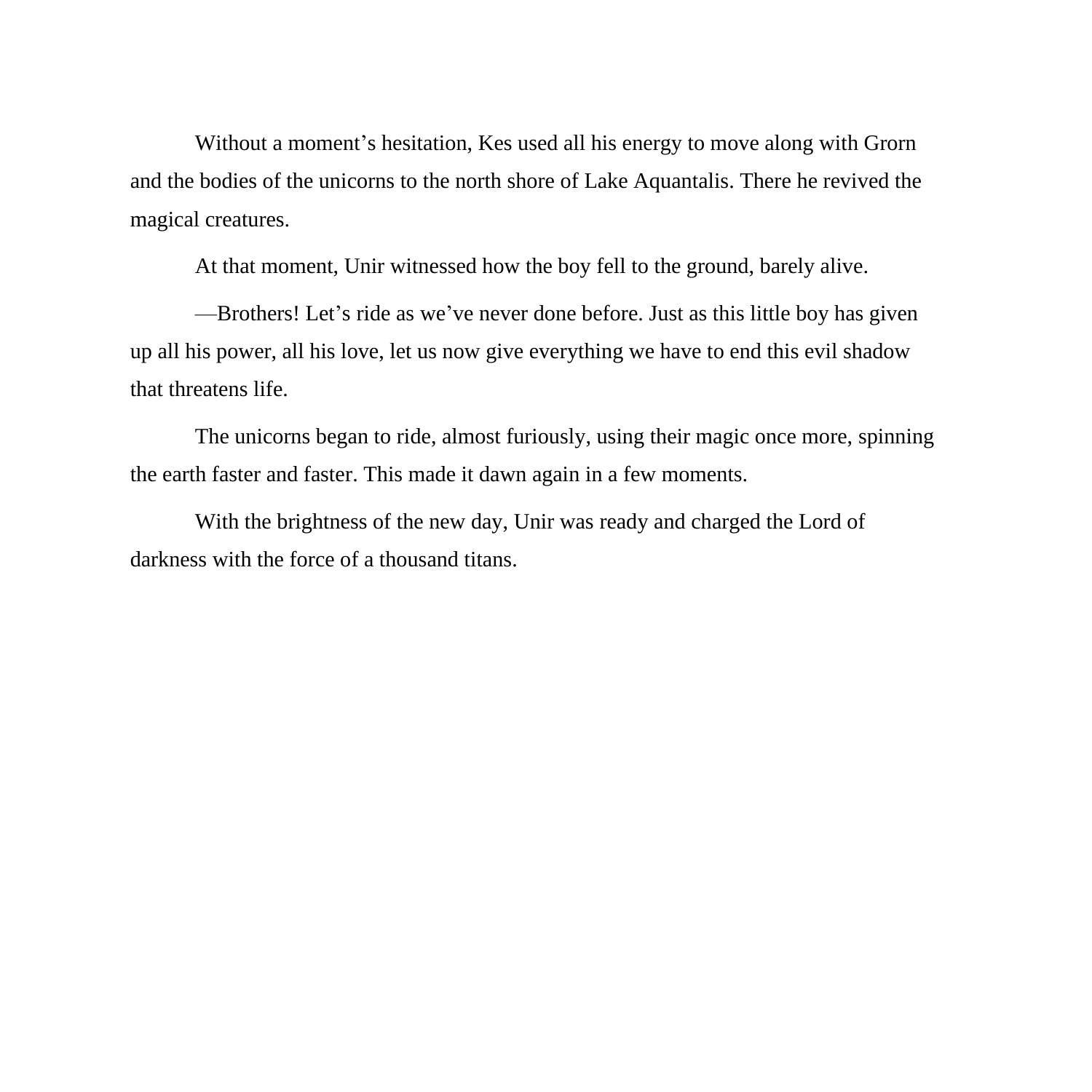Without a moment's hesitation, Kes used all his energy to move along with Grorn and the bodies of the unicorns to the north shore of Lake Aquantalis. There he revived the magical creatures.

At that moment, Unir witnessed how the boy fell to the ground, barely alive.

—Brothers! Let's ride as we've never done before. Just as this little boy has given up all his power, all his love, let us now give everything we have to end this evil shadow that threatens life.

The unicorns began to ride, almost furiously, using their magic once more, spinning the earth faster and faster. This made it dawn again in a few moments.

With the brightness of the new day, Unir was ready and charged the Lord of darkness with the force of a thousand titans.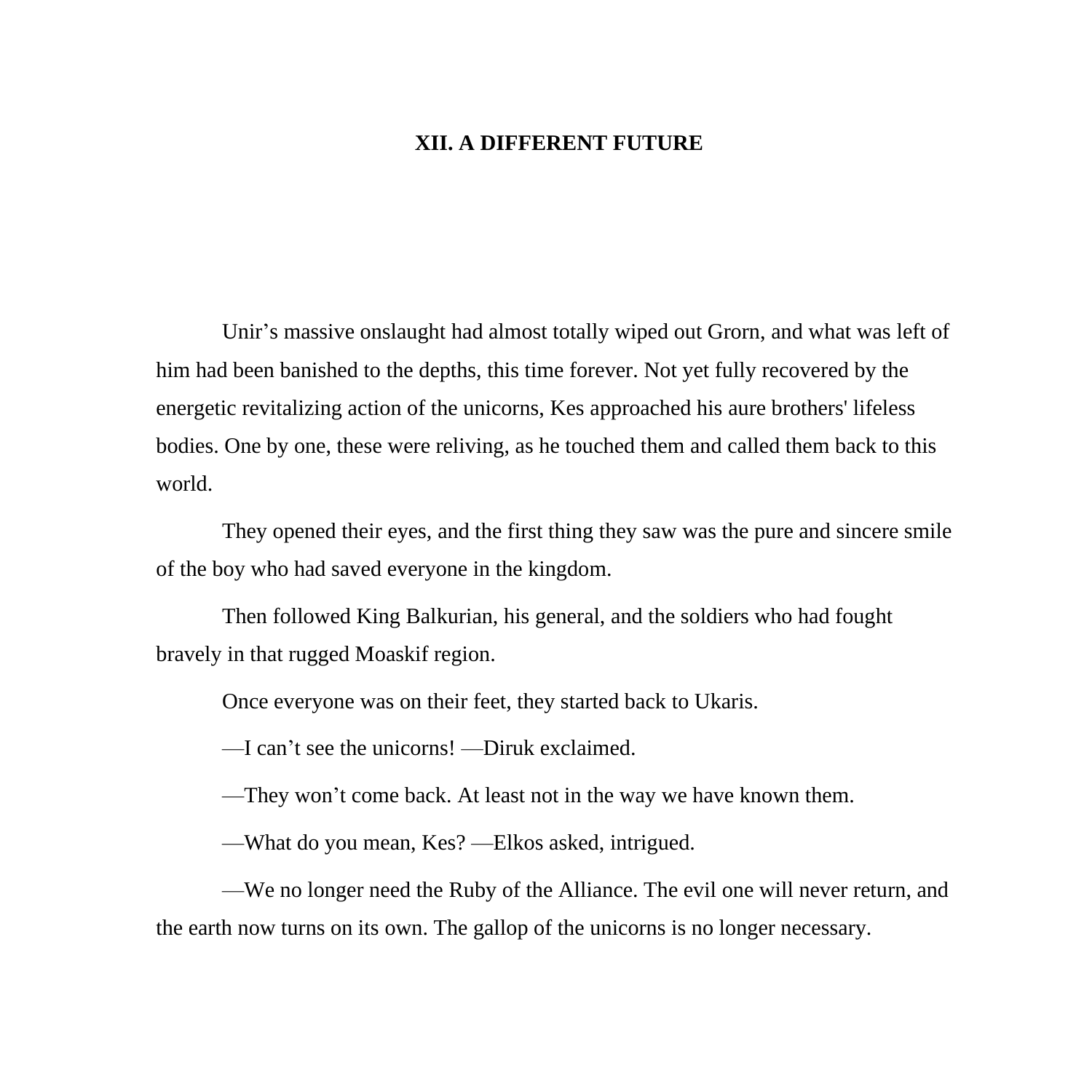## **XII. A DIFFERENT FUTURE**

Unir's massive onslaught had almost totally wiped out Grorn, and what was left of him had been banished to the depths, this time forever. Not yet fully recovered by the energetic revitalizing action of the unicorns, Kes approached his aure brothers' lifeless bodies. One by one, these were reliving, as he touched them and called them back to this world.

They opened their eyes, and the first thing they saw was the pure and sincere smile of the boy who had saved everyone in the kingdom.

Then followed King Balkurian, his general, and the soldiers who had fought bravely in that rugged Moaskif region.

Once everyone was on their feet, they started back to Ukaris.

—I can't see the unicorns! —Diruk exclaimed.

—They won't come back. At least not in the way we have known them.

—What do you mean, Kes? —Elkos asked, intrigued.

—We no longer need the Ruby of the Alliance. The evil one will never return, and the earth now turns on its own. The gallop of the unicorns is no longer necessary.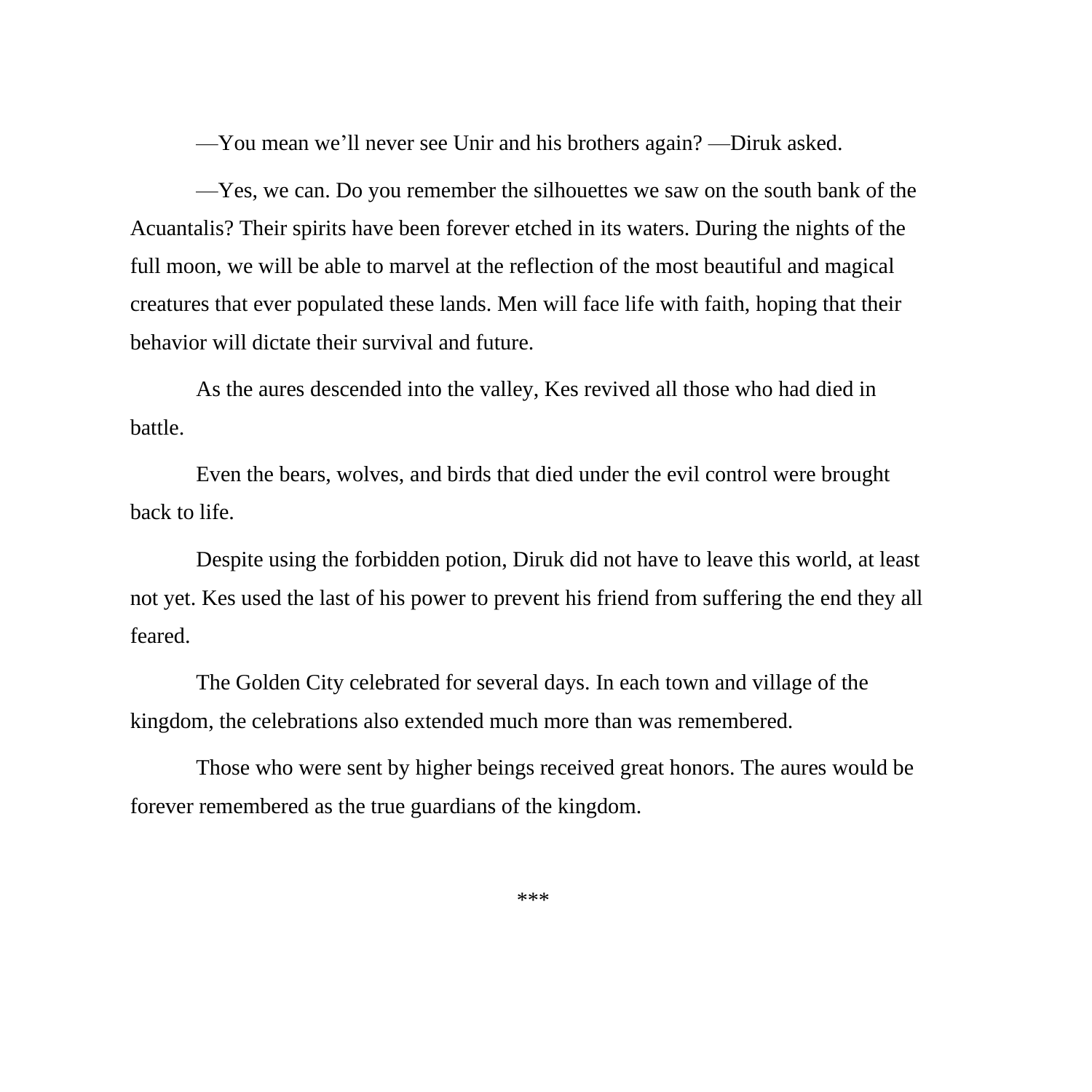—You mean we'll never see Unir and his brothers again? —Diruk asked.

—Yes, we can. Do you remember the silhouettes we saw on the south bank of the Acuantalis? Their spirits have been forever etched in its waters. During the nights of the full moon, we will be able to marvel at the reflection of the most beautiful and magical creatures that ever populated these lands. Men will face life with faith, hoping that their behavior will dictate their survival and future.

As the aures descended into the valley, Kes revived all those who had died in battle.

Even the bears, wolves, and birds that died under the evil control were brought back to life.

Despite using the forbidden potion, Diruk did not have to leave this world, at least not yet. Kes used the last of his power to prevent his friend from suffering the end they all feared.

The Golden City celebrated for several days. In each town and village of the kingdom, the celebrations also extended much more than was remembered.

Those who were sent by higher beings received great honors. The aures would be forever remembered as the true guardians of the kingdom.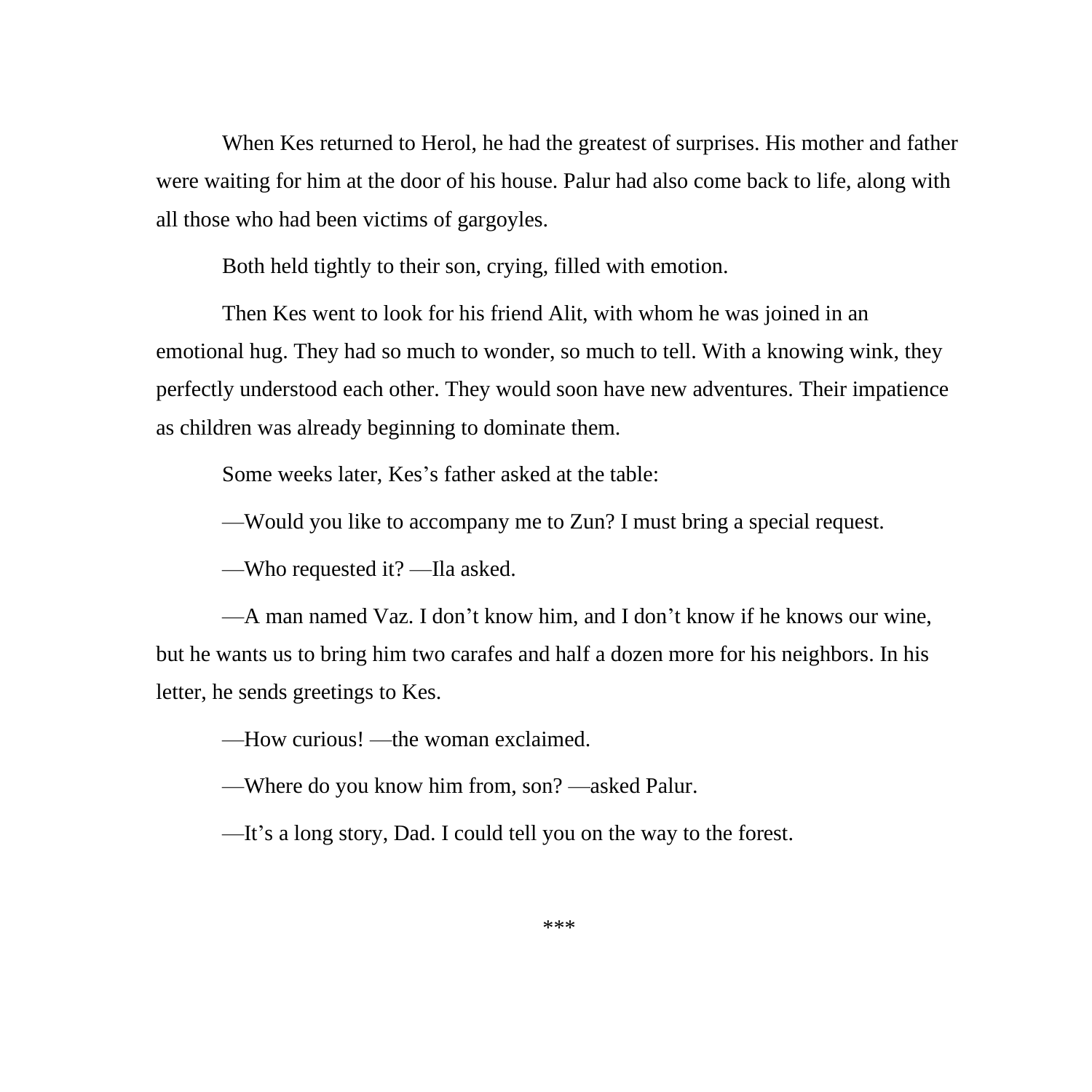When Kes returned to Herol, he had the greatest of surprises. His mother and father were waiting for him at the door of his house. Palur had also come back to life, along with all those who had been victims of gargoyles.

Both held tightly to their son, crying, filled with emotion.

Then Kes went to look for his friend Alit, with whom he was joined in an emotional hug. They had so much to wonder, so much to tell. With a knowing wink, they perfectly understood each other. They would soon have new adventures. Their impatience as children was already beginning to dominate them.

Some weeks later, Kes's father asked at the table:

—Would you like to accompany me to Zun? I must bring a special request.

—Who requested it? —Ila asked.

—A man named Vaz. I don't know him, and I don't know if he knows our wine, but he wants us to bring him two carafes and half a dozen more for his neighbors. In his letter, he sends greetings to Kes.

—How curious! —the woman exclaimed.

—Where do you know him from, son? —asked Palur.

—It's a long story, Dad. I could tell you on the way to the forest.